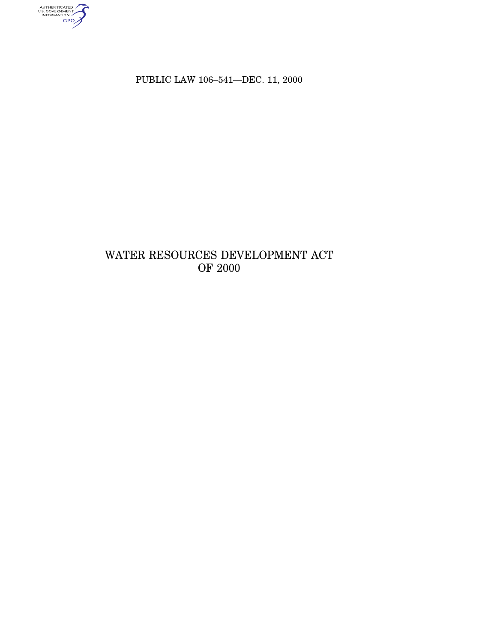authenticated<br>u.s. government<br>information<br>GPO

PUBLIC LAW 106–541—DEC. 11, 2000

# WATER RESOURCES DEVELOPMENT ACT OF 2000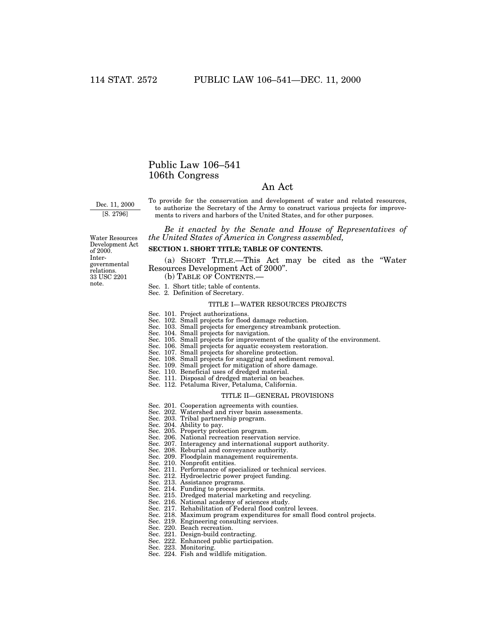# Public Law 106–541 106th Congress

# An Act

Dec. 11, 2000 [S. 2796]

Water Resources Development Act of 2000. Intergovernmental relations.

33 USC 2201 note.

To provide for the conservation and development of water and related resources, to authorize the Secretary of the Army to construct various projects for improvements to rivers and harbors of the United States, and for other purposes.

*Be it enacted by the Senate and House of Representatives of the United States of America in Congress assembled,*

**SECTION 1. SHORT TITLE; TABLE OF CONTENTS.**

(a) SHORT TITLE.—This Act may be cited as the ''Water Resources Development Act of 2000''.

(b) TABLE OF CONTENTS.—

- Sec. 1. Short title; table of contents.
- Sec. 2. Definition of Secretary.

#### TITLE I—WATER RESOURCES PROJECTS

- Sec. 101. Project authorizations.
- Sec. 102. Small projects for flood damage reduction.
- Sec. 103. Small projects for emergency streambank protection.
- Sec. 104. Small projects for navigation.
- Sec. 105. Small projects for improvement of the quality of the environment.
- Sec. 106. Small projects for aquatic ecosystem restoration.
- Sec. 107. Small projects for shoreline protection.
- Sec. 108. Small projects for snagging and sediment removal.
- Sec. 109. Small project for mitigation of shore damage. Sec. 110. Beneficial uses of dredged material.
- 
- Sec. 111. Disposal of dredged material on beaches. Sec. 112. Petaluma River, Petaluma, California.
- 

#### TITLE II—GENERAL PROVISIONS

- Sec. 201. Cooperation agreements with counties. Sec. 202. Watershed and river basin assessments.
- 
- 
- 
- 
- Sec. 203. Tribal partnership program. Sec. 204. Ability to pay. Sec. 205. Property protection program. Sec. 206. National recreation reservation service.
- Sec. 207. Interagency and international support authority. Sec. 208. Reburial and conveyance authority.
- 
- Sec. 209. Floodplain management requirements.
- Sec. 210. Nonprofit entities.
- Sec. 211. Performance of specialized or technical services. Sec. 212. Hydroelectric power project funding.
	-
- Sec. 213. Assistance programs.
- Sec. 214. Funding to process permits.
- Sec. 215. Dredged material marketing and recycling.
- Sec. 216. National academy of sciences study.
- Sec. 217. Rehabilitation of Federal flood control levees.
- Sec. 218. Maximum program expenditures for small flood control projects.
- Sec. 219. Engineering consulting services.
- Sec. 220. Beach recreation.
- Sec. 221. Design-build contracting.
- Sec. 222. Enhanced public participation.
- Sec. 223. Monitoring.
- Sec. 224. Fish and wildlife mitigation.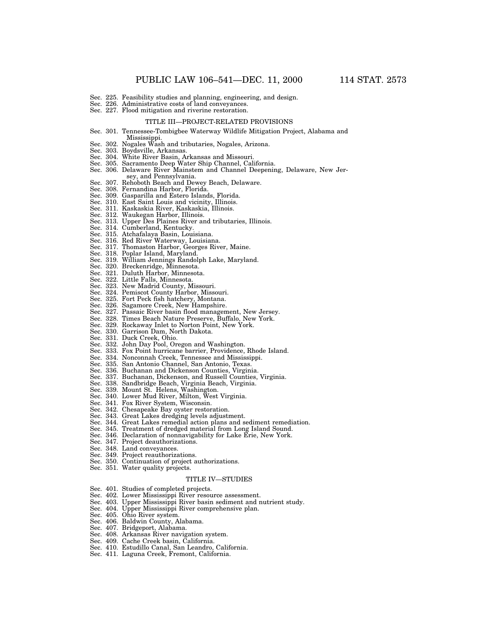- Sec. 225. Feasibility studies and planning, engineering, and design.
- Sec. 226. Administrative costs of land conveyances.
- Sec. 227. Flood mitigation and riverine restoration.

#### TITLE III—PROJECT-RELATED PROVISIONS

#### Sec. 301. Tennessee-Tombigbee Waterway Wildlife Mitigation Project, Alabama and

- Mississippi. Sec. 302. Nogales Wash and tributaries, Nogales, Arizona.
- Sec. 303. Boydsville, Arkansas.
- 
- 
- Sec. 304. White River Basin, Arkansas and Missouri. Sec. 305. Sacramento Deep Water Ship Channel, California. Sec. 306. Delaware River Mainstem and Channel Deepening, Delaware, New Jersey, and Pennsylvania. Sec. 307. Rehoboth Beach and Dewey Beach, Delaware.
- 
- 
- Sec. 308. Fernandina Harbor, Florida. Sec. 309. Gasparilla and Estero Islands, Florida.
- Sec. 310. East Saint Louis and vicinity, Illinois. Sec. 311. Kaskaskia River, Kaskaskia, Illinois.
- 
- 
- Sec. 312. Waukegan Harbor, Illinois. Sec. 313. Upper Des Plaines River and tributaries, Illinois.
- Sec. 314. Cumberland, Kentucky. Sec. 315. Atchafalaya Basin, Louisiana.
- 
- 
- Sec. 316. Red River Waterway, Louisiana. Sec. 317. Thomaston Harbor, Georges River, Maine.
- Sec. 318. Poplar Island, Maryland.
- Sec. 319. William Jennings Randolph Lake, Maryland.
- Sec. 320. Breckenridge, Minnesota.
- Sec. 321. Duluth Harbor, Minnesota.
- Sec. 322. Little Falls, Minnesota.
- Sec. 323. New Madrid County, Missouri.
- Sec. 324. Pemiscot County Harbor, Missouri.
- Sec. 325. Fort Peck fish hatchery, Montana.
- Sec. 326. Sagamore Creek, New Hampshire.
- Sec. 327. Passaic River basin flood management, New Jersey.
- Sec. 328. Times Beach Nature Preserve, Buffalo, New York. Sec. 329. Rockaway Inlet to Norton Point, New York.
- Sec. 330. Garrison Dam, North Dakota.
- 
- Sec. 331. Duck Creek, Ohio.
- Sec. 332. John Day Pool, Oregon and Washington.
- Sec. 333. Fox Point hurricane barrier, Providence, Rhode Island.
- Sec. 334. Nonconnah Creek, Tennessee and Mississippi.
- Sec. 335. San Antonio Channel, San Antonio, Texas.
- Sec. 336. Buchanan and Dickenson Counties, Virginia.
- Sec. 337. Buchanan, Dickenson, and Russell Counties, Virginia.
- Sec. 338. Sandbridge Beach, Virginia Beach, Virginia.
- Sec. 339. Mount St. Helens, Washington.
- Sec. 340. Lower Mud River, Milton, West Virginia.
- Sec. 341. Fox River System, Wisconsin.
- Sec. 342. Chesapeake Bay oyster restoration.
- Sec. 343. Great Lakes dredging levels adjustment.
- Sec. 344. Great Lakes remedial action plans and sediment remediation.
- Sec. 345. Treatment of dredged material from Long Island Sound.
- Sec. 346. Declaration of nonnavigability for Lake Erie, New York.
- Sec. 347. Project deauthorizations.
- Sec. 348. Land conveyances.
- Sec. 349. Project reauthorizations.
- Sec. 350. Continuation of project authorizations.
- Sec. 351. Water quality projects.

## TITLE IV—STUDIES

- Sec. 401. Studies of completed projects.
- Sec. 402. Lower Mississippi River resource assessment.
- Sec. 403. Upper Mississippi River basin sediment and nutrient study.
- Sec. 404. Upper Mississippi River comprehensive plan.
- Sec. 405. Ohio River system.
- Sec. 406. Baldwin County, Alabama.
- Sec. 407. Bridgeport, Alabama.
- Sec. 408. Arkansas River navigation system.
- Sec. 409. Cache Creek basin, California.
- Sec. 410. Estudillo Canal, San Leandro, California.
- Sec. 411. Laguna Creek, Fremont, California.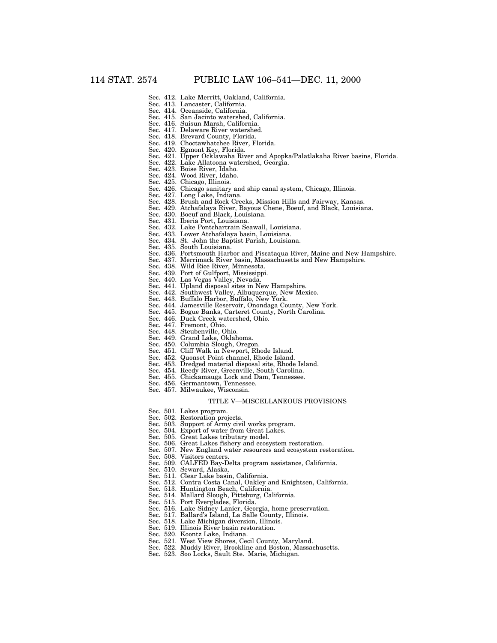- Sec. 412. Lake Merritt, Oakland, California.
- Sec. 413. Lancaster, California.
- Sec. 414. Oceanside, California. Sec. 415. San Jacinto watershed, California.
- Sec. 416. Suisun Marsh, California.
- Sec. 417. Delaware River watershed.
- Sec. 418. Brevard County, Florida.
- Sec. 419. Choctawhatchee River, Florida.
- Sec. 420. Egmont Key, Florida.
- Sec. 421. Upper Ocklawaha River and Apopka/Palatlakaha River basins, Florida.
	- Lake Allatoona watershed, Georgia.
	- Sec. 423. Boise River, Idaho.<br>Sec. 424. Wood River, Idaho.
	- Sec. 424. Wood River, Idaho.<br>Sec. 425. Chicago, Illinois.
	- Chicago, Illinois.
	- Sec. 426. Chicago sanitary and ship canal system, Chicago, Illinois.
	- Sec. 427. Long Lake, Indiana.
	- Sec. 428. Brush and Rock Creeks, Mission Hills and Fairway, Kansas.
	- Sec. 429. Atchafalaya River, Bayous Chene, Boeuf, and Black, Louisiana.
	- Sec. 430. Boeuf and Black, Louisiana.
	- Sec. 431. Iberia Port, Louisiana.
	- Sec. 432. Lake Pontchartrain Seawall, Louisiana. Sec. 433. Lower Atchafalaya basin, Louisiana.
	- Sec. 434. St. John the Baptist Parish, Louisiana.
	- Sec. 435. South Louisiana.
	-
	- Sec. 436. Portsmouth Harbor and Piscataqua River, Maine and New Hampshire.
	- Sec. 437. Merrimack River basin, Massachusetts and New Hampshire.
	- Sec. 438. Wild Rice River, Minnesota.
	- Sec. 439. Port of Gulfport, Mississippi.
	- Sec. 440. Las Vegas Valley, Nevada.
	- Sec. 441. Upland disposal sites in New Hampshire.
	- Sec. 442. Southwest Valley, Albuquerque, New Mexico.
	- Sec. 443. Buffalo Harbor, Buffalo, New York.
	- Sec. 444. Jamesville Reservoir, Onondaga County, New York.
	- Sec. 445. Bogue Banks, Carteret County, North Carolina.
	- Sec. 446. Duck Creek watershed, Ohio.
	- Sec. 447. Fremont, Ohio.
	- Sec. 448. Steubenville, Ohio.
	- Sec. 449. Grand Lake, Oklahoma.
	- Sec. 450. Columbia Slough, Oregon.
	- Sec. 451. Cliff Walk in Newport, Rhode Island.
	- Sec. 452. Quonset Point channel, Rhode Island.
	- Sec. 453. Dredged material disposal site, Rhode Island.
	- Sec. 454. Reedy River, Greenville, South Carolina.
	- Sec. 455. Chickamauga Lock and Dam, Tennessee.
	- Sec. 456. Germantown, Tennessee.
	- Sec. 457. Milwaukee, Wisconsin.

#### TITLE V—MISCELLANEOUS PROVISIONS

- Sec. 501. Lakes program.
- Sec. 502. Restoration projects.
- Sec. 503. Support of Army civil works program.
- Sec. 504. Export of water from Great Lakes.
- Sec. 505. Great Lakes tributary model.
- Sec. 506. Great Lakes fishery and ecosystem restoration.
- Sec. 507. New England water resources and ecosystem restoration.
- Sec. 508. Visitors centers.
- Sec. 509. CALFED Bay-Delta program assistance, California.
- Sec. 510. Seward, Alaska.
- Sec. 511. Clear Lake basin, California.
- Sec. 512. Contra Costa Canal, Oakley and Knightsen, California.
- Sec. 513. Huntington Beach, California.
- Sec. 514. Mallard Slough, Pittsburg, California.
- Sec. 515. Port Everglades, Florida.
- Sec. 516. Lake Sidney Lanier, Georgia, home preservation.
- Sec. 517. Ballard's Island, La Salle County, Illinois.
- Sec. 518. Lake Michigan diversion, Illinois.
- Sec. 519. Illinois River basin restoration.
- Sec. 520. Koontz Lake, Indiana.
- Sec. 521. West View Shores, Cecil County, Maryland.
- 
- Sec. 522. Muddy River, Brookline and Boston, Massachusetts.
- Sec. 523. Soo Locks, Sault Ste. Marie, Michigan.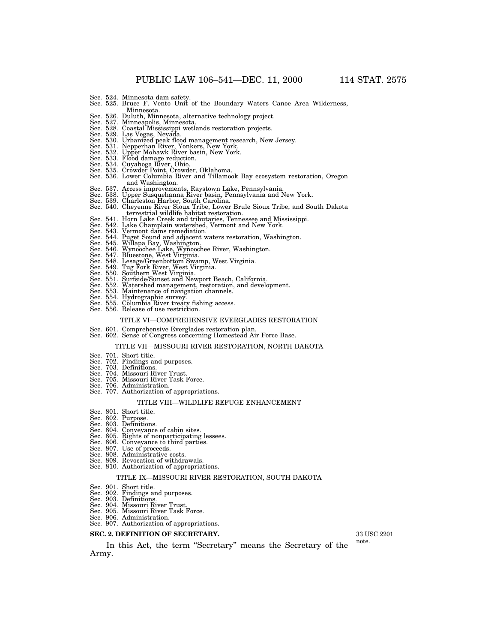- 
- Sec. 524. Minnesota dam safety. Sec. 525. Bruce F. Vento Unit of the Boundary Waters Canoe Area Wilderness,
- Minnesota. Sec. 526. Duluth, Minnesota, alternative technology project. Sec. 527. Minneapolis, Minnesota.
- 
- Sec. 528. Coastal Mississippi wetlands restoration projects.
- 
- 
- 
- 
- 
- 
- Sec. 529. Las Vegas, Nevada.<br>Sec. 530. Urbanized peak flood management research, New Jersey.<br>Sec. 531. Nepperhan River, Yonkers, New York.<br>Sec. 532. Upper Mohawk River basin, New York.<br>Sec. 533. Flood damage reduction.<br>Sec and Washington.<br>Sec. 537. Access improvements, Raystown Lake, Pennsylvania.<br>Sec. 538. Upper Susquehanna River basin, Pennsylvania and New York.<br>Sec. 539. Charleston Harbor, South Carolina.<br>Sec. 540. Cheyenne River Sioux Tr
- 
- 
- 
- terrestrial wildlife habitat restoration. Sec. 541. Horn Lake Creek and tributaries, Tennessee and Mississippi. Sec. 542. Lake Champlain watershed, Vermont and New York. Sec. 543. Vermont dams remediation.
- 
- 
- 
- Sec. 544. Puget Sound and adjacent waters restoration, Washington.<br>Sec. 545. Willapa Bay, Washington.<br>Sec. 546. Wynoochee Lake, Wynoochee River, Washington.<br>Sec. 547. Bluestone, West Virginia.<br>Sec. 548. Lesage/Greenbottom
- 
- 
- 
- 
- 
- 
- 
- Sec. 553. Maintenance of navigation channels.
- 
- Sec. 554. Hydrographic survey. Sec. 555. Columbia River treaty fishing access. Sec. 556. Release of use restriction.
- 

#### TITLE VI—COMPREHENSIVE EVERGLADES RESTORATION

- Sec. 601. Comprehensive Everglades restoration plan.
- Sec. 602. Sense of Congress concerning Homestead Air Force Base.

#### TITLE VII—MISSOURI RIVER RESTORATION, NORTH DAKOTA

- Sec. 701. Short title.
- Sec. 702. Findings and purposes. Sec. 703. Definitions.
- 
- Sec. 704. Missouri River Trust. Sec. 705. Missouri River Task Force. Sec. 706. Administration.
- 
- Sec. 707. Authorization of appropriations.

# TITLE VIII—WILDLIFE REFUGE ENHANCEMENT

- Sec. 801. Short title.
- Sec. 802. Purpose.
- Sec. 803. Definitions.
- 
- Sec. 804. Conveyance of cabin sites. Sec. 805. Rights of nonparticipating lessees.
- Sec. 806. Conveyance to third parties. Sec. 807. Use of proceeds. Sec. 808. Administrative costs.
- 
- 
- Sec. 809. Revocation of withdrawals.
- Sec. 810. Authorization of appropriations.

#### TITLE IX—MISSOURI RIVER RESTORATION, SOUTH DAKOTA

- Sec. 901. Short title.
- Sec. 902. Findings and purposes.
- Sec. 903. Definitions.
- Sec. 904. Missouri River Trust.
- Sec. 905. Missouri River Task Force. Sec. 906. Administration. Sec. 907. Authorization of appropriations.
- 

# **SEC. 2. DEFINITION OF SECRETARY.**

In this Act, the term ''Secretary'' means the Secretary of the Army.

33 USC 2201

note.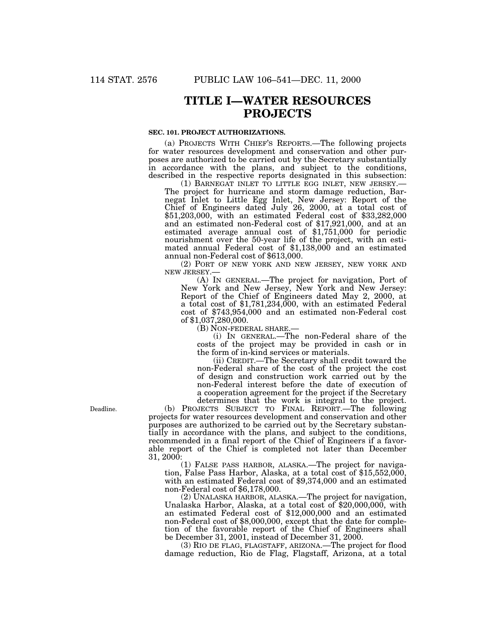# **TITLE I—WATER RESOURCES PROJECTS**

# **SEC. 101. PROJECT AUTHORIZATIONS.**

(a) PROJECTS WITH CHIEF'S REPORTS.—The following projects for water resources development and conservation and other purposes are authorized to be carried out by the Secretary substantially in accordance with the plans, and subject to the conditions, described in the respective reports designated in this subsection:<br>(1) BARNEGAT INLET TO LITTLE EGG INLET, NEW JERSEY.—

The project for hurricane and storm damage reduction, Barnegat Inlet to Little Egg Inlet, New Jersey: Report of the Chief of Engineers dated July 26, 2000, at a total cost of \$51,203,000, with an estimated Federal cost of \$33,282,000 and an estimated non-Federal cost of \$17,921,000, and at an estimated average annual cost of \$1,751,000 for periodic nourishment over the 50-year life of the project, with an estimated annual Federal cost of \$1,138,000 and an estimated annual non-Federal cost of \$613,000.

(2) PORT OF NEW YORK AND NEW JERSEY, NEW YORK AND NEW JERSEY.  $\!\!-\!\!$ 

(A) IN GENERAL.—The project for navigation, Port of New York and New Jersey, New York and New Jersey: Report of the Chief of Engineers dated May 2, 2000, at a total cost of \$1,781,234,000, with an estimated Federal cost of \$743,954,000 and an estimated non-Federal cost of \$1,037,280,000.<br>(B) NON-FEDERAL SHARE.—

 $(i)$  In GENERAL.—The non-Federal share of the costs of the project may be provided in cash or in the form of in-kind services or materials.

(ii) CREDIT.—The Secretary shall credit toward the non-Federal share of the cost of the project the cost of design and construction work carried out by the non-Federal interest before the date of execution of a cooperation agreement for the project if the Secretary determines that the work is integral to the project.

(b) PROJECTS SUBJECT TO FINAL REPORT.—The following projects for water resources development and conservation and other purposes are authorized to be carried out by the Secretary substantially in accordance with the plans, and subject to the conditions, recommended in a final report of the Chief of Engineers if a favorable report of the Chief is completed not later than December 31, 2000:<br>(1) FALSE PASS HARBOR, ALASKA.—The project for naviga-

tion, False Pass Harbor, Alaska, at a total cost of \$15,552,000, with an estimated Federal cost of \$9,374,000 and an estimated non-Federal cost of \$6,178,000.<br>(2) UNALASKA HARBOR, ALASKA.—The project for navigation,

Unalaska Harbor, Alaska, at a total cost of  $$20,000,000$ , with an estimated Federal cost of \$12,000,000 and an estimated non-Federal cost of \$8,000,000, except that the date for completion of the favorable report of the Chief of Engineers shall be December 31, 2001, instead of December 31, 2000.

(3) RIO DE FLAG, FLAGSTAFF, ARIZONA.—The project for flood damage reduction, Rio de Flag, Flagstaff, Arizona, at a total

Deadline.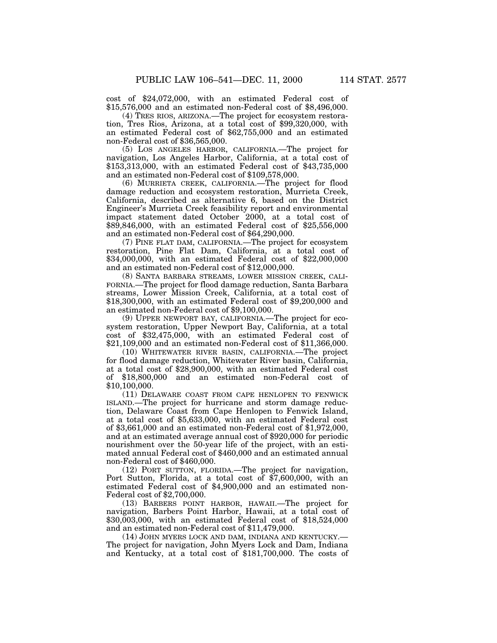cost of \$24,072,000, with an estimated Federal cost of \$15,576,000 and an estimated non-Federal cost of \$8,496,000. (4) TRES RIOS, ARIZONA.—The project for ecosystem restora-

tion, Tres Rios, Arizona, at a total cost of \$99,320,000, with an estimated Federal cost of \$62,755,000 and an estimated non-Federal cost of \$36,565,000.

(5) LOS ANGELES HARBOR, CALIFORNIA.—The project for navigation, Los Angeles Harbor, California, at a total cost of \$153,313,000, with an estimated Federal cost of \$43,735,000 and an estimated non-Federal cost of \$109,578,000.

(6) MURRIETA CREEK, CALIFORNIA.—The project for flood damage reduction and ecosystem restoration, Murrieta Creek, California, described as alternative 6, based on the District Engineer's Murrieta Creek feasibility report and environmental impact statement dated October 2000, at a total cost of \$89,846,000, with an estimated Federal cost of \$25,556,000 and an estimated non-Federal cost of \$64,290,000.

(7) PINE FLAT DAM, CALIFORNIA.—The project for ecosystem restoration, Pine Flat Dam, California, at a total cost of \$34,000,000, with an estimated Federal cost of \$22,000,000 and an estimated non-Federal cost of \$12,000,000.

(8) SANTA BARBARA STREAMS, LOWER MISSION CREEK, CALI-FORNIA.—The project for flood damage reduction, Santa Barbara streams, Lower Mission Creek, California, at a total cost of \$18,300,000, with an estimated Federal cost of \$9,200,000 and an estimated non-Federal cost of \$9,100,000.

(9) UPPER NEWPORT BAY, CALIFORNIA.—The project for ecosystem restoration, Upper Newport Bay, California, at a total cost of \$32,475,000, with an estimated Federal cost of \$21,109,000 and an estimated non-Federal cost of \$11,366,000.

(10) WHITEWATER RIVER BASIN, CALIFORNIA.—The project for flood damage reduction, Whitewater River basin, California, at a total cost of \$28,900,000, with an estimated Federal cost of \$18,800,000 and an estimated non-Federal cost of \$10,100,000.

(11) DELAWARE COAST FROM CAPE HENLOPEN TO FENWICK ISLAND.—The project for hurricane and storm damage reduction, Delaware Coast from Cape Henlopen to Fenwick Island, at a total cost of \$5,633,000, with an estimated Federal cost of \$3,661,000 and an estimated non-Federal cost of \$1,972,000, and at an estimated average annual cost of \$920,000 for periodic nourishment over the 50-year life of the project, with an estimated annual Federal cost of \$460,000 and an estimated annual non-Federal cost of \$460,000.

(12) PORT SUTTON, FLORIDA.—The project for navigation, Port Sutton, Florida, at a total cost of \$7,600,000, with an estimated Federal cost of \$4,900,000 and an estimated non-Federal cost of \$2,700,000.

(13) BARBERS POINT HARBOR, HAWAII.—The project for navigation, Barbers Point Harbor, Hawaii, at a total cost of \$30,003,000, with an estimated Federal cost of \$18,524,000 and an estimated non-Federal cost of \$11,479,000.

(14) JOHN MYERS LOCK AND DAM, INDIANA AND KENTUCKY.— The project for navigation, John Myers Lock and Dam, Indiana and Kentucky, at a total cost of \$181,700,000. The costs of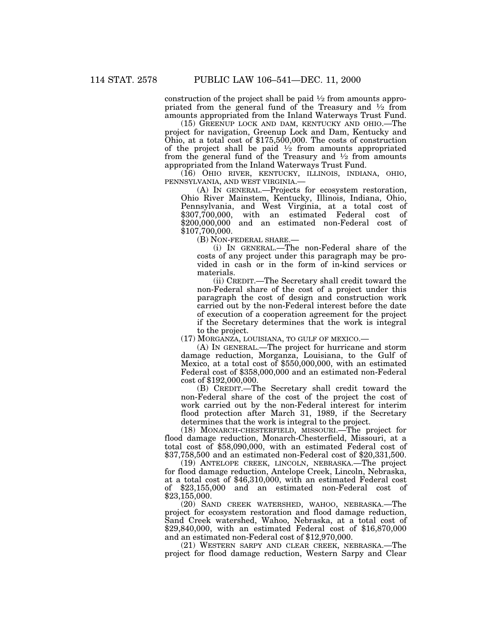construction of the project shall be paid  $\frac{1}{2}$  from amounts appropriated from the general fund of the Treasury and  $\frac{1}{2}$  from amounts appropriated from the Inland Waterways Trust Fund.

(15) GREENUP LOCK AND DAM, KENTUCKY AND OHIO.—The project for navigation, Greenup Lock and Dam, Kentucky and Ohio, at a total cost of \$175,500,000. The costs of construction of the project shall be paid  $\frac{1}{2}$  from amounts appropriated from the general fund of the Treasury and  $\frac{1}{2}$  from amounts appropriated from the Inland Waterways Trust Fund.

(16) OHIO RIVER, KENTUCKY, ILLINOIS, INDIANA, OHIO, PENNSYLVANIA, AND WEST VIRGINIA.—

(A) IN GENERAL.—Projects for ecosystem restoration, Ohio River Mainstem, Kentucky, Illinois, Indiana, Ohio, Pennsylvania, and West Virginia, at a total cost of \$307,700,000, with an estimated Federal cost of \$200,000,000 and an estimated non-Federal cost of \$107,700,000.

(B) NON-FEDERAL SHARE.—

(i) IN GENERAL.—The non-Federal share of the costs of any project under this paragraph may be provided in cash or in the form of in-kind services or materials.

(ii) CREDIT.—The Secretary shall credit toward the non-Federal share of the cost of a project under this paragraph the cost of design and construction work carried out by the non-Federal interest before the date of execution of a cooperation agreement for the project if the Secretary determines that the work is integral to the project.

(17) MORGANZA, LOUISIANA, TO GULF OF MEXICO.—

(A) IN GENERAL.—The project for hurricane and storm damage reduction, Morganza, Louisiana, to the Gulf of Mexico, at a total cost of \$550,000,000, with an estimated Federal cost of \$358,000,000 and an estimated non-Federal cost of \$192,000,000.

(B) CREDIT.—The Secretary shall credit toward the non-Federal share of the cost of the project the cost of work carried out by the non-Federal interest for interim flood protection after March 31, 1989, if the Secretary determines that the work is integral to the project.

(18) MONARCH-CHESTERFIELD, MISSOURI.—The project for flood damage reduction, Monarch-Chesterfield, Missouri, at a total cost of \$58,090,000, with an estimated Federal cost of \$37,758,500 and an estimated non-Federal cost of \$20,331,500.

(19) ANTELOPE CREEK, LINCOLN, NEBRASKA.—The project for flood damage reduction, Antelope Creek, Lincoln, Nebraska, at a total cost of \$46,310,000, with an estimated Federal cost of \$23,155,000 and an estimated non-Federal cost of \$23,155,000.

(20) SAND CREEK WATERSHED, WAHOO, NEBRASKA.—The project for ecosystem restoration and flood damage reduction, Sand Creek watershed, Wahoo, Nebraska, at a total cost of \$29,840,000, with an estimated Federal cost of \$16,870,000 and an estimated non-Federal cost of \$12,970,000.

(21) WESTERN SARPY AND CLEAR CREEK, NEBRASKA.—The project for flood damage reduction, Western Sarpy and Clear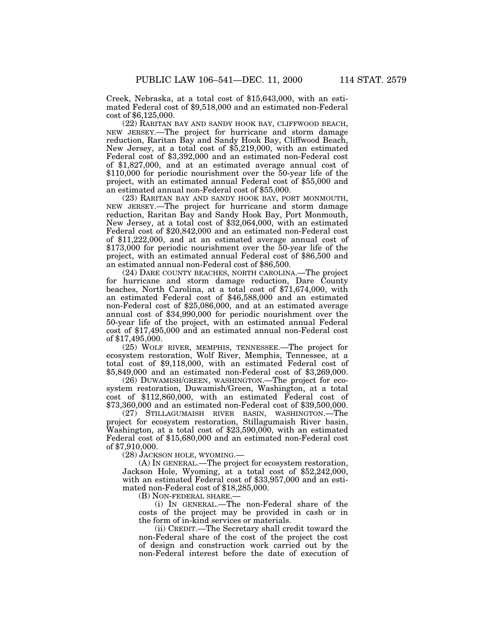Creek, Nebraska, at a total cost of \$15,643,000, with an estimated Federal cost of \$9,518,000 and an estimated non-Federal cost of \$6,125,000.

(22) RARITAN BAY AND SANDY HOOK BAY, CLIFFWOOD BEACH, NEW JERSEY.—The project for hurricane and storm damage reduction, Raritan Bay and Sandy Hook Bay, Cliffwood Beach, New Jersey, at a total cost of \$5,219,000, with an estimated Federal cost of \$3,392,000 and an estimated non-Federal cost of \$1,827,000, and at an estimated average annual cost of \$110,000 for periodic nourishment over the 50-year life of the project, with an estimated annual Federal cost of \$55,000 and an estimated annual non-Federal cost of \$55,000.

(23) RARITAN BAY AND SANDY HOOK BAY, PORT MONMOUTH, NEW JERSEY.—The project for hurricane and storm damage reduction, Raritan Bay and Sandy Hook Bay, Port Monmouth, New Jersey, at a total cost of \$32,064,000, with an estimated Federal cost of \$20,842,000 and an estimated non-Federal cost of \$11,222,000, and at an estimated average annual cost of \$173,000 for periodic nourishment over the 50-year life of the project, with an estimated annual Federal cost of \$86,500 and an estimated annual non-Federal cost of \$86,500.

(24) DARE COUNTY BEACHES, NORTH CAROLINA.—The project for hurricane and storm damage reduction, Dare County beaches, North Carolina, at a total cost of \$71,674,000, with an estimated Federal cost of \$46,588,000 and an estimated non-Federal cost of \$25,086,000, and at an estimated average annual cost of \$34,990,000 for periodic nourishment over the 50-year life of the project, with an estimated annual Federal cost of \$17,495,000 and an estimated annual non-Federal cost of \$17,495,000.

(25) WOLF RIVER, MEMPHIS, TENNESSEE.—The project for ecosystem restoration, Wolf River, Memphis, Tennessee, at a total cost of \$9,118,000, with an estimated Federal cost of \$5,849,000 and an estimated non-Federal cost of \$3,269,000.

(26) DUWAMISH/GREEN, WASHINGTON.—The project for ecosystem restoration, Duwamish/Green, Washington, at a total cost of \$112,860,000, with an estimated Federal cost of \$73,360,000 and an estimated non-Federal cost of \$39,500,000.

(27) STILLAGUMAISH RIVER BASIN, WASHINGTON.—The project for ecosystem restoration, Stillagumaish River basin, Washington, at a total cost of \$23,590,000, with an estimated Federal cost of \$15,680,000 and an estimated non-Federal cost of \$7,910,000.

(28) JACKSON HOLE, WYOMING.—

(A) IN GENERAL.—The project for ecosystem restoration, Jackson Hole, Wyoming, at a total cost of \$52,242,000, with an estimated Federal cost of \$33,957,000 and an estimated non-Federal cost of \$18,285,000.

(B) NON-FEDERAL SHARE.

(i) IN GENERAL.—The non-Federal share of the costs of the project may be provided in cash or in the form of in-kind services or materials.

(ii) CREDIT.—The Secretary shall credit toward the non-Federal share of the cost of the project the cost of design and construction work carried out by the non-Federal interest before the date of execution of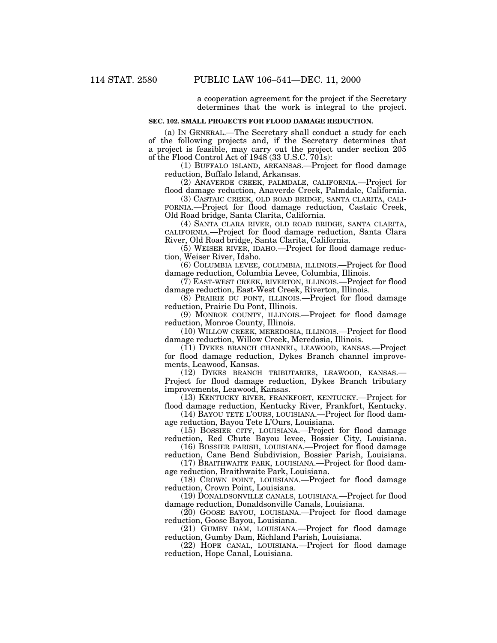a cooperation agreement for the project if the Secretary determines that the work is integral to the project.

#### **SEC. 102. SMALL PROJECTS FOR FLOOD DAMAGE REDUCTION.**

(a) IN GENERAL.—The Secretary shall conduct a study for each of the following projects and, if the Secretary determines that a project is feasible, may carry out the project under section 205 of the Flood Control Act of 1948 (33 U.S.C. 701s):

(1) BUFFALO ISLAND, ARKANSAS.—Project for flood damage reduction, Buffalo Island, Arkansas.

(2) ANAVERDE CREEK, PALMDALE, CALIFORNIA.—Project for flood damage reduction, Anaverde Creek, Palmdale, California.

(3) CASTAIC CREEK, OLD ROAD BRIDGE, SANTA CLARITA, CALI-FORNIA.—Project for flood damage reduction, Castaic Creek, Old Road bridge, Santa Clarita, California.

(4) SANTA CLARA RIVER, OLD ROAD BRIDGE, SANTA CLARITA, CALIFORNIA.—Project for flood damage reduction, Santa Clara River, Old Road bridge, Santa Clarita, California.

(5) WEISER RIVER, IDAHO.—Project for flood damage reduction, Weiser River, Idaho.

(6) COLUMBIA LEVEE, COLUMBIA, ILLINOIS.—Project for flood damage reduction, Columbia Levee, Columbia, Illinois.

(7) EAST-WEST CREEK, RIVERTON, ILLINOIS.—Project for flood damage reduction, East-West Creek, Riverton, Illinois.

(8) PRAIRIE DU PONT, ILLINOIS.—Project for flood damage reduction, Prairie Du Pont, Illinois.

(9) MONROE COUNTY, ILLINOIS.—Project for flood damage reduction, Monroe County, Illinois.

(10) WILLOW CREEK, MEREDOSIA, ILLINOIS.—Project for flood damage reduction, Willow Creek, Meredosia, Illinois.

(11) DYKES BRANCH CHANNEL, LEAWOOD, KANSAS.—Project for flood damage reduction, Dykes Branch channel improvements, Leawood, Kansas.

(12) DYKES BRANCH TRIBUTARIES, LEAWOOD, KANSAS.— Project for flood damage reduction, Dykes Branch tributary improvements, Leawood, Kansas.

(13) KENTUCKY RIVER, FRANKFORT, KENTUCKY.—Project for flood damage reduction, Kentucky River, Frankfort, Kentucky.

(14) BAYOU TETE L'OURS, LOUISIANA.—Project for flood damage reduction, Bayou Tete L'Ours, Louisiana.

(15) BOSSIER CITY, LOUISIANA.—Project for flood damage reduction, Red Chute Bayou levee, Bossier City, Louisiana.

(16) BOSSIER PARISH, LOUISIANA.—Project for flood damage reduction, Cane Bend Subdivision, Bossier Parish, Louisiana.

(17) BRAITHWAITE PARK, LOUISIANA.—Project for flood damage reduction, Braithwaite Park, Louisiana.

(18) CROWN POINT, LOUISIANA.—Project for flood damage reduction, Crown Point, Louisiana.

(19) DONALDSONVILLE CANALS, LOUISIANA.—Project for flood damage reduction, Donaldsonville Canals, Louisiana.

(20) GOOSE BAYOU, LOUISIANA.—Project for flood damage reduction, Goose Bayou, Louisiana.

(21) GUMBY DAM, LOUISIANA.—Project for flood damage reduction, Gumby Dam, Richland Parish, Louisiana.

(22) HOPE CANAL, LOUISIANA.—Project for flood damage reduction, Hope Canal, Louisiana.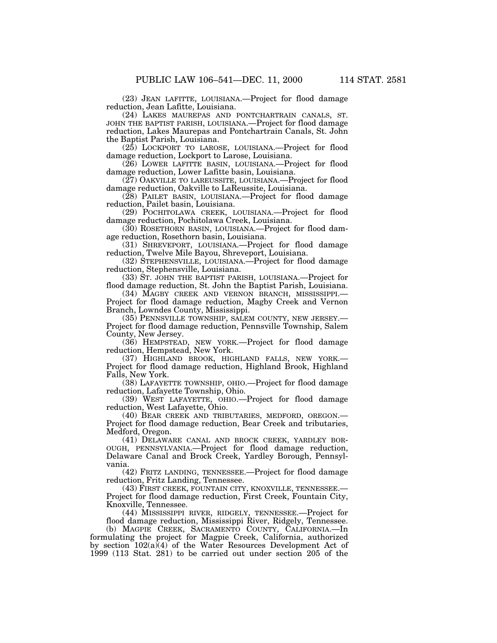(23) JEAN LAFITTE, LOUISIANA.—Project for flood damage reduction, Jean Lafitte, Louisiana.

(24) LAKES MAUREPAS AND PONTCHARTRAIN CANALS, ST. JOHN THE BAPTIST PARISH, LOUISIANA.—Project for flood damage reduction, Lakes Maurepas and Pontchartrain Canals, St. John the Baptist Parish, Louisiana.

(25) LOCKPORT TO LAROSE, LOUISIANA.—Project for flood damage reduction, Lockport to Larose, Louisiana.

(26) LOWER LAFITTE BASIN, LOUISIANA.—Project for flood damage reduction, Lower Lafitte basin, Louisiana.

(27) OAKVILLE TO LAREUSSITE, LOUISIANA.—Project for flood damage reduction, Oakville to LaReussite, Louisiana.

(28) PAILET BASIN, LOUISIANA.—Project for flood damage reduction, Pailet basin, Louisiana.

(29) POCHITOLAWA CREEK, LOUISIANA.—Project for flood damage reduction, Pochitolawa Creek, Louisiana.

(30) ROSETHORN BASIN, LOUISIANA.—Project for flood damage reduction, Rosethorn basin, Louisiana.

(31) SHREVEPORT, LOUISIANA.—Project for flood damage reduction, Twelve Mile Bayou, Shreveport, Louisiana.

(32) STEPHENSVILLE, LOUISIANA.—Project for flood damage reduction, Stephensville, Louisiana.

(33) ST. JOHN THE BAPTIST PARISH, LOUISIANA.—Project for flood damage reduction, St. John the Baptist Parish, Louisiana.

(34) MAGBY CREEK AND VERNON BRANCH, MISSISSIPPI.— Project for flood damage reduction, Magby Creek and Vernon Branch, Lowndes County, Mississippi.

(35) PENNSVILLE TOWNSHIP, SALEM COUNTY, NEW JERSEY.— Project for flood damage reduction, Pennsville Township, Salem County, New Jersey.

(36) HEMPSTEAD, NEW YORK.—Project for flood damage reduction, Hempstead, New York.

(37) HIGHLAND BROOK, HIGHLAND FALLS, NEW YORK.— Project for flood damage reduction, Highland Brook, Highland Falls, New York.

(38) LAFAYETTE TOWNSHIP, OHIO.—Project for flood damage reduction, Lafayette Township, Ohio.

(39) WEST LAFAYETTE, OHIO.—Project for flood damage reduction, West Lafayette, Ohio.

(40) BEAR CREEK AND TRIBUTARIES, MEDFORD, OREGON.— Project for flood damage reduction, Bear Creek and tributaries, Medford, Oregon.

(41) DELAWARE CANAL AND BROCK CREEK, YARDLEY BOR-OUGH, PENNSYLVANIA.—Project for flood damage reduction, Delaware Canal and Brock Creek, Yardley Borough, Pennsylvania.

(42) FRITZ LANDING, TENNESSEE.—Project for flood damage reduction, Fritz Landing, Tennessee.

(43) FIRST CREEK, FOUNTAIN CITY, KNOXVILLE, TENNESSEE.— Project for flood damage reduction, First Creek, Fountain City, Knoxville, Tennessee.

(44) MISSISSIPPI RIVER, RIDGELY, TENNESSEE.—Project for flood damage reduction, Mississippi River, Ridgely, Tennessee.

(b) MAGPIE CREEK, SACRAMENTO COUNTY, CALIFORNIA.—In formulating the project for Magpie Creek, California, authorized by section  $102(a)$ <sup>(4)</sup> of the Water Resources Development Act of 1999 (113 Stat. 281) to be carried out under section 205 of the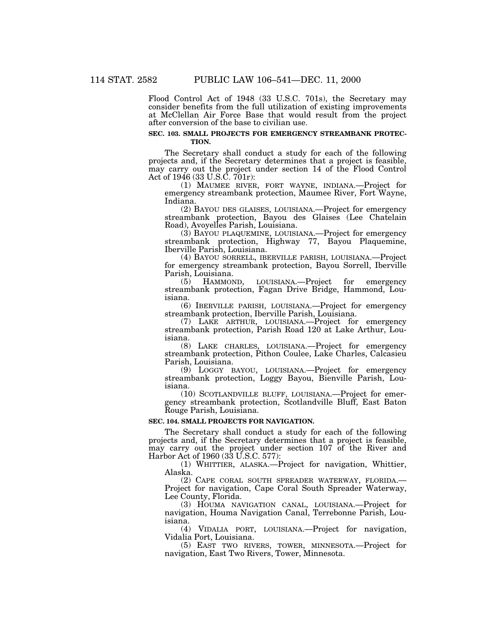Flood Control Act of 1948 (33 U.S.C. 701s), the Secretary may consider benefits from the full utilization of existing improvements at McClellan Air Force Base that would result from the project after conversion of the base to civilian use.

## **SEC. 103. SMALL PROJECTS FOR EMERGENCY STREAMBANK PROTEC-TION.**

The Secretary shall conduct a study for each of the following projects and, if the Secretary determines that a project is feasible, may carry out the project under section 14 of the Flood Control Act of 1946 (33 U.S.C. 701r):

(1) MAUMEE RIVER, FORT WAYNE, INDIANA.—Project for emergency streambank protection, Maumee River, Fort Wayne, Indiana.

(2) BAYOU DES GLAISES, LOUISIANA.—Project for emergency streambank protection, Bayou des Glaises (Lee Chatelain Road), Avoyelles Parish, Louisiana.

(3) BAYOU PLAQUEMINE, LOUISIANA.—Project for emergency streambank protection, Highway 77, Bayou Plaquemine, Iberville Parish, Louisiana.

(4) BAYOU SORRELL, IBERVILLE PARISH, LOUISIANA.—Project for emergency streambank protection, Bayou Sorrell, Iberville Parish, Louisiana.<br>(5) HAMMOND,

LOUISIANA.—Project for emergency streambank protection, Fagan Drive Bridge, Hammond, Louisiana.

(6) IBERVILLE PARISH, LOUISIANA.—Project for emergency streambank protection, Iberville Parish, Louisiana.

(7) LAKE ARTHUR, LOUISIANA.—Project for emergency streambank protection, Parish Road 120 at Lake Arthur, Louisiana.

(8) LAKE CHARLES, LOUISIANA.—Project for emergency streambank protection, Pithon Coulee, Lake Charles, Calcasieu Parish, Louisiana.

(9) LOGGY BAYOU, LOUISIANA.—Project for emergency streambank protection, Loggy Bayou, Bienville Parish, Louisiana.

(10) SCOTLANDVILLE BLUFF, LOUISIANA.—Project for emergency streambank protection, Scotlandville Bluff, East Baton Rouge Parish, Louisiana.

#### **SEC. 104. SMALL PROJECTS FOR NAVIGATION.**

The Secretary shall conduct a study for each of the following projects and, if the Secretary determines that a project is feasible, may carry out the project under section 107 of the River and Harbor Act of 1960 (33 U.S.C. 577):

(1) WHITTIER, ALASKA.—Project for navigation, Whittier, Alaska.

(2) CAPE CORAL SOUTH SPREADER WATERWAY, FLORIDA.— Project for navigation, Cape Coral South Spreader Waterway, Lee County, Florida.

(3) HOUMA NAVIGATION CANAL, LOUISIANA.—Project for navigation, Houma Navigation Canal, Terrebonne Parish, Louisiana.

(4) VIDALIA PORT, LOUISIANA.—Project for navigation, Vidalia Port, Louisiana.

(5) EAST TWO RIVERS, TOWER, MINNESOTA.—Project for navigation, East Two Rivers, Tower, Minnesota.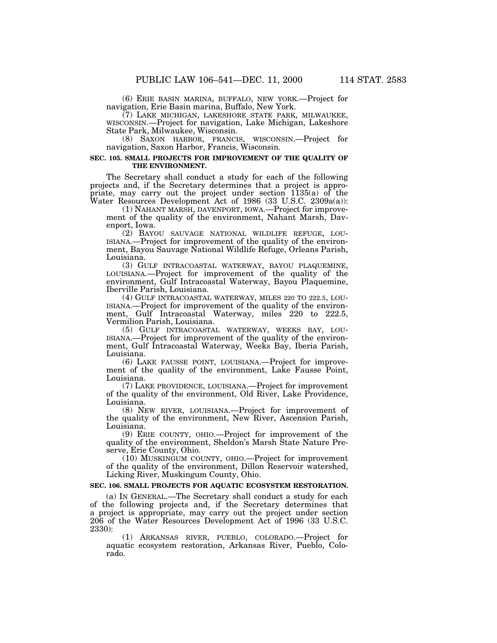(6) ERIE BASIN MARINA, BUFFALO, NEW YORK.—Project for navigation, Erie Basin marina, Buffalo, New York.

WISCONSIN.-Project for navigation, Lake Michigan, Lakeshore State Park, Milwaukee, Wisconsin.

(8) SAXON HARBOR, FRANCIS, WISCONSIN.—Project for navigation, Saxon Harbor, Francis, Wisconsin.

# **SEC. 105. SMALL PROJECTS FOR IMPROVEMENT OF THE QUALITY OF THE ENVIRONMENT.**

The Secretary shall conduct a study for each of the following projects and, if the Secretary determines that a project is appropriate, may carry out the project under section 1135(a) of the Water Resources Development Act of 1986 (33 U.S.C. 2309a(a)):

(1) NAHANT MARSH, DAVENPORT, IOWA.—Project for improvement of the quality of the environment, Nahant Marsh, Davenport, Iowa.<br>(2) BAYOU SAUVAGE NATIONAL WILDLIFE REFUGE, LOU-

ISIANA.—Project for improvement of the quality of the environment, Bayou Sauvage National Wildlife Refuge, Orleans Parish, Louisiana.<br>
(3) GULF INTRACOASTAL WATERWAY, BAYOU PLAQUEMINE,

LOUISIANA.—Project for improvement of the quality of the environment, Gulf Intracoastal Waterway, Bayou Plaquemine, Iberville Parish, Louisiana.

(4) GULF INTRACOASTAL WATERWAY, MILES 220 TO 222.5, LOU- ISIANA.—Project for improvement of the quality of the environment, Gulf Intracoastal Waterway, miles 220 to 222.5, Vermilion Parish, Louisiana.

ISIANA.—Project for improvement of the quality of the environment, Gulf Intracoastal Waterway, Weeks Bay, Iberia Parish, Louisiana.

(6) LAKE FAUSSE POINT, LOUISIANA.—Project for improvement of the quality of the environment, Lake Fausse Point, Louisiana.

(7) LAKE PROVIDENCE, LOUISIANA.—Project for improvement of the quality of the environment, Old River, Lake Providence, Louisiana.

(8) NEW RIVER, LOUISIANA.—Project for improvement of the quality of the environment, New River, Ascension Parish, Louisiana.

(9) ERIE COUNTY, OHIO.—Project for improvement of the quality of the environment, Sheldon's Marsh State Nature Preserve, Erie County, Ohio.

(10) MUSKINGUM COUNTY, OHIO.—Project for improvement of the quality of the environment, Dillon Reservoir watershed, Licking River, Muskingum County, Ohio.

#### **SEC. 106. SMALL PROJECTS FOR AQUATIC ECOSYSTEM RESTORATION.**

(a) IN GENERAL.—The Secretary shall conduct a study for each of the following projects and, if the Secretary determines that a project is appropriate, may carry out the project under section 206 of the Water Resources Development Act of 1996 (33 U.S.C. 2330):

(1) ARKANSAS RIVER, PUEBLO, COLORADO.—Project for aquatic ecosystem restoration, Arkansas River, Pueblo, Colorado.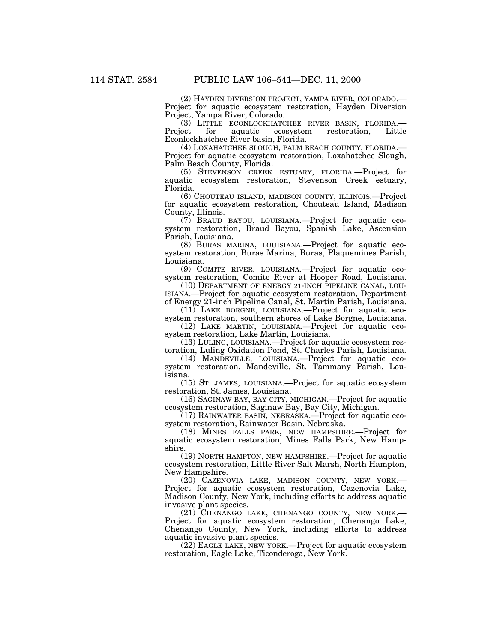(2) HAYDEN DIVERSION PROJECT, YAMPA RIVER, COLORADO.— Project for aquatic ecosystem restoration, Hayden Diversion Project, Yampa River, Colorado.

(3) LITTLE ECONLOCKHATCHEE RIVER BASIN, FLORIDA.— Project for aquatic ecosystem restoration, Little Econlockhatchee River basin, Florida.

Project for aquatic ecosystem restoration, Loxahatchee Slough, Palm Beach County, Florida.

(5) STEVENSON CREEK ESTUARY, FLORIDA.—Project for aquatic ecosystem restoration, Stevenson Creek estuary, Florida.

(6) CHOUTEAU ISLAND, MADISON COUNTY, ILLINOIS.—Project for aquatic ecosystem restoration, Chouteau Island, Madison County, Illinois.

(7) BRAUD BAYOU, LOUISIANA.—Project for aquatic ecosystem restoration, Braud Bayou, Spanish Lake, Ascension Parish, Louisiana.

(8) BURAS MARINA, LOUISIANA.—Project for aquatic ecosystem restoration, Buras Marina, Buras, Plaquemines Parish, Louisiana.

(9) COMITE RIVER, LOUISIANA.—Project for aquatic ecosystem restoration, Comite River at Hooper Road, Louisiana.

(10) DEPARTMENT OF ENERGY 21-INCH PIPELINE CANAL, LOU-ISIANA.—Project for aquatic ecosystem restoration, Department of Energy 21-inch Pipeline Canal, St. Martin Parish, Louisiana.

(11) LAKE BORGNE, LOUISIANA.—Project for aquatic ecosystem restoration, southern shores of Lake Borgne, Louisiana.

(12) LAKE MARTIN, LOUISIANA.—Project for aquatic ecosystem restoration, Lake Martin, Louisiana.

(13) LULING, LOUISIANA.—Project for aquatic ecosystem restoration, Luling Oxidation Pond, St. Charles Parish, Louisiana.

(14) MANDEVILLE, LOUISIANA.—Project for aquatic ecosystem restoration, Mandeville, St. Tammany Parish, Louisiana.

(15) ST. JAMES, LOUISIANA.—Project for aquatic ecosystem restoration, St. James, Louisiana.

(16) SAGINAW BAY, BAY CITY, MICHIGAN.—Project for aquatic ecosystem restoration, Saginaw Bay, Bay City, Michigan.

(17) RAINWATER BASIN, NEBRASKA.—Project for aquatic ecosystem restoration, Rainwater Basin, Nebraska.

(18) MINES FALLS PARK, NEW HAMPSHIRE.—Project for aquatic ecosystem restoration, Mines Falls Park, New Hampshire.

(19) NORTH HAMPTON, NEW HAMPSHIRE.—Project for aquatic ecosystem restoration, Little River Salt Marsh, North Hampton, New Hampshire.

(20) CAZENOVIA LAKE, MADISON COUNTY, NEW YORK.— Project for aquatic ecosystem restoration, Cazenovia Lake, Madison County, New York, including efforts to address aquatic invasive plant species.

(21) CHENANGO LAKE, CHENANGO COUNTY, NEW YORK.— Project for aquatic ecosystem restoration, Chenango Lake, Chenango County, New York, including efforts to address aquatic invasive plant species.

(22) EAGLE LAKE, NEW YORK.—Project for aquatic ecosystem restoration, Eagle Lake, Ticonderoga, New York.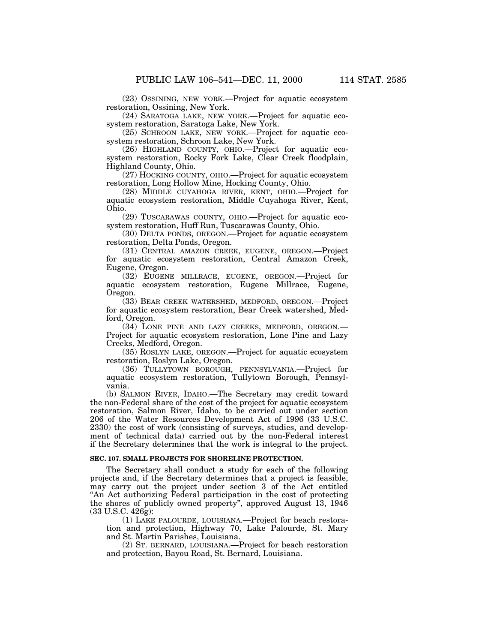(23) OSSINING, NEW YORK.—Project for aquatic ecosystem restoration, Ossining, New York.

(24) SARATOGA LAKE, NEW YORK.—Project for aquatic ecosystem restoration, Saratoga Lake, New York.

(25) SCHROON LAKE, NEW YORK.—Project for aquatic ecosystem restoration, Schroon Lake, New York.

(26) HIGHLAND COUNTY, OHIO.—Project for aquatic ecosystem restoration, Rocky Fork Lake, Clear Creek floodplain, Highland County, Ohio.

(27) HOCKING COUNTY, OHIO.—Project for aquatic ecosystem restoration, Long Hollow Mine, Hocking County, Ohio.

(28) MIDDLE CUYAHOGA RIVER, KENT, OHIO.—Project for aquatic ecosystem restoration, Middle Cuyahoga River, Kent, Ohio.

(29) TUSCARAWAS COUNTY, OHIO.—Project for aquatic ecosystem restoration, Huff Run, Tuscarawas County, Ohio.

(30) DELTA PONDS, OREGON.—Project for aquatic ecosystem restoration, Delta Ponds, Oregon.

(31) CENTRAL AMAZON CREEK, EUGENE, OREGON.—Project for aquatic ecosystem restoration, Central Amazon Creek, Eugene, Oregon.

(32) EUGENE MILLRACE, EUGENE, OREGON.—Project for aquatic ecosystem restoration, Eugene Millrace, Eugene, Oregon.

(33) BEAR CREEK WATERSHED, MEDFORD, OREGON.—Project for aquatic ecosystem restoration, Bear Creek watershed, Medford, Oregon.

(34) LONE PINE AND LAZY CREEKS, MEDFORD, OREGON.— Project for aquatic ecosystem restoration, Lone Pine and Lazy Creeks, Medford, Oregon.

(35) ROSLYN LAKE, OREGON.—Project for aquatic ecosystem restoration, Roslyn Lake, Oregon.

(36) TULLYTOWN BOROUGH, PENNSYLVANIA.—Project for aquatic ecosystem restoration, Tullytown Borough, Pennsylvania.

(b) SALMON RIVER, IDAHO.—The Secretary may credit toward the non-Federal share of the cost of the project for aquatic ecosystem restoration, Salmon River, Idaho, to be carried out under section 206 of the Water Resources Development Act of 1996 (33 U.S.C. 2330) the cost of work (consisting of surveys, studies, and development of technical data) carried out by the non-Federal interest if the Secretary determines that the work is integral to the project.

#### **SEC. 107. SMALL PROJECTS FOR SHORELINE PROTECTION.**

The Secretary shall conduct a study for each of the following projects and, if the Secretary determines that a project is feasible, may carry out the project under section 3 of the Act entitled ''An Act authorizing Federal participation in the cost of protecting the shores of publicly owned property'', approved August 13, 1946 (33 U.S.C. 426g):

(1) LAKE PALOURDE, LOUISIANA.—Project for beach restoration and protection, Highway 70, Lake Palourde, St. Mary and St. Martin Parishes, Louisiana.

(2) ST. BERNARD, LOUISIANA.—Project for beach restoration and protection, Bayou Road, St. Bernard, Louisiana.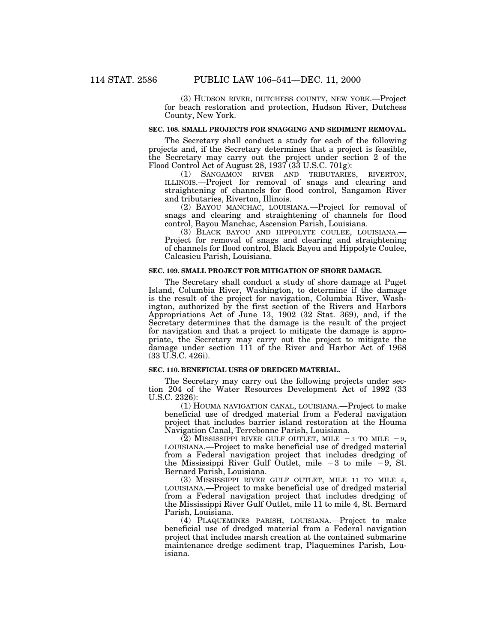(3) HUDSON RIVER, DUTCHESS COUNTY, NEW YORK.—Project for beach restoration and protection, Hudson River, Dutchess County, New York.

#### **SEC. 108. SMALL PROJECTS FOR SNAGGING AND SEDIMENT REMOVAL.**

The Secretary shall conduct a study for each of the following projects and, if the Secretary determines that a project is feasible, the Secretary may carry out the project under section 2 of the Flood Control Act of August 28, 1937 (33 U.S.C. 701g):

(1) SANGAMON RIVER AND TRIBUTARIES, RIVERTON, ILLINOIS.—Project for removal of snags and clearing and straightening of channels for flood control, Sangamon River and tributaries, Riverton, Illinois.

(2) BAYOU MANCHAC, LOUISIANA.—Project for removal of snags and clearing and straightening of channels for flood control, Bayou Manchac, Ascension Parish, Louisiana.

(3) BLACK BAYOU AND HIPPOLYTE COULEE, LOUISIANA.— Project for removal of snags and clearing and straightening of channels for flood control, Black Bayou and Hippolyte Coulee, Calcasieu Parish, Louisiana.

# **SEC. 109. SMALL PROJECT FOR MITIGATION OF SHORE DAMAGE.**

The Secretary shall conduct a study of shore damage at Puget Island, Columbia River, Washington, to determine if the damage is the result of the project for navigation, Columbia River, Washington, authorized by the first section of the Rivers and Harbors Appropriations Act of June 13, 1902 (32 Stat. 369), and, if the Secretary determines that the damage is the result of the project for navigation and that a project to mitigate the damage is appropriate, the Secretary may carry out the project to mitigate the damage under section 111 of the River and Harbor Act of 1968 (33 U.S.C. 426i).

# **SEC. 110. BENEFICIAL USES OF DREDGED MATERIAL.**

The Secretary may carry out the following projects under section 204 of the Water Resources Development Act of 1992 (33 U.S.C. 2326):

(1) HOUMA NAVIGATION CANAL, LOUISIANA.—Project to make beneficial use of dredged material from a Federal navigation project that includes barrier island restoration at the Houma Navigation Canal, Terrebonne Parish, Louisiana.

(2) MISSISSIPPI RIVER GULF OUTLET, MILE  $-3$  TO MILE  $-9$ , LOUISIANA.—Project to make beneficial use of dredged material from a Federal navigation project that includes dredging of<br>the Mississippi River Gulf Outlet, mile –3 to mile –9, St. Bernard Parish, Louisiana.

(3) MISSISSIPPI RIVER GULF OUTLET, MILE 11 TO MILE 4, LOUISIANA.—Project to make beneficial use of dredged material from a Federal navigation project that includes dredging of the Mississippi River Gulf Outlet, mile 11 to mile 4, St. Bernard Parish, Louisiana.

(4) PLAQUEMINES PARISH, LOUISIANA.—Project to make beneficial use of dredged material from a Federal navigation project that includes marsh creation at the contained submarine maintenance dredge sediment trap, Plaquemines Parish, Louisiana.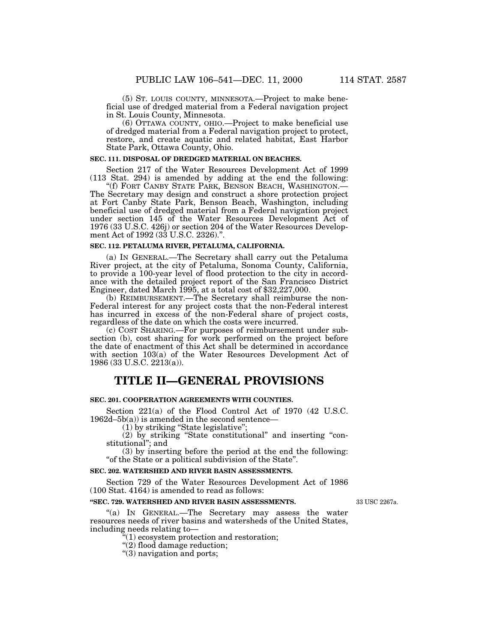(5) ST. LOUIS COUNTY, MINNESOTA.—Project to make beneficial use of dredged material from a Federal navigation project in St. Louis County, Minnesota.

(6) OTTAWA COUNTY, OHIO.—Project to make beneficial use of dredged material from a Federal navigation project to protect, restore, and create aquatic and related habitat, East Harbor State Park, Ottawa County, Ohio.

#### **SEC. 111. DISPOSAL OF DREDGED MATERIAL ON BEACHES.**

Section 217 of the Water Resources Development Act of 1999 (113 Stat. 294) is amended by adding at the end the following:

''(f) FORT CANBY STATE PARK, BENSON BEACH, WASHINGTON.— The Secretary may design and construct a shore protection project at Fort Canby State Park, Benson Beach, Washington, including beneficial use of dredged material from a Federal navigation project under section 145 of the Water Resources Development Act of 1976 (33 U.S.C. 426j) or section 204 of the Water Resources Development Act of 1992 (33 U.S.C. 2326)."

#### **SEC. 112. PETALUMA RIVER, PETALUMA, CALIFORNIA.**

(a) IN GENERAL.—The Secretary shall carry out the Petaluma River project, at the city of Petaluma, Sonoma County, California, to provide a 100-year level of flood protection to the city in accordance with the detailed project report of the San Francisco District Engineer, dated March 1995, at a total cost of \$32,227,000.

(b) REIMBURSEMENT.—The Secretary shall reimburse the non-Federal interest for any project costs that the non-Federal interest has incurred in excess of the non-Federal share of project costs, regardless of the date on which the costs were incurred.

(c) COST SHARING.—For purposes of reimbursement under subsection (b), cost sharing for work performed on the project before the date of enactment of this Act shall be determined in accordance with section 103(a) of the Water Resources Development Act of 1986 (33 U.S.C. 2213(a)).

# **TITLE II—GENERAL PROVISIONS**

#### **SEC. 201. COOPERATION AGREEMENTS WITH COUNTIES.**

Section 221(a) of the Flood Control Act of 1970 (42 U.S.C.  $1962d-5b(a)$  is amended in the second sentence-

(1) by striking ''State legislative'';

(2) by striking ''State constitutional'' and inserting ''constitutional''; and

(3) by inserting before the period at the end the following: "of the State or a political subdivision of the State".

#### **SEC. 202. WATERSHED AND RIVER BASIN ASSESSMENTS.**

Section 729 of the Water Resources Development Act of 1986 (100 Stat. 4164) is amended to read as follows:

# **''SEC. 729. WATERSHED AND RIVER BASIN ASSESSMENTS.**

''(a) IN GENERAL.—The Secretary may assess the water resources needs of river basins and watersheds of the United States, including needs relating to—

''(1) ecosystem protection and restoration;

''(2) flood damage reduction;

''(3) navigation and ports;

33 USC 2267a.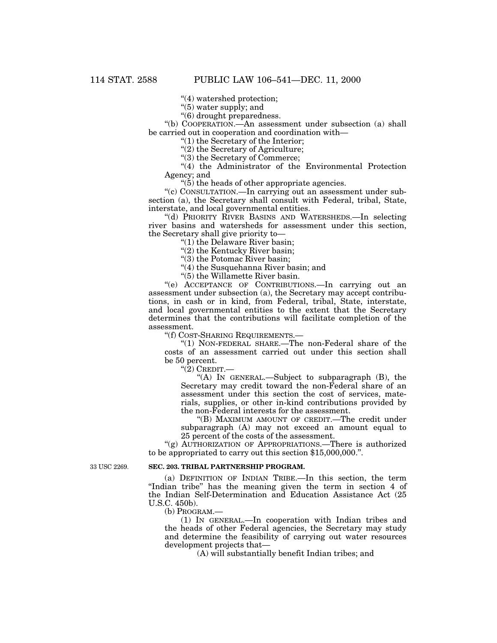''(4) watershed protection;

"(5) water supply; and

''(6) drought preparedness.

''(b) COOPERATION.—An assessment under subsection (a) shall be carried out in cooperation and coordination with—

''(1) the Secretary of the Interior;

"(2) the Secretary of Agriculture;

''(3) the Secretary of Commerce;

"(4) the Administrator of the Environmental Protection Agency; and

 $\cdot$ (5) the heads of other appropriate agencies.

''(c) CONSULTATION.—In carrying out an assessment under subsection (a), the Secretary shall consult with Federal, tribal, State, interstate, and local governmental entities.

''(d) PRIORITY RIVER BASINS AND WATERSHEDS.—In selecting river basins and watersheds for assessment under this section, the Secretary shall give priority to—

''(1) the Delaware River basin;

"(2) the Kentucky River basin;

"(3) the Potomac River basin;

"(4) the Susquehanna River basin; and

''(5) the Willamette River basin.

''(e) ACCEPTANCE OF CONTRIBUTIONS.—In carrying out an assessment under subsection (a), the Secretary may accept contributions, in cash or in kind, from Federal, tribal, State, interstate, and local governmental entities to the extent that the Secretary determines that the contributions will facilitate completion of the assessment.

''(f) COST-SHARING REQUIREMENTS.—

''(1) NON-FEDERAL SHARE.—The non-Federal share of the costs of an assessment carried out under this section shall be 50 percent.

''(2) CREDIT.—

''(A) IN GENERAL.—Subject to subparagraph (B), the Secretary may credit toward the non-Federal share of an assessment under this section the cost of services, materials, supplies, or other in-kind contributions provided by the non-Federal interests for the assessment.

''(B) MAXIMUM AMOUNT OF CREDIT.—The credit under subparagraph (A) may not exceed an amount equal to 25 percent of the costs of the assessment.

"(g) AUTHORIZATION OF APPROPRIATIONS.—There is authorized to be appropriated to carry out this section \$15,000,000.''.

33 USC 2269.

#### **SEC. 203. TRIBAL PARTNERSHIP PROGRAM.**

(a) DEFINITION OF INDIAN TRIBE.—In this section, the term "Indian tribe" has the meaning given the term in section 4 of the Indian Self-Determination and Education Assistance Act (25 U.S.C. 450b).

(b) PROGRAM.—

(1) IN GENERAL.—In cooperation with Indian tribes and the heads of other Federal agencies, the Secretary may study and determine the feasibility of carrying out water resources development projects that—

(A) will substantially benefit Indian tribes; and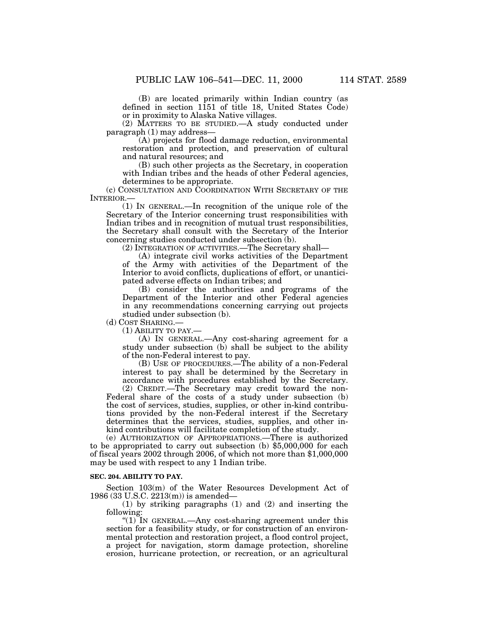(B) are located primarily within Indian country (as defined in section 1151 of title 18, United States Code) or in proximity to Alaska Native villages.

(2) MATTERS TO BE STUDIED.—A study conducted under paragraph (1) may address—

(A) projects for flood damage reduction, environmental restoration and protection, and preservation of cultural and natural resources; and

(B) such other projects as the Secretary, in cooperation with Indian tribes and the heads of other Federal agencies, determines to be appropriate.

(c) CONSULTATION AND COORDINATION WITH SECRETARY OF THE INTERIOR.

(1) IN GENERAL.—In recognition of the unique role of the Secretary of the Interior concerning trust responsibilities with Indian tribes and in recognition of mutual trust responsibilities, the Secretary shall consult with the Secretary of the Interior concerning studies conducted under subsection (b).

(2) INTEGRATION OF ACTIVITIES.—The Secretary shall—

(A) integrate civil works activities of the Department of the Army with activities of the Department of the Interior to avoid conflicts, duplications of effort, or unanticipated adverse effects on Indian tribes; and

(B) consider the authorities and programs of the Department of the Interior and other Federal agencies in any recommendations concerning carrying out projects studied under subsection (b).

(d) COST SHARING.—

(1) ABILITY TO PAY.—

(A) IN GENERAL.—Any cost-sharing agreement for a study under subsection (b) shall be subject to the ability of the non-Federal interest to pay.

(B) USE OF PROCEDURES.—The ability of a non-Federal interest to pay shall be determined by the Secretary in accordance with procedures established by the Secretary.

(2) CREDIT.—The Secretary may credit toward the non-Federal share of the costs of a study under subsection (b) the cost of services, studies, supplies, or other in-kind contributions provided by the non-Federal interest if the Secretary determines that the services, studies, supplies, and other inkind contributions will facilitate completion of the study.

(e) AUTHORIZATION OF APPROPRIATIONS.—There is authorized to be appropriated to carry out subsection (b) \$5,000,000 for each of fiscal years 2002 through 2006, of which not more than \$1,000,000 may be used with respect to any 1 Indian tribe.

# **SEC. 204. ABILITY TO PAY.**

Section 103(m) of the Water Resources Development Act of 1986 (33 U.S.C. 2213(m)) is amended—

(1) by striking paragraphs (1) and (2) and inserting the following:

"(1) IN GENERAL.—Any cost-sharing agreement under this section for a feasibility study, or for construction of an environmental protection and restoration project, a flood control project, a project for navigation, storm damage protection, shoreline erosion, hurricane protection, or recreation, or an agricultural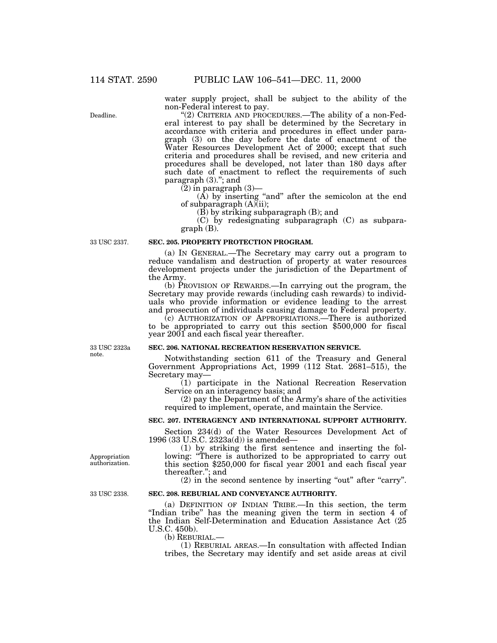water supply project, shall be subject to the ability of the non-Federal interest to pay.

"(2) CRITERIA AND PROCEDURES.—The ability of a non-Federal interest to pay shall be determined by the Secretary in accordance with criteria and procedures in effect under paragraph (3) on the day before the date of enactment of the Water Resources Development Act of 2000; except that such criteria and procedures shall be revised, and new criteria and procedures shall be developed, not later than 180 days after such date of enactment to reflect the requirements of such paragraph (3).''; and

(2) in paragraph (3)— $(A)$  by inserting "and" after the semicolon at the end of subparagraph (A)(ii);

 $(\overline{B})$  by striking subparagraph  $(B)$ ; and

(C) by redesignating subparagraph (C) as subparagraph (B).

33 USC 2337.

#### **SEC. 205. PROPERTY PROTECTION PROGRAM.**

(a) IN GENERAL.—The Secretary may carry out a program to reduce vandalism and destruction of property at water resources development projects under the jurisdiction of the Department of the Army.

(b) PROVISION OF REWARDS.—In carrying out the program, the Secretary may provide rewards (including cash rewards) to individuals who provide information or evidence leading to the arrest and prosecution of individuals causing damage to Federal property.

(c) AUTHORIZATION OF APPROPRIATIONS.—There is authorized to be appropriated to carry out this section \$500,000 for fiscal year 2001 and each fiscal year thereafter.

33 USC 2323a note.

### **SEC. 206. NATIONAL RECREATION RESERVATION SERVICE.**

Notwithstanding section 611 of the Treasury and General Government Appropriations Act, 1999 (112 Stat. 2681–515), the Secretary may— (1) participate in the National Recreation Reservation

Service on an interagency basis; and

(2) pay the Department of the Army's share of the activities required to implement, operate, and maintain the Service.

# **SEC. 207. INTERAGENCY AND INTERNATIONAL SUPPORT AUTHORITY.**

Section 234(d) of the Water Resources Development Act of 1996 (33 U.S.C. 2323a(d)) is amended—

(1) by striking the first sentence and inserting the following: "There is authorized to be appropriated to carry out this section \$250,000 for fiscal year 2001 and each fiscal year thereafter.''; and

 $(2)$  in the second sentence by inserting "out" after "carry".

# **SEC. 208. REBURIAL AND CONVEYANCE AUTHORITY.**

(a) DEFINITION OF INDIAN TRIBE.—In this section, the term "Indian tribe" has the meaning given the term in section 4 of the Indian Self-Determination and Education Assistance Act (25 U.S.C. 450b).

(b) REBURIAL.— (1) REBURIAL AREAS.—In consultation with affected Indian tribes, the Secretary may identify and set aside areas at civil

Appropriation authorization.

33 USC 2338.

Deadline.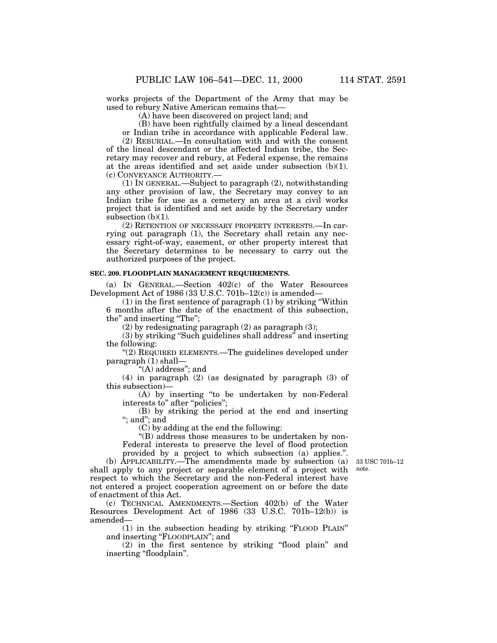works projects of the Department of the Army that may be used to rebury Native American remains that—

(A) have been discovered on project land; and

(B) have been rightfully claimed by a lineal descendant

or Indian tribe in accordance with applicable Federal law.

(2) REBURIAL.—In consultation with and with the consent of the lineal descendant or the affected Indian tribe, the Secretary may recover and rebury, at Federal expense, the remains at the areas identified and set aside under subsection (b)(1). (c) CONVEYANCE AUTHORITY.—

(1) IN GENERAL.—Subject to paragraph (2), notwithstanding any other provision of law, the Secretary may convey to an Indian tribe for use as a cemetery an area at a civil works project that is identified and set aside by the Secretary under subsection  $(b)(1)$ .

(2) RETENTION OF NECESSARY PROPERTY INTERESTS.—In carrying out paragraph (1), the Secretary shall retain any necessary right-of-way, easement, or other property interest that the Secretary determines to be necessary to carry out the authorized purposes of the project.

# **SEC. 209. FLOODPLAIN MANAGEMENT REQUIREMENTS.**

(a) IN GENERAL.—Section 402(c) of the Water Resources Development Act of 1986 (33 U.S.C. 701b–12(c)) is amended—

(1) in the first sentence of paragraph (1) by striking ''Within 6 months after the date of the enactment of this subsection, the'' and inserting ''The'';

 $(2)$  by redesignating paragraph  $(2)$  as paragraph  $(3)$ ;

(3) by striking ''Such guidelines shall address'' and inserting the following:

"(2) REQUIRED ELEMENTS.—The guidelines developed under paragraph (1) shall—

''(A) address''; and

(4) in paragraph (2) (as designated by paragraph (3) of this subsection)—

(A) by inserting ''to be undertaken by non-Federal interests to" after "policies";

(B) by striking the period at the end and inserting ''; and''; and

(C) by adding at the end the following:

''(B) address those measures to be undertaken by non-Federal interests to preserve the level of flood protection provided by a project to which subsection (a) applies.''.

33 USC 701b–12 note.

(b) APPLICABILITY.—The amendments made by subsection (a) shall apply to any project or separable element of a project with respect to which the Secretary and the non-Federal interest have not entered a project cooperation agreement on or before the date of enactment of this Act.

(c) TECHNICAL AMENDMENTS.—Section 402(b) of the Water Resources Development Act of 1986 (33 U.S.C. 701b–12(b)) is amended—

(1) in the subsection heading by striking ''FLOOD PLAIN'' and inserting ''FLOODPLAIN''; and

(2) in the first sentence by striking ''flood plain'' and inserting "floodplain".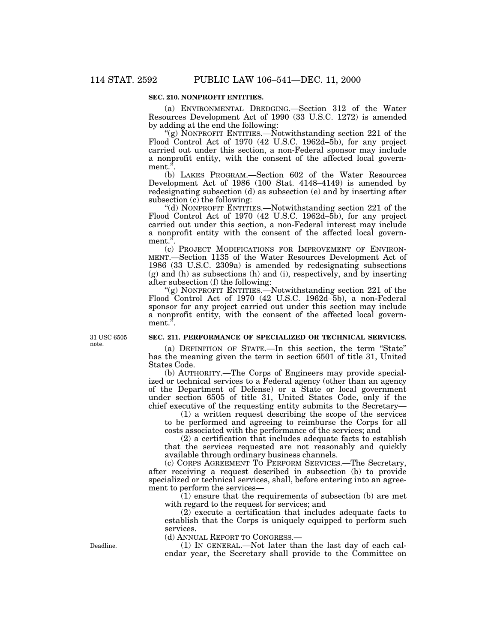# **SEC. 210. NONPROFIT ENTITIES.**

(a) ENVIRONMENTAL DREDGING.—Section 312 of the Water Resources Development Act of 1990 (33 U.S.C. 1272) is amended by adding at the end the following:

"(g) NONPROFIT ENTITIES.—Notwithstanding section  $221$  of the Flood Control Act of 1970 (42 U.S.C. 1962d–5b), for any project carried out under this section, a non-Federal sponsor may include a nonprofit entity, with the consent of the affected local government.

(b) LAKES PROGRAM.—Section 602 of the Water Resources Development Act of 1986 (100 Stat. 4148–4149) is amended by redesignating subsection (d) as subsection (e) and by inserting after subsection  $(c)$  the following:

''(d) NONPROFIT ENTITIES.—Notwithstanding section 221 of the Flood Control Act of 1970 (42 U.S.C. 1962d–5b), for any project carried out under this section, a non-Federal interest may include a nonprofit entity with the consent of the affected local government."

(c) PROJECT MODIFICATIONS FOR IMPROVEMENT OF ENVIRON-MENT.—Section 1135 of the Water Resources Development Act of 1986 (33 U.S.C. 2309a) is amended by redesignating subsections (g) and (h) as subsections (h) and (i), respectively, and by inserting after subsection (f) the following:

''(g) NONPROFIT ENTITIES.—Notwithstanding section 221 of the Flood Control Act of 1970 (42 U.S.C. 1962d–5b), a non-Federal sponsor for any project carried out under this section may include a nonprofit entity, with the consent of the affected local government.".

31 USC 6505 note.

# **SEC. 211. PERFORMANCE OF SPECIALIZED OR TECHNICAL SERVICES.**

(a) DEFINITION OF STATE.—In this section, the term ''State'' has the meaning given the term in section 6501 of title 31, United States Code.

(b) AUTHORITY.—The Corps of Engineers may provide specialized or technical services to a Federal agency (other than an agency of the Department of Defense) or a State or local government under section 6505 of title 31, United States Code, only if the chief executive of the requesting entity submits to the Secretary—

(1) a written request describing the scope of the services to be performed and agreeing to reimburse the Corps for all costs associated with the performance of the services; and

(2) a certification that includes adequate facts to establish that the services requested are not reasonably and quickly available through ordinary business channels.

(c) CORPS AGREEMENT TO PERFORM SERVICES.—The Secretary, after receiving a request described in subsection (b) to provide specialized or technical services, shall, before entering into an agreement to perform the services—

 $(1)$  ensure that the requirements of subsection  $(b)$  are met with regard to the request for services; and

(2) execute a certification that includes adequate facts to establish that the Corps is uniquely equipped to perform such services.

(d) ANNUAL REPORT TO CONGRESS.—

(1) IN GENERAL.—Not later than the last day of each calendar year, the Secretary shall provide to the Committee on

Deadline.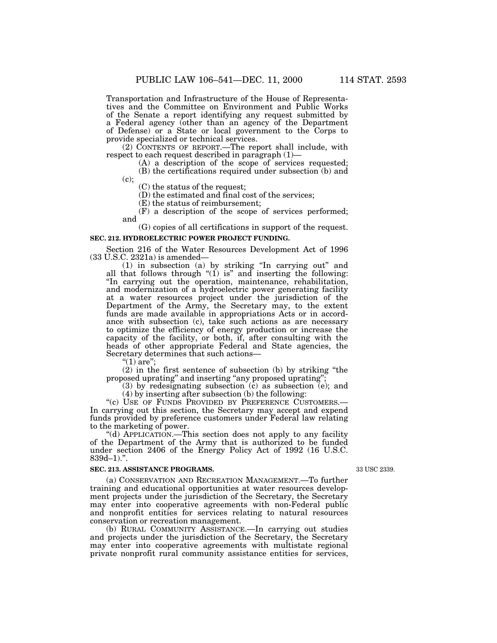Transportation and Infrastructure of the House of Representatives and the Committee on Environment and Public Works of the Senate a report identifying any request submitted by a Federal agency (other than an agency of the Department of Defense) or a State or local government to the Corps to provide specialized or technical services.

(2) CONTENTS OF REPORT.—The report shall include, with respect to each request described in paragraph  $(1)$ —

 $r(A)$  a description of the scope of services requested; (B) the certifications required under subsection (b) and

 $(c)$ ;

(C) the status of the request;

(D) the estimated and final cost of the services;

(E) the status of reimbursement;

(F) a description of the scope of services performed; and

(G) copies of all certifications in support of the request. **SEC. 212. HYDROELECTRIC POWER PROJECT FUNDING.**

Section 216 of the Water Resources Development Act of 1996 (33 U.S.C. 2321a) is amended—

(33 U.S.C. 2321a) is amended— (1) in subsection (a) by striking ''In carrying out'' and all that follows through ''(1) is'' and inserting the following: ''In carrying out the operation, maintenance, rehabilitation, and modernization of a hydroelectric power generating facility at a water resources project under the jurisdiction of the Department of the Army, the Secretary may, to the extent funds are made available in appropriations Acts or in accordance with subsection (c), take such actions as are necessary to optimize the efficiency of energy production or increase the capacity of the facility, or both, if, after consulting with the heads of other appropriate Federal and State agencies, the Secretary determines that such actions— $(1)$  are";

(2) in the first sentence of subsection (b) by striking ''the proposed uprating" and inserting "any proposed uprating";

(3) by redesignating subsection (c) as subsection (e); and (4) by inserting after subsection (b) the following:

"(c) USE OF FUNDS PROVIDED BY PREFERENCE CUSTOMERS.— In carrying out this section, the Secretary may accept and expend funds provided by preference customers under Federal law relating

"(d) APPLICATION.—This section does not apply to any facility of the Department of the Army that is authorized to be funded under section 2406 of the Energy Policy Act of 1992 (16 U.S.C.  $839d-1$ .".

# **SEC. 213. ASSISTANCE PROGRAMS.**

33 USC 2339.

(a) CONSERVATION AND RECREATION MANAGEMENT.—To further training and educational opportunities at water resources development projects under the jurisdiction of the Secretary, the Secretary may enter into cooperative agreements with non-Federal public and nonprofit entities for services relating to natural resources conservation or recreation management.

(b) RURAL COMMUNITY ASSISTANCE.—In carrying out studies and projects under the jurisdiction of the Secretary, the Secretary may enter into cooperative agreements with multistate regional private nonprofit rural community assistance entities for services,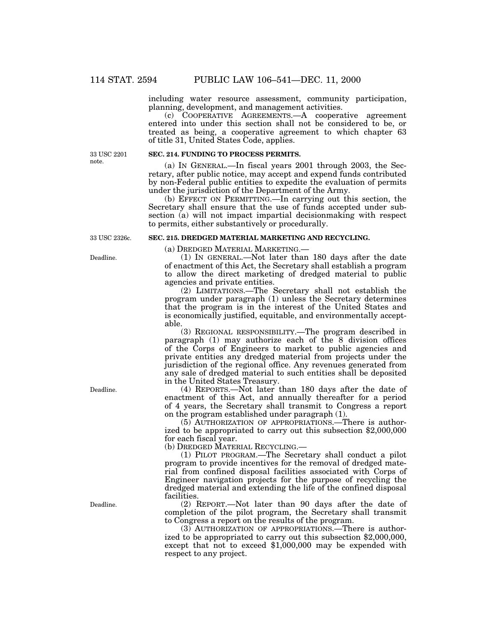including water resource assessment, community participation, planning, development, and management activities.

(c) COOPERATIVE AGREEMENTS.—A cooperative agreement entered into under this section shall not be considered to be, or treated as being, a cooperative agreement to which chapter 63 of title 31, United States Code, applies.

33 USC 2201 note.

# **SEC. 214. FUNDING TO PROCESS PERMITS.**

(a) IN GENERAL.—In fiscal years 2001 through 2003, the Secretary, after public notice, may accept and expend funds contributed by non-Federal public entities to expedite the evaluation of permits under the jurisdiction of the Department of the Army.

(b) EFFECT ON PERMITTING.—In carrying out this section, the Secretary shall ensure that the use of funds accepted under subsection (a) will not impact impartial decisionmaking with respect to permits, either substantively or procedurally.

## 33 USC 2326c.

Deadline.

Deadline.

Deadline.

(a) DREDGED MATERIAL MARKETING.—

**SEC. 215. DREDGED MATERIAL MARKETING AND RECYCLING.**

(1) IN GENERAL.—Not later than 180 days after the date of enactment of this Act, the Secretary shall establish a program to allow the direct marketing of dredged material to public agencies and private entities.

(2) LIMITATIONS.—The Secretary shall not establish the program under paragraph (1) unless the Secretary determines that the program is in the interest of the United States and is economically justified, equitable, and environmentally acceptable.

(3) REGIONAL RESPONSIBILITY.—The program described in paragraph (1) may authorize each of the 8 division offices of the Corps of Engineers to market to public agencies and private entities any dredged material from projects under the jurisdiction of the regional office. Any revenues generated from any sale of dredged material to such entities shall be deposited in the United States Treasury.

(4) REPORTS.—Not later than 180 days after the date of enactment of this Act, and annually thereafter for a period of 4 years, the Secretary shall transmit to Congress a report on the program established under paragraph (1).

(5) AUTHORIZATION OF APPROPRIATIONS.—There is authorized to be appropriated to carry out this subsection \$2,000,000 for each fiscal year.

(b) DREDGED MATERIAL RECYCLING.—

(1) PILOT PROGRAM.—The Secretary shall conduct a pilot program to provide incentives for the removal of dredged material from confined disposal facilities associated with Corps of Engineer navigation projects for the purpose of recycling the dredged material and extending the life of the confined disposal facilities.

(2) REPORT.—Not later than 90 days after the date of completion of the pilot program, the Secretary shall transmit to Congress a report on the results of the program.

(3) AUTHORIZATION OF APPROPRIATIONS.—There is authorized to be appropriated to carry out this subsection \$2,000,000, except that not to exceed \$1,000,000 may be expended with respect to any project.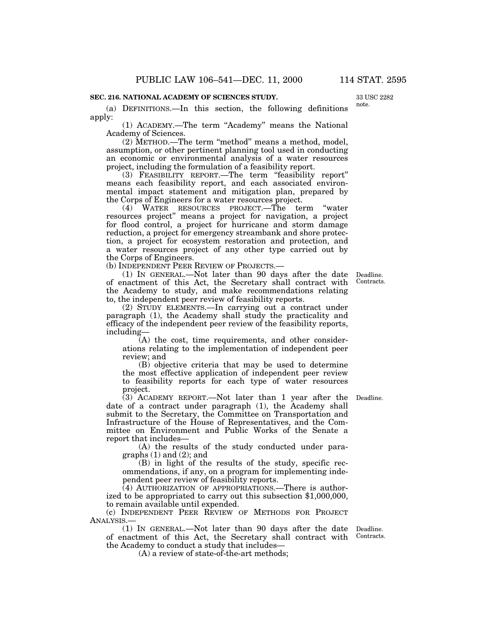# **SEC. 216. NATIONAL ACADEMY OF SCIENCES STUDY.**

(a) DEFINITIONS.—In this section, the following definitions apply:

(1) ACADEMY.—The term ''Academy'' means the National Academy of Sciences.

(2) METHOD.—The term ''method'' means a method, model, assumption, or other pertinent planning tool used in conducting an economic or environmental analysis of a water resources project, including the formulation of a feasibility report.

(3) FEASIBILITY REPORT.—The term ''feasibility report'' means each feasibility report, and each associated environmental impact statement and mitigation plan, prepared by the Corps of Engineers for a water resources project.

(4) WATER RESOURCES PROJECT.—The term ''water resources project'' means a project for navigation, a project for flood control, a project for hurricane and storm damage reduction, a project for emergency streambank and shore protection, a project for ecosystem restoration and protection, and a water resources project of any other type carried out by the Corps of Engineers.

(b) INDEPENDENT PEER REVIEW OF PROJECTS.—

(1) IN GENERAL.—Not later than 90 days after the date of enactment of this Act, the Secretary shall contract with the Academy to study, and make recommendations relating to, the independent peer review of feasibility reports.

(2) STUDY ELEMENTS.—In carrying out a contract under paragraph (1), the Academy shall study the practicality and efficacy of the independent peer review of the feasibility reports, including—

(A) the cost, time requirements, and other considerations relating to the implementation of independent peer review; and

(B) objective criteria that may be used to determine the most effective application of independent peer review to feasibility reports for each type of water resources project.

(3) ACADEMY REPORT.—Not later than 1 year after the Deadline. date of a contract under paragraph (1), the Academy shall submit to the Secretary, the Committee on Transportation and Infrastructure of the House of Representatives, and the Committee on Environment and Public Works of the Senate a report that includes—

(A) the results of the study conducted under paragraphs  $(1)$  and  $(2)$ ; and

(B) in light of the results of the study, specific recommendations, if any, on a program for implementing independent peer review of feasibility reports.

(4) AUTHORIZATION OF APPROPRIATIONS.—There is authorized to be appropriated to carry out this subsection \$1,000,000, to remain available until expended.

(c) INDEPENDENT PEER REVIEW OF METHODS FOR PROJECT ANALYSIS.—

(1) IN GENERAL.—Not later than 90 days after the date Deadline. of enactment of this Act, the Secretary shall contract with Contracts. the Academy to conduct a study that includes—

(A) a review of state-of-the-art methods;

Deadline. Contracts.

33 USC 2282 note.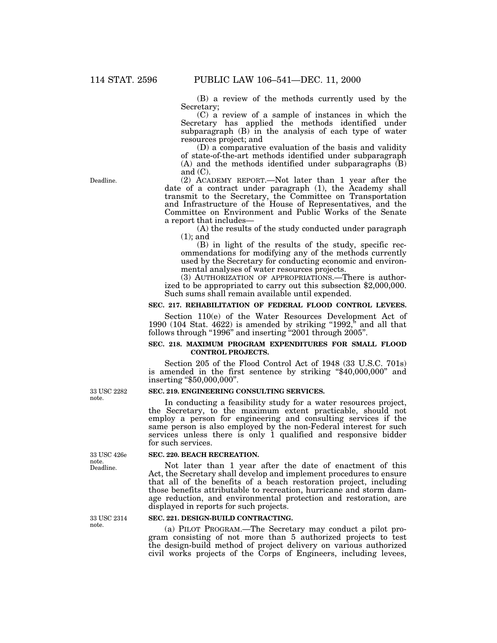(B) a review of the methods currently used by the Secretary;

(C) a review of a sample of instances in which the Secretary has applied the methods identified under subparagraph  $(B)$  in the analysis of each type of water resources project; and

(D) a comparative evaluation of the basis and validity of state-of-the-art methods identified under subparagraph (A) and the methods identified under subparagraphs (B) and  $(C)$ .

(2) ACADEMY REPORT.—Not later than 1 year after the date of a contract under paragraph (1), the Academy shall transmit to the Secretary, the Committee on Transportation and Infrastructure of the House of Representatives, and the Committee on Environment and Public Works of the Senate a report that includes— (A) the results of the study conducted under paragraph

(1); and

(B) in light of the results of the study, specific recommendations for modifying any of the methods currently used by the Secretary for conducting economic and environmental analyses of water resources projects.

(3) AUTHORIZATION OF APPROPRIATIONS.—There is authorized to be appropriated to carry out this subsection \$2,000,000. Such sums shall remain available until expended.

#### **SEC. 217. REHABILITATION OF FEDERAL FLOOD CONTROL LEVEES.**

Section 110(e) of the Water Resources Development Act of 1990 (104 Stat.  $4622$ ) is amended by striking "1992," and all that follows through "1996" and inserting "2001 through 2005".

# **SEC. 218. MAXIMUM PROGRAM EXPENDITURES FOR SMALL FLOOD CONTROL PROJECTS.**

Section 205 of the Flood Control Act of 1948 (33 U.S.C. 701s) is amended in the first sentence by striking ''\$40,000,000'' and inserting ''\$50,000,000''.

#### **SEC. 219. ENGINEERING CONSULTING SERVICES.**

In conducting a feasibility study for a water resources project, the Secretary, to the maximum extent practicable, should not employ a person for engineering and consulting services if the same person is also employed by the non-Federal interest for such services unless there is only 1 qualified and responsive bidder for such services.

#### **SEC. 220. BEACH RECREATION.**

Not later than 1 year after the date of enactment of this Act, the Secretary shall develop and implement procedures to ensure that all of the benefits of a beach restoration project, including those benefits attributable to recreation, hurricane and storm damage reduction, and environmental protection and restoration, are displayed in reports for such projects.

# **SEC. 221. DESIGN-BUILD CONTRACTING.**

(a) PILOT PROGRAM.—The Secretary may conduct a pilot program consisting of not more than 5 authorized projects to test the design-build method of project delivery on various authorized civil works projects of the Corps of Engineers, including levees,

33 USC 2282 note.

33 USC 2314 note.

Deadline. 33 USC 426e note.

Deadline.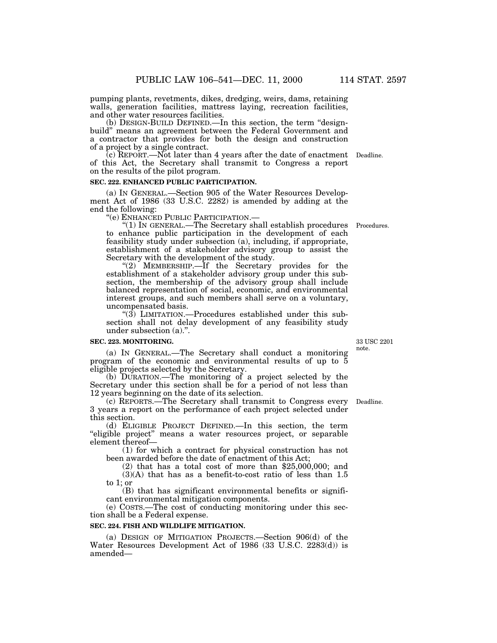pumping plants, revetments, dikes, dredging, weirs, dams, retaining walls, generation facilities, mattress laying, recreation facilities, and other water resources facilities.

(b) DESIGN-BUILD DEFINED.—In this section, the term ''designbuild'' means an agreement between the Federal Government and a contractor that provides for both the design and construction of a project by a single contract.

(c) REPORT.—Not later than 4 years after the date of enactment Deadline. of this Act, the Secretary shall transmit to Congress a report on the results of the pilot program.

# **SEC. 222. ENHANCED PUBLIC PARTICIPATION.**

(a) IN GENERAL.—Section 905 of the Water Resources Development Act of 1986 (33 U.S.C. 2282) is amended by adding at the end the following: ''(e) ENHANCED PUBLIC PARTICIPATION.— ''(1) IN GENERAL.—The Secretary shall establish procedures Procedures.

to enhance public participation in the development of each feasibility study under subsection (a), including, if appropriate, establishment of a stakeholder advisory group to assist the Secretary with the development of the study.

"(2) MEMBERSHIP.—If the Secretary provides for the establishment of a stakeholder advisory group under this subsection, the membership of the advisory group shall include balanced representation of social, economic, and environmental interest groups, and such members shall serve on a voluntary, uncompensated basis.

" $(3)$  LIMITATION.—Procedures established under this subsection shall not delay development of any feasibility study under subsection (a).''.

#### **SEC. 223. MONITORING.**

(a) IN GENERAL.—The Secretary shall conduct a monitoring program of the economic and environmental results of up to 5 eligible projects selected by the Secretary.

(b) DURATION.—The monitoring of a project selected by the Secretary under this section shall be for a period of not less than 12 years beginning on the date of its selection.

(c) REPORTS.—The Secretary shall transmit to Congress every 3 years a report on the performance of each project selected under this section.<br>(d) ELIGIBLE PROJECT DEFINED.—In this section, the term

"eligible project" means a water resources project, or separable element thereof-

 $(1)$  for which a contract for physical construction has not been awarded before the date of enactment of this Act;

(2) that has a total cost of more than \$25,000,000; and  $(3)(A)$  that has as a benefit-to-cost ratio of less than 1.5 to 1; or

(B) that has significant environmental benefits or significant environmental mitigation components.

(e) COSTS.—The cost of conducting monitoring under this section shall be a Federal expense.

# **SEC. 224. FISH AND WILDLIFE MITIGATION.**

(a) DESIGN OF MITIGATION PROJECTS.—Section 906(d) of the Water Resources Development Act of 1986 (33 U.S.C. 2283(d)) is amended—

note.

Deadline.

33 USC 2201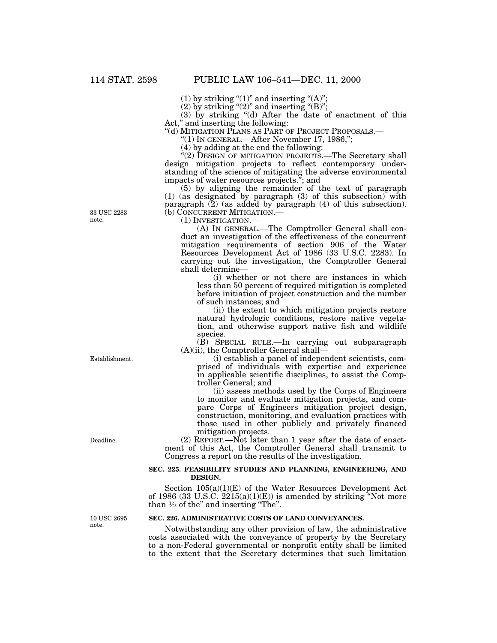(1) by striking " $(1)$ " and inserting " $(A)$ ";

(2) by striking " $(2)$ " and inserting " $(B)$ ";

(3) by striking ''(d) After the date of enactment of this Act,'' and inserting the following:

''(d) MITIGATION PLANS AS PART OF PROJECT PROPOSALS.— ''(1) IN GENERAL.—After November 17, 1986,'';

(4) by adding at the end the following:

"(2) DESIGN OF MITIGATION PROJECTS.—The Secretary shall design mitigation projects to reflect contemporary understanding of the science of mitigating the adverse environmental impacts of water resources projects.''; and

(5) by aligning the remainder of the text of paragraph (1) (as designated by paragraph (3) of this subsection) with paragraph  $(2)$  (as added by paragraph  $(4)$  of this subsection).<br>(b) CONCURRENT MITIGATION.—

(1) INVESTIGATION.—<br>(A) IN GENERAL.—The Comptroller General shall conduct an investigation of the effectiveness of the concurrent mitigation requirements of section 906 of the Water Resources Development Act of 1986 (33 U.S.C. 2283). In carrying out the investigation, the Comptroller General shall determine—

(i) whether or not there are instances in which less than 50 percent of required mitigation is completed before initiation of project construction and the number of such instances; and

(ii) the extent to which mitigation projects restore natural hydrologic conditions, restore native vegetation, and otherwise support native fish and wildlife species.

(B) SPECIAL RULE.—In carrying out subparagraph (A)(ii), the Comptroller General shall—

(i) establish a panel of independent scientists, comprised of individuals with expertise and experience in applicable scientific disciplines, to assist the Comptroller General; and

(ii) assess methods used by the Corps of Engineers to monitor and evaluate mitigation projects, and compare Corps of Engineers mitigation project design, construction, monitoring, and evaluation practices with those used in other publicly and privately financed mitigation projects.

(2) REPORT.—Not later than 1 year after the date of enactment of this Act, the Comptroller General shall transmit to Congress a report on the results of the investigation.

#### **SEC. 225. FEASIBILITY STUDIES AND PLANNING, ENGINEERING, AND DESIGN.**

Section  $105(a)(1)(E)$  of the Water Resources Development Act of 1986 (33 U.S.C.  $2215(a)(1)(E)$ ) is amended by striking "Not more than  $\frac{1}{2}$  of the" and inserting "The".

10 USC 2695 note.

#### **SEC. 226. ADMINISTRATIVE COSTS OF LAND CONVEYANCES.**

Notwithstanding any other provision of law, the administrative costs associated with the conveyance of property by the Secretary to a non-Federal governmental or nonprofit entity shall be limited to the extent that the Secretary determines that such limitation

33 USC 2283 note.

Establishment.

Deadline.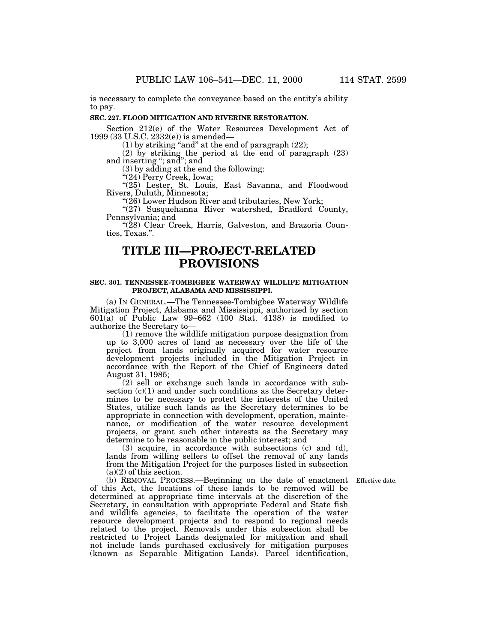is necessary to complete the conveyance based on the entity's ability to pay.

#### **SEC. 227. FLOOD MITIGATION AND RIVERINE RESTORATION.**

Section 212(e) of the Water Resources Development Act of 1999 (33 U.S.C. 2332(e)) is amended—

 $(1)$  by striking "and" at the end of paragraph  $(22)$ ;

(2) by striking the period at the end of paragraph (23) and inserting ''; and''; and

(3) by adding at the end the following:

''(24) Perry Creek, Iowa;

''(25) Lester, St. Louis, East Savanna, and Floodwood

 $\frac{m(26)}{26}$  Lower Hudson River and tributaries, New York;

"(27) Susquehanna River watershed, Bradford County, Pennsylvania; and '''(28) Clear Creek, Harris, Galveston, and Brazoria Coun-

ties, Texas.''.

# **TITLE III—PROJECT-RELATED PROVISIONS**

## **SEC. 301. TENNESSEE-TOMBIGBEE WATERWAY WILDLIFE MITIGATION PROJECT, ALABAMA AND MISSISSIPPI.**

(a) IN GENERAL.—The Tennessee-Tombigbee Waterway Wildlife Mitigation Project, Alabama and Mississippi, authorized by section 601(a) of Public Law 99–662 (100 Stat. 4138) is modified to authorize the Secretary to—

(1) remove the wildlife mitigation purpose designation from up to 3,000 acres of land as necessary over the life of the project from lands originally acquired for water resource development projects included in the Mitigation Project in accordance with the Report of the Chief of Engineers dated August 31, 1985;

(2) sell or exchange such lands in accordance with subsection  $(c)(1)$  and under such conditions as the Secretary determines to be necessary to protect the interests of the United States, utilize such lands as the Secretary determines to be appropriate in connection with development, operation, maintenance, or modification of the water resource development projects, or grant such other interests as the Secretary may determine to be reasonable in the public interest; and

(3) acquire, in accordance with subsections (c) and (d), lands from willing sellers to offset the removal of any lands from the Mitigation Project for the purposes listed in subsection (a)(2) of this section.

(b) REMOVAL PROCESS.—Beginning on the date of enactment Effective date. of this Act, the locations of these lands to be removed will be determined at appropriate time intervals at the discretion of the Secretary, in consultation with appropriate Federal and State fish and wildlife agencies, to facilitate the operation of the water resource development projects and to respond to regional needs related to the project. Removals under this subsection shall be restricted to Project Lands designated for mitigation and shall not include lands purchased exclusively for mitigation purposes (known as Separable Mitigation Lands). Parcel identification,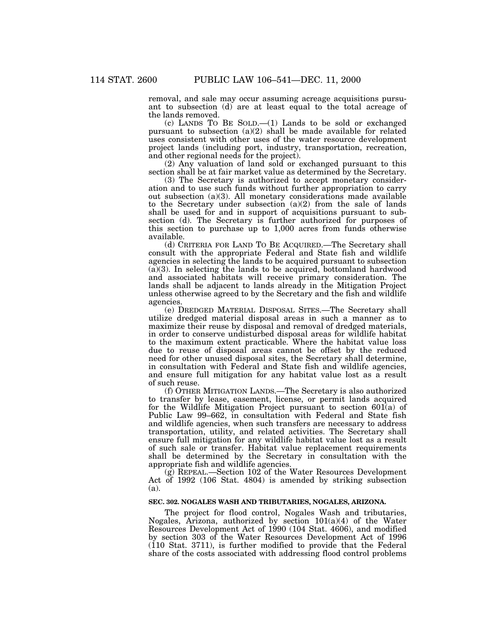removal, and sale may occur assuming acreage acquisitions pursuant to subsection (d) are at least equal to the total acreage of the lands removed.

(c) LANDS TO BE SOLD.—(1) Lands to be sold or exchanged pursuant to subsection (a)(2) shall be made available for related uses consistent with other uses of the water resource development project lands (including port, industry, transportation, recreation, and other regional needs for the project).

(2) Any valuation of land sold or exchanged pursuant to this section shall be at fair market value as determined by the Secretary.

(3) The Secretary is authorized to accept monetary consideration and to use such funds without further appropriation to carry out subsection (a)(3). All monetary considerations made available to the Secretary under subsection (a)(2) from the sale of lands shall be used for and in support of acquisitions pursuant to subsection (d). The Secretary is further authorized for purposes of this section to purchase up to 1,000 acres from funds otherwise available.

(d) CRITERIA FOR LAND TO BE ACQUIRED.—The Secretary shall consult with the appropriate Federal and State fish and wildlife agencies in selecting the lands to be acquired pursuant to subsection  $(a)(3)$ . In selecting the lands to be acquired, bottomland hardwood and associated habitats will receive primary consideration. The lands shall be adjacent to lands already in the Mitigation Project unless otherwise agreed to by the Secretary and the fish and wildlife agencies.

(e) DREDGED MATERIAL DISPOSAL SITES.—The Secretary shall utilize dredged material disposal areas in such a manner as to maximize their reuse by disposal and removal of dredged materials, in order to conserve undisturbed disposal areas for wildlife habitat to the maximum extent practicable. Where the habitat value loss due to reuse of disposal areas cannot be offset by the reduced need for other unused disposal sites, the Secretary shall determine, in consultation with Federal and State fish and wildlife agencies, and ensure full mitigation for any habitat value lost as a result of such reuse.

(f) OTHER MITIGATION LANDS.—The Secretary is also authorized to transfer by lease, easement, license, or permit lands acquired for the Wildlife Mitigation Project pursuant to section  $601(a)$  of Public Law 99–662, in consultation with Federal and State fish and wildlife agencies, when such transfers are necessary to address transportation, utility, and related activities. The Secretary shall ensure full mitigation for any wildlife habitat value lost as a result of such sale or transfer. Habitat value replacement requirements shall be determined by the Secretary in consultation with the appropriate fish and wildlife agencies.

(g) REPEAL.—Section 102 of the Water Resources Development Act of 1992 (106 Stat. 4804) is amended by striking subsection (a).

# **SEC. 302. NOGALES WASH AND TRIBUTARIES, NOGALES, ARIZONA.**

The project for flood control, Nogales Wash and tributaries, Nogales, Arizona, authorized by section 101(a)(4) of the Water Resources Development Act of 1990 (104 Stat. 4606), and modified by section 303 of the Water Resources Development Act of 1996 (110 Stat. 3711), is further modified to provide that the Federal share of the costs associated with addressing flood control problems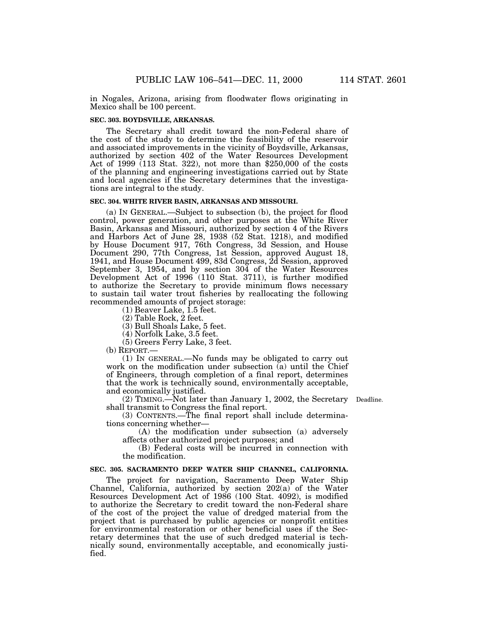in Nogales, Arizona, arising from floodwater flows originating in Mexico shall be 100 percent.

# **SEC. 303. BOYDSVILLE, ARKANSAS.**

The Secretary shall credit toward the non-Federal share of the cost of the study to determine the feasibility of the reservoir and associated improvements in the vicinity of Boydsville, Arkansas, authorized by section 402 of the Water Resources Development Act of 1999 (113 Stat. 322), not more than \$250,000 of the costs of the planning and engineering investigations carried out by State and local agencies if the Secretary determines that the investigations are integral to the study.

#### **SEC. 304. WHITE RIVER BASIN, ARKANSAS AND MISSOURI.**

(a) IN GENERAL.—Subject to subsection (b), the project for flood control, power generation, and other purposes at the White River Basin, Arkansas and Missouri, authorized by section 4 of the Rivers and Harbors Act of June 28, 1938 (52 Stat. 1218), and modified by House Document 917, 76th Congress, 3d Session, and House Document 290, 77th Congress, 1st Session, approved August 18, 1941, and House Document 499, 83d Congress, 2d Session, approved September 3, 1954, and by section 304 of the Water Resources Development Act of 1996 (110 Stat. 3711), is further modified to authorize the Secretary to provide minimum flows necessary to sustain tail water trout fisheries by reallocating the following recommended amounts of project storage:

(1) Beaver Lake, 1.5 feet.

(2) Table Rock, 2 feet.

(3) Bull Shoals Lake, 5 feet.

(4) Norfolk Lake, 3.5 feet.

(5) Greers Ferry Lake, 3 feet.

(b) REPORT.—

(1) IN GENERAL.—No funds may be obligated to carry out work on the modification under subsection (a) until the Chief of Engineers, through completion of a final report, determines that the work is technically sound, environmentally acceptable, and economically justified.

(2) TIMING.—Not later than January 1, 2002, the Secretary Deadline.

shall transmit to Congress the final report. (3) CONTENTS.—The final report shall include determina-

tions concerning whether— (A) the modification under subsection (a) adversely

affects other authorized project purposes; and

(B) Federal costs will be incurred in connection with the modification.

# **SEC. 305. SACRAMENTO DEEP WATER SHIP CHANNEL, CALIFORNIA.**

The project for navigation, Sacramento Deep Water Ship Channel, California, authorized by section 202(a) of the Water Resources Development Act of 1986 (100 Stat. 4092), is modified to authorize the Secretary to credit toward the non-Federal share of the cost of the project the value of dredged material from the project that is purchased by public agencies or nonprofit entities for environmental restoration or other beneficial uses if the Secretary determines that the use of such dredged material is technically sound, environmentally acceptable, and economically justified.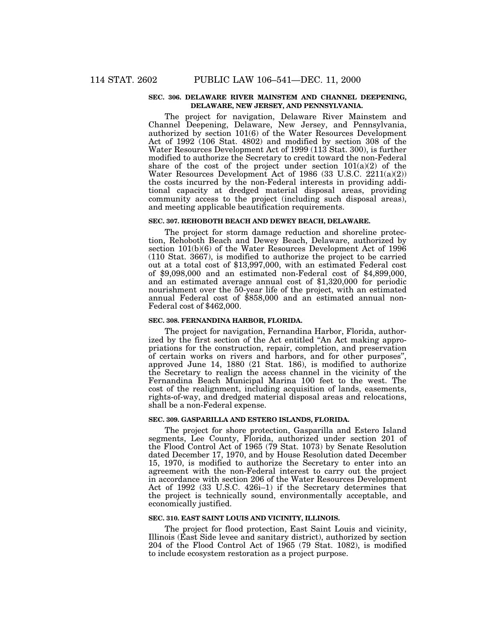#### **SEC. 306. DELAWARE RIVER MAINSTEM AND CHANNEL DEEPENING, DELAWARE, NEW JERSEY, AND PENNSYLVANIA.**

The project for navigation, Delaware River Mainstem and Channel Deepening, Delaware, New Jersey, and Pennsylvania, authorized by section 101(6) of the Water Resources Development Act of 1992 (106 Stat. 4802) and modified by section 308 of the Water Resources Development Act of 1999 (113 Stat. 300), is further modified to authorize the Secretary to credit toward the non-Federal share of the cost of the project under section  $101(a)(2)$  of the Water Resources Development Act of 1986 (33 U.S.C. 2211(a)(2)) the costs incurred by the non-Federal interests in providing additional capacity at dredged material disposal areas, providing community access to the project (including such disposal areas), and meeting applicable beautification requirements.

# **SEC. 307. REHOBOTH BEACH AND DEWEY BEACH, DELAWARE.**

The project for storm damage reduction and shoreline protection, Rehoboth Beach and Dewey Beach, Delaware, authorized by section 101(b)(6) of the Water Resources Development Act of 1996 (110 Stat. 3667), is modified to authorize the project to be carried out at a total cost of \$13,997,000, with an estimated Federal cost of \$9,098,000 and an estimated non-Federal cost of \$4,899,000, and an estimated average annual cost of \$1,320,000 for periodic nourishment over the 50-year life of the project, with an estimated annual Federal cost of \$858,000 and an estimated annual non-Federal cost of \$462,000.

# **SEC. 308. FERNANDINA HARBOR, FLORIDA.**

The project for navigation, Fernandina Harbor, Florida, authorized by the first section of the Act entitled ''An Act making appropriations for the construction, repair, completion, and preservation of certain works on rivers and harbors, and for other purposes'', approved June 14, 1880 (21 Stat. 186), is modified to authorize the Secretary to realign the access channel in the vicinity of the Fernandina Beach Municipal Marina 100 feet to the west. The cost of the realignment, including acquisition of lands, easements, rights-of-way, and dredged material disposal areas and relocations, shall be a non-Federal expense.

#### **SEC. 309. GASPARILLA AND ESTERO ISLANDS, FLORIDA.**

The project for shore protection, Gasparilla and Estero Island segments, Lee County, Florida, authorized under section 201 of the Flood Control Act of 1965 (79 Stat. 1073) by Senate Resolution dated December 17, 1970, and by House Resolution dated December 15, 1970, is modified to authorize the Secretary to enter into an agreement with the non-Federal interest to carry out the project in accordance with section 206 of the Water Resources Development Act of 1992 (33 U.S.C. 426i–1) if the Secretary determines that the project is technically sound, environmentally acceptable, and economically justified.

#### **SEC. 310. EAST SAINT LOUIS AND VICINITY, ILLINOIS.**

The project for flood protection, East Saint Louis and vicinity, Illinois (East Side levee and sanitary district), authorized by section 204 of the Flood Control Act of 1965 (79 Stat. 1082), is modified to include ecosystem restoration as a project purpose.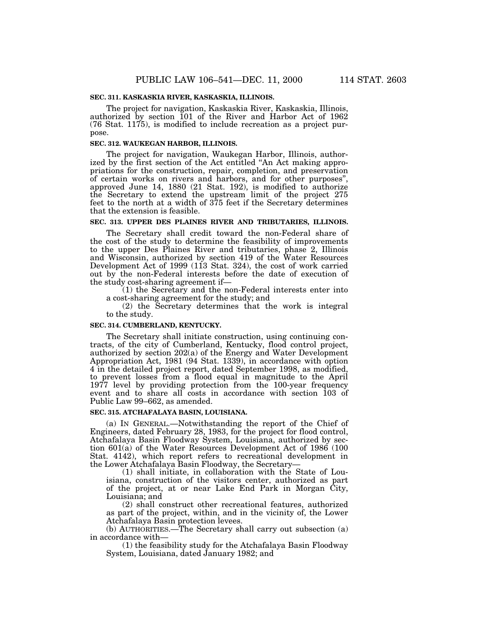# **SEC. 311. KASKASKIA RIVER, KASKASKIA, ILLINOIS.**

The project for navigation, Kaskaskia River, Kaskaskia, Illinois, authorized by section 101 of the River and Harbor Act of 1962 (76 Stat. 1175), is modified to include recreation as a project purpose.

# **SEC. 312. WAUKEGAN HARBOR, ILLINOIS.**

The project for navigation, Waukegan Harbor, Illinois, authorized by the first section of the Act entitled ''An Act making appropriations for the construction, repair, completion, and preservation of certain works on rivers and harbors, and for other purposes'', approved June 14, 1880 (21 Stat. 192), is modified to authorize the Secretary to extend the upstream limit of the project 275 feet to the north at a width of 375 feet if the Secretary determines that the extension is feasible.

# **SEC. 313. UPPER DES PLAINES RIVER AND TRIBUTARIES, ILLINOIS.**

The Secretary shall credit toward the non-Federal share of the cost of the study to determine the feasibility of improvements to the upper Des Plaines River and tributaries, phase 2, Illinois and Wisconsin, authorized by section 419 of the Water Resources Development Act of 1999 (113 Stat. 324), the cost of work carried out by the non-Federal interests before the date of execution of the study cost-sharing agreement if—

(1) the Secretary and the non-Federal interests enter into a cost-sharing agreement for the study; and

(2) the Secretary determines that the work is integral to the study.

#### **SEC. 314. CUMBERLAND, KENTUCKY.**

The Secretary shall initiate construction, using continuing contracts, of the city of Cumberland, Kentucky, flood control project, authorized by section 202(a) of the Energy and Water Development Appropriation Act, 1981 (94 Stat. 1339), in accordance with option 4 in the detailed project report, dated September 1998, as modified, to prevent losses from a flood equal in magnitude to the April 1977 level by providing protection from the 100-year frequency event and to share all costs in accordance with section 103 of Public Law 99–662, as amended.

#### **SEC. 315. ATCHAFALAYA BASIN, LOUISIANA.**

(a) IN GENERAL.—Notwithstanding the report of the Chief of Engineers, dated February 28, 1983, for the project for flood control, Atchafalaya Basin Floodway System, Louisiana, authorized by section 601(a) of the Water Resources Development Act of 1986 (100 Stat. 4142), which report refers to recreational development in the Lower Atchafalaya Basin Floodway, the Secretary—

(1) shall initiate, in collaboration with the State of Louisiana, construction of the visitors center, authorized as part of the project, at or near Lake End Park in Morgan City, Louisiana; and

(2) shall construct other recreational features, authorized as part of the project, within, and in the vicinity of, the Lower Atchafalaya Basin protection levees.

(b) AUTHORITIES.—The Secretary shall carry out subsection (a) in accordance with—

(1) the feasibility study for the Atchafalaya Basin Floodway System, Louisiana, dated January 1982; and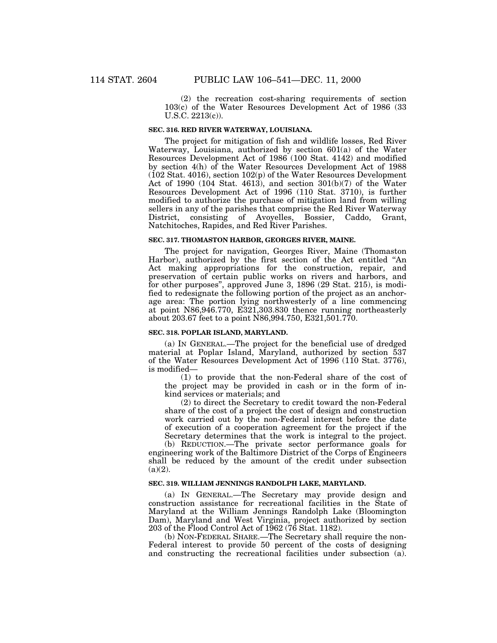(2) the recreation cost-sharing requirements of section 103(c) of the Water Resources Development Act of 1986 (33 U.S.C. 2213(c)).

# **SEC. 316. RED RIVER WATERWAY, LOUISIANA.**

The project for mitigation of fish and wildlife losses, Red River Waterway, Louisiana, authorized by section 601(a) of the Water Resources Development Act of 1986 (100 Stat. 4142) and modified by section 4(h) of the Water Resources Development Act of 1988 (102 Stat. 4016), section 102(p) of the Water Resources Development Act of 1990 (104 Stat. 4613), and section  $301(b)(7)$  of the Water Resources Development Act of 1996 (110 Stat. 3710), is further modified to authorize the purchase of mitigation land from willing sellers in any of the parishes that comprise the Red River Waterway District, consisting of Avoyelles, Bossier, Caddo, Grant, Natchitoches, Rapides, and Red River Parishes.

# **SEC. 317. THOMASTON HARBOR, GEORGES RIVER, MAINE.**

The project for navigation, Georges River, Maine (Thomaston Harbor), authorized by the first section of the Act entitled ''An Act making appropriations for the construction, repair, and preservation of certain public works on rivers and harbors, and for other purposes'', approved June 3, 1896 (29 Stat. 215), is modified to redesignate the following portion of the project as an anchorage area: The portion lying northwesterly of a line commencing at point N86,946.770, E321,303.830 thence running northeasterly about 203.67 feet to a point N86,994.750, E321,501.770.

#### **SEC. 318. POPLAR ISLAND, MARYLAND.**

(a) IN GENERAL.—The project for the beneficial use of dredged material at Poplar Island, Maryland, authorized by section 537 of the Water Resources Development Act of 1996 (110 Stat. 3776), is modified—

(1) to provide that the non-Federal share of the cost of the project may be provided in cash or in the form of inkind services or materials; and

(2) to direct the Secretary to credit toward the non-Federal share of the cost of a project the cost of design and construction work carried out by the non-Federal interest before the date of execution of a cooperation agreement for the project if the Secretary determines that the work is integral to the project.

(b) REDUCTION.—The private sector performance goals for engineering work of the Baltimore District of the Corps of Engineers shall be reduced by the amount of the credit under subsection  $(a)(2)$ .

#### **SEC. 319. WILLIAM JENNINGS RANDOLPH LAKE, MARYLAND.**

(a) IN GENERAL.—The Secretary may provide design and construction assistance for recreational facilities in the State of Maryland at the William Jennings Randolph Lake (Bloomington Dam), Maryland and West Virginia, project authorized by section 203 of the Flood Control Act of 1962 (76 Stat. 1182).

(b) NON-FEDERAL SHARE.—The Secretary shall require the non-Federal interest to provide 50 percent of the costs of designing and constructing the recreational facilities under subsection (a).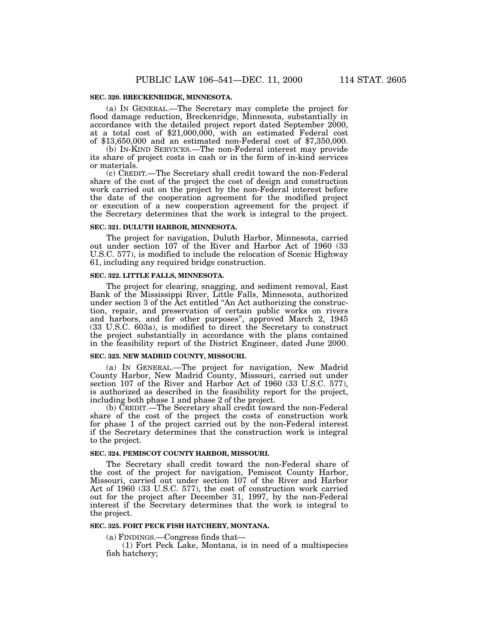(a) IN GENERAL.—The Secretary may complete the project for flood damage reduction, Breckenridge, Minnesota, substantially in accordance with the detailed project report dated September 2000, at a total cost of \$21,000,000, with an estimated Federal cost of \$13,650,000 and an estimated non-Federal cost of \$7,350,000.

(b) IN-KIND SERVICES.—The non-Federal interest may provide its share of project costs in cash or in the form of in-kind services or materials.

(c) CREDIT.—The Secretary shall credit toward the non-Federal share of the cost of the project the cost of design and construction work carried out on the project by the non-Federal interest before the date of the cooperation agreement for the modified project or execution of a new cooperation agreement for the project if the Secretary determines that the work is integral to the project.

### **SEC. 321. DULUTH HARBOR, MINNESOTA.**

The project for navigation, Duluth Harbor, Minnesota, carried out under section 107 of the River and Harbor Act of 1960 (33 U.S.C. 577), is modified to include the relocation of Scenic Highway 61, including any required bridge construction.

#### **SEC. 322. LITTLE FALLS, MINNESOTA.**

The project for clearing, snagging, and sediment removal, East Bank of the Mississippi River, Little Falls, Minnesota, authorized under section 3 of the Act entitled ''An Act authorizing the construction, repair, and preservation of certain public works on rivers and harbors, and for other purposes'', approved March 2, 1945 (33 U.S.C. 603a), is modified to direct the Secretary to construct the project substantially in accordance with the plans contained in the feasibility report of the District Engineer, dated June 2000.

# **SEC. 323. NEW MADRID COUNTY, MISSOURI.**

(a) IN GENERAL.—The project for navigation, New Madrid County Harbor, New Madrid County, Missouri, carried out under section 107 of the River and Harbor Act of 1960 (33 U.S.C. 577), is authorized as described in the feasibility report for the project, including both phase 1 and phase 2 of the project.

(b) CREDIT.—The Secretary shall credit toward the non-Federal share of the cost of the project the costs of construction work for phase 1 of the project carried out by the non-Federal interest if the Secretary determines that the construction work is integral to the project.

#### **SEC. 324. PEMISCOT COUNTY HARBOR, MISSOURI.**

The Secretary shall credit toward the non-Federal share of the cost of the project for navigation, Pemiscot County Harbor, Missouri, carried out under section 107 of the River and Harbor Act of 1960 (33 U.S.C. 577), the cost of construction work carried out for the project after December 31, 1997, by the non-Federal interest if the Secretary determines that the work is integral to the project.

#### **SEC. 325. FORT PECK FISH HATCHERY, MONTANA.**

(a) FINDINGS.—Congress finds that—

(1) Fort Peck Lake, Montana, is in need of a multispecies fish hatchery;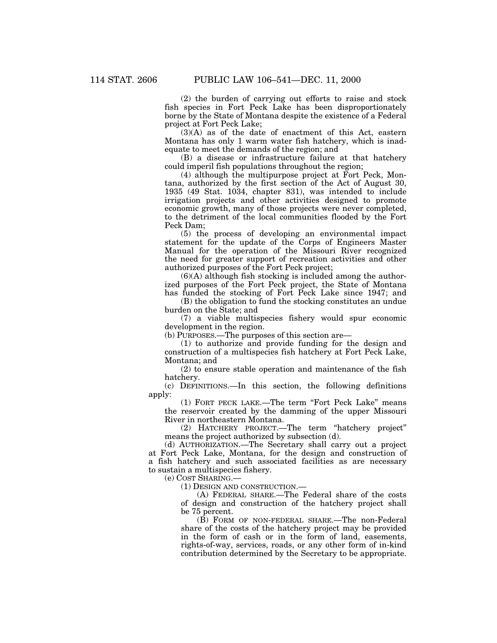(2) the burden of carrying out efforts to raise and stock fish species in Fort Peck Lake has been disproportionately borne by the State of Montana despite the existence of a Federal project at Fort Peck Lake;

(3)(A) as of the date of enactment of this Act, eastern Montana has only 1 warm water fish hatchery, which is inadequate to meet the demands of the region; and

(B) a disease or infrastructure failure at that hatchery could imperil fish populations throughout the region;

(4) although the multipurpose project at Fort Peck, Montana, authorized by the first section of the Act of August 30, 1935 (49 Stat. 1034, chapter 831), was intended to include irrigation projects and other activities designed to promote economic growth, many of those projects were never completed, to the detriment of the local communities flooded by the Fort Peck Dam;

(5) the process of developing an environmental impact statement for the update of the Corps of Engineers Master Manual for the operation of the Missouri River recognized the need for greater support of recreation activities and other authorized purposes of the Fort Peck project;

 $(6)(A)$  although fish stocking is included among the authorized purposes of the Fort Peck project, the State of Montana has funded the stocking of Fort Peck Lake since 1947; and

(B) the obligation to fund the stocking constitutes an undue burden on the State; and

(7) a viable multispecies fishery would spur economic development in the region.

(b) PURPOSES.—The purposes of this section are—

(1) to authorize and provide funding for the design and construction of a multispecies fish hatchery at Fort Peck Lake, Montana; and

(2) to ensure stable operation and maintenance of the fish hatchery.

(c) DEFINITIONS.—In this section, the following definitions apply:

(1) FORT PECK LAKE.—The term ''Fort Peck Lake'' means the reservoir created by the damming of the upper Missouri River in northeastern Montana.

(2) HATCHERY PROJECT.—The term ''hatchery project'' means the project authorized by subsection (d).

(d) AUTHORIZATION.—The Secretary shall carry out a project at Fort Peck Lake, Montana, for the design and construction of a fish hatchery and such associated facilities as are necessary to sustain a multispecies fishery.

(e) COST SHARING.—

(1) DESIGN AND CONSTRUCTION.—

(A) FEDERAL SHARE.—The Federal share of the costs of design and construction of the hatchery project shall be 75 percent.

(B) FORM OF NON-FEDERAL SHARE.—The non-Federal share of the costs of the hatchery project may be provided in the form of cash or in the form of land, easements, rights-of-way, services, roads, or any other form of in-kind contribution determined by the Secretary to be appropriate.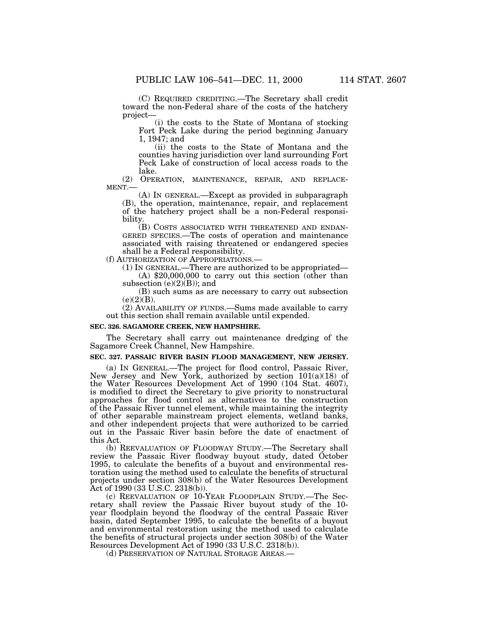(C) REQUIRED CREDITING.—The Secretary shall credit toward the non-Federal share of the costs of the hatchery project—

(i) the costs to the State of Montana of stocking Fort Peck Lake during the period beginning January 1, 1947; and

(ii) the costs to the State of Montana and the counties having jurisdiction over land surrounding Fort Peck Lake of construction of local access roads to the lake.<br>(2) OPERATION, MAINTENANCE, REPAIR, AND REPLACE-

 $MENT.$  (A) In GENERAL.—Except as provided in subparagraph

(B), the operation, maintenance, repair, and replacement of the hatchery project shall be a non-Federal responsibility.<br>(B) COSTS ASSOCIATED WITH THREATENED AND ENDAN-

GERED SPECIES.—The costs of operation and maintenance associated with raising threatened or endangered species shall be a Federal responsibility.<br>(f) AUTHORIZATION OF APPROPRIATIONS.

(1) IN GENERAL.—There are authorized to be appropriated— (A)  $$20,000,000$  to carry out this section (other than

subsection  $(e)(2)(B)$ ; and

(B) such sums as are necessary to carry out subsection  $(e)(2)(B).$ 

(2) AVAILABILITY OF FUNDS.—Sums made available to carry out this section shall remain available until expended.

#### **SEC. 326. SAGAMORE CREEK, NEW HAMPSHIRE.**

The Secretary shall carry out maintenance dredging of the Sagamore Creek Channel, New Hampshire.

### **SEC. 327. PASSAIC RIVER BASIN FLOOD MANAGEMENT, NEW JERSEY.**

(a) IN GENERAL.—The project for flood control, Passaic River, New Jersey and New York, authorized by section 101(a)(18) of the Water Resources Development Act of 1990 (104 Stat. 4607), is modified to direct the Secretary to give priority to nonstructural approaches for flood control as alternatives to the construction of the Passaic River tunnel element, while maintaining the integrity of other separable mainstream project elements, wetland banks, and other independent projects that were authorized to be carried out in the Passaic River basin before the date of enactment of this Act.

(b) REEVALUATION OF FLOODWAY STUDY.—The Secretary shall review the Passaic River floodway buyout study, dated October 1995, to calculate the benefits of a buyout and environmental restoration using the method used to calculate the benefits of structural projects under section 308(b) of the Water Resources Development Act of 1990 (33 U.S.C. 2318(b)).

(c) REEVALUATION OF 10-YEAR FLOODPLAIN STUDY.—The Secretary shall review the Passaic River buyout study of the 10 year floodplain beyond the floodway of the central Passaic River basin, dated September 1995, to calculate the benefits of a buyout and environmental restoration using the method used to calculate the benefits of structural projects under section 308(b) of the Water Resources Development Act of 1990 (33 U.S.C. 2318(b)).

(d) PRESERVATION OF NATURAL STORAGE AREAS.—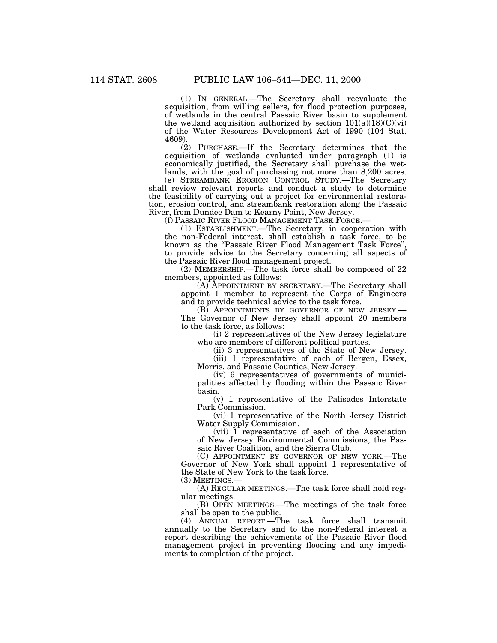(1) IN GENERAL.—The Secretary shall reevaluate the acquisition, from willing sellers, for flood protection purposes, of wetlands in the central Passaic River basin to supplement the wetland acquisition authorized by section  $101(a)(18)(C)(vi)$ of the Water Resources Development Act of 1990 (104 Stat. 4609).

(2) PURCHASE.—If the Secretary determines that the acquisition of wetlands evaluated under paragraph (1) is economically justified, the Secretary shall purchase the wetlands, with the goal of purchasing not more than 8,200 acres.

(e) STREAMBANK EROSION CONTROL STUDY.—The Secretary shall review relevant reports and conduct a study to determine the feasibility of carrying out a project for environmental restoration, erosion control, and streambank restoration along the Passaic River, from Dundee Dam to Kearny Point, New Jersey.

(1) ESTABLISHMENT.—The Secretary, in cooperation with the non-Federal interest, shall establish a task force, to be known as the ''Passaic River Flood Management Task Force'', to provide advice to the Secretary concerning all aspects of the Passaic River flood management project.

(2) MEMBERSHIP.—The task force shall be composed of 22 members, appointed as follows:

(A) APPOINTMENT BY SECRETARY.—The Secretary shall appoint 1 member to represent the Corps of Engineers and to provide technical advice to the task force.

(B) APPOINTMENTS BY GOVERNOR OF NEW JERSEY.— The Governor of New Jersey shall appoint 20 members to the task force, as follows:

(i) 2 representatives of the New Jersey legislature who are members of different political parties.

(ii) 3 representatives of the State of New Jersey.

(iii) 1 representative of each of Bergen, Essex, Morris, and Passaic Counties, New Jersey.

(iv) 6 representatives of governments of municipalities affected by flooding within the Passaic River basin.

(v) 1 representative of the Palisades Interstate Park Commission.

(vi) 1 representative of the North Jersey District Water Supply Commission.

(vii) 1 representative of each of the Association of New Jersey Environmental Commissions, the Passaic River Coalition, and the Sierra Club.

(C) APPOINTMENT BY GOVERNOR OF NEW YORK.—The Governor of New York shall appoint 1 representative of the State of New York to the task force.

(3) MEETINGS.—

(A) REGULAR MEETINGS.—The task force shall hold regular meetings.

(B) OPEN MEETINGS.—The meetings of the task force shall be open to the public.

(4) ANNUAL REPORT.—The task force shall transmit annually to the Secretary and to the non-Federal interest a report describing the achievements of the Passaic River flood management project in preventing flooding and any impediments to completion of the project.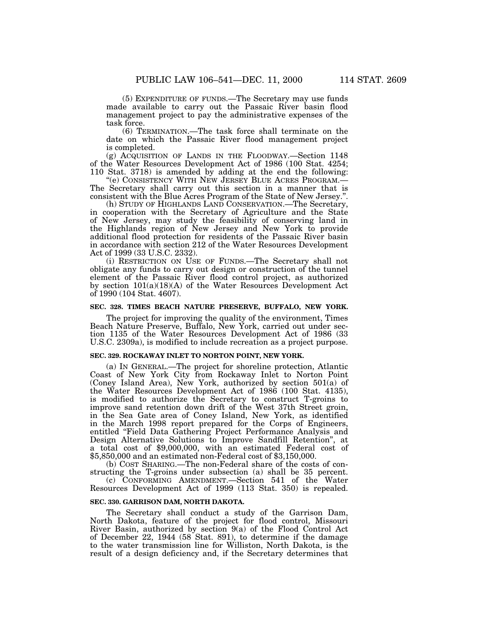(5) EXPENDITURE OF FUNDS.—The Secretary may use funds made available to carry out the Passaic River basin flood management project to pay the administrative expenses of the task force.

(6) TERMINATION.—The task force shall terminate on the date on which the Passaic River flood management project is completed.

(g) ACQUISITION OF LANDS IN THE FLOODWAY.—Section 1148 of the Water Resources Development Act of 1986 (100 Stat. 4254;

"(e) CONSISTENCY WITH NEW JERSEY BLUE ACRES PROGRAM.—<br>The Secretary shall carry out this section in a manner that is consistent with the Blue Acres Program of the State of New Jersey.".

(h) STUDY OF HIGHLANDS LAND CONSERVATION.—The Secretary, in cooperation with the Secretary of Agriculture and the State of New Jersey, may study the feasibility of conserving land in the Highlands region of New Jersey and New York to provide additional flood protection for residents of the Passaic River basin in accordance with section 212 of the Water Resources Development Act of 1999 (33 U.S.C. 2332).

(i) RESTRICTION ON USE OF FUNDS.—The Secretary shall not obligate any funds to carry out design or construction of the tunnel element of the Passaic River flood control project, as authorized by section 101(a)(18)(A) of the Water Resources Development Act of 1990 (104 Stat. 4607).

### **SEC. 328. TIMES BEACH NATURE PRESERVE, BUFFALO, NEW YORK.**

The project for improving the quality of the environment, Times Beach Nature Preserve, Buffalo, New York, carried out under section 1135 of the Water Resources Development Act of 1986 (33 U.S.C. 2309a), is modified to include recreation as a project purpose.

#### **SEC. 329. ROCKAWAY INLET TO NORTON POINT, NEW YORK.**

(a) IN GENERAL.—The project for shoreline protection, Atlantic Coast of New York City from Rockaway Inlet to Norton Point (Coney Island Area), New York, authorized by section 501(a) of the Water Resources Development Act of 1986 (100 Stat. 4135), is modified to authorize the Secretary to construct T-groins to improve sand retention down drift of the West 37th Street groin, in the Sea Gate area of Coney Island, New York, as identified in the March 1998 report prepared for the Corps of Engineers, entitled "Field Data Gathering Project Performance Analysis and Design Alternative Solutions to Improve Sandfill Retention'', at a total cost of \$9,000,000, with an estimated Federal cost of \$5,850,000 and an estimated non-Federal cost of \$3,150,000.

(b) COST SHARING.—The non-Federal share of the costs of constructing the T-groins under subsection (a) shall be 35 percent.

(c) CONFORMING AMENDMENT.—Section 541 of the Water Resources Development Act of 1999 (113 Stat. 350) is repealed.

### **SEC. 330. GARRISON DAM, NORTH DAKOTA.**

The Secretary shall conduct a study of the Garrison Dam, North Dakota, feature of the project for flood control, Missouri River Basin, authorized by section 9(a) of the Flood Control Act of December 22, 1944 (58 Stat. 891), to determine if the damage to the water transmission line for Williston, North Dakota, is the result of a design deficiency and, if the Secretary determines that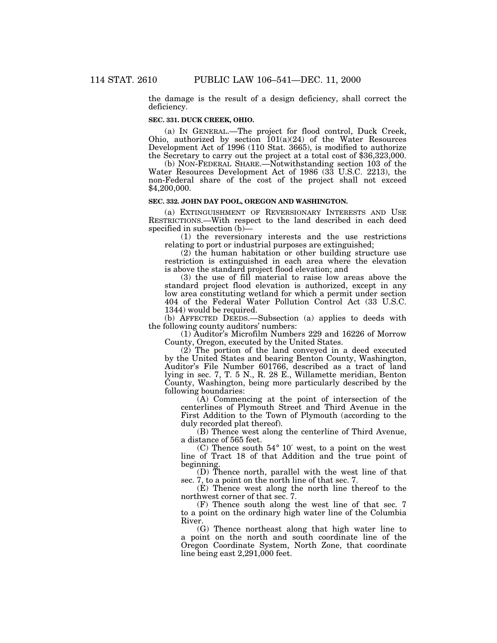the damage is the result of a design deficiency, shall correct the deficiency.

# **SEC. 331. DUCK CREEK, OHIO.**

(a) IN GENERAL.—The project for flood control, Duck Creek, Ohio, authorized by section  $101(a)(24)$  of the Water Resources Development Act of 1996 (110 Stat. 3665), is modified to authorize the Secretary to carry out the project at a total cost of \$36,323,000.

(b) NON-FEDERAL SHARE.—Notwithstanding section 103 of the Water Resources Development Act of 1986 (33 U.S.C. 2213), the non-Federal share of the cost of the project shall not exceed \$4,200,000.

### **SEC. 332. JOHN DAY POOL, OREGON AND WASHINGTON.**

(a) EXTINGUISHMENT OF REVERSIONARY INTERESTS AND USE RESTRICTIONS.—With respect to the land described in each deed specified in subsection (b)—<br>(1) the reversionary interests and the use restrictions

relating to port or industrial purposes are extinguished;

(2) the human habitation or other building structure use restriction is extinguished in each area where the elevation is above the standard project flood elevation; and

(3) the use of fill material to raise low areas above the standard project flood elevation is authorized, except in any low area constituting wetland for which a permit under section 404 of the Federal Water Pollution Control Act (33 U.S.C. 1344) would be required.

(b) AFFECTED DEEDS.—Subsection (a) applies to deeds with the following county auditors' numbers:

(1) Auditor's Microfilm Numbers 229 and 16226 of Morrow County, Oregon, executed by the United States.

(2) The portion of the land conveyed in a deed executed by the United States and bearing Benton County, Washington, Auditor's File Number 601766, described as a tract of land lying in sec. 7, T. 5 N., R. 28 E., Willamette meridian, Benton County, Washington, being more particularly described by the following boundaries:

(A) Commencing at the point of intersection of the centerlines of Plymouth Street and Third Avenue in the First Addition to the Town of Plymouth (according to the duly recorded plat thereof).

(B) Thence west along the centerline of Third Avenue, a distance of 565 feet.

(C) Thence south 54° 10′ west, to a point on the west line of Tract 18 of that Addition and the true point of beginning.

(D) Thence north, parallel with the west line of that sec. 7, to a point on the north line of that sec. 7.

(E) Thence west along the north line thereof to the northwest corner of that sec. 7.

(F) Thence south along the west line of that sec. 7 to a point on the ordinary high water line of the Columbia River.

(G) Thence northeast along that high water line to a point on the north and south coordinate line of the Oregon Coordinate System, North Zone, that coordinate line being east 2,291,000 feet.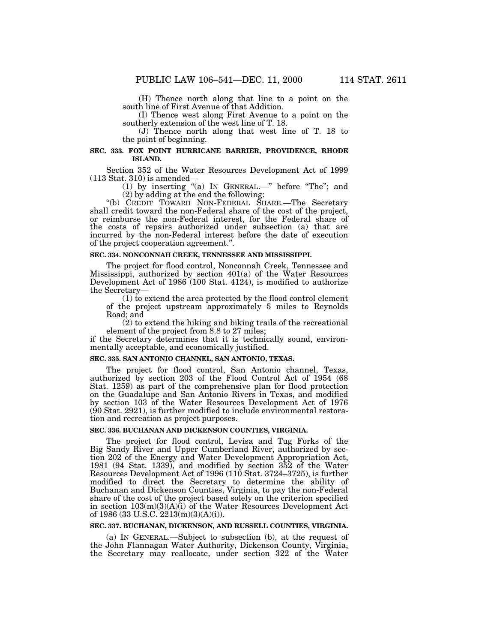(H) Thence north along that line to a point on the south line of First Avenue of that Addition.

(I) Thence west along First Avenue to a point on the southerly extension of the west line of T. 18.

(J) Thence north along that west line of T. 18 to the point of beginning.

### **SEC. 333. FOX POINT HURRICANE BARRIER, PROVIDENCE, RHODE ISLAND.**

Section 352 of the Water Resources Development Act of 1999 (113 Stat. 310) is amended—

(1) by inserting "(a) IN GENERAL.—" before "The"; and (2) by adding at the end the following:

"(b) CREDIT TOWARD NON-FEDERAL SHARE.—The Secretary shall credit toward the non-Federal share of the cost of the project, or reimburse the non-Federal interest, for the Federal share of the costs of repairs authorized under subsection (a) that are incurred by the non-Federal interest before the date of execution of the project cooperation agreement.''.

### **SEC. 334. NONCONNAH CREEK, TENNESSEE AND MISSISSIPPI.**

The project for flood control, Nonconnah Creek, Tennessee and Mississippi, authorized by section 401(a) of the Water Resources Development Act of 1986 (100 Stat. 4124), is modified to authorize the Secretary—

(1) to extend the area protected by the flood control element of the project upstream approximately 5 miles to Reynolds Road; and

(2) to extend the hiking and biking trails of the recreational element of the project from 8.8 to 27 miles;

if the Secretary determines that it is technically sound, environmentally acceptable, and economically justified.

#### **SEC. 335. SAN ANTONIO CHANNEL, SAN ANTONIO, TEXAS.**

The project for flood control, San Antonio channel, Texas, authorized by section 203 of the Flood Control Act of 1954 (68 Stat. 1259) as part of the comprehensive plan for flood protection on the Guadalupe and San Antonio Rivers in Texas, and modified by section 103 of the Water Resources Development Act of 1976  $(90$  Stat. 2921), is further modified to include environmental restoration and recreation as project purposes.

#### **SEC. 336. BUCHANAN AND DICKENSON COUNTIES, VIRGINIA.**

The project for flood control, Levisa and Tug Forks of the Big Sandy River and Upper Cumberland River, authorized by section 202 of the Energy and Water Development Appropriation Act, 1981 (94 Stat. 1339), and modified by section 352 of the Water Resources Development Act of 1996 (110 Stat. 3724–3725), is further modified to direct the Secretary to determine the ability of Buchanan and Dickenson Counties, Virginia, to pay the non-Federal share of the cost of the project based solely on the criterion specified in section 103(m)(3)(A)(i) of the Water Resources Development Act of 1986 (33 U.S.C. 2213(m)(3)(A)(i)).

### **SEC. 337. BUCHANAN, DICKENSON, AND RUSSELL COUNTIES, VIRGINIA.**

(a) IN GENERAL.—Subject to subsection (b), at the request of the John Flannagan Water Authority, Dickenson County, Virginia, the Secretary may reallocate, under section 322 of the Water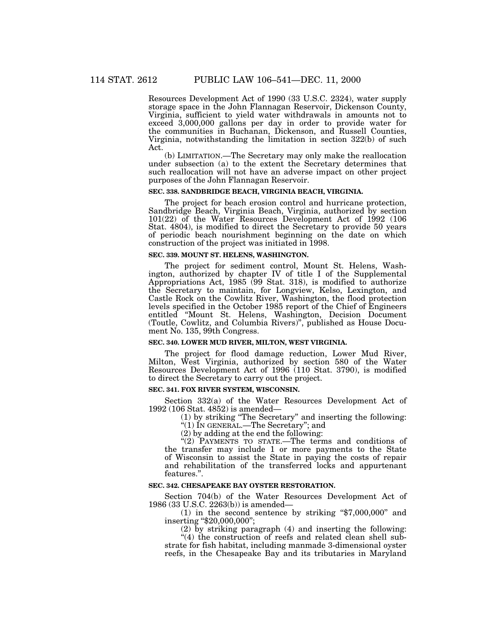Resources Development Act of 1990 (33 U.S.C. 2324), water supply storage space in the John Flannagan Reservoir, Dickenson County, Virginia, sufficient to yield water withdrawals in amounts not to exceed 3,000,000 gallons per day in order to provide water for the communities in Buchanan, Dickenson, and Russell Counties, Virginia, notwithstanding the limitation in section 322(b) of such Act.

(b) LIMITATION.—The Secretary may only make the reallocation under subsection (a) to the extent the Secretary determines that such reallocation will not have an adverse impact on other project purposes of the John Flannagan Reservoir.

### **SEC. 338. SANDBRIDGE BEACH, VIRGINIA BEACH, VIRGINIA.**

The project for beach erosion control and hurricane protection, Sandbridge Beach, Virginia Beach, Virginia, authorized by section 101(22) of the Water Resources Development Act of 1992 (106 Stat. 4804), is modified to direct the Secretary to provide 50 years of periodic beach nourishment beginning on the date on which construction of the project was initiated in 1998.

### **SEC. 339. MOUNT ST. HELENS, WASHINGTON.**

The project for sediment control, Mount St. Helens, Washington, authorized by chapter IV of title I of the Supplemental Appropriations Act, 1985 (99 Stat. 318), is modified to authorize the Secretary to maintain, for Longview, Kelso, Lexington, and Castle Rock on the Cowlitz River, Washington, the flood protection levels specified in the October 1985 report of the Chief of Engineers entitled ''Mount St. Helens, Washington, Decision Document (Toutle, Cowlitz, and Columbia Rivers)'', published as House Document No. 135, 99th Congress.

#### **SEC. 340. LOWER MUD RIVER, MILTON, WEST VIRGINIA.**

The project for flood damage reduction, Lower Mud River, Milton, West Virginia, authorized by section 580 of the Water Resources Development Act of 1996 (110 Stat. 3790), is modified to direct the Secretary to carry out the project.

### **SEC. 341. FOX RIVER SYSTEM, WISCONSIN.**

Section 332(a) of the Water Resources Development Act of 1992 (106 Stat. 4852) is amended—

(1) by striking ''The Secretary'' and inserting the following:

''(1) IN GENERAL.—The Secretary''; and

(2) by adding at the end the following:

''(2) PAYMENTS TO STATE.—The terms and conditions of the transfer may include 1 or more payments to the State of Wisconsin to assist the State in paying the costs of repair and rehabilitation of the transferred locks and appurtenant features.''.

#### **SEC. 342. CHESAPEAKE BAY OYSTER RESTORATION.**

Section 704(b) of the Water Resources Development Act of 1986 (33 U.S.C. 2263(b)) is amended—

(1) in the second sentence by striking " $$7,000,000$ " and inserting "\$20,000,000";

(2) by striking paragraph (4) and inserting the following:  $(4)$  the construction of reefs and related clean shell substrate for fish habitat, including manmade 3-dimensional oyster

reefs, in the Chesapeake Bay and its tributaries in Maryland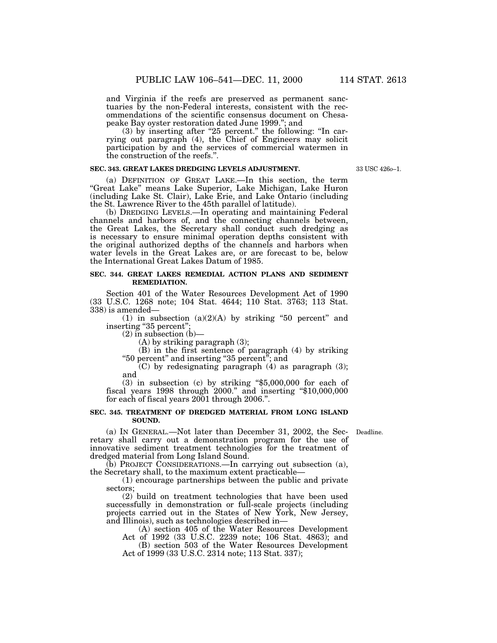and Virginia if the reefs are preserved as permanent sanctuaries by the non-Federal interests, consistent with the recommendations of the scientific consensus document on Chesapeake Bay oyster restoration dated June 1999.''; and

 $(3)$  by inserting after "25 percent." the following: "In carrying out paragraph (4), the Chief of Engineers may solicit participation by and the services of commercial watermen in the construction of the reefs.''.

### **SEC. 343. GREAT LAKES DREDGING LEVELS ADJUSTMENT.**

(a) DEFINITION OF GREAT LAKE.—In this section, the term ''Great Lake'' means Lake Superior, Lake Michigan, Lake Huron (including Lake St. Clair), Lake Erie, and Lake Ontario (including the St. Lawrence River to the 45th parallel of latitude).

(b) DREDGING LEVELS.—In operating and maintaining Federal channels and harbors of, and the connecting channels between, the Great Lakes, the Secretary shall conduct such dredging as is necessary to ensure minimal operation depths consistent with the original authorized depths of the channels and harbors when water levels in the Great Lakes are, or are forecast to be, below the International Great Lakes Datum of 1985.

#### **SEC. 344. GREAT LAKES REMEDIAL ACTION PLANS AND SEDIMENT REMEDIATION.**

Section 401 of the Water Resources Development Act of 1990 (33 U.S.C. 1268 note; 104 Stat. 4644; 110 Stat. 3763; 113 Stat. 338) is amended—

(1) in subsection  $(a)(2)(A)$  by striking "50 percent" and inserting "35 percent"

 $(2)$  in subsection  $(b)$ —

(A) by striking paragraph (3);

(B) in the first sentence of paragraph (4) by striking ''50 percent'' and inserting ''35 percent''; and

 $(C)$  by redesignating paragraph  $(4)$  as paragraph  $(3)$ ; and

 $(3)$  in subsection  $(c)$  by striking "\$5,000,000 for each of fiscal years 1998 through 2000." and inserting "\$10,000,000 for each of fiscal years 2001 through 2006.''.

### **SEC. 345. TREATMENT OF DREDGED MATERIAL FROM LONG ISLAND SOUND.**

(a) IN GENERAL.—Not later than December 31, 2002, the Sec-Deadline. retary shall carry out a demonstration program for the use of innovative sediment treatment technologies for the treatment of dredged material from Long Island Sound.

(b) PROJECT CONSIDERATIONS.—In carrying out subsection (a), the Secretary shall, to the maximum extent practicable—

(1) encourage partnerships between the public and private sectors;

(2) build on treatment technologies that have been used successfully in demonstration or full-scale projects (including projects carried out in the States of New York, New Jersey, and Illinois), such as technologies described in—

(A) section 405 of the Water Resources Development

Act of 1992 (33 U.S.C. 2239 note; 106 Stat. 4863); and (B) section 503 of the Water Resources Development Act of 1999 (33 U.S.C. 2314 note; 113 Stat. 337);

33 USC 426*o*–1.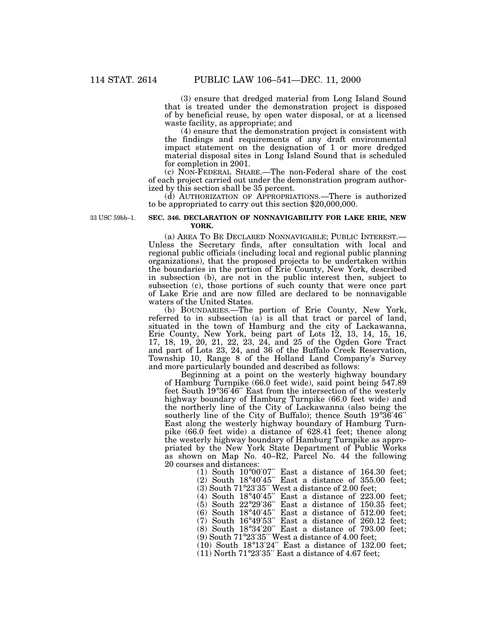(3) ensure that dredged material from Long Island Sound that is treated under the demonstration project is disposed of by beneficial reuse, by open water disposal, or at a licensed waste facility, as appropriate; and

(4) ensure that the demonstration project is consistent with the findings and requirements of any draft environmental impact statement on the designation of 1 or more dredged material disposal sites in Long Island Sound that is scheduled for completion in 2001.

(c) NON-FEDERAL SHARE.—The non-Federal share of the cost of each project carried out under the demonstration program authorized by this section shall be 35 percent.

(d) AUTHORIZATION OF APPROPRIATIONS.—There is authorized to be appropriated to carry out this section \$20,000,000.

33 USC 59bb–1.

### **SEC. 346. DECLARATION OF NONNAVIGABILITY FOR LAKE ERIE, NEW YORK.**

(a) AREA TO BE DECLARED NONNAVIGABLE; PUBLIC INTEREST.— Unless the Secretary finds, after consultation with local and regional public officials (including local and regional public planning organizations), that the proposed projects to be undertaken within the boundaries in the portion of Erie County, New York, described in subsection (b), are not in the public interest then, subject to subsection (c), those portions of such county that were once part of Lake Erie and are now filled are declared to be nonnavigable waters of the United States.

(b) BOUNDARIES.—The portion of Erie County, New York, referred to in subsection (a) is all that tract or parcel of land, situated in the town of Hamburg and the city of Lackawanna, Erie County, New York, being part of Lots 12, 13, 14, 15, 16, 17, 18, 19, 20, 21, 22, 23, 24, and 25 of the Ogden Gore Tract and part of Lots 23, 24, and 36 of the Buffalo Creek Reservation, Township 10, Range 8 of the Holland Land Company's Survey and more particularly bounded and described as follows:

Beginning at a point on the westerly highway boundary of Hamburg Turnpike (66.0 feet wide), said point being 547.89 feet South 19°36′46′′ East from the intersection of the westerly highway boundary of Hamburg Turnpike (66.0 feet wide) and the northerly line of the City of Lackawanna (also being the southerly line of the City of Buffalo); thence South 19°36′46′′ East along the westerly highway boundary of Hamburg Turnpike (66.0 feet wide) a distance of 628.41 feet; thence along the westerly highway boundary of Hamburg Turnpike as appropriated by the New York State Department of Public Works as shown on Map No. 40–R2, Parcel No. 44 the following 20 courses and distances:

(1) South  $10^{\circ}00'07''$  East a distance of 164.30 feet; (2) South 18°40′45′′ East a distance of 355.00 feet;

(3) South 71°23′35′′ West a distance of 2.00 feet;

(4) South 18°40′45′′ East a distance of 223.00 feet;

(5) South 22°29′36′′ East a distance of 150.35 feet;  $(6)$  South 18°40'45" East a distance of 512.00 feet;

(7) South 16°49′53′′ East a distance of 260.12 feet;

(8) South 18°34′20′′ East a distance of 793.00 feet;

(9) South 71°23′35′′ West a distance of 4.00 feet;

(10) South  $18^{\circ}13'24''$  East a distance of  $132.00$  feet;

 $(11)$  North 71°23'35" East a distance of 4.67 feet;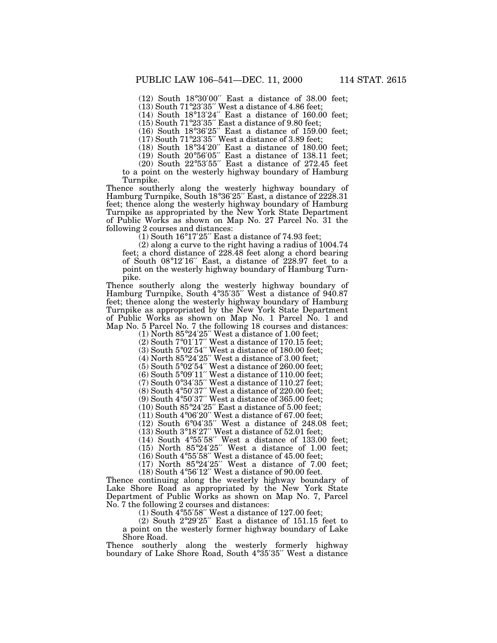(12) South 18°30′00′′ East a distance of 38.00 feet;

(13) South 71°23′35′′ West a distance of 4.86 feet;

(14) South 18°13′24′′ East a distance of 160.00 feet;

(15) South 71°23′35′′ East a distance of 9.80 feet;

(16) South 18°36′25′′ East a distance of 159.00 feet;  $(17)$  South  $71^{\circ}23'35''$  West a distance of 3.89 feet;

 $(18)$  South  $18°34'20''$  East a distance of  $180.00$  feet;  $(19)$  South 20°56'05" East a distance of 138.11 feet;

(20) South 22°53′55′′ East a distance of 272.45 feet

to a point on the westerly highway boundary of Hamburg Turnpike.

Thence southerly along the westerly highway boundary of Hamburg Turnpike, South 18°36'25" East, a distance of 2228.31 feet; thence along the westerly highway boundary of Hamburg Turnpike as appropriated by the New York State Department of Public Works as shown on Map No. 27 Parcel No. 31 the following 2 courses and distances:

 $(1)$  South 16°17'25" East a distance of 74.93 feet;

(2) along a curve to the right having a radius of 1004.74 feet; a chord distance of 228.48 feet along a chord bearing of South 08°12′16′′ East, a distance of 228.97 feet to a point on the westerly highway boundary of Hamburg Turnpike.

Thence southerly along the westerly highway boundary of Hamburg Turnpike, South 4°35'35" West a distance of 940.87 feet; thence along the westerly highway boundary of Hamburg Turnpike as appropriated by the New York State Department of Public Works as shown on Map No. 1 Parcel No. 1 and Map No. 5 Parcel No. 7 the following 18 courses and distances:

(1) North 85°24′25′′ West a distance of 1.00 feet;

(2) South 7°01′17′′ West a distance of 170.15 feet;

(3) South  $5^{\circ}02'54''$  West a distance of 180.00 feet; (4) North  $85^{\circ}24'25''$  West a distance of 3.00 feet;

 $(5)$  South 5°02′54″ West a distance of 260.00 feet;  $(6)$  South  $5^{\circ}09'11''$  West a distance of 110.00 feet;

(7) South  $0°34'35''$  West a distance of 110.27 feet;

(8) South 4°50′37′′ West a distance of 220.00 feet;

(9) South 4°50′37″ West a distance of 365.00 feet;

(10) South 85°24′25′′ East a distance of 5.00 feet;

 $(11)$  South 4°06′20″ West a distance of 67.00 feet;

(12) South 6°04′35′′ West a distance of 248.08 feet;

 $(13)$  South  $3^{\circ}18'27''$  West a distance of 52.01 feet;

 $(14)$  South 4°55'58" West a distance of 133.00 feet;

 $(15)$  North  $85^{\circ}24'25''$  West a distance of 1.00 feet:

(16) South 4°55′58′′ West a distance of 45.00 feet;

 $(17)$  North 85°24'25" West a distance of 7.00 feet; (18) South 4°56′12′′ West a distance of 90.00 feet.

Thence continuing along the westerly highway boundary of Lake Shore Road as appropriated by the New York State Department of Public Works as shown on Map No. 7, Parcel No. 7 the following 2 courses and distances:

 $(1)$  South 4°55′58″ West a distance of 127.00 feet;

(2) South 2°29′25′′ East a distance of 151.15 feet to a point on the westerly former highway boundary of Lake Shore Road.

Thence southerly along the westerly formerly highway boundary of Lake Shore Road, South 4°35′35′′ West a distance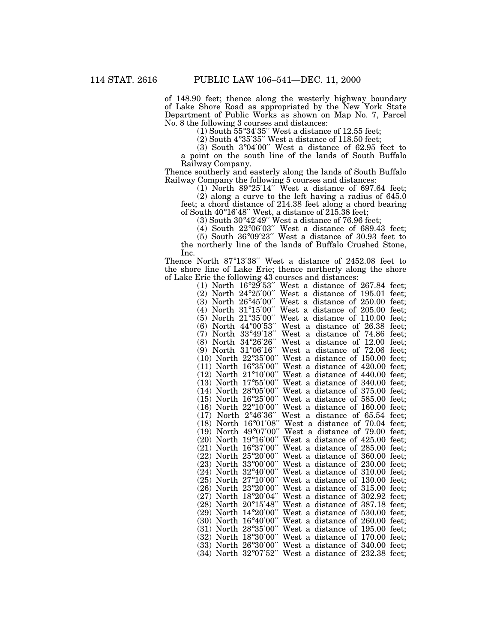of 148.90 feet; thence along the westerly highway boundary of Lake Shore Road as appropriated by the New York State Department of Public Works as shown on Map No. 7, Parcel No. 8 the following 3 courses and distances:

(1) South  $55^{\circ}34'35''$  West a distance of 12.55 feet;

(2) South  $4^{\circ}35'35''$  West a distance of 118.50 feet;

(3) South 3°04′00′′ West a distance of 62.95 feet to a point on the south line of the lands of South Buffalo Railway Company.

Thence southerly and easterly along the lands of South Buffalo Railway Company the following 5 courses and distances:

(1) North 89°25′14′′ West a distance of 697.64 feet;

(2) along a curve to the left having a radius of 645.0 feet; a chord distance of 214.38 feet along a chord bearing of South 40°16′48′′ West, a distance of 215.38 feet;

(3) South 30°42′49′′ West a distance of 76.96 feet;

(4) South 22°06′03′′ West a distance of 689.43 feet;

(5) South 36°09′23′′ West a distance of 30.93 feet to the northerly line of the lands of Buffalo Crushed Stone, Inc.

Thence North 87°13′38′′ West a distance of 2452.08 feet to the shore line of Lake Erie; thence northerly along the shore of Lake Erie the following 43 courses and distances:

| $16^{\circ}29'53''$ West<br>distance of 267.84<br>(1)<br>North<br>feet;<br>a                                                            |
|-----------------------------------------------------------------------------------------------------------------------------------------|
| 24°25'00"<br>West<br>(2)<br>of 195.01<br>feet;<br>North<br>distance<br>a                                                                |
| 26°45'00"<br><b>(3)</b><br>West<br>of 250.00<br>North<br>distance<br>feet:<br>a                                                         |
| $31^{\circ}15'00''$<br>West<br>a distance of 205.00<br>North<br>feet:<br>(4)                                                            |
| 21°35'00"<br>West<br>a distance of<br>110.00<br>(5)<br>feet;<br>North                                                                   |
| 44°00'53"<br>West<br>26.38<br>(6)<br>of<br>North<br>distance<br>feet;<br>a                                                              |
| 33°49'18"<br>West<br>74.86<br>(7)<br>distance<br>of<br>feet;<br>North<br>a                                                              |
| $34^{\circ}26'26''$<br>West<br>12.00<br>(8)<br>North<br>distance<br>of<br>feet;<br>a                                                    |
| 31°06'16" West<br>72.06<br>of<br>(9)<br>North<br>distance<br>feet;<br>$\mathbf{a}$                                                      |
| (10) North 22°35'00" West a<br>distance of 150.00<br>feet;                                                                              |
| North 16°35'00" West a<br>of 420.00<br>distance<br>feet;<br>(11)                                                                        |
| $21^{\circ}10'00''$ West a<br>(12)<br>distance<br>of 440.00<br>feet;<br>North                                                           |
| $17^{\circ}55'00''$ West a distance of 340.00<br>(13)<br>North<br>feet;                                                                 |
| North 28°05'00" West a distance of 375.00<br>feet:<br>(14)                                                                              |
| $(15)$ North $16^{\circ}25'00''$ West a distance of $585.00$<br>feet;                                                                   |
| North 22°10'00" West a<br>distance of 160.00<br>feet;<br>(16)                                                                           |
| $2^{\circ}46'36''$ West<br>(17)<br>North<br>distance<br>of 65.54<br>feet;<br>a                                                          |
| 16°01'08" West a distance of 70.04<br>(18)<br>North<br>feet:                                                                            |
| 49°07'00" West a distance of 79.00<br>feet;<br>(19)<br>North                                                                            |
| North 19°16'00" West a distance of 425.00<br>(20)<br>feet:                                                                              |
| North 16°37'00" West a distance of 285.00<br>(21)<br>feet;                                                                              |
| $25^{\circ}20'00''$ West a<br>of 360.00<br>distance<br>feet;<br>(22)<br>North                                                           |
| North 33°00'00" West a distance of 230.00<br>(23)<br>feet;                                                                              |
| North 32°40'00" West a distance of 310.00<br>feet;<br>(24)                                                                              |
| (25) North 27°10'00" West a distance of 130.00<br>feet;                                                                                 |
| North 23°20'00" West a distance of 315.00<br>(26)<br>feet;                                                                              |
| 18°20'04" West a<br>of 302.92<br>(27)<br>North<br>distance<br>feet;                                                                     |
| $20^{\circ}15'48''$ West a distance of 387.18<br>(28)<br>North<br>feet:                                                                 |
| $14^{\circ}20'00''$ West a distance of 530.00<br>(29)<br>North<br>feet;                                                                 |
| North 16°40'00" West a distance of 260.00<br>(30)<br>feet;                                                                              |
| North 28°35'00" West a<br>distance<br>of 195.00<br>feet;<br>(31)                                                                        |
| $18°30'00''$ West<br>of 170.00<br>(32)<br>a<br>distance<br>feet;<br>North                                                               |
|                                                                                                                                         |
| $26^{\circ}30'00''$ West a distance of $340.00$<br>(33)<br>feet;<br>North<br>North 32°07'52" West a distance of 232.38<br>(34)<br>feet: |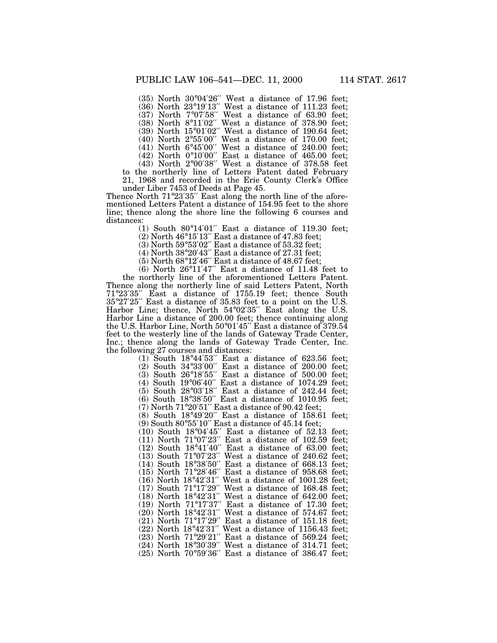(35) North 30°04′26′′ West a distance of 17.96 feet; (36) North 23°19′13′′ West a distance of 111.23 feet; (37) North 7°07′58′′ West a distance of 63.90 feet; (38) North 8°11′02′′ West a distance of 378.90 feet; (39) North 15°01′02′′ West a distance of 190.64 feet;

(40) North 2°55′00′′ West a distance of 170.00 feet;

(41) North 6°45′00′′ West a distance of 240.00 feet;

(42) North 0°10′00′′ East a distance of 465.00 feet;

(43) North 2°00′38′′ West a distance of 378.58 feet to the northerly line of Letters Patent dated February

21, 1968 and recorded in the Erie County Clerk's Office under Liber 7453 of Deeds at Page 45.

Thence North 71°23′35″ East along the north line of the aforementioned Letters Patent a distance of 154.95 feet to the shore line; thence along the shore line the following 6 courses and distances:

(1) South 80°14′01′′ East a distance of 119.30 feet;

(2) North 46°15′13′′ East a distance of 47.83 feet;

(3) North 59°53′02′′ East a distance of 53.32 feet;

(4) North 38°20′43′′ East a distance of 27.31 feet;

 $(5)$  North  $68^{\circ}12'46''$  East a distance of  $48.67$  feet;

(6) North 26°11′47′′ East a distance of 11.48 feet to the northerly line of the aforementioned Letters Patent. Thence along the northerly line of said Letters Patent, North 71°23′35′′ East a distance of 1755.19 feet; thence South 35°27′25′′ East a distance of 35.83 feet to a point on the U.S. Harbor Line; thence, North 54°02'35" East along the U.S. Harbor Line a distance of 200.00 feet; thence continuing along the U.S. Harbor Line, North 50°01′45′′ East a distance of 379.54 feet to the westerly line of the lands of Gateway Trade Center, Inc.; thence along the lands of Gateway Trade Center, Inc. the following 27 courses and distances:

 $(1)$  South  $18^{\circ}44'53''$  East a distance of 623.56 feet; (2) South 34°33′00′′ East a distance of 200.00 feet; (3) South  $26^{\circ}18'55''$  East a distance of  $500.00$  feet; (4) South 19°06′40′′ East a distance of 1074.29 feet; (5) South 28°03′18′′ East a distance of 242.44 feet; (6) South 18°38′50′′ East a distance of 1010.95 feet; (7) North  $71^{\circ}20'51''$  East a distance of  $90.42$  feet; (8) South 18°49′20′′ East a distance of 158.61 feet; (9) South 80°55′10′′ East a distance of 45.14 feet; (10) South 18°04′45′′ East a distance of 52.13 feet;  $(11)$  North  $71^{\circ}07'23''$  East a distance of  $102.59$  feet;  $(12)$  South  $18^{\circ}41'40''$  East a distance of 63.00 feet: (13) South 71°07′23′′ West a distance of 240.62 feet; (14) South 18°38′50′′ East a distance of 668.13 feet; (15) North 71°28′46′′ East a distance of 958.68 feet; (16) North 18°42′31′′ West a distance of 1001.28 feet; (17) South 71°17′29′′ West a distance of 168.48 feet; (18) North 18°42′31′′ West a distance of 642.00 feet; (19) North  $71^{\circ}17'37''$  East a distance of 17.30 feet; (20) North 18°42′31′′ West a distance of 574.67 feet;  $(21)$  North  $71^{\circ}17'29''$  East a distance of 151.18 feet;  $(22)$  North  $18^{\circ}42'31''$  West a distance of 1156.43 feet; (23) North 71°29′21′′ East a distance of 569.24 feet; (24) North 18°30′39′′ West a distance of 314.71 feet; (25) North 70°59′36′′ East a distance of 386.47 feet;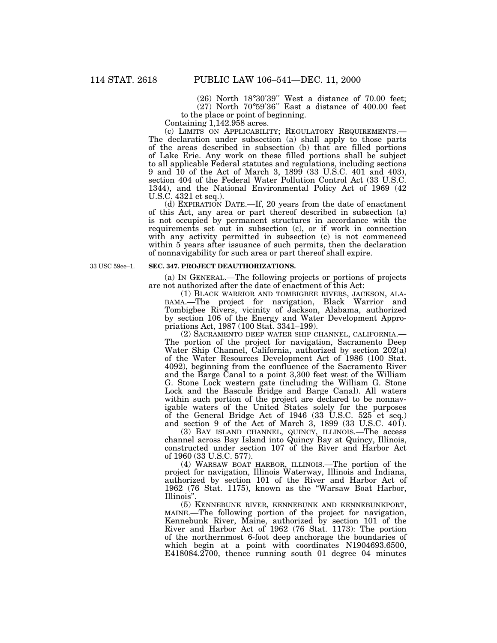(26) North 18°30′39′′ West a distance of 70.00 feet; (27) North 70°59′36′′ East a distance of 400.00 feet to the place or point of beginning.

Containing 1,142.958 acres.<br>(c) LIMITS ON APPLICABILITY; REGULATORY REQUIREMENTS.— The declaration under subsection (a) shall apply to those parts. of the areas described in subsection (b) that are filled portions of Lake Erie. Any work on these filled portions shall be subject to all applicable Federal statutes and regulations, including sections 9 and 10 of the Act of March 3, 1899 (33 U.S.C. 401 and 403), section 404 of the Federal Water Pollution Control Act (33 U.S.C. 1344), and the National Environmental Policy Act of 1969 (42 U.S.C. 4321 et seq.).

(d) EXPIRATION DATE.—If, 20 years from the date of enactment of this Act, any area or part thereof described in subsection (a) is not occupied by permanent structures in accordance with the requirements set out in subsection (c), or if work in connection with any activity permitted in subsection (c) is not commenced within 5 years after issuance of such permits, then the declaration of nonnavigability for such area or part thereof shall expire.

33 USC 59ee–1.

#### **SEC. 347. PROJECT DEAUTHORIZATIONS.**

(a) IN GENERAL.—The following projects or portions of projects are not authorized after the date of enactment of this Act:

(1) BLACK WARRIOR AND TOMBIGBEE RIVERS, JACKSON, ALA-BAMA.—The project for navigation, Black Warrior and Tombigbee Rivers, vicinity of Jackson, Alabama, authorized by section 106 of the Energy and Water Development Appropriations Act, 1987 (100 Stat. 3341–199).

(2) SACRAMENTO DEEP WATER SHIP CHANNEL, CALIFORNIA.— The portion of the project for navigation, Sacramento Deep Water Ship Channel, California, authorized by section 202(a) of the Water Resources Development Act of 1986 (100 Stat. 4092), beginning from the confluence of the Sacramento River and the Barge Canal to a point 3,300 feet west of the William G. Stone Lock western gate (including the William G. Stone Lock and the Bascule Bridge and Barge Canal). All waters within such portion of the project are declared to be nonnavigable waters of the United States solely for the purposes of the General Bridge Act of 1946 (33 U.S.C. 525 et seq.) and section 9 of the Act of March 3, 1899 (33 U.S.C. 401).

(3) BAY ISLAND CHANNEL, QUINCY, ILLINOIS.—The access channel across Bay Island into Quincy Bay at Quincy, Illinois, constructed under section 107 of the River and Harbor Act of 1960 (33 U.S.C. 577).

(4) WARSAW BOAT HARBOR, ILLINOIS.—The portion of the project for navigation, Illinois Waterway, Illinois and Indiana, authorized by section 101 of the River and Harbor Act of 1962 (76 Stat. 1175), known as the ''Warsaw Boat Harbor,

Illinois".<br>
(5) KENNEBUNK RIVER, KENNEBUNK AND KENNEBUNKPORT, MAINE.—The following portion of the project for navigation, Kennebunk River, Maine, authorized by section 101 of the River and Harbor Act of 1962 (76 Stat. 1173): The portion of the northernmost 6-foot deep anchorage the boundaries of which begin at a point with coordinates N1904693.6500, E418084.2700, thence running south 01 degree 04 minutes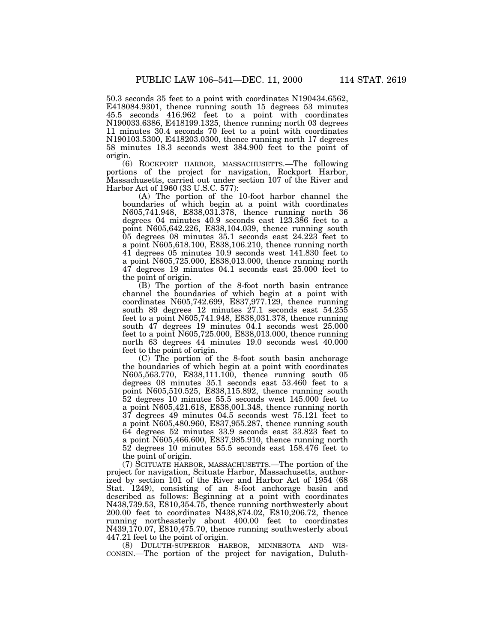50.3 seconds 35 feet to a point with coordinates N190434.6562, E418084.9301, thence running south 15 degrees 53 minutes 45.5 seconds 416.962 feet to a point with coordinates N190033.6386, E418199.1325, thence running north 03 degrees 11 minutes 30.4 seconds 70 feet to a point with coordinates N190103.5300, E418203.0300, thence running north 17 degrees 58 minutes 18.3 seconds west 384.900 feet to the point of origin.

(6) ROCKPORT HARBOR, MASSACHUSETTS.—The following portions of the project for navigation, Rockport Harbor, Massachusetts, carried out under section 107 of the River and Harbor Act of 1960 (33 U.S.C. 577):

(A) The portion of the 10-foot harbor channel the boundaries of which begin at a point with coordinates N605,741.948, E838,031.378, thence running north 36 degrees 04 minutes 40.9 seconds east 123.386 feet to a point N605,642.226, E838,104.039, thence running south 05 degrees 08 minutes 35.1 seconds east 24.223 feet to a point N605,618.100, E838,106.210, thence running north 41 degrees 05 minutes 10.9 seconds west 141.830 feet to a point N605,725.000, E838,013.000, thence running north 47 degrees 19 minutes 04.1 seconds east 25.000 feet to the point of origin.

(B) The portion of the 8-foot north basin entrance channel the boundaries of which begin at a point with coordinates N605,742.699, E837,977.129, thence running south 89 degrees 12 minutes 27.1 seconds east 54.255 feet to a point N605,741.948, E838,031.378, thence running south 47 degrees 19 minutes 04.1 seconds west 25.000 feet to a point N605,725.000, E838,013.000, thence running north 63 degrees 44 minutes 19.0 seconds west 40.000 feet to the point of origin.

(C) The portion of the 8-foot south basin anchorage the boundaries of which begin at a point with coordinates N605,563.770, E838,111.100, thence running south 05 degrees 08 minutes 35.1 seconds east 53.460 feet to a point N605,510.525, E838,115.892, thence running south 52 degrees 10 minutes 55.5 seconds west 145.000 feet to a point N605,421.618, E838,001.348, thence running north 37 degrees 49 minutes 04.5 seconds west 75.121 feet to a point N605,480.960, E837,955.287, thence running south 64 degrees 52 minutes 33.9 seconds east 33.823 feet to a point N605,466.600, E837,985.910, thence running north 52 degrees 10 minutes 55.5 seconds east 158.476 feet to the point of origin.

(7) SCITUATE HARBOR, MASSACHUSETTS.—The portion of the project for navigation, Scituate Harbor, Massachusetts, authorized by section 101 of the River and Harbor Act of 1954 (68 Stat. 1249), consisting of an 8-foot anchorage basin and described as follows: Beginning at a point with coordinates N438,739.53, E810,354.75, thence running northwesterly about 200.00 feet to coordinates N438,874.02, E810,206.72, thence running northeasterly about 400.00 feet to coordinates N439,170.07, E810,475.70, thence running southwesterly about

447.21 feet to the point of origin.<br>(8) DULUTH-SUPERIOR HARBOR, MINNESOTA AND WIS-CONSIN.—The portion of the project for navigation, Duluth-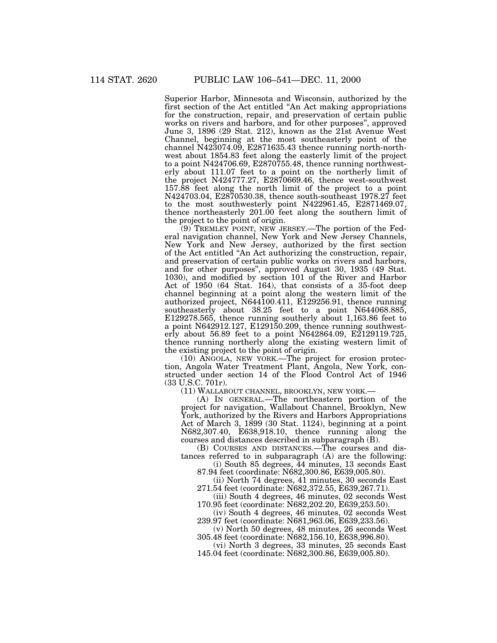Superior Harbor, Minnesota and Wisconsin, authorized by the first section of the Act entitled ''An Act making appropriations for the construction, repair, and preservation of certain public works on rivers and harbors, and for other purposes'', approved June 3, 1896 (29 Stat. 212), known as the 21st Avenue West Channel, beginning at the most southeasterly point of the channel N423074.09, E2871635.43 thence running north-northwest about 1854.83 feet along the easterly limit of the project to a point N424706.69, E2870755.48, thence running northwesterly about 111.07 feet to a point on the northerly limit of the project N424777.27, E2870669.46, thence west-southwest 157.88 feet along the north limit of the project to a point N424703.04, E2870530.38, thence south-southeast 1978.27 feet to the most southwesterly point N422961.45, E2871469.07, thence northeasterly 201.00 feet along the southern limit of the project to the point of origin.

(9) TREMLEY POINT, NEW JERSEY.—The portion of the Federal navigation channel, New York and New Jersey Channels, New York and New Jersey, authorized by the first section of the Act entitled ''An Act authorizing the construction, repair, and preservation of certain public works on rivers and harbors, and for other purposes'', approved August 30, 1935 (49 Stat. 1030), and modified by section 101 of the River and Harbor Act of 1950 (64 Stat. 164), that consists of a 35-foot deep channel beginning at a point along the western limit of the authorized project, N644100.411, E129256.91, thence running southeasterly about 38.25 feet to a point N644068.885, E129278.565, thence running southerly about 1,163.86 feet to a point N642912.127, E129150.209, thence running southwesterly about 56.89 feet to a point N642864.09, E2129119.725, thence running northerly along the existing western limit of the existing project to the point of origin.

(10) ANGOLA, NEW YORK.—The project for erosion protection, Angola Water Treatment Plant, Angola, New York, constructed under section 14 of the Flood Control Act of 1946 (33 U.S.C. 701r).

(11) WALLABOUT CHANNEL, BROOKLYN, NEW YORK.—

(A) IN GENERAL.—The northeastern portion of the project for navigation, Wallabout Channel, Brooklyn, New York, authorized by the Rivers and Harbors Appropriations Act of March 3, 1899 (30 Stat. 1124), beginning at a point N682,307.40, E638,918.10, thence running along the courses and distances described in subparagraph (B).

(B) COURSES AND DISTANCES.—The courses and distances referred to in subparagraph (A) are the following:

(i) South 85 degrees, 44 minutes, 13 seconds East 87.94 feet (coordinate: N682,300.86, E639,005.80).

(ii) North 74 degrees, 41 minutes, 30 seconds East 271.54 feet (coordinate: N682,372.55, E639,267.71).

(iii) South 4 degrees, 46 minutes, 02 seconds West 170.95 feet (coordinate: N682,202.20, E639,253.50).

(iv) South 4 degrees, 46 minutes, 02 seconds West 239.97 feet (coordinate: N681,963.06, E639,233.56).

(v) North 50 degrees, 48 minutes, 26 seconds West 305.48 feet (coordinate: N682,156.10, E638,996.80).

(vi) North 3 degrees, 33 minutes, 25 seconds East

145.04 feet (coordinate: N682,300.86, E639,005.80).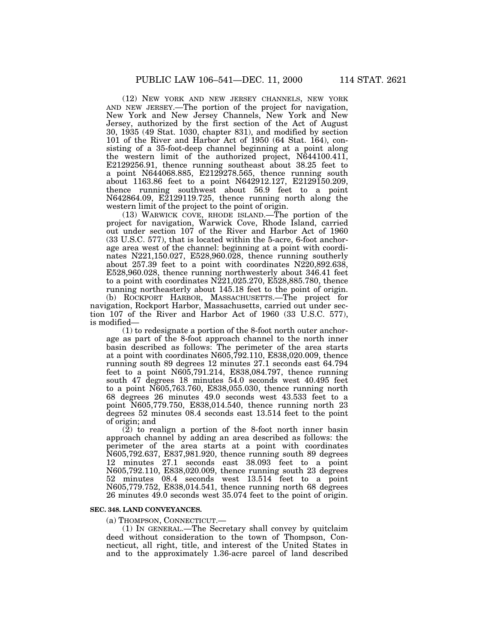(12) NEW YORK AND NEW JERSEY CHANNELS, NEW YORK AND NEW JERSEY.—The portion of the project for navigation, New York and New Jersey Channels, New York and New Jersey, authorized by the first section of the Act of August 30, 1935 (49 Stat. 1030, chapter 831), and modified by section 101 of the River and Harbor Act of 1950 (64 Stat. 164), consisting of a 35-foot-deep channel beginning at a point along the western limit of the authorized project, N644100.411, E2129256.91, thence running southeast about 38.25 feet to a point N644068.885, E2129278.565, thence running south about 1163.86 feet to a point N642912.127, E2129150.209, thence running southwest about 56.9 feet to a point N642864.09, E2129119.725, thence running north along the western limit of the project to the point of origin.

(13) WARWICK COVE, RHODE ISLAND.—The portion of the project for navigation, Warwick Cove, Rhode Island, carried out under section 107 of the River and Harbor Act of 1960 (33 U.S.C. 577), that is located within the 5-acre, 6-foot anchorage area west of the channel: beginning at a point with coordinates N221,150.027, E528,960.028, thence running southerly about 257.39 feet to a point with coordinates N220,892.638, E528,960.028, thence running northwesterly about 346.41 feet to a point with coordinates N221,025.270, E528,885.780, thence running northeasterly about 145.18 feet to the point of origin.

(b) ROCKPORT HARBOR, MASSACHUSETTS.—The project for navigation, Rockport Harbor, Massachusetts, carried out under section 107 of the River and Harbor Act of 1960 (33 U.S.C. 577), is modified—

(1) to redesignate a portion of the 8-foot north outer anchorage as part of the 8-foot approach channel to the north inner basin described as follows: The perimeter of the area starts at a point with coordinates N605,792.110, E838,020.009, thence running south 89 degrees 12 minutes 27.1 seconds east 64.794 feet to a point N605,791.214, E838,084.797, thence running south 47 degrees 18 minutes 54.0 seconds west 40.495 feet to a point N605,763.760, E838,055.030, thence running north 68 degrees 26 minutes 49.0 seconds west 43.533 feet to a point N605,779.750, E838,014.540, thence running north 23 degrees 52 minutes 08.4 seconds east 13.514 feet to the point of origin; and

(2) to realign a portion of the 8-foot north inner basin approach channel by adding an area described as follows: the perimeter of the area starts at a point with coordinates N605,792.637, E837,981.920, thence running south 89 degrees 12 minutes 27.1 seconds east 38.093 feet to a point N605,792.110, E838,020.009, thence running south 23 degrees 52 minutes 08.4 seconds west 13.514 feet to a point N605,779.752, E838,014.541, thence running north 68 degrees 26 minutes 49.0 seconds west 35.074 feet to the point of origin.

#### **SEC. 348. LAND CONVEYANCES.**

(a) THOMPSON, CONNECTICUT.—

(1) IN GENERAL.—The Secretary shall convey by quitclaim deed without consideration to the town of Thompson, Connecticut, all right, title, and interest of the United States in and to the approximately 1.36-acre parcel of land described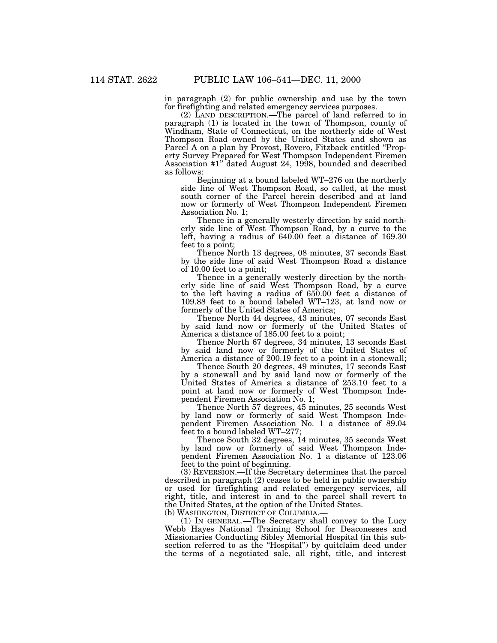in paragraph (2) for public ownership and use by the town for firefighting and related emergency services purposes.

(2) LAND DESCRIPTION.—The parcel of land referred to in paragraph (1) is located in the town of Thompson, county of Windham, State of Connecticut, on the northerly side of West Thompson Road owned by the United States and shown as Parcel A on a plan by Provost, Rovero, Fitzback entitled ''Property Survey Prepared for West Thompson Independent Firemen Association #1'' dated August 24, 1998, bounded and described as follows:

Beginning at a bound labeled WT–276 on the northerly side line of West Thompson Road, so called, at the most south corner of the Parcel herein described and at land now or formerly of West Thompson Independent Firemen Association No. 1;

Thence in a generally westerly direction by said northerly side line of West Thompson Road, by a curve to the left, having a radius of 640.00 feet a distance of 169.30 feet to a point;

Thence North 13 degrees, 08 minutes, 37 seconds East by the side line of said West Thompson Road a distance of 10.00 feet to a point;

Thence in a generally westerly direction by the northerly side line of said West Thompson Road, by a curve to the left having a radius of 650.00 feet a distance of 109.88 feet to a bound labeled WT–123, at land now or formerly of the United States of America;

Thence North 44 degrees, 43 minutes, 07 seconds East by said land now or formerly of the United States of America a distance of 185.00 feet to a point;

Thence North 67 degrees, 34 minutes, 13 seconds East by said land now or formerly of the United States of America a distance of 200.19 feet to a point in a stonewall;

Thence South 20 degrees, 49 minutes, 17 seconds East by a stonewall and by said land now or formerly of the United States of America a distance of 253.10 feet to a point at land now or formerly of West Thompson Independent Firemen Association No. 1;

Thence North 57 degrees, 45 minutes, 25 seconds West by land now or formerly of said West Thompson Independent Firemen Association No. 1 a distance of 89.04 feet to a bound labeled WT–277;

Thence South 32 degrees, 14 minutes, 35 seconds West by land now or formerly of said West Thompson Independent Firemen Association No. 1 a distance of 123.06 feet to the point of beginning.

(3) REVERSION.—If the Secretary determines that the parcel described in paragraph (2) ceases to be held in public ownership or used for firefighting and related emergency services, all right, title, and interest in and to the parcel shall revert to the United States, at the option of the United States.

(b) WASHINGTON, DISTRICT OF COLUMBIA.—

(1) IN GENERAL.—The Secretary shall convey to the Lucy Webb Hayes National Training School for Deaconesses and Missionaries Conducting Sibley Memorial Hospital (in this subsection referred to as the "Hospital") by quitclaim deed under the terms of a negotiated sale, all right, title, and interest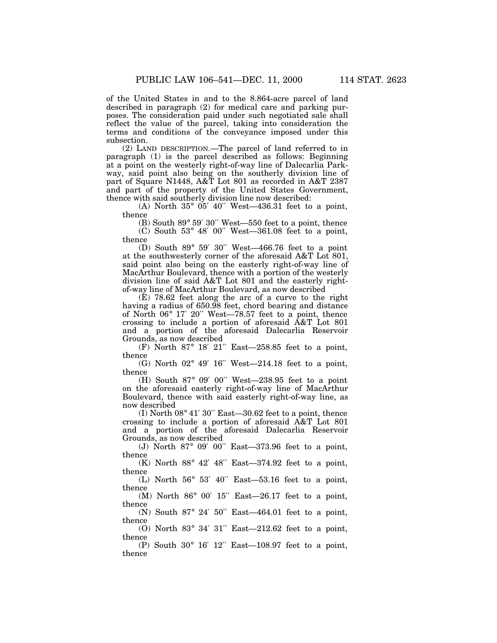of the United States in and to the 8.864-acre parcel of land described in paragraph (2) for medical care and parking purposes. The consideration paid under such negotiated sale shall reflect the value of the parcel, taking into consideration the terms and conditions of the conveyance imposed under this subsection.

(2) LAND DESCRIPTION.—The parcel of land referred to in paragraph (1) is the parcel described as follows: Beginning at a point on the westerly right-of-way line of Dalecarlia Parkway, said point also being on the southerly division line of part of Square N1448, A&T Lot 801 as recorded in A&T 2387 and part of the property of the United States Government, thence with said southerly division line now described:

(A) North  $35^{\circ}$   $05'$   $40''$  West-436.31 feet to a point, thence

(B) South  $89^{\circ}$   $59'$   $30''$  West—550 feet to a point, thence  $(C)$  South 53° 48′ 00″ West-361.08 feet to a point,

thence

(D) South 89° 59′ 30′′ West—466.76 feet to a point at the southwesterly corner of the aforesaid A&T Lot 801, said point also being on the easterly right-of-way line of MacArthur Boulevard, thence with a portion of the westerly division line of said A&T Lot 801 and the easterly rightof-way line of MacArthur Boulevard, as now described

(E) 78.62 feet along the arc of a curve to the right having a radius of 650.98 feet, chord bearing and distance of North 06° 17′ 20′′ West—78.57 feet to a point, thence crossing to include a portion of aforesaid A&T Lot 801 and a portion of the aforesaid Dalecarlia Reservoir Grounds, as now described

(F) North 87° 18′ 21′′ East—258.85 feet to a point, thence

(G) North  $02^{\circ}$  49' 16" West-214.18 feet to a point, thence

(H) South 87° 09′ 00′′ West—238.95 feet to a point on the aforesaid easterly right-of-way line of MacArthur Boulevard, thence with said easterly right-of-way line, as now described

(I) North  $08^{\circ}$  41' 30" East—30.62 feet to a point, thence crossing to include a portion of aforesaid A&T Lot 801 and a portion of the aforesaid Dalecarlia Reservoir Grounds, as now described

(J) North 87° 09′ 00′′ East—373.96 feet to a point, thence

(K) North 88° 42′ 48′′ East—374.92 feet to a point, thence

(L) North  $56^{\circ}$   $53'$   $40''$  East- $53.16$  feet to a point, thence

(M) North 86° 00′ 15′′ East—26.17 feet to a point, thence

(N) South 87° 24′ 50′′ East—464.01 feet to a point, thence

(O) North 83° 34′ 31′′ East—212.62 feet to a point, thence

(P) South 30° 16′ 12′′ East—108.97 feet to a point, thence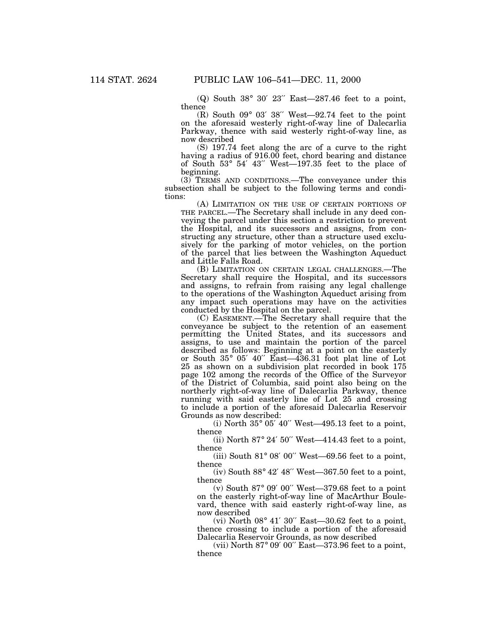(Q) South 38° 30′ 23′′ East—287.46 feet to a point, thence

(R) South 09° 03′ 38′′ West—92.74 feet to the point on the aforesaid westerly right-of-way line of Dalecarlia Parkway, thence with said westerly right-of-way line, as now described

(S) 197.74 feet along the arc of a curve to the right having a radius of 916.00 feet, chord bearing and distance of South 53° 54′ 43′′ West—197.35 feet to the place of beginning.

(3) TERMS AND CONDITIONS.—The conveyance under this subsection shall be subject to the following terms and conditions:

(A) LIMITATION ON THE USE OF CERTAIN PORTIONS OF THE PARCEL.—The Secretary shall include in any deed conveying the parcel under this section a restriction to prevent the Hospital, and its successors and assigns, from constructing any structure, other than a structure used exclusively for the parking of motor vehicles, on the portion of the parcel that lies between the Washington Aqueduct and Little Falls Road.

(B) LIMITATION ON CERTAIN LEGAL CHALLENGES.—The Secretary shall require the Hospital, and its successors and assigns, to refrain from raising any legal challenge to the operations of the Washington Aqueduct arising from any impact such operations may have on the activities conducted by the Hospital on the parcel.

(C) EASEMENT.—The Secretary shall require that the conveyance be subject to the retention of an easement permitting the United States, and its successors and assigns, to use and maintain the portion of the parcel described as follows: Beginning at a point on the easterly or South 35° 05′ 40′′ East—436.31 foot plat line of Lot 25 as shown on a subdivision plat recorded in book 175 page 102 among the records of the Office of the Surveyor of the District of Columbia, said point also being on the northerly right-of-way line of Dalecarlia Parkway, thence running with said easterly line of Lot 25 and crossing to include a portion of the aforesaid Dalecarlia Reservoir Grounds as now described:

(i) North  $35^{\circ}$  05' 40" West-495.13 feet to a point, thence

(ii) North  $87^\circ$  24' 50" West-414.43 feet to a point, thence

(iii) South  $81^\circ$  08' 00" West—69.56 feet to a point, thence

(iv) South 88° 42′ 48′′ West—367.50 feet to a point, thence

(v) South 87° 09′ 00′′ West—379.68 feet to a point on the easterly right-of-way line of MacArthur Boulevard, thence with said easterly right-of-way line, as now described

(vi) North  $08^{\circ}$  41' 30" East—30.62 feet to a point, thence crossing to include a portion of the aforesaid Dalecarlia Reservoir Grounds, as now described

(vii) North 87° 09′ 00′′ East—373.96 feet to a point, thence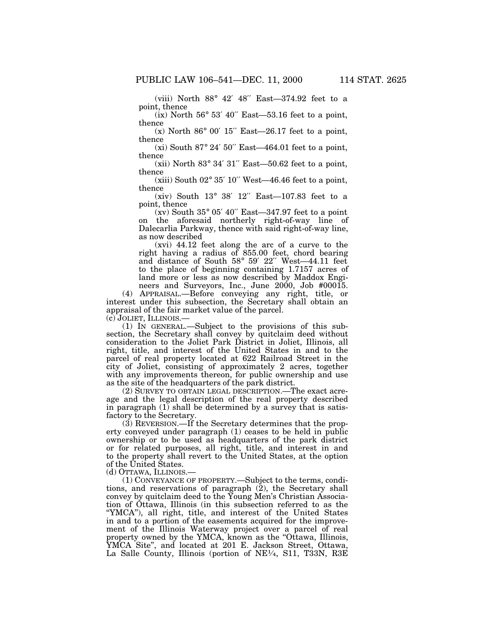(viii) North 88° 42′ 48′′ East—374.92 feet to a point, thence

 $(ix)$  North 56 $^{\circ}$  53' 40" East-53.16 feet to a point, thence

 $(x)$  North 86 $\degree$  00' 15" East—26.17 feet to a point, thence

 $(xi)$  South 87° 24′ 50″ East—464.01 feet to a point, thence

(xii) North  $83^\circ$  34' 31" East-50.62 feet to a point, thence

 $(xiii)$  South  $02^{\circ}$  35' 10" West—46.46 feet to a point, thence

(xiv) South 13° 38′ 12′′ East—107.83 feet to a point, thence

 $(xv)$  South 35° 05′ 40″ East—347.97 feet to a point on the aforesaid northerly right-of-way line of Dalecarlia Parkway, thence with said right-of-way line, as now described

(xvi) 44.12 feet along the arc of a curve to the right having a radius of 855.00 feet, chord bearing and distance of South 58° 59′ 22′′ West—44.11 feet to the place of beginning containing 1.7157 acres of land more or less as now described by Maddox Engineers and Surveyors, Inc., June 2000, Job #00015.

(4) APPRAISAL.—Before conveying any right, title, or interest under this subsection, the Secretary shall obtain an appraisal of the fair market value of the parcel.

(c) JOLIET, ILLINOIS.—

(1) IN GENERAL.—Subject to the provisions of this subsection, the Secretary shall convey by quitclaim deed without consideration to the Joliet Park District in Joliet, Illinois, all right, title, and interest of the United States in and to the parcel of real property located at 622 Railroad Street in the city of Joliet, consisting of approximately 2 acres, together with any improvements thereon, for public ownership and use as the site of the headquarters of the park district.

(2) SURVEY TO OBTAIN LEGAL DESCRIPTION.—The exact acreage and the legal description of the real property described in paragraph  $(1)$  shall be determined by a survey that is satisfactory to the Secretary.

(3) REVERSION.—If the Secretary determines that the property conveyed under paragraph (1) ceases to be held in public ownership or to be used as headquarters of the park district or for related purposes, all right, title, and interest in and to the property shall revert to the United States, at the option of the United States.

(d) OTTAWA, ILLINOIS.—

(1) CONVEYANCE OF PROPERTY.—Subject to the terms, conditions, and reservations of paragraph (2), the Secretary shall convey by quitclaim deed to the Young Men's Christian Association of Ottawa, Illinois (in this subsection referred to as the ''YMCA''), all right, title, and interest of the United States in and to a portion of the easements acquired for the improvement of the Illinois Waterway project over a parcel of real property owned by the YMCA, known as the "Ottawa, Illinois, YMCA Site'', and located at 201 E. Jackson Street, Ottawa, La Salle County, Illinois (portion of NE<sup>1/4</sup>, S11, T33N, R3E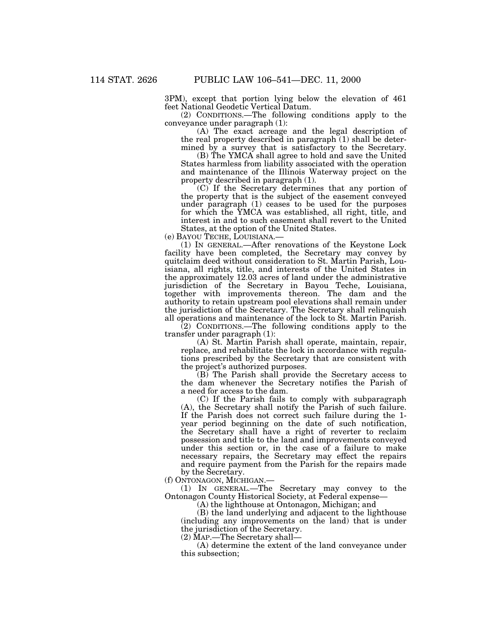3PM), except that portion lying below the elevation of 461 feet National Geodetic Vertical Datum.

(2) CONDITIONS.—The following conditions apply to the conveyance under paragraph (1):

(A) The exact acreage and the legal description of the real property described in paragraph  $(1)$  shall be determined by a survey that is satisfactory to the Secretary.

(B) The YMCA shall agree to hold and save the United States harmless from liability associated with the operation and maintenance of the Illinois Waterway project on the property described in paragraph (1).

(C) If the Secretary determines that any portion of the property that is the subject of the easement conveyed under paragraph (1) ceases to be used for the purposes for which the YMCA was established, all right, title, and interest in and to such easement shall revert to the United States, at the option of the United States.

(e) BAYOU TECHE, LOUISIANA.—

(1) IN GENERAL.—After renovations of the Keystone Lock facility have been completed, the Secretary may convey by quitclaim deed without consideration to St. Martin Parish, Louisiana, all rights, title, and interests of the United States in the approximately 12.03 acres of land under the administrative jurisdiction of the Secretary in Bayou Teche, Louisiana, together with improvements thereon. The dam and the authority to retain upstream pool elevations shall remain under the jurisdiction of the Secretary. The Secretary shall relinquish all operations and maintenance of the lock to St. Martin Parish.

(2) CONDITIONS.—The following conditions apply to the transfer under paragraph (1):

(A) St. Martin Parish shall operate, maintain, repair, replace, and rehabilitate the lock in accordance with regulations prescribed by the Secretary that are consistent with the project's authorized purposes.

(B) The Parish shall provide the Secretary access to the dam whenever the Secretary notifies the Parish of a need for access to the dam.

(C) If the Parish fails to comply with subparagraph (A), the Secretary shall notify the Parish of such failure. If the Parish does not correct such failure during the 1 year period beginning on the date of such notification, the Secretary shall have a right of reverter to reclaim possession and title to the land and improvements conveyed under this section or, in the case of a failure to make necessary repairs, the Secretary may effect the repairs and require payment from the Parish for the repairs made by the Secretary.

(f) ONTONAGON, MICHIGAN.—

(1) IN GENERAL.—The Secretary may convey to the Ontonagon County Historical Society, at Federal expense—

(A) the lighthouse at Ontonagon, Michigan; and

(B) the land underlying and adjacent to the lighthouse (including any improvements on the land) that is under the jurisdiction of the Secretary.

(2) MAP.—The Secretary shall— (A) determine the extent of the land conveyance under this subsection;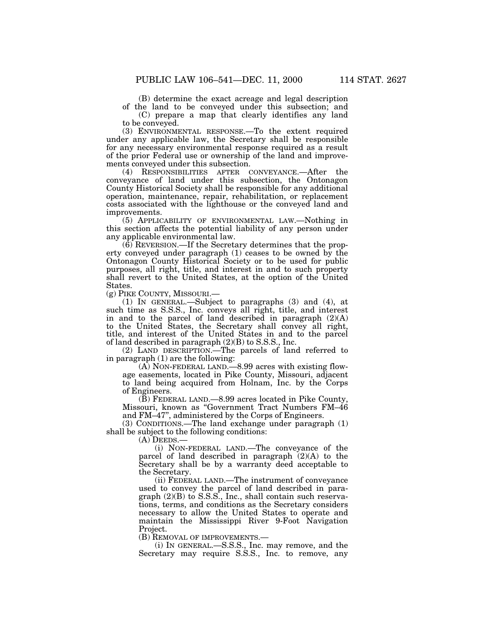(B) determine the exact acreage and legal description of the land to be conveyed under this subsection; and

(C) prepare a map that clearly identifies any land to be conveyed.

(3) ENVIRONMENTAL RESPONSE.—To the extent required under any applicable law, the Secretary shall be responsible for any necessary environmental response required as a result of the prior Federal use or ownership of the land and improvements conveyed under this subsection.

(4) RESPONSIBILITIES AFTER CONVEYANCE.—After the conveyance of land under this subsection, the Ontonagon County Historical Society shall be responsible for any additional operation, maintenance, repair, rehabilitation, or replacement costs associated with the lighthouse or the conveyed land and improvements.

(5) APPLICABILITY OF ENVIRONMENTAL LAW.—Nothing in this section affects the potential liability of any person under any applicable environmental law.

 $(6)$  REVERSION.—If the Secretary determines that the property conveyed under paragraph (1) ceases to be owned by the Ontonagon County Historical Society or to be used for public purposes, all right, title, and interest in and to such property shall revert to the United States, at the option of the United States.

(g) PIKE COUNTY, MISSOURI.—

(1) IN GENERAL.—Subject to paragraphs (3) and (4), at such time as S.S.S., Inc. conveys all right, title, and interest in and to the parcel of land described in paragraph (2)(A) to the United States, the Secretary shall convey all right, title, and interest of the United States in and to the parcel of land described in paragraph (2)(B) to S.S.S., Inc.

(2) LAND DESCRIPTION.—The parcels of land referred to in paragraph (1) are the following:

(A) NON-FEDERAL LAND.—8.99 acres with existing flowage easements, located in Pike County, Missouri, adjacent to land being acquired from Holnam, Inc. by the Corps of Engineers.

(B) FEDERAL LAND.—8.99 acres located in Pike County, Missouri, known as ''Government Tract Numbers FM–46 and FM–47'', administered by the Corps of Engineers.

(3) CONDITIONS.—The land exchange under paragraph (1) shall be subject to the following conditions:

(A) DEEDS.—

(i) NON-FEDERAL LAND.—The conveyance of the parcel of land described in paragraph (2)(A) to the Secretary shall be by a warranty deed acceptable to the Secretary.

(ii) FEDERAL LAND.—The instrument of conveyance used to convey the parcel of land described in paragraph (2)(B) to S.S.S., Inc., shall contain such reservations, terms, and conditions as the Secretary considers necessary to allow the United States to operate and maintain the Mississippi River 9-Foot Navigation Project.

(B) REMOVAL OF IMPROVEMENTS.—<br>(i) IN GENERAL.—S.S.S., Inc. may remove, and the Secretary may require S.S.S., Inc. to remove, any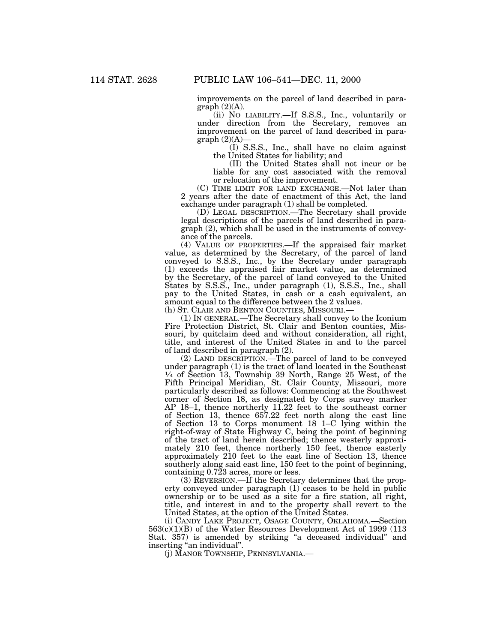improvements on the parcel of land described in para $graph (2)(A).$ 

(ii) NO LIABILITY.—If S.S.S., Inc., voluntarily or under direction from the Secretary, removes an improvement on the parcel of land described in para $graph (2)(A)$ —<br>(I) S.S.S., Inc., shall have no claim against

the United States for liability; and

(II) the United States shall not incur or be liable for any cost associated with the removal or relocation of the improvement.

(C) TIME LIMIT FOR LAND EXCHANGE.—Not later than 2 years after the date of enactment of this Act, the land exchange under paragraph (1) shall be completed.

(D) LEGAL DESCRIPTION.—The Secretary shall provide legal descriptions of the parcels of land described in paragraph (2), which shall be used in the instruments of conveyance of the parcels.

(4) VALUE OF PROPERTIES.—If the appraised fair market value, as determined by the Secretary, of the parcel of land conveyed to S.S.S., Inc., by the Secretary under paragraph (1) exceeds the appraised fair market value, as determined by the Secretary, of the parcel of land conveyed to the United States by S.S.S., Inc., under paragraph (1), S.S.S., Inc., shall pay to the United States, in cash or a cash equivalent, an amount equal to the difference between the 2 values.

(h) ST. CLAIR AND BENTON COUNTIES, MISSOURI.—

(1) IN GENERAL.—The Secretary shall convey to the Iconium Fire Protection District, St. Clair and Benton counties, Missouri, by quitclaim deed and without consideration, all right, title, and interest of the United States in and to the parcel of land described in paragraph (2).

(2) LAND DESCRIPTION.—The parcel of land to be conveyed under paragraph (1) is the tract of land located in the Southeast 1⁄4 of Section 13, Township 39 North, Range 25 West, of the Fifth Principal Meridian, St. Clair County, Missouri, more particularly described as follows: Commencing at the Southwest corner of Section 18, as designated by Corps survey marker AP 18–1, thence northerly 11.22 feet to the southeast corner of Section 13, thence 657.22 feet north along the east line of Section 13 to Corps monument 18 1–C lying within the right-of-way of State Highway C, being the point of beginning of the tract of land herein described; thence westerly approximately 210 feet, thence northerly 150 feet, thence easterly approximately 210 feet to the east line of Section 13, thence southerly along said east line, 150 feet to the point of beginning, containing 0.723 acres, more or less.

(3) REVERSION.—If the Secretary determines that the property conveyed under paragraph (1) ceases to be held in public ownership or to be used as a site for a fire station, all right, title, and interest in and to the property shall revert to the United States, at the option of the United States.

(i) CANDY LAKE PROJECT, OSAGE COUNTY, OKLAHOMA.—Section  $563(c)(1)(B)$  of the Water Resources Development Act of 1999 (113) Stat. 357) is amended by striking "a deceased individual" and inserting "an individual".

(j) MANOR TOWNSHIP, PENNSYLVANIA.—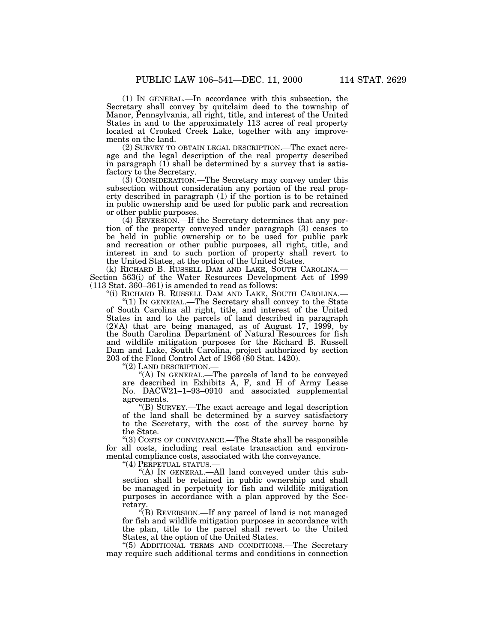(1) IN GENERAL.—In accordance with this subsection, the Secretary shall convey by quitclaim deed to the township of Manor, Pennsylvania, all right, title, and interest of the United States in and to the approximately 113 acres of real property located at Crooked Creek Lake, together with any improvements on the land.

(2) SURVEY TO OBTAIN LEGAL DESCRIPTION.—The exact acreage and the legal description of the real property described in paragraph  $(1)$  shall be determined by a survey that is satisfactory to the Secretary.

(3) CONSIDERATION.—The Secretary may convey under this subsection without consideration any portion of the real property described in paragraph (1) if the portion is to be retained in public ownership and be used for public park and recreation or other public purposes.

(4) REVERSION.—If the Secretary determines that any portion of the property conveyed under paragraph (3) ceases to be held in public ownership or to be used for public park and recreation or other public purposes, all right, title, and interest in and to such portion of property shall revert to the United States, at the option of the United States.

(k) RICHARD B. RUSSELL DAM AND LAKE, SOUTH CAROLINA.— Section 563(i) of the Water Resources Development Act of 1999 (113 Stat. 360–361) is amended to read as follows:

''(i) RICHARD B. RUSSELL DAM AND LAKE, SOUTH CAROLINA.—

''(1) IN GENERAL.—The Secretary shall convey to the State of South Carolina all right, title, and interest of the United States in and to the parcels of land described in paragraph (2)(A) that are being managed, as of August 17, 1999, by the South Carolina Department of Natural Resources for fish and wildlife mitigation purposes for the Richard B. Russell Dam and Lake, South Carolina, project authorized by section 203 of the Flood Control Act of 1966 (80 Stat. 1420).

''(2) LAND DESCRIPTION.—

''(A) IN GENERAL.—The parcels of land to be conveyed are described in Exhibits A, F, and H of Army Lease No. DACW21–1–93–0910 and associated supplemental agreements.

''(B) SURVEY.—The exact acreage and legal description of the land shall be determined by a survey satisfactory to the Secretary, with the cost of the survey borne by the State.

''(3) COSTS OF CONVEYANCE.—The State shall be responsible for all costs, including real estate transaction and environmental compliance costs, associated with the conveyance.

''(4) PERPETUAL STATUS.—

''(A) IN GENERAL.—All land conveyed under this subsection shall be retained in public ownership and shall be managed in perpetuity for fish and wildlife mitigation purposes in accordance with a plan approved by the Secretary.<br>"(B) REVERSION.—If any parcel of land is not managed

for fish and wildlife mitigation purposes in accordance with the plan, title to the parcel shall revert to the United States, at the option of the United States.

''(5) ADDITIONAL TERMS AND CONDITIONS.—The Secretary may require such additional terms and conditions in connection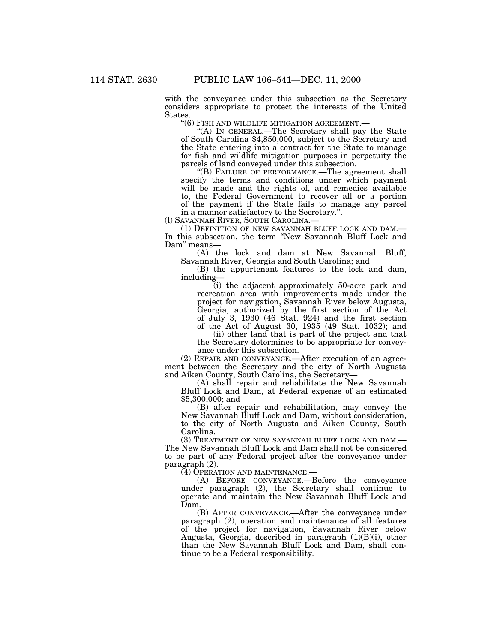with the conveyance under this subsection as the Secretary considers appropriate to protect the interests of the United

States. ''(6) FISH AND WILDLIFE MITIGATION AGREEMENT.— ''(A) IN GENERAL.—The Secretary shall pay the State of South Carolina \$4,850,000, subject to the Secretary and the State entering into a contract for the State to manage for fish and wildlife mitigation purposes in perpetuity the

"(B) FAILURE OF PERFORMANCE.—The agreement shall specify the terms and conditions under which payment will be made and the rights of, and remedies available to, the Federal Government to recover all or a portion of the payment if the State fails to manage any parcel in a manner satisfactory to the Secretary.".

(I) SAVANNAH RIVER, SOUTH CAROLINA.—<br>(1) DEFINITION OF NEW SAVANNAH BLUFF LOCK AND DAM.— In this subsection, the term ''New Savannah Bluff Lock and Dam'' means—

(A) the lock and dam at New Savannah Bluff, Savannah River, Georgia and South Carolina; and

(B) the appurtenant features to the lock and dam, including—

(i) the adjacent approximately 50-acre park and recreation area with improvements made under the project for navigation, Savannah River below Augusta, Georgia, authorized by the first section of the Act of July 3, 1930 (46 Stat. 924) and the first section of the Act of August 30, 1935 (49 Stat. 1032); and

(ii) other land that is part of the project and that the Secretary determines to be appropriate for conveyance under this subsection.

(2) REPAIR AND CONVEYANCE.—After execution of an agreement between the Secretary and the city of North Augusta

(A) shall repair and rehabilitate the New Savannah Bluff Lock and Dam, at Federal expense of an estimated \$5,300,000; and

(B) after repair and rehabilitation, may convey the New Savannah Bluff Lock and Dam, without consideration, to the city of North Augusta and Aiken County, South Carolina.

(3) TREATMENT OF NEW SAVANNAH BLUFF LOCK AND DAM.— The New Savannah Bluff Lock and Dam shall not be considered to be part of any Federal project after the conveyance under paragraph (2).

(4) OPERATION AND MAINTENANCE.—

(A) BEFORE CONVEYANCE.—Before the conveyance under paragraph (2), the Secretary shall continue to operate and maintain the New Savannah Bluff Lock and Dam.

(B) AFTER CONVEYANCE.—After the conveyance under paragraph (2), operation and maintenance of all features of the project for navigation, Savannah River below Augusta, Georgia, described in paragraph (1)(B)(i), other than the New Savannah Bluff Lock and Dam, shall continue to be a Federal responsibility.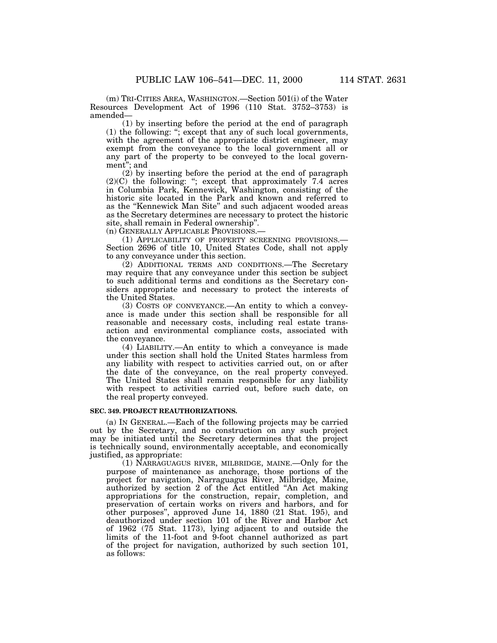(m) TRI-CITIES AREA, WASHINGTON.—Section 501(i) of the Water Resources Development Act of 1996 (110 Stat. 3752–3753) is amended—

(1) by inserting before the period at the end of paragraph (1) the following: ''; except that any of such local governments, with the agreement of the appropriate district engineer, may exempt from the conveyance to the local government all or any part of the property to be conveyed to the local government''; and

(2) by inserting before the period at the end of paragraph  $(2)(C)$  the following: "; except that approximately 7.4 acres in Columbia Park, Kennewick, Washington, consisting of the historic site located in the Park and known and referred to as the ''Kennewick Man Site'' and such adjacent wooded areas as the Secretary determines are necessary to protect the historic site, shall remain in Federal ownership''.

(n) GENERALLY APPLICABLE PROVISIONS.—

(1) APPLICABILITY OF PROPERTY SCREENING PROVISIONS.— Section 2696 of title 10, United States Code, shall not apply to any conveyance under this section.

(2) ADDITIONAL TERMS AND CONDITIONS.—The Secretary may require that any conveyance under this section be subject to such additional terms and conditions as the Secretary considers appropriate and necessary to protect the interests of the United States.

(3) COSTS OF CONVEYANCE.—An entity to which a conveyance is made under this section shall be responsible for all reasonable and necessary costs, including real estate transaction and environmental compliance costs, associated with the conveyance.

(4) LIABILITY.—An entity to which a conveyance is made under this section shall hold the United States harmless from any liability with respect to activities carried out, on or after the date of the conveyance, on the real property conveyed. The United States shall remain responsible for any liability with respect to activities carried out, before such date, on the real property conveyed.

### **SEC. 349. PROJECT REAUTHORIZATIONS.**

(a) IN GENERAL.—Each of the following projects may be carried out by the Secretary, and no construction on any such project may be initiated until the Secretary determines that the project is technically sound, environmentally acceptable, and economically justified, as appropriate:

(1) NARRAGUAGUS RIVER, MILBRIDGE, MAINE.—Only for the purpose of maintenance as anchorage, those portions of the project for navigation, Narraguagus River, Milbridge, Maine, authorized by section 2 of the Act entitled ''An Act making appropriations for the construction, repair, completion, and preservation of certain works on rivers and harbors, and for other purposes'', approved June 14, 1880 (21 Stat. 195), and deauthorized under section 101 of the River and Harbor Act of 1962 (75 Stat. 1173), lying adjacent to and outside the limits of the 11-foot and 9-foot channel authorized as part of the project for navigation, authorized by such section 101, as follows: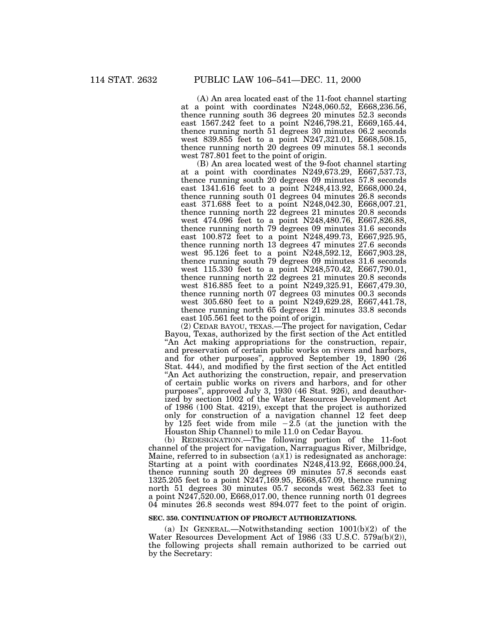(A) An area located east of the 11-foot channel starting at a point with coordinates N248,060.52, E668,236.56, thence running south 36 degrees 20 minutes 52.3 seconds east 1567.242 feet to a point N246,798.21, E669,165.44, thence running north 51 degrees 30 minutes 06.2 seconds west 839.855 feet to a point N247,321.01, E668,508.15, thence running north 20 degrees 09 minutes 58.1 seconds west 787.801 feet to the point of origin.

(B) An area located west of the 9-foot channel starting at a point with coordinates N249,673.29, E667,537.73, thence running south 20 degrees 09 minutes 57.8 seconds east 1341.616 feet to a point N248,413.92, E668,000.24, thence running south 01 degrees 04 minutes 26.8 seconds east 371.688 feet to a point N248,042.30, E668,007.21, thence running north 22 degrees 21 minutes 20.8 seconds west 474.096 feet to a point N248,480.76, E667,826.88, thence running north 79 degrees 09 minutes 31.6 seconds east 100.872 feet to a point N248,499.73, E667,925.95, thence running north 13 degrees 47 minutes 27.6 seconds west 95.126 feet to a point N248,592.12, E667,903.28, thence running south 79 degrees 09 minutes 31.6 seconds west 115.330 feet to a point N248,570.42, E667,790.01, thence running north 22 degrees 21 minutes 20.8 seconds west 816.885 feet to a point N249,325.91, E667,479.30, thence running north 07 degrees 03 minutes 00.3 seconds west 305.680 feet to a point N249,629.28, E667,441.78, thence running north 65 degrees 21 minutes 33.8 seconds east 105.561 feet to the point of origin.

(2) CEDAR BAYOU, TEXAS.—The project for navigation, Cedar Bayou, Texas, authorized by the first section of the Act entitled "An Act making appropriations for the construction, repair, and preservation of certain public works on rivers and harbors, and for other purposes'', approved September 19, 1890 (26 Stat. 444), and modified by the first section of the Act entitled ''An Act authorizing the construction, repair, and preservation of certain public works on rivers and harbors, and for other purposes'', approved July 3, 1930 (46 Stat. 926), and deauthorized by section 1002 of the Water Resources Development Act of 1986 (100 Stat. 4219), except that the project is authorized only for construction of a navigation channel 12 feet deep by 125 feet wide from mile  $-2.5$  (at the junction with the Houston Ship Channel) to mile 11.0 on Cedar Bayou.

(b) REDESIGNATION.—The following portion of the 11-foot channel of the project for navigation, Narraguagus River, Milbridge, Maine, referred to in subsection  $(a)(1)$  is redesignated as anchorage: Starting at a point with coordinates N248,413.92, E668,000.24, thence running south 20 degrees 09 minutes 57.8 seconds east 1325.205 feet to a point N247,169.95, E668,457.09, thence running north 51 degrees 30 minutes 05.7 seconds west 562.33 feet to a point N247,520.00, E668,017.00, thence running north 01 degrees 04 minutes 26.8 seconds west 894.077 feet to the point of origin.

#### **SEC. 350. CONTINUATION OF PROJECT AUTHORIZATIONS.**

(a) IN GENERAL.—Notwithstanding section  $1001(b)(2)$  of the Water Resources Development Act of 1986 (33 U.S.C. 579a(b)(2)), the following projects shall remain authorized to be carried out by the Secretary: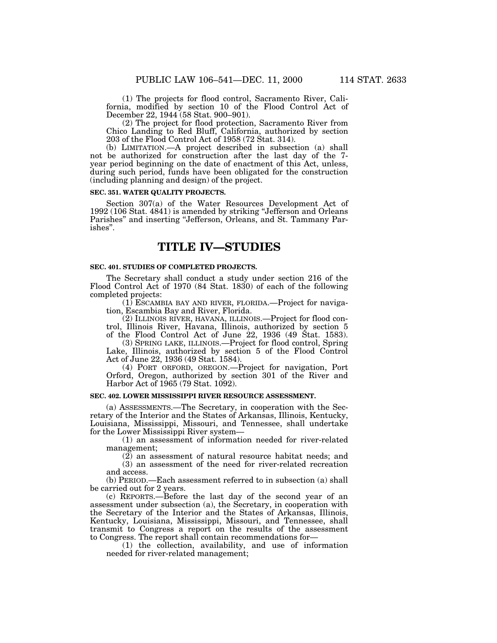(1) The projects for flood control, Sacramento River, California, modified by section 10 of the Flood Control Act of December 22, 1944 (58 Stat. 900–901).

(2) The project for flood protection, Sacramento River from Chico Landing to Red Bluff, California, authorized by section 203 of the Flood Control Act of 1958 (72 Stat. 314).

(b) LIMITATION.—A project described in subsection (a) shall not be authorized for construction after the last day of the 7 year period beginning on the date of enactment of this Act, unless, during such period, funds have been obligated for the construction (including planning and design) of the project.

#### **SEC. 351. WATER QUALITY PROJECTS.**

Section 307(a) of the Water Resources Development Act of 1992 (106 Stat. 4841) is amended by striking ''Jefferson and Orleans Parishes" and inserting "Jefferson, Orleans, and St. Tammany Parishes''.

# **TITLE IV—STUDIES**

### **SEC. 401. STUDIES OF COMPLETED PROJECTS.**

The Secretary shall conduct a study under section 216 of the Flood Control Act of 1970 (84 Stat. 1830) of each of the following completed projects:

 $(1)$  ESCAMBIA BAY AND RIVER, FLORIDA.—Project for navigation, Escambia Bay and River, Florida.

(2) ILLINOIS RIVER, HAVANA, ILLINOIS.—Project for flood control, Illinois River, Havana, Illinois, authorized by section 5 of the Flood Control Act of June 22, 1936 (49 Stat. 1583).

(3) SPRING LAKE, ILLINOIS.—Project for flood control, Spring Lake, Illinois, authorized by section 5 of the Flood Control Act of June 22, 1936 (49 Stat. 1584).

(4) PORT ORFORD, OREGON.—Project for navigation, Port Orford, Oregon, authorized by section 301 of the River and Harbor Act of 1965 (79 Stat. 1092).

### **SEC. 402. LOWER MISSISSIPPI RIVER RESOURCE ASSESSMENT.**

(a) ASSESSMENTS.—The Secretary, in cooperation with the Secretary of the Interior and the States of Arkansas, Illinois, Kentucky, Louisiana, Mississippi, Missouri, and Tennessee, shall undertake for the Lower Mississippi River system—

(1) an assessment of information needed for river-related management;

(2) an assessment of natural resource habitat needs; and (3) an assessment of the need for river-related recreation and access.

(b) PERIOD.—Each assessment referred to in subsection (a) shall be carried out for 2 years.

(c) REPORTS.—Before the last day of the second year of an assessment under subsection (a), the Secretary, in cooperation with the Secretary of the Interior and the States of Arkansas, Illinois, Kentucky, Louisiana, Mississippi, Missouri, and Tennessee, shall transmit to Congress a report on the results of the assessment to Congress. The report shall contain recommendations for—

(1) the collection, availability, and use of information needed for river-related management;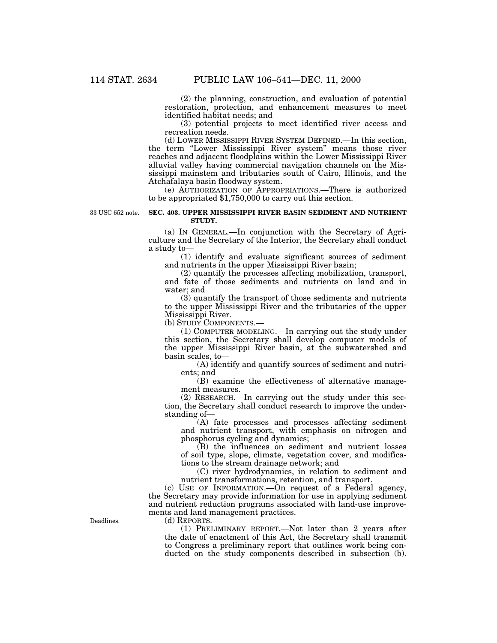(2) the planning, construction, and evaluation of potential restoration, protection, and enhancement measures to meet identified habitat needs; and

(3) potential projects to meet identified river access and recreation needs.

(d) LOWER MISSISSIPPI RIVER SYSTEM DEFINED.—In this section, the term "Lower Mississippi River system" means those river reaches and adjacent floodplains within the Lower Mississippi River alluvial valley having commercial navigation channels on the Mississippi mainstem and tributaries south of Cairo, Illinois, and the Atchafalaya basin floodway system.

(e) AUTHORIZATION OF APPROPRIATIONS.—There is authorized to be appropriated \$1,750,000 to carry out this section.

33 USC 652 note.

### **SEC. 403. UPPER MISSISSIPPI RIVER BASIN SEDIMENT AND NUTRIENT STUDY.**

(a) IN GENERAL.—In conjunction with the Secretary of Agriculture and the Secretary of the Interior, the Secretary shall conduct a study to—

(1) identify and evaluate significant sources of sediment and nutrients in the upper Mississippi River basin;

(2) quantify the processes affecting mobilization, transport, and fate of those sediments and nutrients on land and in water; and

(3) quantify the transport of those sediments and nutrients to the upper Mississippi River and the tributaries of the upper Mississippi River.

(b) STUDY COMPONENTS.—

(1) COMPUTER MODELING.—In carrying out the study under this section, the Secretary shall develop computer models of the upper Mississippi River basin, at the subwatershed and basin scales, to—

(A) identify and quantify sources of sediment and nutrients; and

(B) examine the effectiveness of alternative management measures.

(2) RESEARCH.—In carrying out the study under this section, the Secretary shall conduct research to improve the understanding of—

(A) fate processes and processes affecting sediment and nutrient transport, with emphasis on nitrogen and phosphorus cycling and dynamics;

(B) the influences on sediment and nutrient losses of soil type, slope, climate, vegetation cover, and modifications to the stream drainage network; and

(C) river hydrodynamics, in relation to sediment and nutrient transformations, retention, and transport.

(c) USE OF INFORMATION.—On request of a Federal agency, the Secretary may provide information for use in applying sediment and nutrient reduction programs associated with land-use improvements and land management practices.

(d) REPORTS.—

(1) PRELIMINARY REPORT.—Not later than 2 years after the date of enactment of this Act, the Secretary shall transmit to Congress a preliminary report that outlines work being conducted on the study components described in subsection (b).

Deadlines.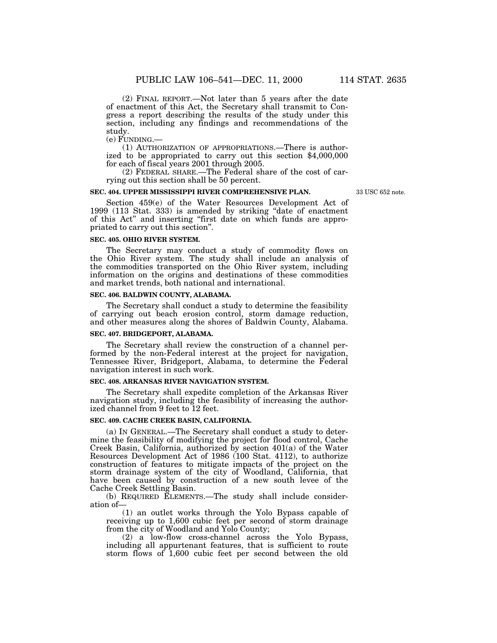(2) FINAL REPORT.—Not later than 5 years after the date of enactment of this Act, the Secretary shall transmit to Congress a report describing the results of the study under this section, including any findings and recommendations of the study.<br>(e) FUNDING.—

 $(1)$  AUTHORIZATION OF APPROPRIATIONS.—There is authorized to be appropriated to carry out this section \$4,000,000 for each of fiscal years 2001 through 2005.

(2) FEDERAL SHARE.—The Federal share of the cost of carrying out this section shall be 50 percent.

### **SEC. 404. UPPER MISSISSIPPI RIVER COMPREHENSIVE PLAN.**

33 USC 652 note.

Section 459(e) of the Water Resources Development Act of 1999 (113 Stat. 333) is amended by striking "date of enactment of this Act'' and inserting ''first date on which funds are appropriated to carry out this section''.

#### **SEC. 405. OHIO RIVER SYSTEM.**

The Secretary may conduct a study of commodity flows on the Ohio River system. The study shall include an analysis of the commodities transported on the Ohio River system, including information on the origins and destinations of these commodities and market trends, both national and international.

### **SEC. 406. BALDWIN COUNTY, ALABAMA.**

The Secretary shall conduct a study to determine the feasibility of carrying out beach erosion control, storm damage reduction, and other measures along the shores of Baldwin County, Alabama.

# **SEC. 407. BRIDGEPORT, ALABAMA.**

The Secretary shall review the construction of a channel performed by the non-Federal interest at the project for navigation, Tennessee River, Bridgeport, Alabama, to determine the Federal navigation interest in such work.

#### **SEC. 408. ARKANSAS RIVER NAVIGATION SYSTEM.**

The Secretary shall expedite completion of the Arkansas River navigation study, including the feasibility of increasing the authorized channel from 9 feet to 12 feet.

### **SEC. 409. CACHE CREEK BASIN, CALIFORNIA.**

(a) IN GENERAL.—The Secretary shall conduct a study to determine the feasibility of modifying the project for flood control, Cache Creek Basin, California, authorized by section 401(a) of the Water Resources Development Act of 1986 (100 Stat. 4112), to authorize construction of features to mitigate impacts of the project on the storm drainage system of the city of Woodland, California, that have been caused by construction of a new south levee of the Cache Creek Settling Basin.

(b) REQUIRED ELEMENTS.—The study shall include consideration of—

(1) an outlet works through the Yolo Bypass capable of receiving up to 1,600 cubic feet per second of storm drainage from the city of Woodland and Yolo County;

(2) a low-flow cross-channel across the Yolo Bypass, including all appurtenant features, that is sufficient to route storm flows of 1,600 cubic feet per second between the old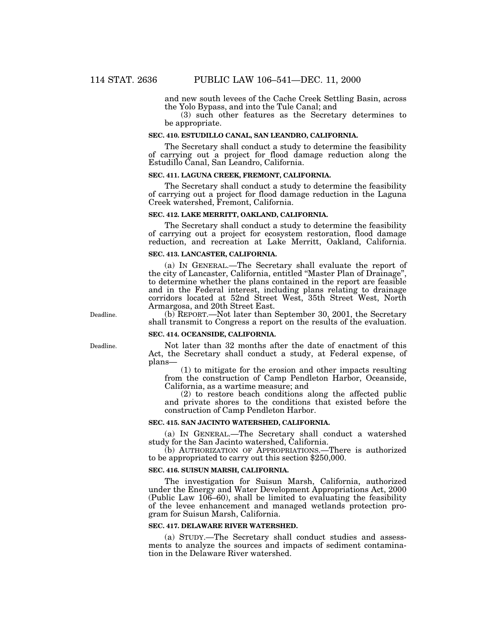and new south levees of the Cache Creek Settling Basin, across the Yolo Bypass, and into the Tule Canal; and

(3) such other features as the Secretary determines to be appropriate.

### **SEC. 410. ESTUDILLO CANAL, SAN LEANDRO, CALIFORNIA.**

The Secretary shall conduct a study to determine the feasibility of carrying out a project for flood damage reduction along the Estudillo Canal, San Leandro, California.

### **SEC. 411. LAGUNA CREEK, FREMONT, CALIFORNIA.**

The Secretary shall conduct a study to determine the feasibility of carrying out a project for flood damage reduction in the Laguna Creek watershed, Fremont, California.

# **SEC. 412. LAKE MERRITT, OAKLAND, CALIFORNIA.**

The Secretary shall conduct a study to determine the feasibility of carrying out a project for ecosystem restoration, flood damage reduction, and recreation at Lake Merritt, Oakland, California.

#### **SEC. 413. LANCASTER, CALIFORNIA.**

(a) IN GENERAL.—The Secretary shall evaluate the report of the city of Lancaster, California, entitled ''Master Plan of Drainage'', to determine whether the plans contained in the report are feasible and in the Federal interest, including plans relating to drainage corridors located at 52nd Street West, 35th Street West, North Armargosa, and 20th Street East.

(b) REPORT.—Not later than September 30, 2001, the Secretary shall transmit to Congress a report on the results of the evaluation.

### **SEC. 414. OCEANSIDE, CALIFORNIA.**

Not later than 32 months after the date of enactment of this Act, the Secretary shall conduct a study, at Federal expense, of plans—

(1) to mitigate for the erosion and other impacts resulting from the construction of Camp Pendleton Harbor, Oceanside, California, as a wartime measure; and

(2) to restore beach conditions along the affected public and private shores to the conditions that existed before the construction of Camp Pendleton Harbor.

#### **SEC. 415. SAN JACINTO WATERSHED, CALIFORNIA.**

(a) IN GENERAL.—The Secretary shall conduct a watershed study for the San Jacinto watershed, California.

(b) AUTHORIZATION OF APPROPRIATIONS.—There is authorized to be appropriated to carry out this section \$250,000.

#### **SEC. 416. SUISUN MARSH, CALIFORNIA.**

The investigation for Suisun Marsh, California, authorized under the Energy and Water Development Appropriations Act, 2000 (Public Law 106–60), shall be limited to evaluating the feasibility of the levee enhancement and managed wetlands protection program for Suisun Marsh, California.

#### **SEC. 417. DELAWARE RIVER WATERSHED.**

(a) STUDY.—The Secretary shall conduct studies and assessments to analyze the sources and impacts of sediment contamination in the Delaware River watershed.

Deadline.

Deadline.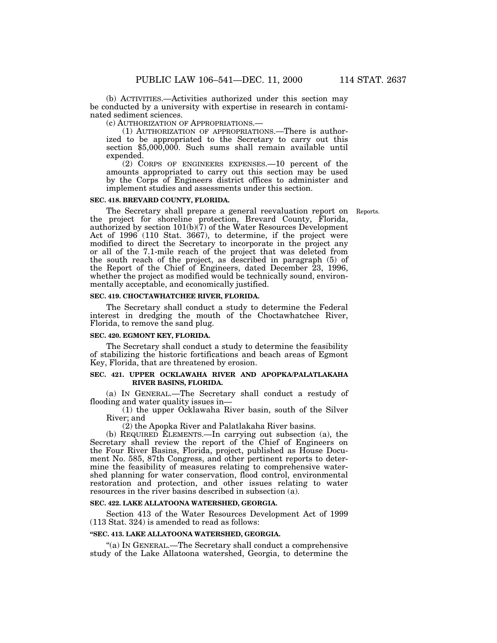(b) ACTIVITIES.—Activities authorized under this section may be conducted by a university with expertise in research in contaminated sediment sciences.

(c) AUTHORIZATION OF APPROPRIATIONS.— (1) AUTHORIZATION OF APPROPRIATIONS.—There is authorized to be appropriated to the Secretary to carry out this section \$5,000,000. Such sums shall remain available until expended.

(2) CORPS OF ENGINEERS EXPENSES.—10 percent of the amounts appropriated to carry out this section may be used by the Corps of Engineers district offices to administer and implement studies and assessments under this section.

### **SEC. 418. BREVARD COUNTY, FLORIDA.**

The Secretary shall prepare a general reevaluation report on Reports. the project for shoreline protection, Brevard County, Florida, authorized by section 101(b)(7) of the Water Resources Development Act of 1996 (110 Stat. 3667), to determine, if the project were modified to direct the Secretary to incorporate in the project any or all of the 7.1-mile reach of the project that was deleted from the south reach of the project, as described in paragraph (5) of the Report of the Chief of Engineers, dated December 23, 1996, whether the project as modified would be technically sound, environmentally acceptable, and economically justified.

### **SEC. 419. CHOCTAWHATCHEE RIVER, FLORIDA.**

The Secretary shall conduct a study to determine the Federal interest in dredging the mouth of the Choctawhatchee River, Florida, to remove the sand plug.

#### **SEC. 420. EGMONT KEY, FLORIDA.**

The Secretary shall conduct a study to determine the feasibility of stabilizing the historic fortifications and beach areas of Egmont Key, Florida, that are threatened by erosion.

# **SEC. 421. UPPER OCKLAWAHA RIVER AND APOPKA/PALATLAKAHA RIVER BASINS, FLORIDA.**

(a) IN GENERAL.—The Secretary shall conduct a restudy of flooding and water quality issues in—

(1) the upper Ocklawaha River basin, south of the Silver River; and

(2) the Apopka River and Palatlakaha River basins.

(b) REQUIRED ELEMENTS.—In carrying out subsection (a), the Secretary shall review the report of the Chief of Engineers on the Four River Basins, Florida, project, published as House Document No. 585, 87th Congress, and other pertinent reports to determine the feasibility of measures relating to comprehensive watershed planning for water conservation, flood control, environmental restoration and protection, and other issues relating to water resources in the river basins described in subsection (a).

#### **SEC. 422. LAKE ALLATOONA WATERSHED, GEORGIA.**

Section 413 of the Water Resources Development Act of 1999 (113 Stat. 324) is amended to read as follows:

### **''SEC. 413. LAKE ALLATOONA WATERSHED, GEORGIA.**

''(a) IN GENERAL.—The Secretary shall conduct a comprehensive study of the Lake Allatoona watershed, Georgia, to determine the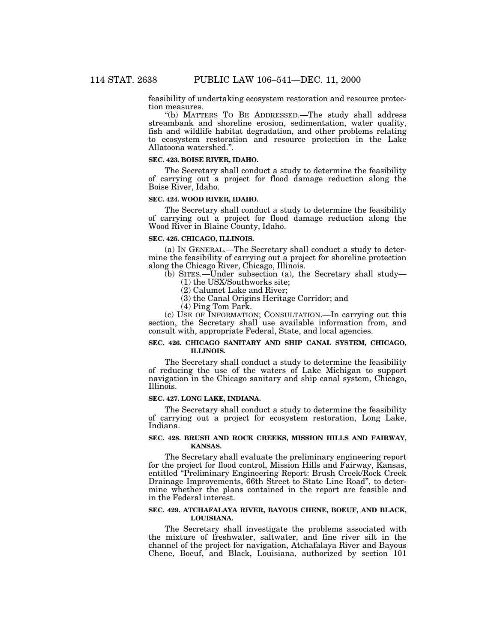feasibility of undertaking ecosystem restoration and resource protec-

tion measures. ''(b) MATTERS TO BE ADDRESSED.—The study shall address streambank and shoreline erosion, sedimentation, water quality, fish and wildlife habitat degradation, and other problems relating to ecosystem restoration and resource protection in the Lake Allatoona watershed.''.

### **SEC. 423. BOISE RIVER, IDAHO.**

The Secretary shall conduct a study to determine the feasibility of carrying out a project for flood damage reduction along the Boise River, Idaho.

### **SEC. 424. WOOD RIVER, IDAHO.**

The Secretary shall conduct a study to determine the feasibility of carrying out a project for flood damage reduction along the Wood River in Blaine County, Idaho.

#### **SEC. 425. CHICAGO, ILLINOIS.**

(a) IN GENERAL.—The Secretary shall conduct a study to determine the feasibility of carrying out a project for shoreline protection along the Chicago River, Chicago, Illinois.

(b) SITES.—Under subsection (a), the Secretary shall study—

- (1) the USX/Southworks site;
- (2) Calumet Lake and River;
- (3) the Canal Origins Heritage Corridor; and
- (4) Ping Tom Park.

(c) USE OF INFORMATION; CONSULTATION.—In carrying out this section, the Secretary shall use available information from, and consult with, appropriate Federal, State, and local agencies.

### **SEC. 426. CHICAGO SANITARY AND SHIP CANAL SYSTEM, CHICAGO, ILLINOIS.**

The Secretary shall conduct a study to determine the feasibility of reducing the use of the waters of Lake Michigan to support navigation in the Chicago sanitary and ship canal system, Chicago, Illinois.

#### **SEC. 427. LONG LAKE, INDIANA.**

The Secretary shall conduct a study to determine the feasibility of carrying out a project for ecosystem restoration, Long Lake, Indiana.

### **SEC. 428. BRUSH AND ROCK CREEKS, MISSION HILLS AND FAIRWAY, KANSAS.**

The Secretary shall evaluate the preliminary engineering report for the project for flood control, Mission Hills and Fairway, Kansas, entitled ''Preliminary Engineering Report: Brush Creek/Rock Creek Drainage Improvements, 66th Street to State Line Road'', to determine whether the plans contained in the report are feasible and in the Federal interest.

### **SEC. 429. ATCHAFALAYA RIVER, BAYOUS CHENE, BOEUF, AND BLACK, LOUISIANA.**

The Secretary shall investigate the problems associated with the mixture of freshwater, saltwater, and fine river silt in the channel of the project for navigation, Atchafalaya River and Bayous Chene, Boeuf, and Black, Louisiana, authorized by section 101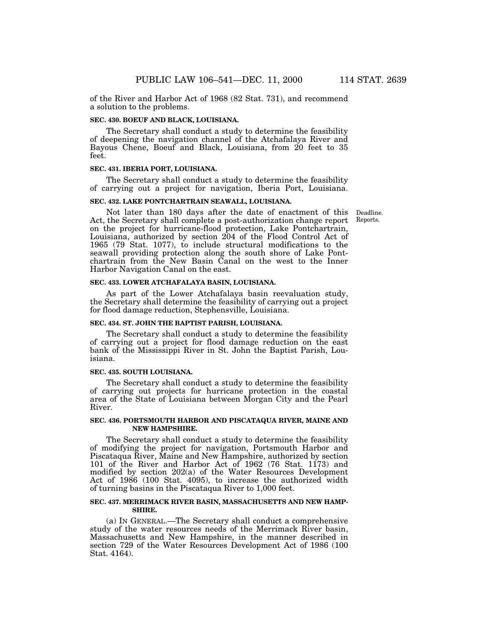of the River and Harbor Act of 1968 (82 Stat. 731), and recommend a solution to the problems.

### **SEC. 430. BOEUF AND BLACK, LOUISIANA.**

The Secretary shall conduct a study to determine the feasibility of deepening the navigation channel of the Atchafalaya River and Bayous Chene, Boeuf and Black, Louisiana, from 20 feet to 35 feet.

### **SEC. 431. IBERIA PORT, LOUISIANA.**

The Secretary shall conduct a study to determine the feasibility of carrying out a project for navigation, Iberia Port, Louisiana.

### **SEC. 432. LAKE PONTCHARTRAIN SEAWALL, LOUISIANA.**

Not later than 180 days after the date of enactment of this Act, the Secretary shall complete a post-authorization change report on the project for hurricane-flood protection, Lake Pontchartrain, Louisiana, authorized by section 204 of the Flood Control Act of 1965 (79 Stat. 1077), to include structural modifications to the seawall providing protection along the south shore of Lake Pontchartrain from the New Basin Canal on the west to the Inner Harbor Navigation Canal on the east.

#### **SEC. 433. LOWER ATCHAFALAYA BASIN, LOUISIANA.**

As part of the Lower Atchafalaya basin reevaluation study, the Secretary shall determine the feasibility of carrying out a project for flood damage reduction, Stephensville, Louisiana.

#### **SEC. 434. ST. JOHN THE BAPTIST PARISH, LOUISIANA.**

The Secretary shall conduct a study to determine the feasibility of carrying out a project for flood damage reduction on the east bank of the Mississippi River in St. John the Baptist Parish, Louisiana.

#### **SEC. 435. SOUTH LOUISIANA.**

The Secretary shall conduct a study to determine the feasibility of carrying out projects for hurricane protection in the coastal area of the State of Louisiana between Morgan City and the Pearl River.

### **SEC. 436. PORTSMOUTH HARBOR AND PISCATAQUA RIVER, MAINE AND NEW HAMPSHIRE.**

The Secretary shall conduct a study to determine the feasibility of modifying the project for navigation, Portsmouth Harbor and Piscataqua River, Maine and New Hampshire, authorized by section 101 of the River and Harbor Act of 1962 (76 Stat. 1173) and modified by section 202(a) of the Water Resources Development Act of 1986 (100 Stat. 4095), to increase the authorized width of turning basins in the Piscataqua River to 1,000 feet.

### **SEC. 437. MERRIMACK RIVER BASIN, MASSACHUSETTS AND NEW HAMP-SHIRE.**

(a) IN GENERAL.—The Secretary shall conduct a comprehensive study of the water resources needs of the Merrimack River basin, Massachusetts and New Hampshire, in the manner described in section 729 of the Water Resources Development Act of 1986 (100 Stat. 4164).

Deadline. Reports.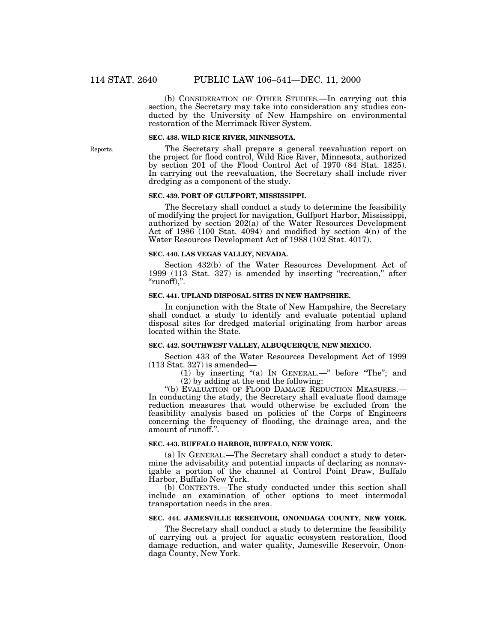(b) CONSIDERATION OF OTHER STUDIES.—In carrying out this section, the Secretary may take into consideration any studies conducted by the University of New Hampshire on environmental restoration of the Merrimack River System.

#### **SEC. 438. WILD RICE RIVER, MINNESOTA.**

The Secretary shall prepare a general reevaluation report on the project for flood control, Wild Rice River, Minnesota, authorized by section 201 of the Flood Control Act of 1970 (84 Stat. 1825). In carrying out the reevaluation, the Secretary shall include river dredging as a component of the study.

#### **SEC. 439. PORT OF GULFPORT, MISSISSIPPI.**

The Secretary shall conduct a study to determine the feasibility of modifying the project for navigation, Gulfport Harbor, Mississippi, authorized by section 202(a) of the Water Resources Development Act of 1986 (100 Stat. 4094) and modified by section  $4(n)$  of the Water Resources Development Act of 1988 (102 Stat. 4017).

#### **SEC. 440. LAS VEGAS VALLEY, NEVADA.**

Section 432(b) of the Water Resources Development Act of 1999 (113 Stat. 327) is amended by inserting ''recreation,'' after ''runoff),''.

### **SEC. 441. UPLAND DISPOSAL SITES IN NEW HAMPSHIRE.**

In conjunction with the State of New Hampshire, the Secretary shall conduct a study to identify and evaluate potential upland disposal sites for dredged material originating from harbor areas located within the State.

# **SEC. 442. SOUTHWEST VALLEY, ALBUQUERQUE, NEW MEXICO.**

Section 433 of the Water Resources Development Act of 1999 (113 Stat. 327) is amended—

(1) by inserting ''(a) IN GENERAL.—'' before ''The''; and

(2) by adding at the end the following:

''(b) EVALUATION OF FLOOD DAMAGE REDUCTION MEASURES.— In conducting the study, the Secretary shall evaluate flood damage reduction measures that would otherwise be excluded from the feasibility analysis based on policies of the Corps of Engineers concerning the frequency of flooding, the drainage area, and the amount of runoff.''.

### **SEC. 443. BUFFALO HARBOR, BUFFALO, NEW YORK.**

(a) IN GENERAL.—The Secretary shall conduct a study to determine the advisability and potential impacts of declaring as nonnavigable a portion of the channel at Control Point Draw, Buffalo Harbor, Buffalo New York.

(b) CONTENTS.—The study conducted under this section shall include an examination of other options to meet intermodal transportation needs in the area.

#### **SEC. 444. JAMESVILLE RESERVOIR, ONONDAGA COUNTY, NEW YORK.**

The Secretary shall conduct a study to determine the feasibility of carrying out a project for aquatic ecosystem restoration, flood damage reduction, and water quality, Jamesville Reservoir, Onondaga County, New York.

Reports.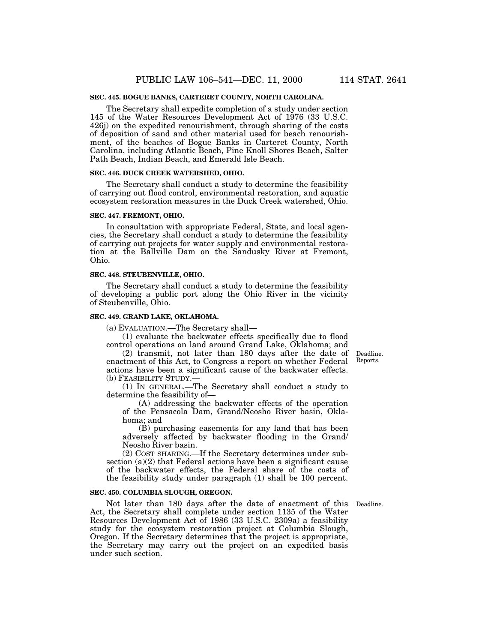### **SEC. 445. BOGUE BANKS, CARTERET COUNTY, NORTH CAROLINA.**

The Secretary shall expedite completion of a study under section 145 of the Water Resources Development Act of 1976 (33 U.S.C. 426j) on the expedited renourishment, through sharing of the costs of deposition of sand and other material used for beach renourishment, of the beaches of Bogue Banks in Carteret County, North Carolina, including Atlantic Beach, Pine Knoll Shores Beach, Salter Path Beach, Indian Beach, and Emerald Isle Beach.

### **SEC. 446. DUCK CREEK WATERSHED, OHIO.**

The Secretary shall conduct a study to determine the feasibility of carrying out flood control, environmental restoration, and aquatic ecosystem restoration measures in the Duck Creek watershed, Ohio.

#### **SEC. 447. FREMONT, OHIO.**

In consultation with appropriate Federal, State, and local agencies, the Secretary shall conduct a study to determine the feasibility of carrying out projects for water supply and environmental restoration at the Ballville Dam on the Sandusky River at Fremont, Ohio.

#### **SEC. 448. STEUBENVILLE, OHIO.**

The Secretary shall conduct a study to determine the feasibility of developing a public port along the Ohio River in the vicinity of Steubenville, Ohio.

#### **SEC. 449. GRAND LAKE, OKLAHOMA.**

(a) EVALUATION.—The Secretary shall—

(1) evaluate the backwater effects specifically due to flood control operations on land around Grand Lake, Oklahoma; and

(2) transmit, not later than 180 days after the date of enactment of this Act, to Congress a report on whether Federal actions have been a significant cause of the backwater effects. (b) FEASIBILITY STUDY.—

(1) IN GENERAL.—The Secretary shall conduct a study to determine the feasibility of—

(A) addressing the backwater effects of the operation of the Pensacola Dam, Grand/Neosho River basin, Oklahoma; and

(B) purchasing easements for any land that has been adversely affected by backwater flooding in the Grand/ Neosho River basin.

(2) COST SHARING.—If the Secretary determines under subsection (a)(2) that Federal actions have been a significant cause of the backwater effects, the Federal share of the costs of the feasibility study under paragraph (1) shall be 100 percent.

#### **SEC. 450. COLUMBIA SLOUGH, OREGON.**

Not later than 180 days after the date of enactment of this Act, the Secretary shall complete under section 1135 of the Water Resources Development Act of 1986 (33 U.S.C. 2309a) a feasibility study for the ecosystem restoration project at Columbia Slough, Oregon. If the Secretary determines that the project is appropriate, the Secretary may carry out the project on an expedited basis under such section.

Deadline. Reports.

Deadline.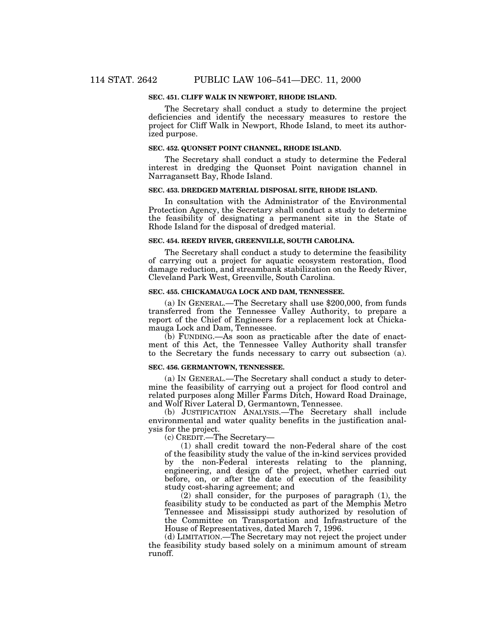### **SEC. 451. CLIFF WALK IN NEWPORT, RHODE ISLAND.**

The Secretary shall conduct a study to determine the project deficiencies and identify the necessary measures to restore the project for Cliff Walk in Newport, Rhode Island, to meet its authorized purpose.

### **SEC. 452. QUONSET POINT CHANNEL, RHODE ISLAND.**

The Secretary shall conduct a study to determine the Federal interest in dredging the Quonset Point navigation channel in Narragansett Bay, Rhode Island.

#### **SEC. 453. DREDGED MATERIAL DISPOSAL SITE, RHODE ISLAND.**

In consultation with the Administrator of the Environmental Protection Agency, the Secretary shall conduct a study to determine the feasibility of designating a permanent site in the State of Rhode Island for the disposal of dredged material.

### **SEC. 454. REEDY RIVER, GREENVILLE, SOUTH CAROLINA.**

The Secretary shall conduct a study to determine the feasibility of carrying out a project for aquatic ecosystem restoration, flood damage reduction, and streambank stabilization on the Reedy River, Cleveland Park West, Greenville, South Carolina.

### **SEC. 455. CHICKAMAUGA LOCK AND DAM, TENNESSEE.**

(a) IN GENERAL.—The Secretary shall use \$200,000, from funds transferred from the Tennessee Valley Authority, to prepare a report of the Chief of Engineers for a replacement lock at Chickamauga Lock and Dam, Tennessee.

(b) FUNDING.—As soon as practicable after the date of enactment of this Act, the Tennessee Valley Authority shall transfer to the Secretary the funds necessary to carry out subsection (a).

### **SEC. 456. GERMANTOWN, TENNESSEE.**

(a) IN GENERAL.—The Secretary shall conduct a study to determine the feasibility of carrying out a project for flood control and related purposes along Miller Farms Ditch, Howard Road Drainage, and Wolf River Lateral D, Germantown, Tennessee.

(b) JUSTIFICATION ANALYSIS.—The Secretary shall include environmental and water quality benefits in the justification analysis for the project.

(c) CREDIT.—The Secretary—

(1) shall credit toward the non-Federal share of the cost of the feasibility study the value of the in-kind services provided by the non-Federal interests relating to the planning, engineering, and design of the project, whether carried out before, on, or after the date of execution of the feasibility study cost-sharing agreement; and

 $(2)$  shall consider, for the purposes of paragraph  $(1)$ , the feasibility study to be conducted as part of the Memphis Metro Tennessee and Mississippi study authorized by resolution of the Committee on Transportation and Infrastructure of the House of Representatives, dated March 7, 1996.

(d) LIMITATION.—The Secretary may not reject the project under the feasibility study based solely on a minimum amount of stream runoff.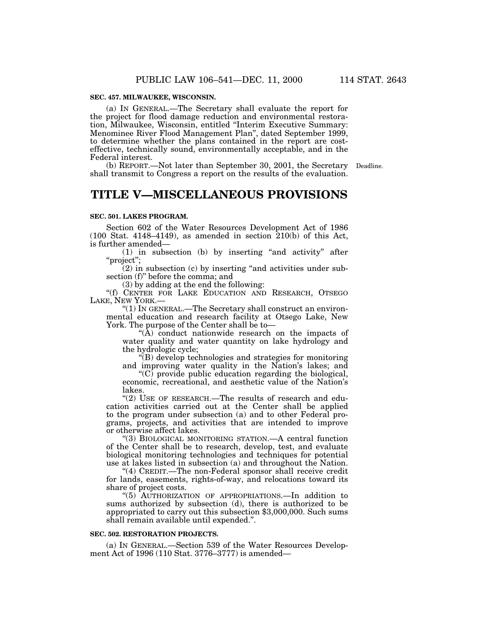### **SEC. 457. MILWAUKEE, WISCONSIN.**

(a) IN GENERAL.—The Secretary shall evaluate the report for the project for flood damage reduction and environmental restoration, Milwaukee, Wisconsin, entitled ''Interim Executive Summary: Menominee River Flood Management Plan'', dated September 1999, to determine whether the plans contained in the report are costeffective, technically sound, environmentally acceptable, and in the Federal interest.

(b) REPORT.—Not later than September 30, 2001, the Secretary Deadline. shall transmit to Congress a report on the results of the evaluation.

# **TITLE V—MISCELLANEOUS PROVISIONS**

#### **SEC. 501. LAKES PROGRAM.**

Section 602 of the Water Resources Development Act of 1986 (100 Stat. 4148–4149), as amended in section 210(b) of this Act,

is further amended—<br>
(1) in subsection (b) by inserting "and activity" after "project";

 $(2)$  in subsection  $(c)$  by inserting "and activities under subsection (f)" before the comma; and<br>(3) by adding at the end the following:

"(f) CENTER FOR LAKE EDUCATION AND RESEARCH, OTSEGO LAKE, NEW YORK.—

''(1) IN GENERAL.—The Secretary shall construct an environmental education and research facility at Otsego Lake, New York. The purpose of the Center shall be to—

"(A) conduct nationwide research on the impacts of water quality and water quantity on lake hydrology and the hydrologic cycle;

''(B) develop technologies and strategies for monitoring and improving water quality in the Nation's lakes; and

''(C) provide public education regarding the biological, economic, recreational, and aesthetic value of the Nation's lakes.

"(2) USE OF RESEARCH.-The results of research and education activities carried out at the Center shall be applied to the program under subsection (a) and to other Federal programs, projects, and activities that are intended to improve

"(3) BIOLOGICAL MONITORING STATION.—A central function of the Center shall be to research, develop, test, and evaluate biological monitoring technologies and techniques for potential use at lakes listed in subsection (a) and throughout the Nation.

"(4) CREDIT.—The non-Federal sponsor shall receive credit for lands, easements, rights-of-way, and relocations toward its share of project costs.

''(5) AUTHORIZATION OF APPROPRIATIONS.—In addition to sums authorized by subsection (d), there is authorized to be appropriated to carry out this subsection \$3,000,000. Such sums shall remain available until expended.''.

### **SEC. 502. RESTORATION PROJECTS.**

(a) IN GENERAL.—Section 539 of the Water Resources Development Act of 1996 (110 Stat. 3776–3777) is amended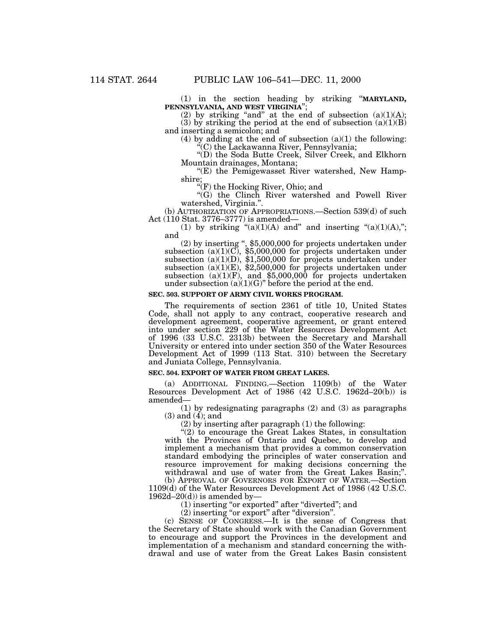(1) in the section heading by striking ''**MARYLAND, PENNSYLVANIA, AND WEST VIRGINIA**'';

(2) by striking "and" at the end of subsection  $(a)(1)(A);$ (3) by striking the period at the end of subsection  $(a)(1)(B)$ and inserting a semicolon; and

(4) by adding at the end of subsection (a)(1) the following: "(C) the Lackawanna River, Pennsylvania;

''(D) the Soda Butte Creek, Silver Creek, and Elkhorn

"(E) the Pemigewasset River watershed, New Hampshire;

"(F) the Hocking River, Ohio; and

''(G) the Clinch River watershed and Powell River

watershed, Virginia.".<br>
(b) AUTHORIZATION OF APPROPRIATIONS.—Section 539(d) of such<br>
Act (110 Stat. 3776–3777) is amended—

(1) by striking  $\lq(2)(1)(A)$  and" and inserting  $\lq(2)(1)(A),\lq$ ; and

(2) by inserting ",  $$5,000,000$  for projects undertaken under subsection (a)(1)(C),  $$5,000,000$  for projects undertaken under subsection  $(a)(1)(D)$ , \$1,500,000 for projects undertaken under subsection (a)(1)(E), \$2,500,000 for projects undertaken under subsection (a)(1)(F), and \$5,000,000 for projects undertaken under subsection  $(a)(1)(G)$ " before the period at the end.

# **SEC. 503. SUPPORT OF ARMY CIVIL WORKS PROGRAM.**

The requirements of section 2361 of title 10, United States Code, shall not apply to any contract, cooperative research and development agreement, cooperative agreement, or grant entered into under section 229 of the Water Resources Development Act of 1996 (33 U.S.C. 2313b) between the Secretary and Marshall University or entered into under section 350 of the Water Resources Development Act of 1999 (113 Stat. 310) between the Secretary and Juniata College, Pennsylvania.

# **SEC. 504. EXPORT OF WATER FROM GREAT LAKES.**

(a) ADDITIONAL FINDING.—Section 1109(b) of the Water Resources Development Act of 1986 (42 U.S.C. 1962d–20(b)) is amended—

(1) by redesignating paragraphs (2) and (3) as paragraphs  $(3)$  and  $(4)$ ; and

(2) by inserting after paragraph (1) the following:

''(2) to encourage the Great Lakes States, in consultation with the Provinces of Ontario and Quebec, to develop and implement a mechanism that provides a common conservation standard embodying the principles of water conservation and resource improvement for making decisions concerning the withdrawal and use of water from the Great Lakes Basin;".

(b) APPROVAL OF GOVERNORS FOR EXPORT OF WATER.—Section 1109(d) of the Water Resources Development Act of 1986 (42 U.S.C.  $1962d-20(d)$  is amended by-

(1) inserting "or exported" after "diverted"; and

(2) inserting ''or export'' after ''diversion''.

(c) SENSE OF CONGRESS.—It is the sense of Congress that the Secretary of State should work with the Canadian Government to encourage and support the Provinces in the development and implementation of a mechanism and standard concerning the withdrawal and use of water from the Great Lakes Basin consistent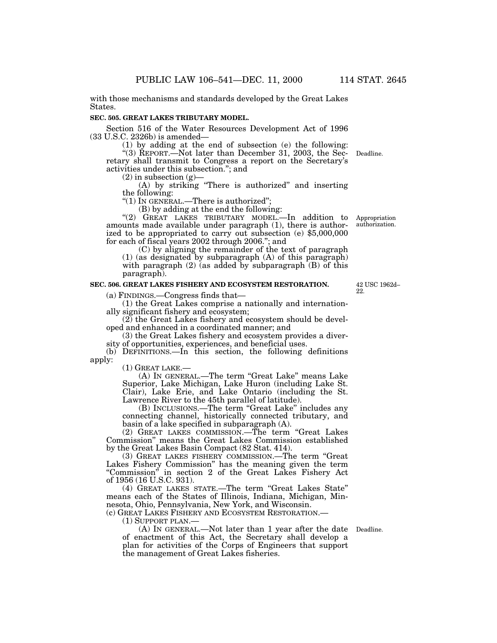with those mechanisms and standards developed by the Great Lakes States.

#### **SEC. 505. GREAT LAKES TRIBUTARY MODEL.**

Section 516 of the Water Resources Development Act of 1996<br>(33 U.S.C. 2326b) is amended—

(1) by adding at the end of subsection (e) the following:

"(3) REPORT.—Not later than December 31, 2003, the Secretary shall transmit to Congress a report on the Secretary's activities under this subsection."; and (2) in subsection (g)— Deadline.

 $(A)$  by striking "There is authorized" and inserting the following:

"(1) IN GENERAL.—There is authorized";<br>(B) by adding at the end the following:

"(2) GREAT LAKES TRIBUTARY MODEL.—In addition to amounts made available under paragraph (1), there is authorized to be appropriated to carry out subsection (e) \$5,000,000 for each of fiscal years 2002 through 2006.''; and

(C) by aligning the remainder of the text of paragraph

(1) (as designated by subparagraph (A) of this paragraph) with paragraph  $(2)$  (as added by subparagraph  $(B)$  of this paragraph).

# **SEC. 506. GREAT LAKES FISHERY AND ECOSYSTEM RESTORATION.**

(a) FINDINGS.—Congress finds that— (1) the Great Lakes comprise a nationally and internationally significant fishery and ecosystem;

(2) the Great Lakes fishery and ecosystem should be developed and enhanced in a coordinated manner; and

(3) the Great Lakes fishery and ecosystem provides a diversity of opportunities, experiences, and beneficial uses.

(b) DEFINITIONS.—In this section, the following definitions apply:

(1) GREAT LAKE.— (A) IN GENERAL.—The term ''Great Lake'' means Lake Superior, Lake Michigan, Lake Huron (including Lake St. Clair), Lake Erie, and Lake Ontario (including the St. Lawrence River to the 45th parallel of latitude).

(B) INCLUSIONS.—The term ''Great Lake'' includes any connecting channel, historically connected tributary, and basin of a lake specified in subparagraph (A).

(2) GREAT LAKES COMMISSION.—The term ''Great Lakes Commission'' means the Great Lakes Commission established by the Great Lakes Basin Compact (82 Stat. 414).

(3) GREAT LAKES FISHERY COMMISSION.—The term "Great Lakes Fishery Commission" has the meaning given the term "Commission" in section 2 of the Great Lakes Fishery Act of 1956 (16 U.S.C. 931).

(4) GREAT LAKES STATE.—The term ''Great Lakes State'' means each of the States of Illinois, Indiana, Michigan, Minnesota, Ohio, Pennsylvania, New York, and Wisconsin.

(c) GREAT LAKES FISHERY AND ECOSYSTEM RESTORATION.—

(1) SUPPORT PLAN.—

(A) IN GENERAL.—Not later than 1 year after the date Deadline. of enactment of this Act, the Secretary shall develop a plan for activities of the Corps of Engineers that support the management of Great Lakes fisheries.

42 USC 1962d– 22.

Appropriation authorization.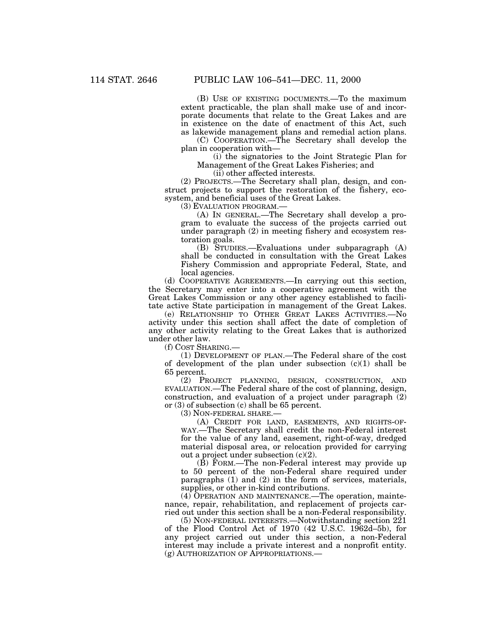(B) USE OF EXISTING DOCUMENTS.—To the maximum extent practicable, the plan shall make use of and incorporate documents that relate to the Great Lakes and are in existence on the date of enactment of this Act, such as lakewide management plans and remedial action plans.

(C) COOPERATION.—The Secretary shall develop the plan in cooperation with—

(i) the signatories to the Joint Strategic Plan for Management of the Great Lakes Fisheries; and

(ii) other affected interests.

(2) PROJECTS.—The Secretary shall plan, design, and construct projects to support the restoration of the fishery, ecosystem, and beneficial uses of the Great Lakes.

(3) EVALUATION PROGRAM.—

(A) IN GENERAL.—The Secretary shall develop a program to evaluate the success of the projects carried out under paragraph (2) in meeting fishery and ecosystem restoration goals.

(B) STUDIES.—Evaluations under subparagraph (A) shall be conducted in consultation with the Great Lakes Fishery Commission and appropriate Federal, State, and local agencies.

(d) COOPERATIVE AGREEMENTS.—In carrying out this section, the Secretary may enter into a cooperative agreement with the Great Lakes Commission or any other agency established to facilitate active State participation in management of the Great Lakes.

(e) RELATIONSHIP TO OTHER GREAT LAKES ACTIVITIES.—No activity under this section shall affect the date of completion of any other activity relating to the Great Lakes that is authorized under other law.

(f) COST SHARING.—

(1) DEVELOPMENT OF PLAN.—The Federal share of the cost of development of the plan under subsection  $(c)(1)$  shall be 65 percent.

(2) PROJECT PLANNING, DESIGN, CONSTRUCTION, AND EVALUATION.—The Federal share of the cost of planning, design, construction, and evaluation of a project under paragraph (2) or (3) of subsection (c) shall be 65 percent.

(3) NON-FEDERAL SHARE.—

(A) CREDIT FOR LAND, EASEMENTS, AND RIGHTS-OF-WAY.—The Secretary shall credit the non-Federal interest for the value of any land, easement, right-of-way, dredged material disposal area, or relocation provided for carrying out a project under subsection (c)(2).

(B) FORM.—The non-Federal interest may provide up to 50 percent of the non-Federal share required under paragraphs (1) and (2) in the form of services, materials, supplies, or other in-kind contributions.

(4) OPERATION AND MAINTENANCE.—The operation, maintenance, repair, rehabilitation, and replacement of projects carried out under this section shall be a non-Federal responsibility.

(5) NON-FEDERAL INTERESTS.—Notwithstanding section 221 of the Flood Control Act of 1970 (42 U.S.C. 1962d–5b), for any project carried out under this section, a non-Federal interest may include a private interest and a nonprofit entity. (g) AUTHORIZATION OF APPROPRIATIONS.—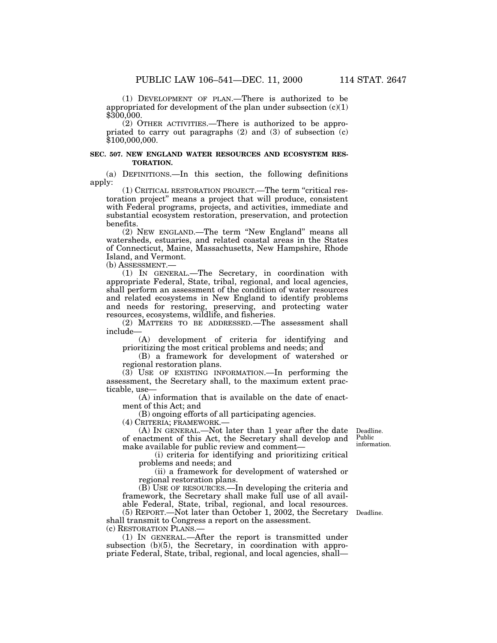(1) DEVELOPMENT OF PLAN.—There is authorized to be appropriated for development of the plan under subsection  $(c)(1)$ \$300,000.

(2) OTHER ACTIVITIES.—There is authorized to be appropriated to carry out paragraphs (2) and (3) of subsection (c) \$100,000,000.

### **SEC. 507. NEW ENGLAND WATER RESOURCES AND ECOSYSTEM RES-TORATION.**

(a) DEFINITIONS.—In this section, the following definitions apply:

(1) CRITICAL RESTORATION PROJECT.—The term ''critical restoration project'' means a project that will produce, consistent with Federal programs, projects, and activities, immediate and substantial ecosystem restoration, preservation, and protection benefits.

(2) NEW ENGLAND.—The term ''New England'' means all watersheds, estuaries, and related coastal areas in the States of Connecticut, Maine, Massachusetts, New Hampshire, Rhode Island, and Vermont.

(b) ASSESSMENT.—

(1) IN GENERAL.—The Secretary, in coordination with appropriate Federal, State, tribal, regional, and local agencies, shall perform an assessment of the condition of water resources and related ecosystems in New England to identify problems and needs for restoring, preserving, and protecting water resources, ecosystems, wildlife, and fisheries.

(2) MATTERS TO BE ADDRESSED.—The assessment shall include—

(A) development of criteria for identifying and prioritizing the most critical problems and needs; and

(B) a framework for development of watershed or regional restoration plans.

(3) USE OF EXISTING INFORMATION.—In performing the assessment, the Secretary shall, to the maximum extent practicable, use—

(A) information that is available on the date of enactment of this Act; and

(B) ongoing efforts of all participating agencies.

(4) CRITERIA; FRAMEWORK.—

(A) IN GENERAL.—Not later than 1 year after the date of enactment of this Act, the Secretary shall develop and make available for public review and comment—

Deadline. Public information.

(i) criteria for identifying and prioritizing critical problems and needs; and

(ii) a framework for development of watershed or regional restoration plans.

(B) USE OF RESOURCES.—In developing the criteria and framework, the Secretary shall make full use of all available Federal, State, tribal, regional, and local resources.

(5) REPORT.—Not later than October 1, 2002, the Secretary Deadline. shall transmit to Congress a report on the assessment. (c) RESTORATION PLANS.—

(1) IN GENERAL.—After the report is transmitted under subsection (b)(5), the Secretary, in coordination with appropriate Federal, State, tribal, regional, and local agencies, shall—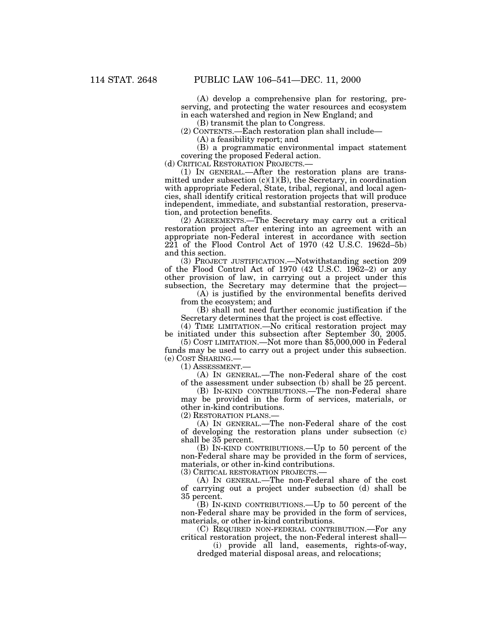(A) develop a comprehensive plan for restoring, preserving, and protecting the water resources and ecosystem in each watershed and region in New England; and

(B) transmit the plan to Congress.

(2) CONTENTS.—Each restoration plan shall include— (A) a feasibility report; and

(B) a programmatic environmental impact statement covering the proposed Federal action.

(d) CRITICAL RESTORATION PROJECTS.— (1) IN GENERAL.—After the restoration plans are transmitted under subsection (c)(1)(B), the Secretary, in coordination with appropriate Federal, State, tribal, regional, and local agencies, shall identify critical restoration projects that will produce independent, immediate, and substantial restoration, preservation, and protection benefits.

(2) AGREEMENTS.—The Secretary may carry out a critical restoration project after entering into an agreement with an appropriate non-Federal interest in accordance with section 221 of the Flood Control Act of 1970 (42 U.S.C. 1962d–5b) and this section.

(3) PROJECT JUSTIFICATION.—Notwithstanding section 209 of the Flood Control Act of 1970 (42 U.S.C. 1962–2) or any other provision of law, in carrying out a project under this subsection, the Secretary may determine that the project—

(A) is justified by the environmental benefits derived from the ecosystem; and

(B) shall not need further economic justification if the Secretary determines that the project is cost effective.

(4) TIME LIMITATION.—No critical restoration project may be initiated under this subsection after September 30, 2005.

(5) COST LIMITATION.—Not more than \$5,000,000 in Federal funds may be used to carry out a project under this subsection. (e) COST SHARING.—

(1) ASSESSMENT.—

(A) IN GENERAL.—The non-Federal share of the cost of the assessment under subsection (b) shall be 25 percent.

(B) IN-KIND CONTRIBUTIONS.—The non-Federal share may be provided in the form of services, materials, or other in-kind contributions.

(2) RESTORATION PLANS.—

(A) IN GENERAL.—The non-Federal share of the cost of developing the restoration plans under subsection (c) shall be 35 percent.

(B) IN-KIND CONTRIBUTIONS.—Up to 50 percent of the non-Federal share may be provided in the form of services, materials, or other in-kind contributions.

(3) CRITICAL RESTORATION PROJECTS.—

(A) IN GENERAL.—The non-Federal share of the cost of carrying out a project under subsection (d) shall be 35 percent.

(B) IN-KIND CONTRIBUTIONS.—Up to 50 percent of the non-Federal share may be provided in the form of services, materials, or other in-kind contributions.

(C) REQUIRED NON-FEDERAL CONTRIBUTION.—For any critical restoration project, the non-Federal interest shall—

(i) provide all land, easements, rights-of-way, dredged material disposal areas, and relocations;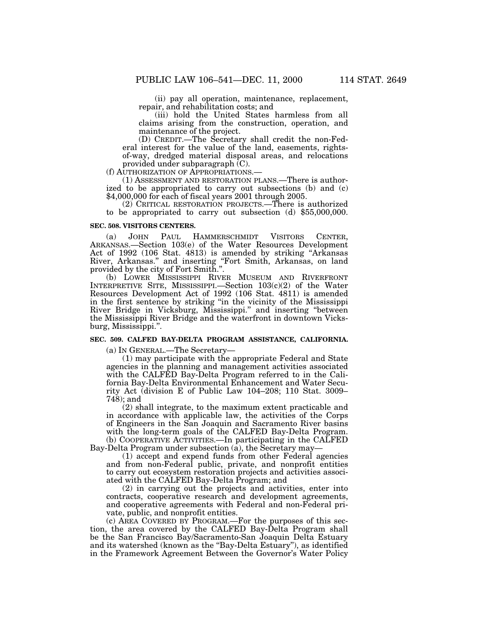(ii) pay all operation, maintenance, replacement, repair, and rehabilitation costs; and

(iii) hold the United States harmless from all claims arising from the construction, operation, and maintenance of the project.

(D) CREDIT.—The Secretary shall credit the non-Federal interest for the value of the land, easements, rightsof-way, dredged material disposal areas, and relocations

provided under subparagraph (C).<br>(f) AUTHORIZATION OF APPROPRIATIONS.

 $(1)$  ASSESSMENT AND RESTORATION PLANS.—There is authorized to be appropriated to carry out subsections (b) and (c) \$4,000,000 for each of fiscal years 2001 through 2005.

(2) CRITICAL RESTORATION PROJECTS.—There is authorized to be appropriated to carry out subsection (d) \$55,000,000.

#### **SEC. 508. VISITORS CENTERS.**

(a) JOHN PAUL HAMMERSCHMIDT VISITORS CENTER, ARKANSAS.—Section 103(e) of the Water Resources Development Act of 1992 (106 Stat. 4813) is amended by striking ''Arkansas River, Arkansas.'' and inserting ''Fort Smith, Arkansas, on land provided by the city of Fort Smith.''.

(b) LOWER MISSISSIPPI RIVER MUSEUM AND RIVERFRONT INTERPRETIVE SITE, MISSISSIPPI.—Section 103(c)(2) of the Water Resources Development Act of 1992 (106 Stat. 4811) is amended in the first sentence by striking ''in the vicinity of the Mississippi River Bridge in Vicksburg, Mississippi.'' and inserting ''between the Mississippi River Bridge and the waterfront in downtown Vicksburg, Mississippi.''.

### **SEC. 509. CALFED BAY-DELTA PROGRAM ASSISTANCE, CALIFORNIA.**

(a) IN GENERAL.—The Secretary—

(1) may participate with the appropriate Federal and State agencies in the planning and management activities associated with the CALFED Bay-Delta Program referred to in the California Bay-Delta Environmental Enhancement and Water Security Act (division E of Public Law 104–208; 110 Stat. 3009– 748); and

(2) shall integrate, to the maximum extent practicable and in accordance with applicable law, the activities of the Corps of Engineers in the San Joaquin and Sacramento River basins with the long-term goals of the CALFED Bay-Delta Program. (b) COOPERATIVE ACTIVITIES.—In participating in the CALFED Bay-Delta Program under subsection (a), the Secretary may—

(1) accept and expend funds from other Federal agencies and from non-Federal public, private, and nonprofit entities to carry out ecosystem restoration projects and activities associated with the CALFED Bay-Delta Program; and

(2) in carrying out the projects and activities, enter into contracts, cooperative research and development agreements, and cooperative agreements with Federal and non-Federal private, public, and nonprofit entities.

(c) AREA COVERED BY PROGRAM.—For the purposes of this section, the area covered by the CALFED Bay-Delta Program shall be the San Francisco Bay/Sacramento-San Joaquin Delta Estuary and its watershed (known as the "Bay-Delta Estuary"), as identified in the Framework Agreement Between the Governor's Water Policy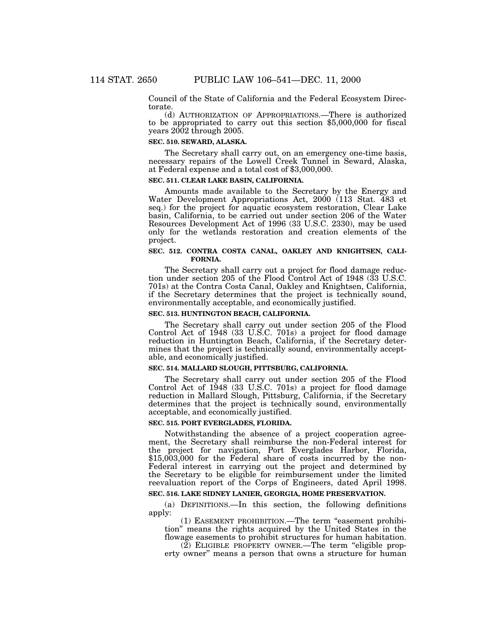Council of the State of California and the Federal Ecosystem Directorate.

(d) AUTHORIZATION OF APPROPRIATIONS.—There is authorized to be appropriated to carry out this section \$5,000,000 for fiscal years 2002 through 2005.

# **SEC. 510. SEWARD, ALASKA.**

The Secretary shall carry out, on an emergency one-time basis, necessary repairs of the Lowell Creek Tunnel in Seward, Alaska, at Federal expense and a total cost of \$3,000,000.

### **SEC. 511. CLEAR LAKE BASIN, CALIFORNIA.**

Amounts made available to the Secretary by the Energy and Water Development Appropriations Act, 2000 (113 Stat. 483 et seq.) for the project for aquatic ecosystem restoration, Clear Lake basin, California, to be carried out under section 206 of the Water Resources Development Act of 1996 (33 U.S.C. 2330), may be used only for the wetlands restoration and creation elements of the project.

# **SEC. 512. CONTRA COSTA CANAL, OAKLEY AND KNIGHTSEN, CALI-FORNIA.**

The Secretary shall carry out a project for flood damage reduction under section 205 of the Flood Control Act of 1948 (33 U.S.C. 701s) at the Contra Costa Canal, Oakley and Knightsen, California, if the Secretary determines that the project is technically sound, environmentally acceptable, and economically justified.

# **SEC. 513. HUNTINGTON BEACH, CALIFORNIA.**

The Secretary shall carry out under section 205 of the Flood Control Act of 1948 (33 U.S.C. 701s) a project for flood damage reduction in Huntington Beach, California, if the Secretary determines that the project is technically sound, environmentally acceptable, and economically justified.

### **SEC. 514. MALLARD SLOUGH, PITTSBURG, CALIFORNIA.**

The Secretary shall carry out under section 205 of the Flood Control Act of 1948 (33 U.S.C. 701s) a project for flood damage reduction in Mallard Slough, Pittsburg, California, if the Secretary determines that the project is technically sound, environmentally acceptable, and economically justified.

# **SEC. 515. PORT EVERGLADES, FLORIDA.**

Notwithstanding the absence of a project cooperation agreement, the Secretary shall reimburse the non-Federal interest for the project for navigation, Port Everglades Harbor, Florida, \$15,003,000 for the Federal share of costs incurred by the non-Federal interest in carrying out the project and determined by the Secretary to be eligible for reimbursement under the limited reevaluation report of the Corps of Engineers, dated April 1998.

# **SEC. 516. LAKE SIDNEY LANIER, GEORGIA, HOME PRESERVATION.**

(a) DEFINITIONS.—In this section, the following definitions apply:

(1) EASEMENT PROHIBITION.—The term ''easement prohibition'' means the rights acquired by the United States in the flowage easements to prohibit structures for human habitation.

 $(2)$  ELIGIBLE PROPERTY OWNER.—The term "eligible property owner'' means a person that owns a structure for human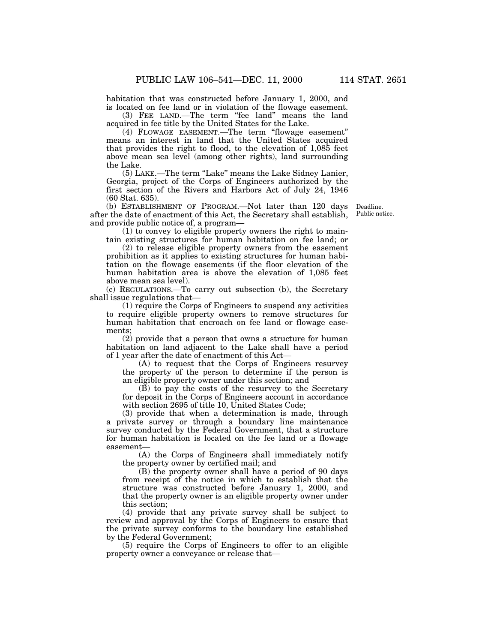habitation that was constructed before January 1, 2000, and is located on fee land or in violation of the flowage easement.

(3) FEE LAND.—The term "fee land" means the land acquired in fee title by the United States for the Lake.

(4) FLOWAGE EASEMENT.—The term ''flowage easement'' means an interest in land that the United States acquired that provides the right to flood, to the elevation of 1,085 feet above mean sea level (among other rights), land surrounding the Lake.

(5) LAKE.—The term ''Lake'' means the Lake Sidney Lanier, Georgia, project of the Corps of Engineers authorized by the first section of the Rivers and Harbors Act of July 24, 1946 (60 Stat. 635).

(b) ESTABLISHMENT OF PROGRAM.—Not later than 120 days after the date of enactment of this Act, the Secretary shall establish, and provide public notice of, a program—

Deadline. Public notice.

(1) to convey to eligible property owners the right to maintain existing structures for human habitation on fee land; or

(2) to release eligible property owners from the easement prohibition as it applies to existing structures for human habitation on the flowage easements (if the floor elevation of the human habitation area is above the elevation of 1,085 feet above mean sea level).

(c) REGULATIONS.—To carry out subsection (b), the Secretary shall issue regulations that—

(1) require the Corps of Engineers to suspend any activities to require eligible property owners to remove structures for human habitation that encroach on fee land or flowage easements;

(2) provide that a person that owns a structure for human habitation on land adjacent to the Lake shall have a period of 1 year after the date of enactment of this Act—

(A) to request that the Corps of Engineers resurvey the property of the person to determine if the person is an eligible property owner under this section; and

 $(\overline{B})$  to pay the costs of the resurvey to the Secretary for deposit in the Corps of Engineers account in accordance with section 2695 of title 10, United States Code;

(3) provide that when a determination is made, through a private survey or through a boundary line maintenance survey conducted by the Federal Government, that a structure for human habitation is located on the fee land or a flowage easement-

(A) the Corps of Engineers shall immediately notify the property owner by certified mail; and

(B) the property owner shall have a period of 90 days from receipt of the notice in which to establish that the structure was constructed before January 1, 2000, and that the property owner is an eligible property owner under this section;

(4) provide that any private survey shall be subject to review and approval by the Corps of Engineers to ensure that the private survey conforms to the boundary line established by the Federal Government;

(5) require the Corps of Engineers to offer to an eligible property owner a conveyance or release that—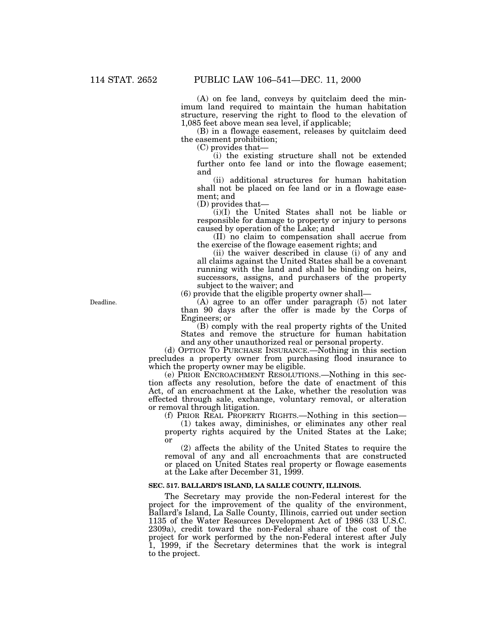(A) on fee land, conveys by quitclaim deed the minimum land required to maintain the human habitation structure, reserving the right to flood to the elevation of 1,085 feet above mean sea level, if applicable;

(B) in a flowage easement, releases by quitclaim deed the easement prohibition;

(C) provides that—

(i) the existing structure shall not be extended further onto fee land or into the flowage easement; and

(ii) additional structures for human habitation shall not be placed on fee land or in a flowage easement; and

(D) provides that—

(i)(I) the United States shall not be liable or responsible for damage to property or injury to persons caused by operation of the Lake; and

(II) no claim to compensation shall accrue from the exercise of the flowage easement rights; and

(ii) the waiver described in clause (i) of any and all claims against the United States shall be a covenant running with the land and shall be binding on heirs, successors, assigns, and purchasers of the property subject to the waiver; and

(6) provide that the eligible property owner shall—

(A) agree to an offer under paragraph (5) not later than 90 days after the offer is made by the Corps of Engineers; or

(B) comply with the real property rights of the United States and remove the structure for human habitation and any other unauthorized real or personal property.

(d) OPTION TO PURCHASE INSURANCE.—Nothing in this section precludes a property owner from purchasing flood insurance to which the property owner may be eligible.

(e) PRIOR ENCROACHMENT RESOLUTIONS.—Nothing in this section affects any resolution, before the date of enactment of this Act, of an encroachment at the Lake, whether the resolution was effected through sale, exchange, voluntary removal, or alteration or removal through litigation.

(f) PRIOR REAL PROPERTY RIGHTS.—Nothing in this section—

(1) takes away, diminishes, or eliminates any other real property rights acquired by the United States at the Lake; or

(2) affects the ability of the United States to require the removal of any and all encroachments that are constructed or placed on United States real property or flowage easements at the Lake after December 31, 1999.

#### **SEC. 517. BALLARD'S ISLAND, LA SALLE COUNTY, ILLINOIS.**

The Secretary may provide the non-Federal interest for the project for the improvement of the quality of the environment, Ballard's Island, La Salle County, Illinois, carried out under section 1135 of the Water Resources Development Act of 1986 (33 U.S.C. 2309a), credit toward the non-Federal share of the cost of the project for work performed by the non-Federal interest after July 1, 1999, if the Secretary determines that the work is integral to the project.

Deadline.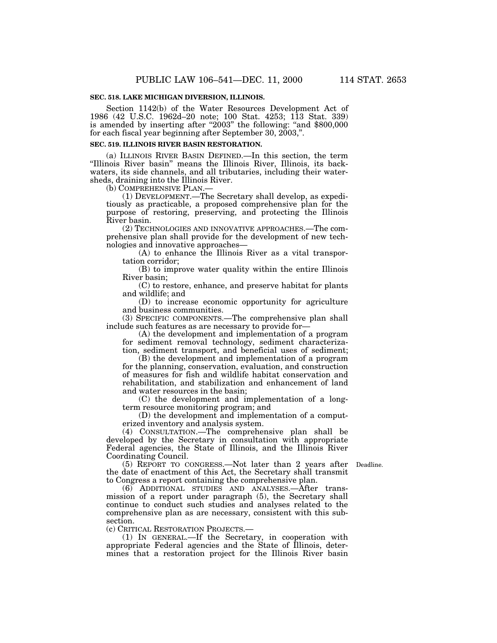# **SEC. 518. LAKE MICHIGAN DIVERSION, ILLINOIS.**

Section 1142(b) of the Water Resources Development Act of 1986 (42 U.S.C. 1962d–20 note; 100 Stat. 4253; 113 Stat. 339) is amended by inserting after "2003" the following: "and \$800,000 for each fiscal year beginning after September 30, 2003,''.

# **SEC. 519. ILLINOIS RIVER BASIN RESTORATION.**

(a) ILLINOIS RIVER BASIN DEFINED.—In this section, the term "Illinois River basin" means the Illinois River, Illinois, its backwaters, its side channels, and all tributaries, including their watersheds, draining into the Illinois River.

(b) COMPREHENSIVE PLAN.— (1) DEVELOPMENT.—The Secretary shall develop, as expeditiously as practicable, a proposed comprehensive plan for the purpose of restoring, preserving, and protecting the Illinois River basin.

(2) TECHNOLOGIES AND INNOVATIVE APPROACHES.—The comprehensive plan shall provide for the development of new technologies and innovative approaches—

(A) to enhance the Illinois River as a vital transportation corridor;

(B) to improve water quality within the entire Illinois River basin;

(C) to restore, enhance, and preserve habitat for plants and wildlife; and

(D) to increase economic opportunity for agriculture and business communities.

(3) SPECIFIC COMPONENTS.—The comprehensive plan shall include such features as are necessary to provide for—

(A) the development and implementation of a program for sediment removal technology, sediment characterization, sediment transport, and beneficial uses of sediment;

(B) the development and implementation of a program for the planning, conservation, evaluation, and construction of measures for fish and wildlife habitat conservation and rehabilitation, and stabilization and enhancement of land and water resources in the basin;

(C) the development and implementation of a longterm resource monitoring program; and

(D) the development and implementation of a computerized inventory and analysis system.

(4) CONSULTATION.—The comprehensive plan shall be developed by the Secretary in consultation with appropriate Federal agencies, the State of Illinois, and the Illinois River Coordinating Council.

(5) REPORT TO CONGRESS.—Not later than 2 years after Deadline. the date of enactment of this Act, the Secretary shall transmit to Congress a report containing the comprehensive plan.

(6) ADDITIONAL STUDIES AND ANALYSES.—After transmission of a report under paragraph (5), the Secretary shall continue to conduct such studies and analyses related to the comprehensive plan as are necessary, consistent with this subsection.

(c) CRITICAL RESTORATION PROJECTS.—

(1) IN GENERAL.—If the Secretary, in cooperation with appropriate Federal agencies and the State of Illinois, determines that a restoration project for the Illinois River basin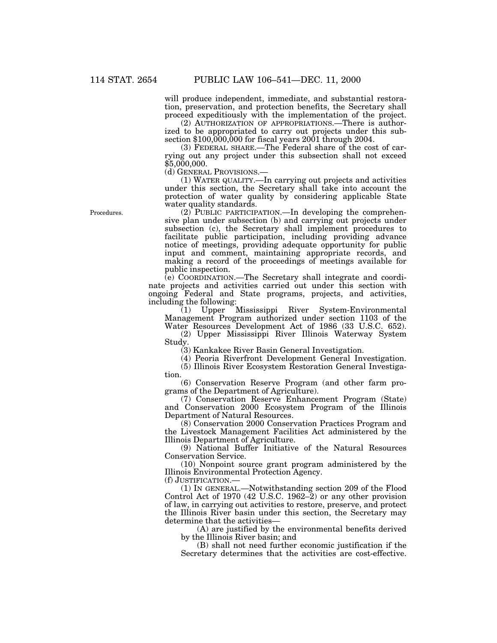will produce independent, immediate, and substantial restoration, preservation, and protection benefits, the Secretary shall proceed expeditiously with the implementation of the project.

(2) AUTHORIZATION OF APPROPRIATIONS.—There is authorized to be appropriated to carry out projects under this subsection \$100,000,000 for fiscal years 2001 through 2004.

(3) FEDERAL SHARE.—The Federal share of the cost of carrying out any project under this subsection shall not exceed \$5,000,000.<br>(d) GENERAL PROVISIONS.

(d) GENERAL PROVISIONS.— (1) WATER QUALITY.—In carrying out projects and activities under this section, the Secretary shall take into account the protection of water quality by considering applicable State water quality standards.

(2) PUBLIC PARTICIPATION.—In developing the comprehensive plan under subsection (b) and carrying out projects under subsection (c), the Secretary shall implement procedures to facilitate public participation, including providing advance notice of meetings, providing adequate opportunity for public input and comment, maintaining appropriate records, and making a record of the proceedings of meetings available for public inspection.

(e) COORDINATION.—The Secretary shall integrate and coordinate projects and activities carried out under this section with ongoing Federal and State programs, projects, and activities, including the following:

(1) Upper Mississippi River System-Environmental Management Program authorized under section 1103 of the Water Resources Development Act of 1986 (33 U.S.C. 652).

(2) Upper Mississippi River Illinois Waterway System Study.

(3) Kankakee River Basin General Investigation.

(4) Peoria Riverfront Development General Investigation.

(5) Illinois River Ecosystem Restoration General Investigation.

(6) Conservation Reserve Program (and other farm programs of the Department of Agriculture).

(7) Conservation Reserve Enhancement Program (State) and Conservation 2000 Ecosystem Program of the Illinois Department of Natural Resources.

(8) Conservation 2000 Conservation Practices Program and the Livestock Management Facilities Act administered by the Illinois Department of Agriculture.

(9) National Buffer Initiative of the Natural Resources Conservation Service.

(10) Nonpoint source grant program administered by the Illinois Environmental Protection Agency.

(f) JUSTIFICATION.—

(1) IN GENERAL.—Notwithstanding section 209 of the Flood Control Act of 1970 (42 U.S.C. 1962–2) or any other provision of law, in carrying out activities to restore, preserve, and protect the Illinois River basin under this section, the Secretary may determine that the activities—

(A) are justified by the environmental benefits derived by the Illinois River basin; and

(B) shall not need further economic justification if the Secretary determines that the activities are cost-effective.

Procedures.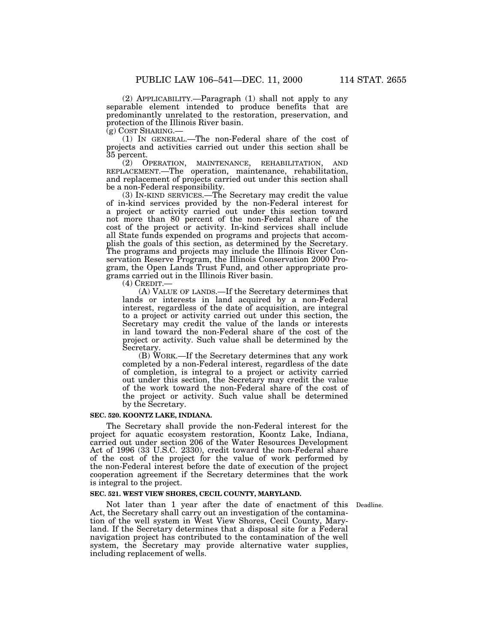(2) APPLICABILITY.—Paragraph (1) shall not apply to any separable element intended to produce benefits that are predominantly unrelated to the restoration, preservation, and protection of the Illinois River basin.<br>(g) COST SHARING.—

 $(1)$  In GENERAL.—The non-Federal share of the cost of projects and activities carried out under this section shall be 35 percent.

(2) OPERATION, MAINTENANCE, REHABILITATION, AND REPLACEMENT.—The operation, maintenance, rehabilitation, and replacement of projects carried out under this section shall be a non-Federal responsibility.

(3) IN-KIND SERVICES.—The Secretary may credit the value of in-kind services provided by the non-Federal interest for a project or activity carried out under this section toward not more than 80 percent of the non-Federal share of the cost of the project or activity. In-kind services shall include all State funds expended on programs and projects that accomplish the goals of this section, as determined by the Secretary. The programs and projects may include the Illinois River Conservation Reserve Program, the Illinois Conservation 2000 Program, the Open Lands Trust Fund, and other appropriate programs carried out in the Illinois River basin.

(4) CREDIT.— (A) VALUE OF LANDS.—If the Secretary determines that lands or interests in land acquired by a non-Federal interest, regardless of the date of acquisition, are integral to a project or activity carried out under this section, the Secretary may credit the value of the lands or interests in land toward the non-Federal share of the cost of the project or activity. Such value shall be determined by the Secretary.

(B) WORK.—If the Secretary determines that any work completed by a non-Federal interest, regardless of the date of completion, is integral to a project or activity carried out under this section, the Secretary may credit the value of the work toward the non-Federal share of the cost of the project or activity. Such value shall be determined by the Secretary.

#### **SEC. 520. KOONTZ LAKE, INDIANA.**

The Secretary shall provide the non-Federal interest for the project for aquatic ecosystem restoration, Koontz Lake, Indiana, carried out under section 206 of the Water Resources Development Act of 1996 (33 U.S.C. 2330), credit toward the non-Federal share of the cost of the project for the value of work performed by the non-Federal interest before the date of execution of the project cooperation agreement if the Secretary determines that the work is integral to the project.

# **SEC. 521. WEST VIEW SHORES, CECIL COUNTY, MARYLAND.**

Not later than 1 year after the date of enactment of this Deadline. Act, the Secretary shall carry out an investigation of the contamination of the well system in West View Shores, Cecil County, Maryland. If the Secretary determines that a disposal site for a Federal navigation project has contributed to the contamination of the well system, the Secretary may provide alternative water supplies, including replacement of wells.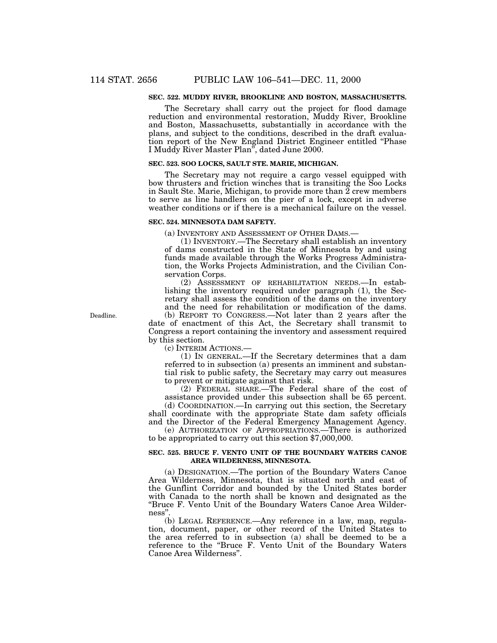# **SEC. 522. MUDDY RIVER, BROOKLINE AND BOSTON, MASSACHUSETTS.**

The Secretary shall carry out the project for flood damage reduction and environmental restoration, Muddy River, Brookline and Boston, Massachusetts, substantially in accordance with the plans, and subject to the conditions, described in the draft evaluation report of the New England District Engineer entitled ''Phase I Muddy River Master Plan'', dated June 2000.

#### **SEC. 523. SOO LOCKS, SAULT STE. MARIE, MICHIGAN.**

The Secretary may not require a cargo vessel equipped with bow thrusters and friction winches that is transiting the Soo Locks in Sault Ste. Marie, Michigan, to provide more than  $\tilde{2}$  crew members to serve as line handlers on the pier of a lock, except in adverse weather conditions or if there is a mechanical failure on the vessel.

#### **SEC. 524. MINNESOTA DAM SAFETY.**

(a) INVENTORY AND ASSESSMENT OF OTHER DAMS.—

(1) INVENTORY.—The Secretary shall establish an inventory of dams constructed in the State of Minnesota by and using funds made available through the Works Progress Administration, the Works Projects Administration, and the Civilian Conservation Corps.

(2) ASSESSMENT OF REHABILITATION NEEDS.—In establishing the inventory required under paragraph (1), the Secretary shall assess the condition of the dams on the inventory and the need for rehabilitation or modification of the dams. (b) REPORT TO CONGRESS.—Not later than 2 years after the date of enactment of this Act, the Secretary shall transmit to Congress a report containing the inventory and assessment required by this section.

(c) INTERIM ACTIONS.—

(1) IN GENERAL.—If the Secretary determines that a dam referred to in subsection (a) presents an imminent and substantial risk to public safety, the Secretary may carry out measures to prevent or mitigate against that risk.

(2) FEDERAL SHARE.—The Federal share of the cost of assistance provided under this subsection shall be 65 percent.

(d) COORDINATION.—In carrying out this section, the Secretary shall coordinate with the appropriate State dam safety officials and the Director of the Federal Emergency Management Agency.

(e) AUTHORIZATION OF APPROPRIATIONS.—There is authorized to be appropriated to carry out this section \$7,000,000.

### **SEC. 525. BRUCE F. VENTO UNIT OF THE BOUNDARY WATERS CANOE AREA WILDERNESS, MINNESOTA.**

(a) DESIGNATION.—The portion of the Boundary Waters Canoe Area Wilderness, Minnesota, that is situated north and east of the Gunflint Corridor and bounded by the United States border with Canada to the north shall be known and designated as the ''Bruce F. Vento Unit of the Boundary Waters Canoe Area Wilderness''.

(b) LEGAL REFERENCE.—Any reference in a law, map, regulation, document, paper, or other record of the United States to the area referred to in subsection (a) shall be deemed to be a reference to the ''Bruce F. Vento Unit of the Boundary Waters Canoe Area Wilderness''.

Deadline.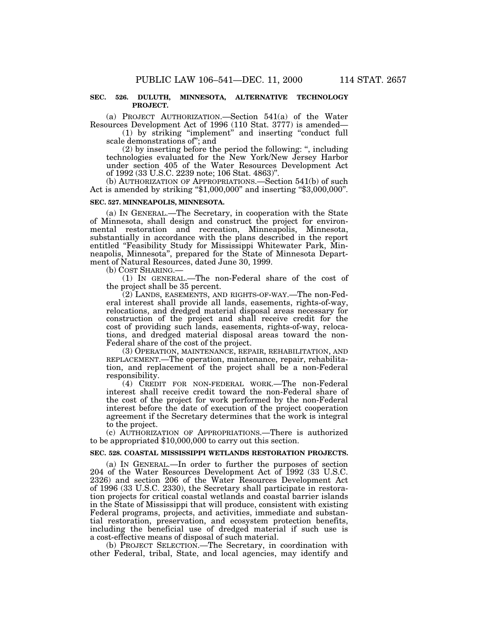### **SEC. 526. DULUTH, MINNESOTA, ALTERNATIVE TECHNOLOGY PROJECT.**

(a) PROJECT AUTHORIZATION.—Section 541(a) of the Water Resources Development Act of 1996 (110 Stat. 3777) is amended—

(1) by striking ''implement'' and inserting ''conduct full scale demonstrations of''; and

(2) by inserting before the period the following: '', including technologies evaluated for the New York/New Jersey Harbor under section 405 of the Water Resources Development Act of 1992 (33 U.S.C. 2239 note; 106 Stat. 4863)''.

(b) AUTHORIZATION OF APPROPRIATIONS.—Section 541(b) of such Act is amended by striking "\$1,000,000" and inserting "\$3,000,000".

# **SEC. 527. MINNEAPOLIS, MINNESOTA.**

(a) IN GENERAL.—The Secretary, in cooperation with the State of Minnesota, shall design and construct the project for environmental restoration and recreation, Minneapolis, Minnesota, substantially in accordance with the plans described in the report entitled "Feasibility Study for Mississippi Whitewater Park, Minneapolis, Minnesota'', prepared for the State of Minnesota Department of Natural Resources, dated June 30, 1999.

(b) COST SHARING.— (1) IN GENERAL.—The non-Federal share of the cost of the project shall be 35 percent.

(2) LANDS, EASEMENTS, AND RIGHTS-OF-WAY.—The non-Federal interest shall provide all lands, easements, rights-of-way, relocations, and dredged material disposal areas necessary for construction of the project and shall receive credit for the cost of providing such lands, easements, rights-of-way, relocations, and dredged material disposal areas toward the non-Federal share of the cost of the project.

(3) OPERATION, MAINTENANCE, REPAIR, REHABILITATION, AND REPLACEMENT.—The operation, maintenance, repair, rehabilitation, and replacement of the project shall be a non-Federal responsibility.

(4) CREDIT FOR NON-FEDERAL WORK.—The non-Federal interest shall receive credit toward the non-Federal share of the cost of the project for work performed by the non-Federal interest before the date of execution of the project cooperation agreement if the Secretary determines that the work is integral to the project.

(c) AUTHORIZATION OF APPROPRIATIONS.—There is authorized to be appropriated \$10,000,000 to carry out this section.

#### **SEC. 528. COASTAL MISSISSIPPI WETLANDS RESTORATION PROJECTS.**

(a) IN GENERAL.—In order to further the purposes of section 204 of the Water Resources Development Act of 1992 (33 U.S.C. 2326) and section 206 of the Water Resources Development Act of 1996 (33 U.S.C. 2330), the Secretary shall participate in restoration projects for critical coastal wetlands and coastal barrier islands in the State of Mississippi that will produce, consistent with existing Federal programs, projects, and activities, immediate and substantial restoration, preservation, and ecosystem protection benefits, including the beneficial use of dredged material if such use is a cost-effective means of disposal of such material.

(b) PROJECT SELECTION.—The Secretary, in coordination with other Federal, tribal, State, and local agencies, may identify and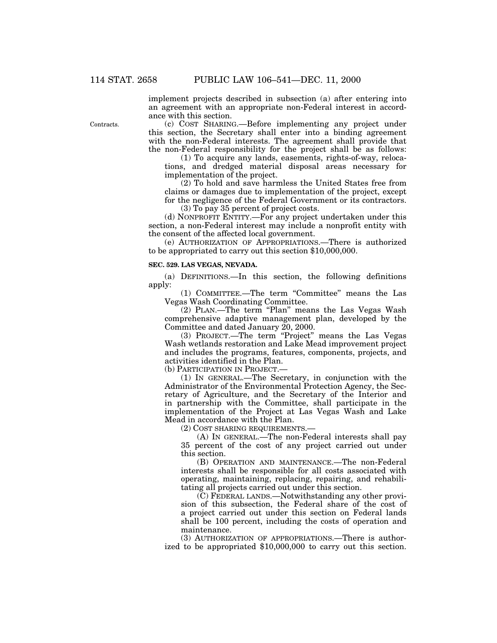implement projects described in subsection (a) after entering into an agreement with an appropriate non-Federal interest in accordance with this section.

(c) COST SHARING.—Before implementing any project under this section, the Secretary shall enter into a binding agreement with the non-Federal interests. The agreement shall provide that the non-Federal responsibility for the project shall be as follows:

(1) To acquire any lands, easements, rights-of-way, relocations, and dredged material disposal areas necessary for implementation of the project.

(2) To hold and save harmless the United States free from claims or damages due to implementation of the project, except for the negligence of the Federal Government or its contractors.

(3) To pay 35 percent of project costs.

(d) NONPROFIT ENTITY.—For any project undertaken under this section, a non-Federal interest may include a nonprofit entity with the consent of the affected local government.

(e) AUTHORIZATION OF APPROPRIATIONS.—There is authorized to be appropriated to carry out this section \$10,000,000.

#### **SEC. 529. LAS VEGAS, NEVADA.**

(a) DEFINITIONS.—In this section, the following definitions apply:

(1) COMMITTEE.—The term ''Committee'' means the Las Vegas Wash Coordinating Committee.

(2) PLAN.—The term ''Plan'' means the Las Vegas Wash comprehensive adaptive management plan, developed by the Committee and dated January 20, 2000.

(3) PROJECT.—The term ''Project'' means the Las Vegas Wash wetlands restoration and Lake Mead improvement project and includes the programs, features, components, projects, and activities identified in the Plan.

(b) PARTICIPATION IN PROJECT.—

(1) IN GENERAL.—The Secretary, in conjunction with the Administrator of the Environmental Protection Agency, the Secretary of Agriculture, and the Secretary of the Interior and in partnership with the Committee, shall participate in the implementation of the Project at Las Vegas Wash and Lake Mead in accordance with the Plan.

(2) COST SHARING REQUIREMENTS.—

(A) IN GENERAL.—The non-Federal interests shall pay 35 percent of the cost of any project carried out under this section.

(B) OPERATION AND MAINTENANCE.—The non-Federal interests shall be responsible for all costs associated with operating, maintaining, replacing, repairing, and rehabilitating all projects carried out under this section.

(C) FEDERAL LANDS.—Notwithstanding any other provision of this subsection, the Federal share of the cost of a project carried out under this section on Federal lands shall be 100 percent, including the costs of operation and maintenance.

(3) AUTHORIZATION OF APPROPRIATIONS.—There is authorized to be appropriated \$10,000,000 to carry out this section.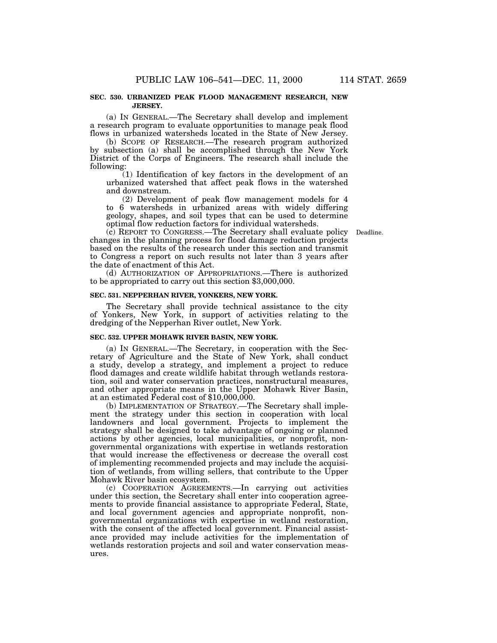### **SEC. 530. URBANIZED PEAK FLOOD MANAGEMENT RESEARCH, NEW JERSEY.**

(a) IN GENERAL.—The Secretary shall develop and implement a research program to evaluate opportunities to manage peak flood flows in urbanized watersheds located in the State of New Jersey.

(b) SCOPE OF RESEARCH.—The research program authorized by subsection (a) shall be accomplished through the New York District of the Corps of Engineers. The research shall include the following:

(1) Identification of key factors in the development of an urbanized watershed that affect peak flows in the watershed and downstream.

(2) Development of peak flow management models for 4 to 6 watersheds in urbanized areas with widely differing geology, shapes, and soil types that can be used to determine optimal flow reduction factors for individual watersheds.

(c) REPORT TO CONGRESS.—The Secretary shall evaluate policy Deadline. changes in the planning process for flood damage reduction projects based on the results of the research under this section and transmit to Congress a report on such results not later than 3 years after the date of enactment of this Act.

(d) AUTHORIZATION OF APPROPRIATIONS.—There is authorized to be appropriated to carry out this section \$3,000,000.

#### **SEC. 531. NEPPERHAN RIVER, YONKERS, NEW YORK.**

The Secretary shall provide technical assistance to the city of Yonkers, New York, in support of activities relating to the dredging of the Nepperhan River outlet, New York.

### **SEC. 532. UPPER MOHAWK RIVER BASIN, NEW YORK.**

(a) IN GENERAL.—The Secretary, in cooperation with the Secretary of Agriculture and the State of New York, shall conduct a study, develop a strategy, and implement a project to reduce flood damages and create wildlife habitat through wetlands restoration, soil and water conservation practices, nonstructural measures, and other appropriate means in the Upper Mohawk River Basin, at an estimated Federal cost of \$10,000,000.

(b) IMPLEMENTATION OF STRATEGY.—The Secretary shall implement the strategy under this section in cooperation with local landowners and local government. Projects to implement the strategy shall be designed to take advantage of ongoing or planned actions by other agencies, local municipalities, or nonprofit, nongovernmental organizations with expertise in wetlands restoration that would increase the effectiveness or decrease the overall cost of implementing recommended projects and may include the acquisition of wetlands, from willing sellers, that contribute to the Upper Mohawk River basin ecosystem.

(c) COOPERATION AGREEMENTS.—In carrying out activities under this section, the Secretary shall enter into cooperation agreements to provide financial assistance to appropriate Federal, State, and local government agencies and appropriate nonprofit, nongovernmental organizations with expertise in wetland restoration, with the consent of the affected local government. Financial assistance provided may include activities for the implementation of wetlands restoration projects and soil and water conservation measures.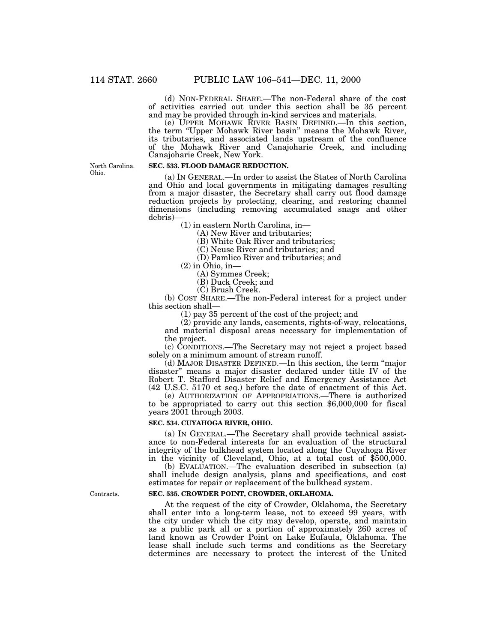(d) NON-FEDERAL SHARE.—The non-Federal share of the cost of activities carried out under this section shall be 35 percent and may be provided through in-kind services and materials.

(e) UPPER MOHAWK RIVER BASIN DEFINED.—In this section, the term ''Upper Mohawk River basin'' means the Mohawk River, its tributaries, and associated lands upstream of the confluence of the Mohawk River and Canajoharie Creek, and including Canajoharie Creek, New York.

North Carolina. Ohio.

#### **SEC. 533. FLOOD DAMAGE REDUCTION.**

(a) IN GENERAL.—In order to assist the States of North Carolina and Ohio and local governments in mitigating damages resulting from a major disaster, the Secretary shall carry out flood damage reduction projects by protecting, clearing, and restoring channel dimensions (including removing accumulated snags and other debris)—

(1) in eastern North Carolina, in— (A) New River and tributaries;

(B) White Oak River and tributaries;

(C) Neuse River and tributaries; and

(D) Pamlico River and tributaries; and

 $(2)$  in Ohio, in-

(A) Symmes Creek;

(B) Duck Creek; and

(C) Brush Creek.

(b) COST SHARE.—The non-Federal interest for a project under this section shall—

(1) pay 35 percent of the cost of the project; and

(2) provide any lands, easements, rights-of-way, relocations, and material disposal areas necessary for implementation of the project.

(c) CONDITIONS.—The Secretary may not reject a project based solely on a minimum amount of stream runoff.

(d) MAJOR DISASTER DEFINED.—In this section, the term ''major disaster'' means a major disaster declared under title IV of the Robert T. Stafford Disaster Relief and Emergency Assistance Act (42 U.S.C. 5170 et seq.) before the date of enactment of this Act.

(e) AUTHORIZATION OF APPROPRIATIONS.—There is authorized to be appropriated to carry out this section \$6,000,000 for fiscal years 2001 through 2003.

# **SEC. 534. CUYAHOGA RIVER, OHIO.**

(a) IN GENERAL.—The Secretary shall provide technical assistance to non-Federal interests for an evaluation of the structural integrity of the bulkhead system located along the Cuyahoga River in the vicinity of Cleveland, Ohio, at a total cost of \$500,000.

(b) EVALUATION.—The evaluation described in subsection (a) shall include design analysis, plans and specifications, and cost estimates for repair or replacement of the bulkhead system.

# **SEC. 535. CROWDER POINT, CROWDER, OKLAHOMA.**

At the request of the city of Crowder, Oklahoma, the Secretary shall enter into a long-term lease, not to exceed 99 years, with the city under which the city may develop, operate, and maintain as a public park all or a portion of approximately 260 acres of land known as Crowder Point on Lake Eufaula, Oklahoma. The lease shall include such terms and conditions as the Secretary determines are necessary to protect the interest of the United

Contracts.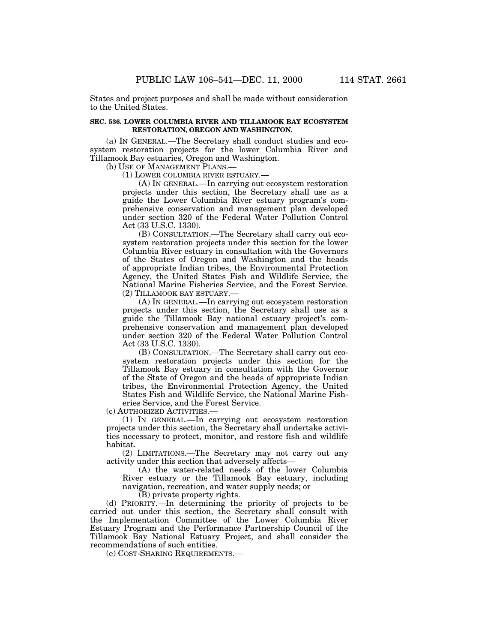States and project purposes and shall be made without consideration to the United States.

# **SEC. 536. LOWER COLUMBIA RIVER AND TILLAMOOK BAY ECOSYSTEM RESTORATION, OREGON AND WASHINGTON.**

(a) IN GENERAL.—The Secretary shall conduct studies and ecosystem restoration projects for the lower Columbia River and Tillamook Bay estuaries, Oregon and Washington.

(b) USE OF MANAGEMENT PLANS.—

(1) LOWER COLUMBIA RIVER ESTUARY.—

(A) IN GENERAL.—In carrying out ecosystem restoration projects under this section, the Secretary shall use as a guide the Lower Columbia River estuary program's comprehensive conservation and management plan developed under section 320 of the Federal Water Pollution Control Act (33 U.S.C. 1330).

(B) CONSULTATION.—The Secretary shall carry out ecosystem restoration projects under this section for the lower Columbia River estuary in consultation with the Governors of the States of Oregon and Washington and the heads of appropriate Indian tribes, the Environmental Protection Agency, the United States Fish and Wildlife Service, the National Marine Fisheries Service, and the Forest Service. (2) TILLAMOOK BAY ESTUARY.—

(A) IN GENERAL.—In carrying out ecosystem restoration projects under this section, the Secretary shall use as a guide the Tillamook Bay national estuary project's comprehensive conservation and management plan developed under section 320 of the Federal Water Pollution Control Act (33 U.S.C. 1330).

(B) CONSULTATION.—The Secretary shall carry out ecosystem restoration projects under this section for the Tillamook Bay estuary in consultation with the Governor of the State of Oregon and the heads of appropriate Indian tribes, the Environmental Protection Agency, the United States Fish and Wildlife Service, the National Marine Fisheries Service, and the Forest Service.

(c) AUTHORIZED ACTIVITIES.—

(1) IN GENERAL.—In carrying out ecosystem restoration projects under this section, the Secretary shall undertake activities necessary to protect, monitor, and restore fish and wildlife habitat.

(2) LIMITATIONS.—The Secretary may not carry out any activity under this section that adversely affects—

(A) the water-related needs of the lower Columbia River estuary or the Tillamook Bay estuary, including navigation, recreation, and water supply needs; or

(B) private property rights.

(d) PRIORITY.—In determining the priority of projects to be carried out under this section, the Secretary shall consult with the Implementation Committee of the Lower Columbia River Estuary Program and the Performance Partnership Council of the Tillamook Bay National Estuary Project, and shall consider the recommendations of such entities.

(e) COST-SHARING REQUIREMENTS.—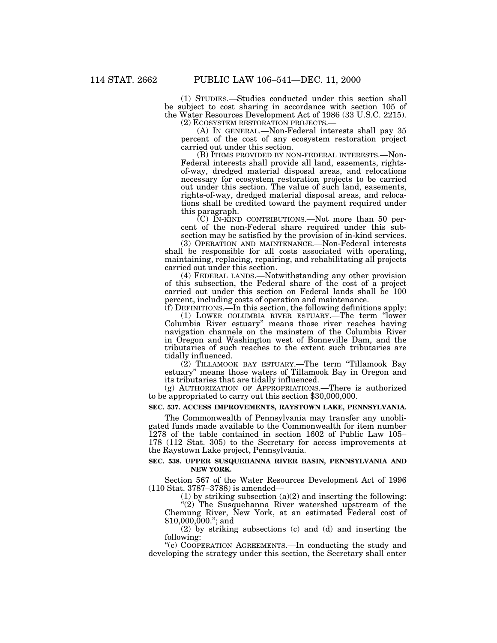(1) STUDIES.—Studies conducted under this section shall be subject to cost sharing in accordance with section 105 of the Water Resources Development Act of 1986 (33 U.S.C. 2215).

(2) ECOSYSTEM RESTORATION PROJECTS.— (A) IN GENERAL.—Non-Federal interests shall pay 35 percent of the cost of any ecosystem restoration project carried out under this section.

(B) ITEMS PROVIDED BY NON-FEDERAL INTERESTS.—Non-Federal interests shall provide all land, easements, rightsof-way, dredged material disposal areas, and relocations necessary for ecosystem restoration projects to be carried out under this section. The value of such land, easements, rights-of-way, dredged material disposal areas, and relocations shall be credited toward the payment required under this paragraph.

(C) IN-KIND CONTRIBUTIONS.—Not more than 50 percent of the non-Federal share required under this subsection may be satisfied by the provision of in-kind services.

(3) OPERATION AND MAINTENANCE.—Non-Federal interests shall be responsible for all costs associated with operating, maintaining, replacing, repairing, and rehabilitating all projects carried out under this section.

(4) FEDERAL LANDS.—Notwithstanding any other provision of this subsection, the Federal share of the cost of a project carried out under this section on Federal lands shall be 100 percent, including costs of operation and maintenance.

(f) DEFINITIONS.—In this section, the following definitions apply: (1) LOWER COLUMBIA RIVER ESTUARY.—The term ''lower Columbia River estuary'' means those river reaches having navigation channels on the mainstem of the Columbia River in Oregon and Washington west of Bonneville Dam, and the tributaries of such reaches to the extent such tributaries are tidally influenced.

(2) TILLAMOOK BAY ESTUARY.—The term ''Tillamook Bay estuary'' means those waters of Tillamook Bay in Oregon and its tributaries that are tidally influenced.

(g) AUTHORIZATION OF APPROPRIATIONS.—There is authorized to be appropriated to carry out this section \$30,000,000.

# **SEC. 537. ACCESS IMPROVEMENTS, RAYSTOWN LAKE, PENNSYLVANIA.**

The Commonwealth of Pennsylvania may transfer any unobligated funds made available to the Commonwealth for item number 1278 of the table contained in section 1602 of Public Law 105– 178 (112 Stat. 305) to the Secretary for access improvements at the Raystown Lake project, Pennsylvania.

### **SEC. 538. UPPER SUSQUEHANNA RIVER BASIN, PENNSYLVANIA AND NEW YORK.**

Section 567 of the Water Resources Development Act of 1996 (110 Stat. 3787–3788) is amended—

(1) by striking subsection (a)(2) and inserting the following:

"(2) The Susquehanna River watershed upstream of the Chemung River, New York, at an estimated Federal cost of \$10,000,000.''; and

(2) by striking subsections (c) and (d) and inserting the following:

''(c) COOPERATION AGREEMENTS.—In conducting the study and developing the strategy under this section, the Secretary shall enter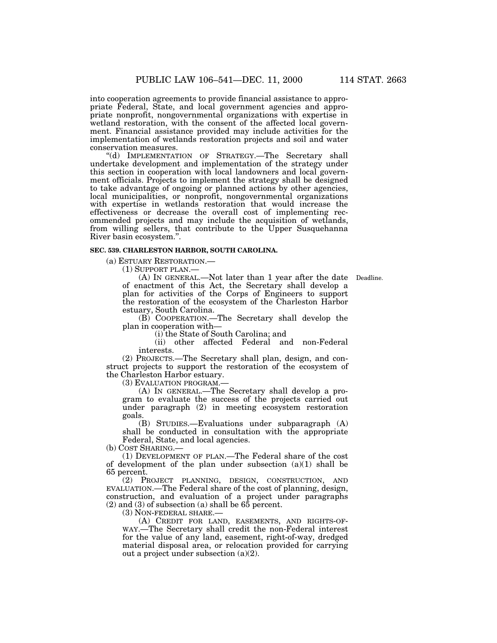into cooperation agreements to provide financial assistance to appropriate Federal, State, and local government agencies and appropriate nonprofit, nongovernmental organizations with expertise in wetland restoration, with the consent of the affected local government. Financial assistance provided may include activities for the implementation of wetlands restoration projects and soil and water

conservation measures. ''(d) IMPLEMENTATION OF STRATEGY.—The Secretary shall undertake development and implementation of the strategy under this section in cooperation with local landowners and local government officials. Projects to implement the strategy shall be designed to take advantage of ongoing or planned actions by other agencies, local municipalities, or nonprofit, nongovernmental organizations with expertise in wetlands restoration that would increase the effectiveness or decrease the overall cost of implementing recommended projects and may include the acquisition of wetlands, from willing sellers, that contribute to the Upper Susquehanna River basin ecosystem.''.

# **SEC. 539. CHARLESTON HARBOR, SOUTH CAROLINA.**

(a) ESTUARY RESTORATION.—

(1) SUPPORT PLAN.—

(A) IN GENERAL.—Not later than 1 year after the date Deadline. of enactment of this Act, the Secretary shall develop a plan for activities of the Corps of Engineers to support the restoration of the ecosystem of the Charleston Harbor estuary, South Carolina.

(B) COOPERATION.—The Secretary shall develop the plan in cooperation with—

(i) the State of South Carolina; and

(ii) other affected Federal and non-Federal interests.

(2) PROJECTS.—The Secretary shall plan, design, and construct projects to support the restoration of the ecosystem of the Charleston Harbor estuary.

(3) EVALUATION PROGRAM.—

(A) IN GENERAL.—The Secretary shall develop a program to evaluate the success of the projects carried out under paragraph (2) in meeting ecosystem restoration goals.

(B) STUDIES.—Evaluations under subparagraph (A) shall be conducted in consultation with the appropriate Federal, State, and local agencies.

(b) COST SHARING.—

(1) DEVELOPMENT OF PLAN.—The Federal share of the cost of development of the plan under subsection (a)(1) shall be 65 percent.

(2) PROJECT PLANNING, DESIGN, CONSTRUCTION, AND EVALUATION.—The Federal share of the cost of planning, design, construction, and evaluation of a project under paragraphs  $(2)$  and  $(3)$  of subsection  $(a)$  shall be 65 percent.

(3) NON-FEDERAL SHARE.—

(A) CREDIT FOR LAND, EASEMENTS, AND RIGHTS-OF-WAY.—The Secretary shall credit the non-Federal interest for the value of any land, easement, right-of-way, dredged material disposal area, or relocation provided for carrying out a project under subsection (a)(2).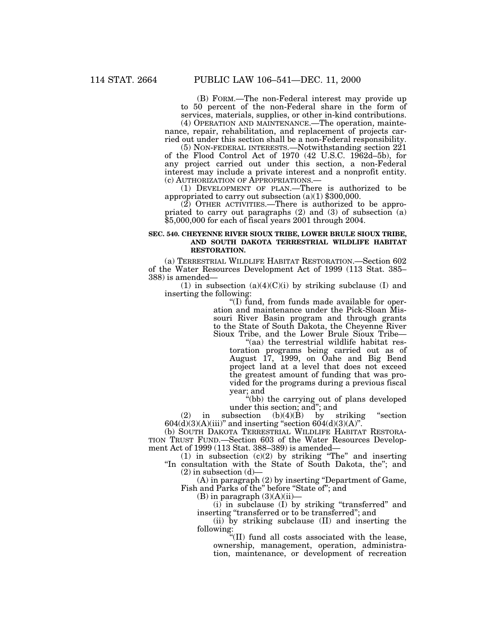(B) FORM.—The non-Federal interest may provide up to 50 percent of the non-Federal share in the form of services, materials, supplies, or other in-kind contributions.

(4) OPERATION AND MAINTENANCE.—The operation, maintenance, repair, rehabilitation, and replacement of projects carried out under this section shall be a non-Federal responsibility.

(5) NON-FEDERAL INTERESTS.—Notwithstanding section 221 of the Flood Control Act of 1970 (42 U.S.C. 1962d–5b), for any project carried out under this section, a non-Federal interest may include a private interest and a nonprofit entity.

(1) DEVELOPMENT OF PLAN.—There is authorized to be appropriated to carry out subsection (a)(1) \$300,000.

(2) OTHER ACTIVITIES.—There is authorized to be appropriated to carry out paragraphs (2) and (3) of subsection (a) \$5,000,000 for each of fiscal years 2001 through 2004.

# **SEC. 540. CHEYENNE RIVER SIOUX TRIBE, LOWER BRULE SIOUX TRIBE, AND SOUTH DAKOTA TERRESTRIAL WILDLIFE HABITAT RESTORATION.**

(a) TERRESTRIAL WILDLIFE HABITAT RESTORATION.—Section 602 of the Water Resources Development Act of 1999 (113 Stat. 385– 388) is amended—

(1) in subsection  $(a)(4)(C)(i)$  by striking subclause (I) and inserting the following:

> ''(I) fund, from funds made available for operation and maintenance under the Pick-Sloan Missouri River Basin program and through grants to the State of South Dakota, the Cheyenne River Sioux Tribe, and the Lower Brule Sioux Tribe—

''(aa) the terrestrial wildlife habitat restoration programs being carried out as of August 17, 1999, on Oahe and Big Bend project land at a level that does not exceed the greatest amount of funding that was provided for the programs during a previous fiscal year; and

''(bb) the carrying out of plans developed under this section; and"; and<br>subsection  $(b)(4)(B)$  by striking

(2) in subsection  $(b)(4)(B)$  by striking "section  $604(d)(3)(A)(iii)$ " and inserting "section  $604(d)(3)(A)$ ".

(b) SOUTH DAKOTA TERRESTRIAL WILDLIFE HABITAT RESTORA-TION TRUST FUND.—Section 603 of the Water Resources Development Act of 1999 (113 Stat. 388–389) is amended—

(1) in subsection  $(c)(2)$  by striking "The" and inserting ''In consultation with the State of South Dakota, the''; and  $(2)$  in subsection  $(d)$ 

(A) in paragraph (2) by inserting ''Department of Game, Fish and Parks of the'' before ''State of''; and

(B) in paragraph (3)(A)(ii)—

(i) in subclause (I) by striking ''transferred'' and inserting "transferred or to be transferred"; and

(ii) by striking subclause (II) and inserting the following:

''(II) fund all costs associated with the lease, ownership, management, operation, administration, maintenance, or development of recreation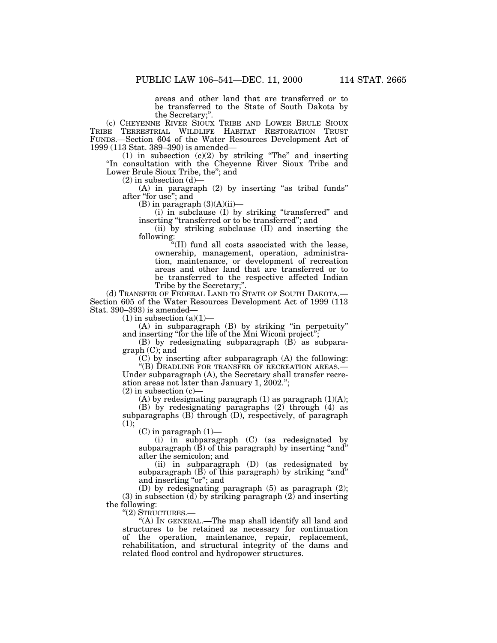areas and other land that are transferred or to be transferred to the State of South Dakota by

the Secretary;".<br>(c) CHEYENNE RIVER SIOUX TRIBE AND LOWER BRULE SIOUX TRIBE TERRESTRIAL WILDLIFE HABITAT RESTORATION TRUST FUNDS.—Section 604 of the Water Resources Development Act of

(1) in subsection  $(c)(2)$  by striking "The" and inserting "In consultation with the Cheyenne River Sioux Tribe and Lower Brule Sioux Tribe, the"; and<br>(2) in subsection (d)—

(A) in paragraph (2) by inserting "as tribal funds" after "for use"; and (B) in paragraph  $(3)(A)(ii)$ —

 $(i)$  in subclause  $(I)$  by striking "transferred" and inserting ''transferred or to be transferred''; and

(ii) by striking subclause (II) and inserting the

 $f''(II)$  fund all costs associated with the lease, ownership, management, operation, administration, maintenance, or development of recreation areas and other land that are transferred or to be transferred to the respective affected Indian Tribe by the Secretary;".

(d) TRANSFER OF FEDERAL LAND TO STATE OF SOUTH DAKOTA. Section 605 of the Water Resources Development Act of 1999 (113 Stat. 390–393) is amended—

 $(1)$  in subsection  $(a)(1)$ —

(A) in subparagraph (B) by striking ''in perpetuity'' and inserting ''for the life of the Mni Wiconi project'';

(B) by redesignating subparagraph (B) as subparagraph (C); and

(C) by inserting after subparagraph (A) the following: "(B) DEADLINE FOR TRANSFER OF RECREATION AREAS.-

Under subparagraph (A), the Secretary shall transfer recreation areas not later than January 1, 2002.'';

 $(2)$  in subsection  $(c)$ —

(A) by redesignating paragraph  $(1)$  as paragraph  $(1)(A)$ ;

(B) by redesignating paragraphs (2) through (4) as subparagraphs (B) through (D), respectively, of paragraph  $(1);$ 

 $(C)$  in paragraph  $(1)$ —

(i) in subparagraph (C) (as redesignated by subparagraph  $(\bar{B})$  of this paragraph) by inserting "and" after the semicolon; and

(ii) in subparagraph (D) (as redesignated by subparagraph  $(B)$  of this paragraph) by striking "and" and inserting "or"; and

(D) by redesignating paragraph (5) as paragraph (2); (3) in subsection (d) by striking paragraph  $(2)$  and inserting the following:

''(2) STRUCTURES.—

''(A) IN GENERAL.—The map shall identify all land and structures to be retained as necessary for continuation of the operation, maintenance, repair, replacement, rehabilitation, and structural integrity of the dams and related flood control and hydropower structures.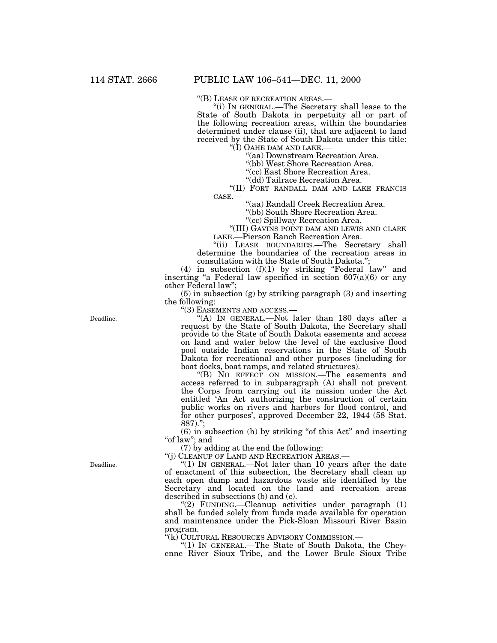''(B) LEASE OF RECREATION AREAS.— ''(i) IN GENERAL.—The Secretary shall lease to the State of South Dakota in perpetuity all or part of the following recreation areas, within the boundaries determined under clause (ii), that are adjacent to land received by the State of South Dakota under this title:<br>"(I) OAHE DAM AND LAKE.—

"(aa) Downstream Recreation Area.

''(bb) West Shore Recreation Area.

''(cc) East Shore Recreation Area.

"(II) FORT RANDALL DAM AND LAKE FRANCIS

CASE.— ''(aa) Randall Creek Recreation Area.

"(bb) South Shore Recreation Area.<br>"(cc) Spillway Recreation Area.

"(III) GAVINS POINT DAM AND LEWIS AND CLARK LAKE.—Pierson Ranch Recreation Area.

''(ii) LEASE BOUNDARIES.—The Secretary shall determine the boundaries of the recreation areas in consultation with the State of South Dakota.'';

(4) in subsection (f)(1) by striking ''Federal law'' and inserting "a Federal law specified in section 607(a)(6) or any other Federal law'';

(5) in subsection (g) by striking paragraph (3) and inserting the following:

''(3) EASEMENTS AND ACCESS.—

''(A) IN GENERAL.—Not later than 180 days after a request by the State of South Dakota, the Secretary shall provide to the State of South Dakota easements and access on land and water below the level of the exclusive flood pool outside Indian reservations in the State of South Dakota for recreational and other purposes (including for boat docks, boat ramps, and related structures).

''(B) NO EFFECT ON MISSION.—The easements and access referred to in subparagraph (A) shall not prevent the Corps from carrying out its mission under the Act entitled 'An Act authorizing the construction of certain public works on rivers and harbors for flood control, and for other purposes', approved December 22, 1944 (58 Stat.  $887$ .

(6) in subsection (h) by striking ''of this Act'' and inserting ''of law''; and

(7) by adding at the end the following:

''(j) CLEANUP OF LAND AND RECREATION AREAS.—

"(1) In GENERAL.—Not later than 10 years after the date of enactment of this subsection, the Secretary shall clean up each open dump and hazardous waste site identified by the Secretary and located on the land and recreation areas described in subsections (b) and (c).

''(2) FUNDING.—Cleanup activities under paragraph (1) shall be funded solely from funds made available for operation and maintenance under the Pick-Sloan Missouri River Basin program.<br>"(k) CULTURAL RESOURCES ADVISORY COMMISSION.—

"(1) IN GENERAL.—The State of South Dakota, the Cheyenne River Sioux Tribe, and the Lower Brule Sioux Tribe

Deadline.

Deadline.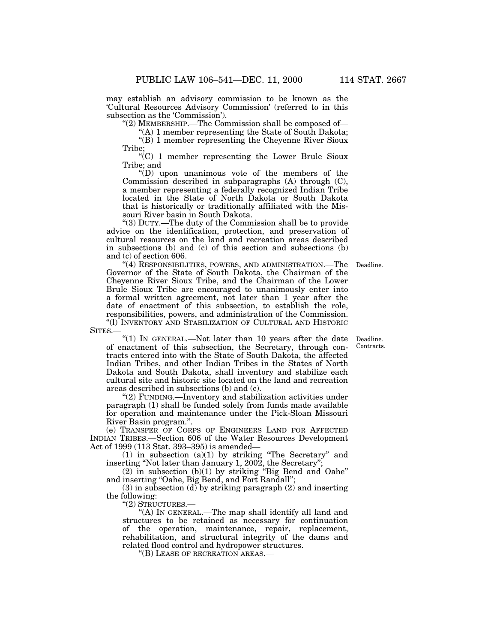may establish an advisory commission to be known as the 'Cultural Resources Advisory Commission' (referred to in this subsection as the 'Commission').

"(2) MEMBERSHIP.—The Commission shall be composed of—

''(A) 1 member representing the State of South Dakota; ''(B) 1 member representing the Cheyenne River Sioux Tribe;

 $C$ (C) 1 member representing the Lower Brule Sioux Tribe; and

''(D) upon unanimous vote of the members of the Commission described in subparagraphs (A) through (C), a member representing a federally recognized Indian Tribe located in the State of North Dakota or South Dakota that is historically or traditionally affiliated with the Missouri River basin in South Dakota.

''(3) DUTY.—The duty of the Commission shall be to provide advice on the identification, protection, and preservation of cultural resources on the land and recreation areas described in subsections (b) and (c) of this section and subsections (b) and (c) of section 606.

Deadline.

''(4) RESPONSIBILITIES, POWERS, AND ADMINISTRATION.—The Governor of the State of South Dakota, the Chairman of the Cheyenne River Sioux Tribe, and the Chairman of the Lower Brule Sioux Tribe are encouraged to unanimously enter into a formal written agreement, not later than 1 year after the date of enactment of this subsection, to establish the role, responsibilities, powers, and administration of the Commission. ''(l) INVENTORY AND STABILIZATION OF CULTURAL AND HISTORIC SITES.—

"(1) IN GENERAL.—Not later than 10 years after the date of enactment of this subsection, the Secretary, through contracts entered into with the State of South Dakota, the affected Indian Tribes, and other Indian Tribes in the States of North Dakota and South Dakota, shall inventory and stabilize each cultural site and historic site located on the land and recreation

''(2) FUNDING.—Inventory and stabilization activities under paragraph (1) shall be funded solely from funds made available for operation and maintenance under the Pick-Sloan Missouri Deadline. Contracts.

River Basin program.''. (e) TRANSFER OF CORPS OF ENGINEERS LAND FOR AFFECTED INDIAN TRIBES.—Section 606 of the Water Resources Development Act of 1999 (113 Stat. 393–395) is amended—

(1) in subsection (a)(1) by striking ''The Secretary'' and inserting ''Not later than January 1, 2002, the Secretary'';

 $(2)$  in subsection  $(b)(1)$  by striking "Big Bend and Oahe" and inserting ''Oahe, Big Bend, and Fort Randall'';

(3) in subsection (d) by striking paragraph (2) and inserting the following:

''(2) STRUCTURES.—

areas described in subsections (b) and (c).

''(A) IN GENERAL.—The map shall identify all land and structures to be retained as necessary for continuation of the operation, maintenance, repair, replacement, rehabilitation, and structural integrity of the dams and related flood control and hydropower structures.

''(B) LEASE OF RECREATION AREAS.—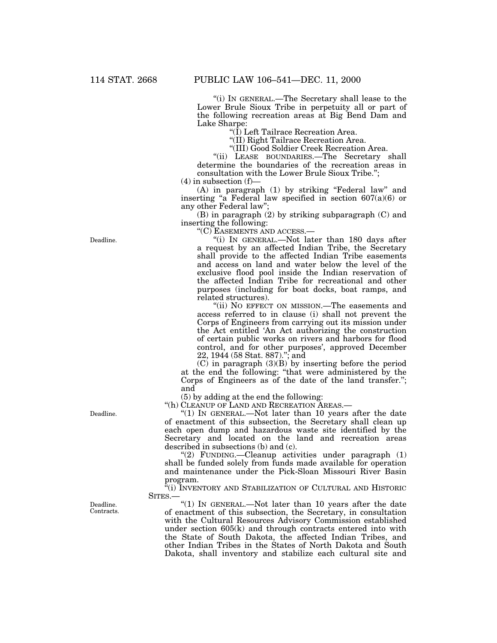''(i) IN GENERAL.—The Secretary shall lease to the Lower Brule Sioux Tribe in perpetuity all or part of the following recreation areas at Big Bend Dam and Lake Sharpe:

''(I) Left Tailrace Recreation Area.

''(II) Right Tailrace Recreation Area.

"(III) Good Soldier Creek Recreation Area.

''(ii) LEASE BOUNDARIES.—The Secretary shall determine the boundaries of the recreation areas in consultation with the Lower Brule Sioux Tribe.'';

 $(4)$  in subsection  $(f)$ –

(A) in paragraph (1) by striking ''Federal law'' and inserting "a Federal law specified in section  $607(a)(6)$  or any other Federal law'';

(B) in paragraph  $(2)$  by striking subparagraph  $(C)$  and inserting the following:

''(C) EASEMENTS AND ACCESS.—

''(i) IN GENERAL.—Not later than 180 days after a request by an affected Indian Tribe, the Secretary shall provide to the affected Indian Tribe easements and access on land and water below the level of the exclusive flood pool inside the Indian reservation of the affected Indian Tribe for recreational and other purposes (including for boat docks, boat ramps, and related structures).

''(ii) NO EFFECT ON MISSION.—The easements and access referred to in clause (i) shall not prevent the Corps of Engineers from carrying out its mission under the Act entitled 'An Act authorizing the construction of certain public works on rivers and harbors for flood control, and for other purposes', approved December 22, 1944 (58 Stat. 887).''; and

(C) in paragraph (3)(B) by inserting before the period at the end the following: ''that were administered by the Corps of Engineers as of the date of the land transfer.''; and

(5) by adding at the end the following:

''(h) CLEANUP OF LAND AND RECREATION AREAS.—

''(1) IN GENERAL.—Not later than 10 years after the date of enactment of this subsection, the Secretary shall clean up each open dump and hazardous waste site identified by the Secretary and located on the land and recreation areas described in subsections (b) and (c).

''(2) FUNDING.—Cleanup activities under paragraph (1) shall be funded solely from funds made available for operation and maintenance under the Pick-Sloan Missouri River Basin program.

 $\overleftarrow{a}(i)$  INVENTORY AND STABILIZATION OF CULTURAL AND HISTORIC SITES.—

"(1) IN GENERAL.—Not later than 10 years after the date of enactment of this subsection, the Secretary, in consultation with the Cultural Resources Advisory Commission established under section 605(k) and through contracts entered into with the State of South Dakota, the affected Indian Tribes, and other Indian Tribes in the States of North Dakota and South Dakota, shall inventory and stabilize each cultural site and

Deadline.

Deadline.

Deadline. Contracts.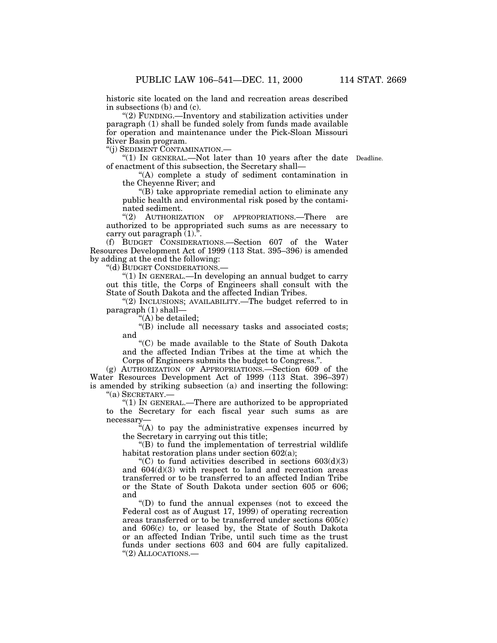historic site located on the land and recreation areas described in subsections (b) and (c).

''(2) FUNDING.—Inventory and stabilization activities under paragraph (1) shall be funded solely from funds made available for operation and maintenance under the Pick-Sloan Missouri River Basin program.

''(j) SEDIMENT CONTAMINATION.—

"(1) In GENERAL.—Not later than 10 years after the date Deadline. of enactment of this subsection, the Secretary shall—

''(A) complete a study of sediment contamination in the Cheyenne River; and

''(B) take appropriate remedial action to eliminate any public health and environmental risk posed by the contaminated sediment.

"(2) AUTHORIZATION OF APPROPRIATIONS.—There are authorized to be appropriated such sums as are necessary to carry out paragraph (1).''.

(f) BUDGET CONSIDERATIONS.—Section 607 of the Water Resources Development Act of 1999 (113 Stat. 395–396) is amended by adding at the end the following:

''(d) BUDGET CONSIDERATIONS.—

''(1) IN GENERAL.—In developing an annual budget to carry out this title, the Corps of Engineers shall consult with the State of South Dakota and the affected Indian Tribes.

"(2) INCLUSIONS; AVAILABILITY.—The budget referred to in paragraph (1) shall—

''(A) be detailed;

''(B) include all necessary tasks and associated costs; and

''(C) be made available to the State of South Dakota and the affected Indian Tribes at the time at which the Corps of Engineers submits the budget to Congress.''.

(g) AUTHORIZATION OF APPROPRIATIONS.—Section 609 of the Water Resources Development Act of 1999 (113 Stat. 396–397) is amended by striking subsection (a) and inserting the following: ''(a) SECRETARY.—

''(1) IN GENERAL.—There are authorized to be appropriated to the Secretary for each fiscal year such sums as are necessary—

''(A) to pay the administrative expenses incurred by the Secretary in carrying out this title;

''(B) to fund the implementation of terrestrial wildlife habitat restoration plans under section 602(a);

 $C$ ) to fund activities described in sections  $603(d)(3)$ and 604(d)(3) with respect to land and recreation areas transferred or to be transferred to an affected Indian Tribe or the State of South Dakota under section 605 or 606; and

''(D) to fund the annual expenses (not to exceed the Federal cost as of August 17, 1999) of operating recreation areas transferred or to be transferred under sections 605(c) and 606(c) to, or leased by, the State of South Dakota or an affected Indian Tribe, until such time as the trust funds under sections 603 and 604 are fully capitalized. ''(2) ALLOCATIONS.—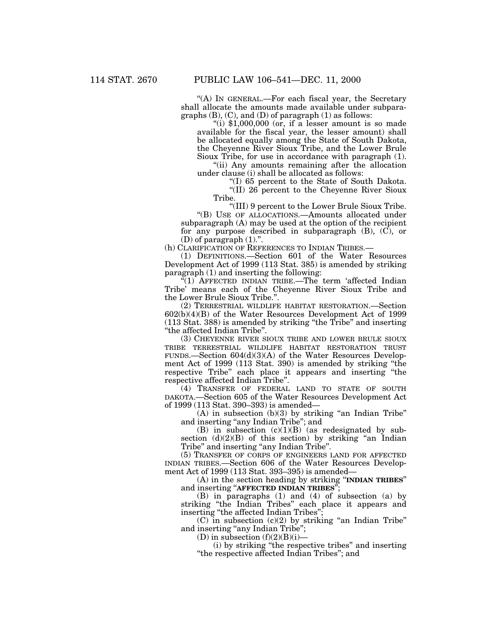''(A) IN GENERAL.—For each fiscal year, the Secretary shall allocate the amounts made available under subparagraphs (B), (C), and (D) of paragraph (1) as follows:

"(i)  $$1,000,000$  (or, if a lesser amount is so made available for the fiscal year, the lesser amount) shall be allocated equally among the State of South Dakota, the Cheyenne River Sioux Tribe, and the Lower Brule Sioux Tribe, for use in accordance with paragraph (1).

''(ii) Any amounts remaining after the allocation under clause (i) shall be allocated as follows:

''(I) 65 percent to the State of South Dakota.

''(II) 26 percent to the Cheyenne River Sioux Tribe.

''(III) 9 percent to the Lower Brule Sioux Tribe.

''(B) USE OF ALLOCATIONS.—Amounts allocated under subparagraph (A) may be used at the option of the recipient for any purpose described in subparagraph (B), (C), or (D) of paragraph  $(1)$ .".

(h) CLARIFICATION OF REFERENCES TO INDIAN TRIBES.—

(1) DEFINITIONS.—Section 601 of the Water Resources Development Act of 1999 (113 Stat. 385) is amended by striking paragraph (1) and inserting the following:

 $\sqrt[4]{(1)}$  AFFECTED INDIAN TRIBE.—The term 'affected Indian Tribe' means each of the Cheyenne River Sioux Tribe and the Lower Brule Sioux Tribe.''.

(2) TERRESTRIAL WILDLIFE HABITAT RESTORATION.—Section 602(b)(4)(B) of the Water Resources Development Act of 1999 (113 Stat. 388) is amended by striking ''the Tribe'' and inserting ''the affected Indian Tribe''.

(3) CHEYENNE RIVER SIOUX TRIBE AND LOWER BRULE SIOUX TRIBE TERRESTRIAL WILDLIFE HABITAT RESTORATION TRUST FUNDS.—Section 604(d)(3)(A) of the Water Resources Development Act of 1999 (113 Stat. 390) is amended by striking ''the respective Tribe'' each place it appears and inserting ''the respective affected Indian Tribe''.

(4) TRANSFER OF FEDERAL LAND TO STATE OF SOUTH DAKOTA.—Section 605 of the Water Resources Development Act of 1999 (113 Stat. 390–393) is amended—

 $(A)$  in subsection  $(b)(3)$  by striking "an Indian Tribe" and inserting "any Indian Tribe"; and

(B) in subsection  $(c)(1)(B)$  (as redesignated by subsection  $(d)(2)(B)$  of this section) by striking "an Indian Tribe" and inserting "any Indian Tribe".

(5) TRANSFER OF CORPS OF ENGINEERS LAND FOR AFFECTED INDIAN TRIBES.—Section 606 of the Water Resources Development Act of 1999 (113 Stat. 393–395) is amended—

(A) in the section heading by striking ''**INDIAN TRIBES**'' and inserting ''**AFFECTED INDIAN TRIBES**'';

(B) in paragraphs (1) and (4) of subsection (a) by striking ''the Indian Tribes'' each place it appears and inserting "the affected Indian Tribes"

 $(C)$  in subsection  $(c)(2)$  by striking "an Indian Tribe" and inserting "any Indian Tribe";

(D) in subsection  $(f)(2)(B)(i)$ —

(i) by striking ''the respective tribes'' and inserting ''the respective affected Indian Tribes''; and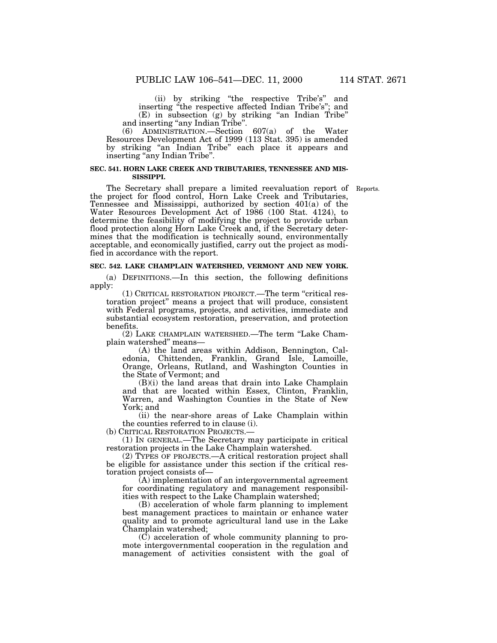(ii) by striking ''the respective Tribe's'' and inserting ''the respective affected Indian Tribe's''; and (E) in subsection (g) by striking ''an Indian Tribe'' and inserting ''any Indian Tribe''.

(6) ADMINISTRATION.—Section 607(a) of the Water Resources Development Act of 1999 (113 Stat. 395) is amended by striking ''an Indian Tribe'' each place it appears and inserting "any Indian Tribe".

# **SEC. 541. HORN LAKE CREEK AND TRIBUTARIES, TENNESSEE AND MIS-SISSIPPI.**

The Secretary shall prepare a limited reevaluation report of Reports. the project for flood control, Horn Lake Creek and Tributaries, Tennessee and Mississippi, authorized by section 401(a) of the Water Resources Development Act of 1986 (100 Stat. 4124), to determine the feasibility of modifying the project to provide urban flood protection along Horn Lake Creek and, if the Secretary determines that the modification is technically sound, environmentally acceptable, and economically justified, carry out the project as modified in accordance with the report.

# **SEC. 542. LAKE CHAMPLAIN WATERSHED, VERMONT AND NEW YORK.**

(a) DEFINITIONS.—In this section, the following definitions apply:

(1) CRITICAL RESTORATION PROJECT.—The term ''critical restoration project'' means a project that will produce, consistent with Federal programs, projects, and activities, immediate and substantial ecosystem restoration, preservation, and protection benefits.

(2) LAKE CHAMPLAIN WATERSHED.—The term ''Lake Champlain watershed'' means—

(A) the land areas within Addison, Bennington, Caledonia, Chittenden, Franklin, Grand Isle, Lamoille, Orange, Orleans, Rutland, and Washington Counties in the State of Vermont; and

(B)(i) the land areas that drain into Lake Champlain and that are located within Essex, Clinton, Franklin, Warren, and Washington Counties in the State of New York; and

(ii) the near-shore areas of Lake Champlain within the counties referred to in clause (i).

(b) CRITICAL RESTORATION PROJECTS.—

(1) IN GENERAL.—The Secretary may participate in critical restoration projects in the Lake Champlain watershed.

(2) TYPES OF PROJECTS.—A critical restoration project shall be eligible for assistance under this section if the critical restoration project consists of—

(A) implementation of an intergovernmental agreement for coordinating regulatory and management responsibilities with respect to the Lake Champlain watershed;

(B) acceleration of whole farm planning to implement best management practices to maintain or enhance water quality and to promote agricultural land use in the Lake Champlain watershed;

(C) acceleration of whole community planning to promote intergovernmental cooperation in the regulation and management of activities consistent with the goal of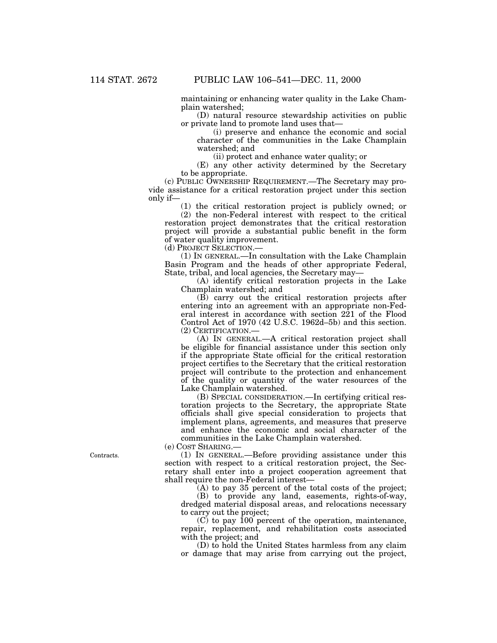maintaining or enhancing water quality in the Lake Champlain watershed;

(D) natural resource stewardship activities on public or private land to promote land uses that—

(i) preserve and enhance the economic and social character of the communities in the Lake Champlain watershed; and

(ii) protect and enhance water quality; or

(E) any other activity determined by the Secretary to be appropriate.

(c) PUBLIC OWNERSHIP REQUIREMENT.—The Secretary may provide assistance for a critical restoration project under this section only if—

(1) the critical restoration project is publicly owned; or

(2) the non-Federal interest with respect to the critical restoration project demonstrates that the critical restoration project will provide a substantial public benefit in the form of water quality improvement.

(d) PROJECT SELECTION.—

(1) IN GENERAL.—In consultation with the Lake Champlain Basin Program and the heads of other appropriate Federal, State, tribal, and local agencies, the Secretary may—

(A) identify critical restoration projects in the Lake Champlain watershed; and

(B) carry out the critical restoration projects after entering into an agreement with an appropriate non-Federal interest in accordance with section 221 of the Flood Control Act of 1970 (42 U.S.C. 1962d–5b) and this section. (2) CERTIFICATION.—

(A) IN GENERAL.—A critical restoration project shall be eligible for financial assistance under this section only if the appropriate State official for the critical restoration project certifies to the Secretary that the critical restoration project will contribute to the protection and enhancement of the quality or quantity of the water resources of the Lake Champlain watershed.

(B) SPECIAL CONSIDERATION.—In certifying critical restoration projects to the Secretary, the appropriate State officials shall give special consideration to projects that implement plans, agreements, and measures that preserve and enhance the economic and social character of the communities in the Lake Champlain watershed.

(e) COST SHARING.—

(1) IN GENERAL.—Before providing assistance under this section with respect to a critical restoration project, the Secretary shall enter into a project cooperation agreement that shall require the non-Federal interest—

(A) to pay 35 percent of the total costs of the project;

(B) to provide any land, easements, rights-of-way, dredged material disposal areas, and relocations necessary to carry out the project;

 $(C)$  to pay 100 percent of the operation, maintenance, repair, replacement, and rehabilitation costs associated with the project; and

(D) to hold the United States harmless from any claim or damage that may arise from carrying out the project,

Contracts.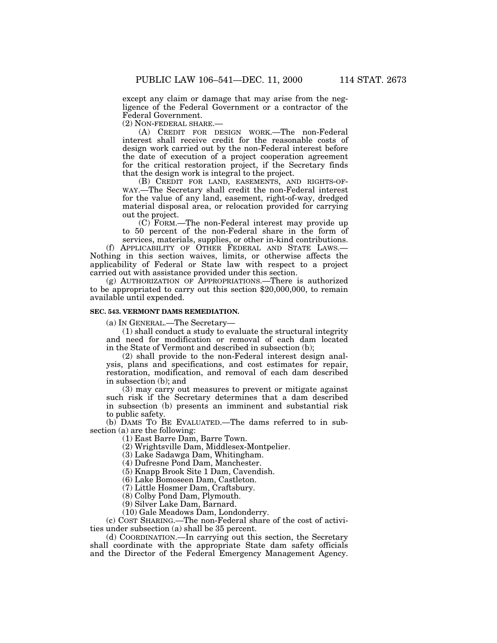except any claim or damage that may arise from the negligence of the Federal Government or a contractor of the Federal Government.

(2) NON-FEDERAL SHARE.—

(A) CREDIT FOR DESIGN WORK.—The non-Federal interest shall receive credit for the reasonable costs of design work carried out by the non-Federal interest before the date of execution of a project cooperation agreement for the critical restoration project, if the Secretary finds that the design work is integral to the project.

(B) CREDIT FOR LAND, EASEMENTS, AND RIGHTS-OF-WAY.—The Secretary shall credit the non-Federal interest for the value of any land, easement, right-of-way, dredged material disposal area, or relocation provided for carrying out the project.

(C) FORM.—The non-Federal interest may provide up to 50 percent of the non-Federal share in the form of services, materials, supplies, or other in-kind contributions.

(f) APPLICABILITY OF OTHER FEDERAL AND STATE LAWS.— Nothing in this section waives, limits, or otherwise affects the applicability of Federal or State law with respect to a project carried out with assistance provided under this section.

(g) AUTHORIZATION OF APPROPRIATIONS.—There is authorized to be appropriated to carry out this section \$20,000,000, to remain available until expended.

### **SEC. 543. VERMONT DAMS REMEDIATION.**

(a) IN GENERAL.—The Secretary—

(1) shall conduct a study to evaluate the structural integrity and need for modification or removal of each dam located in the State of Vermont and described in subsection (b);

(2) shall provide to the non-Federal interest design analysis, plans and specifications, and cost estimates for repair, restoration, modification, and removal of each dam described in subsection (b); and

(3) may carry out measures to prevent or mitigate against such risk if the Secretary determines that a dam described in subsection (b) presents an imminent and substantial risk to public safety.

(b) DAMS TO BE EVALUATED.—The dams referred to in subsection (a) are the following:

(1) East Barre Dam, Barre Town.

(2) Wrightsville Dam, Middlesex-Montpelier.

(3) Lake Sadawga Dam, Whitingham.

(4) Dufresne Pond Dam, Manchester.

(5) Knapp Brook Site 1 Dam, Cavendish.

(6) Lake Bomoseen Dam, Castleton.

(7) Little Hosmer Dam, Craftsbury.

(8) Colby Pond Dam, Plymouth.

(9) Silver Lake Dam, Barnard.

(10) Gale Meadows Dam, Londonderry.

(c) COST SHARING.—The non-Federal share of the cost of activities under subsection (a) shall be 35 percent.

(d) COORDINATION.—In carrying out this section, the Secretary shall coordinate with the appropriate State dam safety officials and the Director of the Federal Emergency Management Agency.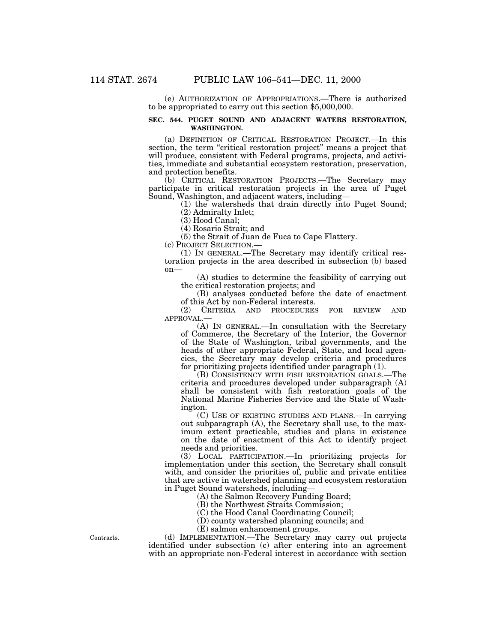(e) AUTHORIZATION OF APPROPRIATIONS.—There is authorized to be appropriated to carry out this section \$5,000,000.

# **SEC. 544. PUGET SOUND AND ADJACENT WATERS RESTORATION, WASHINGTON.**

(a) DEFINITION OF CRITICAL RESTORATION PROJECT.—In this section, the term "critical restoration project" means a project that will produce, consistent with Federal programs, projects, and activities, immediate and substantial ecosystem restoration, preservation, and protection benefits.

(b) CRITICAL RESTORATION PROJECTS.—The Secretary may participate in critical restoration projects in the area of Puget

 $(1)$  the watersheds that drain directly into Puget Sound; (2) Admiralty Inlet;

(3) Hood Canal;

(4) Rosario Strait; and

(5) the Strait of Juan de Fuca to Cape Flattery.

(c) PROJECT SELECTION.—

(1) IN GENERAL.—The Secretary may identify critical restoration projects in the area described in subsection (b) based on—

(A) studies to determine the feasibility of carrying out the critical restoration projects; and

(B) analyses conducted before the date of enactment of this Act by non-Federal interests.<br>(2) CRITERIA AND PROCEDURES

(2) CRITERIA AND PROCEDURES FOR REVIEW AND APPROVAL.—

(A) IN GENERAL.—In consultation with the Secretary of Commerce, the Secretary of the Interior, the Governor of the State of Washington, tribal governments, and the heads of other appropriate Federal, State, and local agencies, the Secretary may develop criteria and procedures for prioritizing projects identified under paragraph (1).

(B) CONSISTENCY WITH FISH RESTORATION GOALS.—The criteria and procedures developed under subparagraph (A) shall be consistent with fish restoration goals of the National Marine Fisheries Service and the State of Washington.

(C) USE OF EXISTING STUDIES AND PLANS.—In carrying out subparagraph (A), the Secretary shall use, to the maximum extent practicable, studies and plans in existence on the date of enactment of this Act to identify project needs and priorities.

(3) LOCAL PARTICIPATION.—In prioritizing projects for implementation under this section, the Secretary shall consult with, and consider the priorities of, public and private entities that are active in watershed planning and ecosystem restoration in Puget Sound watersheds, including—

(A) the Salmon Recovery Funding Board;

(B) the Northwest Straits Commission;

(C) the Hood Canal Coordinating Council;

(D) county watershed planning councils; and

(E) salmon enhancement groups.

(d) IMPLEMENTATION.—The Secretary may carry out projects identified under subsection (c) after entering into an agreement with an appropriate non-Federal interest in accordance with section

Contracts.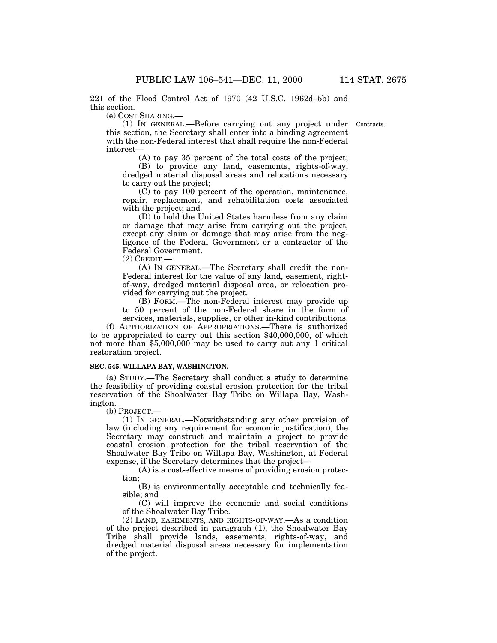221 of the Flood Control Act of 1970 (42 U.S.C. 1962d–5b) and this section.

(e) COST SHARING.—

Contracts.

(1) IN GENERAL.—Before carrying out any project under this section, the Secretary shall enter into a binding agreement with the non-Federal interest that shall require the non-Federal interest—

(A) to pay 35 percent of the total costs of the project; (B) to provide any land, easements, rights-of-way, dredged material disposal areas and relocations necessary

to carry out the project;  $(C)$  to pay 100 percent of the operation, maintenance, repair, replacement, and rehabilitation costs associated

with the project; and

(D) to hold the United States harmless from any claim or damage that may arise from carrying out the project, except any claim or damage that may arise from the negligence of the Federal Government or a contractor of the Federal Government.

(2) CREDIT.—

(A) IN GENERAL.—The Secretary shall credit the non-Federal interest for the value of any land, easement, rightof-way, dredged material disposal area, or relocation provided for carrying out the project.

(B) FORM.—The non-Federal interest may provide up to 50 percent of the non-Federal share in the form of services, materials, supplies, or other in-kind contributions.

(f) AUTHORIZATION OF APPROPRIATIONS.—There is authorized to be appropriated to carry out this section \$40,000,000, of which not more than \$5,000,000 may be used to carry out any 1 critical restoration project.

# **SEC. 545. WILLAPA BAY, WASHINGTON.**

(a) STUDY.—The Secretary shall conduct a study to determine the feasibility of providing coastal erosion protection for the tribal reservation of the Shoalwater Bay Tribe on Willapa Bay, Washington.

(b) PROJECT.—

(1) IN GENERAL.—Notwithstanding any other provision of law (including any requirement for economic justification), the Secretary may construct and maintain a project to provide coastal erosion protection for the tribal reservation of the Shoalwater Bay Tribe on Willapa Bay, Washington, at Federal expense, if the Secretary determines that the project—

(A) is a cost-effective means of providing erosion protection;

(B) is environmentally acceptable and technically feasible; and

(C) will improve the economic and social conditions of the Shoalwater Bay Tribe.

(2) LAND, EASEMENTS, AND RIGHTS-OF-WAY.—As a condition of the project described in paragraph (1), the Shoalwater Bay Tribe shall provide lands, easements, rights-of-way, and dredged material disposal areas necessary for implementation of the project.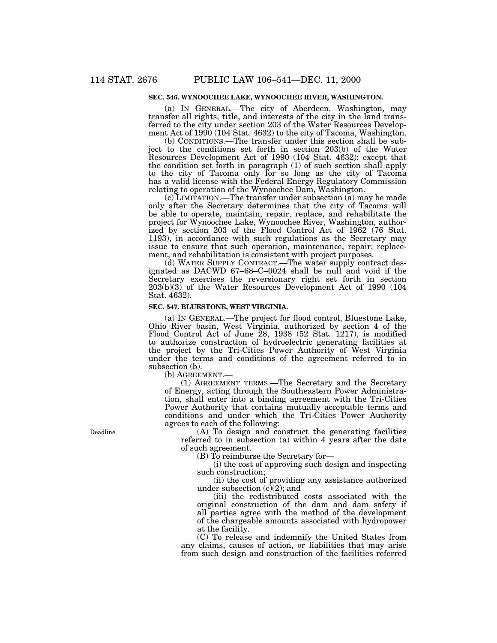# **SEC. 546. WYNOOCHEE LAKE, WYNOOCHEE RIVER, WASHINGTON.**

(a) IN GENERAL.—The city of Aberdeen, Washington, may transfer all rights, title, and interests of the city in the land transferred to the city under section 203 of the Water Resources Development Act of 1990 (104 Stat. 4632) to the city of Tacoma, Washington.

(b) CONDITIONS.—The transfer under this section shall be subject to the conditions set forth in section 203(b) of the Water Resources Development Act of 1990 (104 Stat. 4632); except that the condition set forth in paragraph (1) of such section shall apply to the city of Tacoma only for so long as the city of Tacoma has a valid license with the Federal Energy Regulatory Commission relating to operation of the Wynoochee Dam, Washington.

(c) LIMITATION.—The transfer under subsection (a) may be made only after the Secretary determines that the city of Tacoma will be able to operate, maintain, repair, replace, and rehabilitate the project for Wynoochee Lake, Wynoochee River, Washington, authorized by section 203 of the Flood Control Act of 1962 (76 Stat. 1193), in accordance with such regulations as the Secretary may issue to ensure that such operation, maintenance, repair, replacement, and rehabilitation is consistent with project purposes.

(d) WATER SUPPLY CONTRACT.—The water supply contract designated as DACWD 67–68–C–0024 shall be null and void if the Secretary exercises the reversionary right set forth in section 203(b)(3) of the Water Resources Development Act of 1990 (104 Stat. 4632).

# **SEC. 547. BLUESTONE, WEST VIRGINIA.**

(a) IN GENERAL.—The project for flood control, Bluestone Lake, Ohio River basin, West Virginia, authorized by section 4 of the Flood Control Act of June 28, 1938 (52 Stat. 1217), is modified to authorize construction of hydroelectric generating facilities at the project by the Tri-Cities Power Authority of West Virginia under the terms and conditions of the agreement referred to in subsection (b).

(b) AGREEMENT.—

(1) AGREEMENT TERMS.—The Secretary and the Secretary of Energy, acting through the Southeastern Power Administration, shall enter into a binding agreement with the Tri-Cities Power Authority that contains mutually acceptable terms and conditions and under which the Tri-Cities Power Authority agrees to each of the following:

(A) To design and construct the generating facilities referred to in subsection (a) within 4 years after the date of such agreement.

(B) To reimburse the Secretary for—

(i) the cost of approving such design and inspecting such construction;

(ii) the cost of providing any assistance authorized under subsection  $(c)(2)$ ; and

(iii) the redistributed costs associated with the original construction of the dam and dam safety if all parties agree with the method of the development of the chargeable amounts associated with hydropower at the facility.

(C) To release and indemnify the United States from any claims, causes of action, or liabilities that may arise from such design and construction of the facilities referred

Deadline.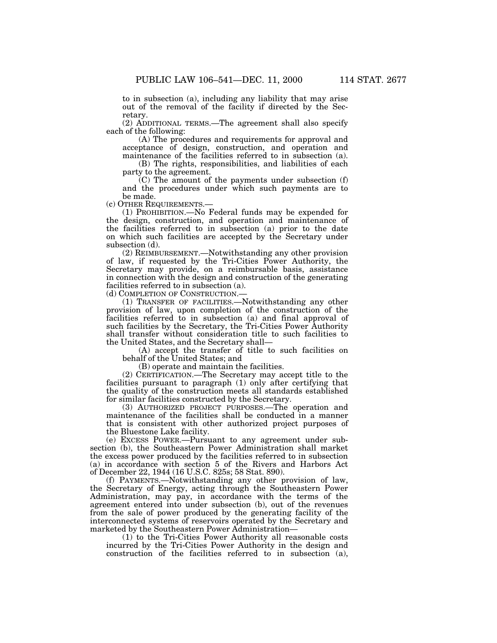to in subsection (a), including any liability that may arise out of the removal of the facility if directed by the Secretary.

(2) ADDITIONAL TERMS.—The agreement shall also specify each of the following:

(A) The procedures and requirements for approval and acceptance of design, construction, and operation and maintenance of the facilities referred to in subsection (a).

(B) The rights, responsibilities, and liabilities of each party to the agreement.

(C) The amount of the payments under subsection (f) and the procedures under which such payments are to

be made.<br>(c) OTHER REQUIREMENTS.-

(1) PROHIBITION.—No Federal funds may be expended for the design, construction, and operation and maintenance of the facilities referred to in subsection (a) prior to the date on which such facilities are accepted by the Secretary under subsection (d).

(2) REIMBURSEMENT.—Notwithstanding any other provision of law, if requested by the Tri-Cities Power Authority, the Secretary may provide, on a reimbursable basis, assistance in connection with the design and construction of the generating facilities referred to in subsection (a).

(d) COMPLETION OF CONSTRUCTION.—

(1) TRANSFER OF FACILITIES.—Notwithstanding any other provision of law, upon completion of the construction of the facilities referred to in subsection (a) and final approval of such facilities by the Secretary, the Tri-Cities Power Authority shall transfer without consideration title to such facilities to the United States, and the Secretary shall—

(A) accept the transfer of title to such facilities on behalf of the United States; and

(B) operate and maintain the facilities.

(2) CERTIFICATION.—The Secretary may accept title to the facilities pursuant to paragraph (1) only after certifying that the quality of the construction meets all standards established for similar facilities constructed by the Secretary.

(3) AUTHORIZED PROJECT PURPOSES.—The operation and maintenance of the facilities shall be conducted in a manner that is consistent with other authorized project purposes of the Bluestone Lake facility.

(e) EXCESS POWER.—Pursuant to any agreement under subsection (b), the Southeastern Power Administration shall market the excess power produced by the facilities referred to in subsection (a) in accordance with section 5 of the Rivers and Harbors Act of December 22, 1944 (16 U.S.C. 825s; 58 Stat. 890).

(f) PAYMENTS.—Notwithstanding any other provision of law, the Secretary of Energy, acting through the Southeastern Power Administration, may pay, in accordance with the terms of the agreement entered into under subsection (b), out of the revenues from the sale of power produced by the generating facility of the interconnected systems of reservoirs operated by the Secretary and marketed by the Southeastern Power Administration—

(1) to the Tri-Cities Power Authority all reasonable costs incurred by the Tri-Cities Power Authority in the design and construction of the facilities referred to in subsection (a),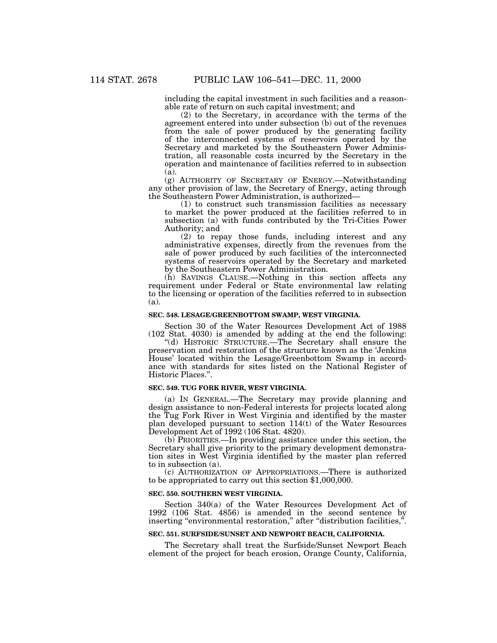including the capital investment in such facilities and a reasonable rate of return on such capital investment; and

(2) to the Secretary, in accordance with the terms of the agreement entered into under subsection (b) out of the revenues from the sale of power produced by the generating facility of the interconnected systems of reservoirs operated by the Secretary and marketed by the Southeastern Power Administration, all reasonable costs incurred by the Secretary in the operation and maintenance of facilities referred to in subsection (a).

(g) AUTHORITY OF SECRETARY OF ENERGY.—Notwithstanding any other provision of law, the Secretary of Energy, acting through the Southeastern Power Administration, is authorized—

 $(1)$  to construct such transmission facilities as necessary to market the power produced at the facilities referred to in subsection (a) with funds contributed by the Tri-Cities Power Authority; and

(2) to repay those funds, including interest and any administrative expenses, directly from the revenues from the sale of power produced by such facilities of the interconnected systems of reservoirs operated by the Secretary and marketed by the Southeastern Power Administration.

(h) SAVINGS CLAUSE.—Nothing in this section affects any requirement under Federal or State environmental law relating to the licensing or operation of the facilities referred to in subsection (a).

#### **SEC. 548. LESAGE/GREENBOTTOM SWAMP, WEST VIRGINIA.**

Section 30 of the Water Resources Development Act of 1988 (102 Stat. 4030) is amended by adding at the end the following:

''(d) HISTORIC STRUCTURE.—The Secretary shall ensure the preservation and restoration of the structure known as the 'Jenkins House' located within the Lesage/Greenbottom Swamp in accordance with standards for sites listed on the National Register of Historic Places.''.

### **SEC. 549. TUG FORK RIVER, WEST VIRGINIA.**

(a) IN GENERAL.—The Secretary may provide planning and design assistance to non-Federal interests for projects located along the Tug Fork River in West Virginia and identified by the master plan developed pursuant to section 114(t) of the Water Resources Development Act of 1992 (106 Stat. 4820).

(b) PRIORITIES.—In providing assistance under this section, the Secretary shall give priority to the primary development demonstration sites in West Virginia identified by the master plan referred to in subsection (a).

(c) AUTHORIZATION OF APPROPRIATIONS.—There is authorized to be appropriated to carry out this section \$1,000,000.

#### **SEC. 550. SOUTHERN WEST VIRGINIA.**

Section 340(a) of the Water Resources Development Act of 1992 (106 Stat. 4856) is amended in the second sentence by inserting "environmental restoration," after "distribution facilities,".

# **SEC. 551. SURFSIDE/SUNSET AND NEWPORT BEACH, CALIFORNIA.**

The Secretary shall treat the Surfside/Sunset Newport Beach element of the project for beach erosion, Orange County, California,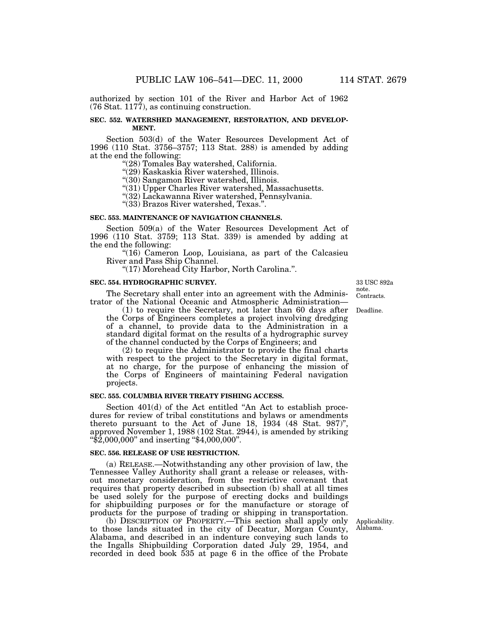authorized by section 101 of the River and Harbor Act of 1962 (76 Stat. 1177), as continuing construction.

# **SEC. 552. WATERSHED MANAGEMENT, RESTORATION, AND DEVELOP-MENT.**

Section 503(d) of the Water Resources Development Act of 1996 (110 Stat. 3756–3757; 113 Stat. 288) is amended by adding at the end the following:<br>"(28) Tomales Bay watershed, California.

''(29) Kaskaskia River watershed, Illinois.

''(30) Sangamon River watershed, Illinois.

"(31) Upper Charles River watershed, Massachusetts.

''(32) Lackawanna River watershed, Pennsylvania.

''(33) Brazos River watershed, Texas.''.

### **SEC. 553. MAINTENANCE OF NAVIGATION CHANNELS.**

Section 509(a) of the Water Resources Development Act of 1996 (110 Stat. 3759; 113 Stat. 339) is amended by adding at the end the following:

"(16) Cameron Loop, Louisiana, as part of the Calcasieu River and Pass Ship Channel.

''(17) Morehead City Harbor, North Carolina.''.

### **SEC. 554. HYDROGRAPHIC SURVEY.**

The Secretary shall enter into an agreement with the Administrator of the National Oceanic and Atmospheric Administration—

(1) to require the Secretary, not later than 60 days after the Corps of Engineers completes a project involving dredging of a channel, to provide data to the Administration in a standard digital format on the results of a hydrographic survey of the channel conducted by the Corps of Engineers; and

(2) to require the Administrator to provide the final charts with respect to the project to the Secretary in digital format, at no charge, for the purpose of enhancing the mission of the Corps of Engineers of maintaining Federal navigation projects.

## **SEC. 555. COLUMBIA RIVER TREATY FISHING ACCESS.**

Section 401(d) of the Act entitled "An Act to establish procedures for review of tribal constitutions and bylaws or amendments thereto pursuant to the Act of June 18, 1934 (48 Stat. 987)'', approved November 1, 1988 (102 Stat. 2944), is amended by striking ''\$2,000,000'' and inserting ''\$4,000,000''.

## **SEC. 556. RELEASE OF USE RESTRICTION.**

(a) RELEASE.—Notwithstanding any other provision of law, the Tennessee Valley Authority shall grant a release or releases, without monetary consideration, from the restrictive covenant that requires that property described in subsection (b) shall at all times be used solely for the purpose of erecting docks and buildings for shipbuilding purposes or for the manufacture or storage of products for the purpose of trading or shipping in transportation.

(b) DESCRIPTION OF PROPERTY.—This section shall apply only to those lands situated in the city of Decatur, Morgan County, Alabama, and described in an indenture conveying such lands to the Ingalls Shipbuilding Corporation dated July 29, 1954, and recorded in deed book 535 at page 6 in the office of the Probate

Applicability. Alabama.

Contracts. 33 USC 892a note.

Deadline.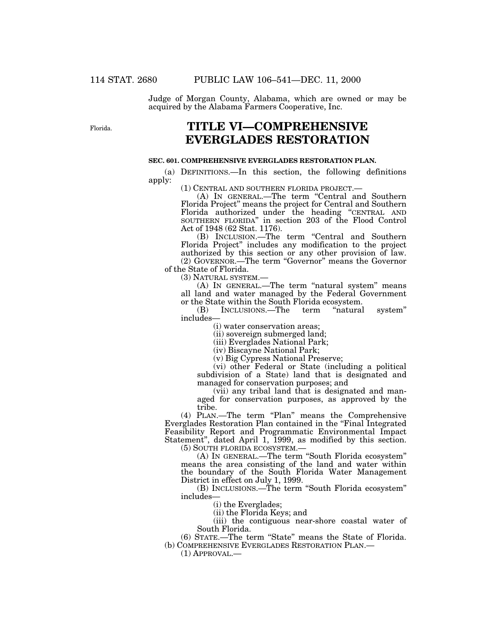Judge of Morgan County, Alabama, which are owned or may be acquired by the Alabama Farmers Cooperative, Inc.

Florida.

# **TITLE VI—COMPREHENSIVE EVERGLADES RESTORATION**

# **SEC. 601. COMPREHENSIVE EVERGLADES RESTORATION PLAN.**

(a) DEFINITIONS.—In this section, the following definitions apply:

(1) CENTRAL AND SOUTHERN FLORIDA PROJECT.— (A) IN GENERAL.—The term ''Central and Southern Florida Project'' means the project for Central and Southern Florida authorized under the heading ''CENTRAL AND SOUTHERN FLORIDA'' in section 203 of the Flood Control Act of 1948 (62 Stat. 1176).

(B) INCLUSION.—The term ''Central and Southern Florida Project'' includes any modification to the project authorized by this section or any other provision of law. (2) GOVERNOR.—The term ''Governor'' means the Governor

of the State of Florida.

(3) NATURAL SYSTEM.—

(A) IN GENERAL.—The term "natural system" means all land and water managed by the Federal Government or the State within the South Florida ecosystem.<br>
(B) INCLUSIONS.—The term "natural"

(B) INCLUSIONS.—The term "natural system" includes—

(i) water conservation areas;

(ii) sovereign submerged land;

(iii) Everglades National Park;

(iv) Biscayne National Park;

(v) Big Cypress National Preserve;

(vi) other Federal or State (including a political subdivision of a State) land that is designated and managed for conservation purposes; and

(vii) any tribal land that is designated and managed for conservation purposes, as approved by the tribe.

(4) PLAN.—The term ''Plan'' means the Comprehensive Everglades Restoration Plan contained in the ''Final Integrated Feasibility Report and Programmatic Environmental Impact Statement'', dated April 1, 1999, as modified by this section. (5) SOUTH FLORIDA ECOSYSTEM.—

(A) IN GENERAL.—The term ''South Florida ecosystem'' means the area consisting of the land and water within the boundary of the South Florida Water Management District in effect on July 1, 1999.

(B) INCLUSIONS.—The term ''South Florida ecosystem'' includes—

(i) the Everglades;

(ii) the Florida Keys; and

(iii) the contiguous near-shore coastal water of South Florida.

(6) STATE.—The term ''State'' means the State of Florida. (b) COMPREHENSIVE EVERGLADES RESTORATION PLAN.—

(1) APPROVAL.—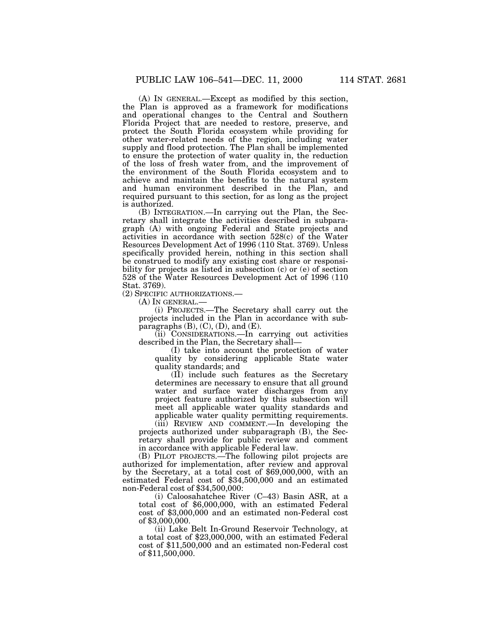(A) IN GENERAL.—Except as modified by this section, the Plan is approved as a framework for modifications and operational changes to the Central and Southern Florida Project that are needed to restore, preserve, and protect the South Florida ecosystem while providing for other water-related needs of the region, including water supply and flood protection. The Plan shall be implemented to ensure the protection of water quality in, the reduction of the loss of fresh water from, and the improvement of the environment of the South Florida ecosystem and to achieve and maintain the benefits to the natural system and human environment described in the Plan, and required pursuant to this section, for as long as the project is authorized.

(B) INTEGRATION.—In carrying out the Plan, the Secretary shall integrate the activities described in subparagraph (A) with ongoing Federal and State projects and activities in accordance with section 528(c) of the Water Resources Development Act of 1996 (110 Stat. 3769). Unless specifically provided herein, nothing in this section shall be construed to modify any existing cost share or responsibility for projects as listed in subsection (c) or (e) of section 528 of the Water Resources Development Act of 1996 (110 Stat. 3769).

(2) SPECIFIC AUTHORIZATIONS.—

(A) IN GENERAL.—

(i) PROJECTS.—The Secretary shall carry out the projects included in the Plan in accordance with subparagraphs  $(B)$ ,  $(C)$ ,  $(D)$ , and  $(E)$ .

(ii) CONSIDERATIONS.—In carrying out activities described in the Plan, the Secretary shall—

(I) take into account the protection of water quality by considering applicable State water quality standards; and

(II) include such features as the Secretary determines are necessary to ensure that all ground water and surface water discharges from any project feature authorized by this subsection will meet all applicable water quality standards and applicable water quality permitting requirements.

(iii) REVIEW AND COMMENT.—In developing the projects authorized under subparagraph (B), the Secretary shall provide for public review and comment in accordance with applicable Federal law.

(B) PILOT PROJECTS.—The following pilot projects are authorized for implementation, after review and approval by the Secretary, at a total cost of \$69,000,000, with an estimated Federal cost of \$34,500,000 and an estimated non-Federal cost of \$34,500,000:

(i) Caloosahatchee River (C–43) Basin ASR, at a total cost of \$6,000,000, with an estimated Federal cost of \$3,000,000 and an estimated non-Federal cost of \$3,000,000.

(ii) Lake Belt In-Ground Reservoir Technology, at a total cost of \$23,000,000, with an estimated Federal cost of \$11,500,000 and an estimated non-Federal cost of \$11,500,000.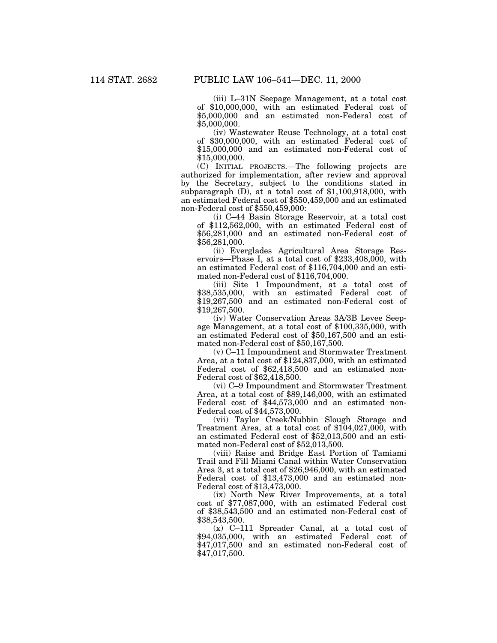(iii) L–31N Seepage Management, at a total cost of \$10,000,000, with an estimated Federal cost of \$5,000,000 and an estimated non-Federal cost of \$5,000,000.

(iv) Wastewater Reuse Technology, at a total cost of \$30,000,000, with an estimated Federal cost of \$15,000,000 and an estimated non-Federal cost of \$15,000,000.

(C) INITIAL PROJECTS.—The following projects are authorized for implementation, after review and approval by the Secretary, subject to the conditions stated in subparagraph  $(D)$ , at a total cost of \$1,100,918,000, with an estimated Federal cost of \$550,459,000 and an estimated non-Federal cost of \$550,459,000:

(i) C–44 Basin Storage Reservoir, at a total cost of \$112,562,000, with an estimated Federal cost of \$56,281,000 and an estimated non-Federal cost of \$56,281,000.

(ii) Everglades Agricultural Area Storage Reservoirs—Phase I, at a total cost of \$233,408,000, with an estimated Federal cost of \$116,704,000 and an estimated non-Federal cost of \$116,704,000.

(iii) Site 1 Impoundment, at a total cost of \$38,535,000, with an estimated Federal cost of \$19,267,500 and an estimated non-Federal cost of \$19,267,500.

(iv) Water Conservation Areas 3A/3B Levee Seepage Management, at a total cost of \$100,335,000, with an estimated Federal cost of \$50,167,500 and an estimated non-Federal cost of \$50,167,500.

(v) C–11 Impoundment and Stormwater Treatment Area, at a total cost of \$124,837,000, with an estimated Federal cost of \$62,418,500 and an estimated non-Federal cost of \$62,418,500.

(vi) C–9 Impoundment and Stormwater Treatment Area, at a total cost of \$89,146,000, with an estimated Federal cost of \$44,573,000 and an estimated non-Federal cost of \$44,573,000.

(vii) Taylor Creek/Nubbin Slough Storage and Treatment Area, at a total cost of \$104,027,000, with an estimated Federal cost of \$52,013,500 and an estimated non-Federal cost of \$52,013,500.

(viii) Raise and Bridge East Portion of Tamiami Trail and Fill Miami Canal within Water Conservation Area 3, at a total cost of \$26,946,000, with an estimated Federal cost of \$13,473,000 and an estimated non-Federal cost of \$13,473,000.

(ix) North New River Improvements, at a total cost of \$77,087,000, with an estimated Federal cost of \$38,543,500 and an estimated non-Federal cost of \$38,543,500.

(x) C–111 Spreader Canal, at a total cost of \$94,035,000, with an estimated Federal cost of \$47,017,500 and an estimated non-Federal cost of \$47,017,500.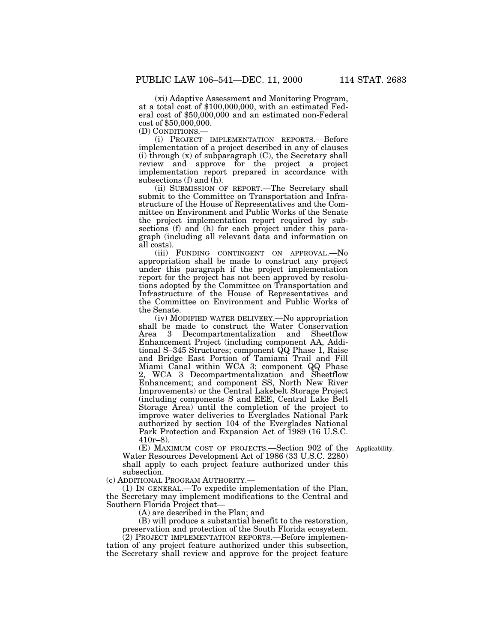(xi) Adaptive Assessment and Monitoring Program, at a total cost of \$100,000,000, with an estimated Federal cost of \$50,000,000 and an estimated non-Federal cost of \$50,000,000.<br>(D) CONDITIONS.—

(i) PROJECT IMPLEMENTATION REPORTS.-Before implementation of a project described in any of clauses  $(i)$  through  $(x)$  of subparagraph  $(C)$ , the Secretary shall review and approve for the project a project implementation report prepared in accordance with subsections (f) and  $(h)$ .

(ii) SUBMISSION OF REPORT.—The Secretary shall submit to the Committee on Transportation and Infrastructure of the House of Representatives and the Committee on Environment and Public Works of the Senate the project implementation report required by subsections (f) and (h) for each project under this paragraph (including all relevant data and information on all costs).

(iii) FUNDING CONTINGENT ON APPROVAL.—No appropriation shall be made to construct any project under this paragraph if the project implementation report for the project has not been approved by resolutions adopted by the Committee on Transportation and Infrastructure of the House of Representatives and the Committee on Environment and Public Works of the Senate.

(iv) MODIFIED WATER DELIVERY.—No appropriation shall be made to construct the Water Conservation Area 3 Decompartmentalization and Sheetflow Enhancement Project (including component AA, Additional S–345 Structures; component QQ Phase 1, Raise and Bridge East Portion of Tamiami Trail and Fill Miami Canal within WCA 3; component QQ Phase 2, WCA 3 Decompartmentalization and Sheetflow Enhancement; and component SS, North New River Improvements) or the Central Lakebelt Storage Project (including components S and EEE, Central Lake Belt Storage Area) until the completion of the project to improve water deliveries to Everglades National Park authorized by section 104 of the Everglades National Park Protection and Expansion Act of 1989 (16 U.S.C. 410r–8).

(E) MAXIMUM COST OF PROJECTS.—Section 902 of the Applicability. Water Resources Development Act of 1986 (33 U.S.C. 2280) shall apply to each project feature authorized under this subsection.

(c) ADDITIONAL PROGRAM AUTHORITY.—

(1) IN GENERAL.—To expedite implementation of the Plan, the Secretary may implement modifications to the Central and

 $(A)$  are described in the Plan; and

(B) will produce a substantial benefit to the restoration, preservation and protection of the South Florida ecosystem.

(2) PROJECT IMPLEMENTATION REPORTS.—Before implementation of any project feature authorized under this subsection, the Secretary shall review and approve for the project feature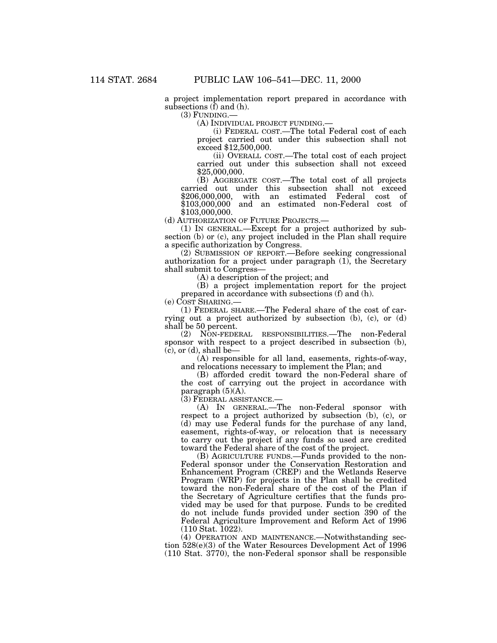a project implementation report prepared in accordance with subsections  $(f)$  and  $(h)$ .

(3) FUNDING.—

(A) INDIVIDUAL PROJECT FUNDING.— (i) FEDERAL COST.—The total Federal cost of each project carried out under this subsection shall not exceed \$12,500,000.

(ii) OVERALL COST.—The total cost of each project carried out under this subsection shall not exceed \$25,000,000.

(B) AGGREGATE COST.—The total cost of all projects carried out under this subsection shall not exceed \$206,000,000, with an estimated Federal cost of \$103,000,000 and an estimated non-Federal cost of \$103,000,000.<br>(d) AUTHORIZATION OF FUTURE PROJECTS.—

(1) IN GENERAL.—Except for a project authorized by subsection (b) or (c), any project included in the Plan shall require a specific authorization by Congress.

(2) SUBMISSION OF REPORT.—Before seeking congressional authorization for a project under paragraph  $(1)$ , the Secretary shall submit to Congress—

(A) a description of the project; and

(B) a project implementation report for the project prepared in accordance with subsections (f) and (h).

(e) COST SHARING.—

(1) FEDERAL SHARE.—The Federal share of the cost of carrying out a project authorized by subsection (b), (c), or (d) shall be 50 percent.

(2) NON-FEDERAL RESPONSIBILITIES.—The non-Federal sponsor with respect to a project described in subsection (b),  $(c)$ , or  $(d)$ , shall be-

(A) responsible for all land, easements, rights-of-way, and relocations necessary to implement the Plan; and

(B) afforded credit toward the non-Federal share of the cost of carrying out the project in accordance with paragraph  $(5)(A)$ .

(3) FEDERAL ASSISTANCE.—

(A) IN GENERAL.—The non-Federal sponsor with respect to a project authorized by subsection (b), (c), or (d) may use Federal funds for the purchase of any land, easement, rights-of-way, or relocation that is necessary to carry out the project if any funds so used are credited toward the Federal share of the cost of the project.

(B) AGRICULTURE FUNDS.—Funds provided to the non-Federal sponsor under the Conservation Restoration and Enhancement Program (CREP) and the Wetlands Reserve Program (WRP) for projects in the Plan shall be credited toward the non-Federal share of the cost of the Plan if the Secretary of Agriculture certifies that the funds provided may be used for that purpose. Funds to be credited do not include funds provided under section 390 of the Federal Agriculture Improvement and Reform Act of 1996 (110 Stat. 1022).

(4) OPERATION AND MAINTENANCE.—Notwithstanding section 528(e)(3) of the Water Resources Development Act of 1996 (110 Stat. 3770), the non-Federal sponsor shall be responsible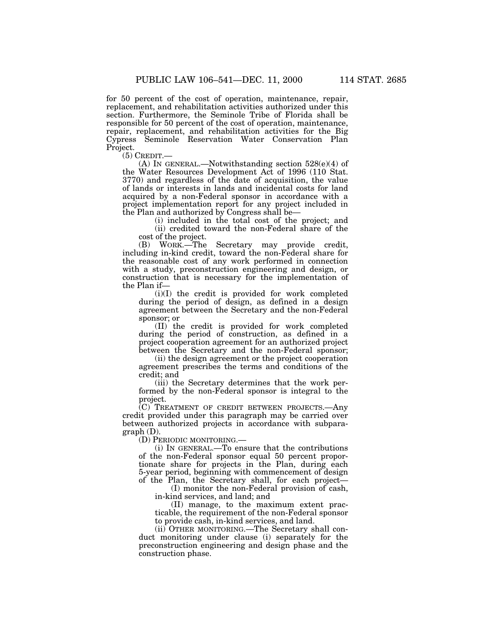for 50 percent of the cost of operation, maintenance, repair, replacement, and rehabilitation activities authorized under this section. Furthermore, the Seminole Tribe of Florida shall be responsible for 50 percent of the cost of operation, maintenance, repair, replacement, and rehabilitation activities for the Big Cypress Seminole Reservation Water Conservation Plan Project.<br>(5) CREDIT.—

(A) IN GENERAL.—Notwithstanding section  $528(e)(4)$  of the Water Resources Development Act of 1996 (110 Stat. 3770) and regardless of the date of acquisition, the value of lands or interests in lands and incidental costs for land acquired by a non-Federal sponsor in accordance with a project implementation report for any project included in the Plan and authorized by Congress shall be—

 $(i)$  included in the total cost of the project; and (ii) credited toward the non-Federal share of the cost of the project.

(B) WORK.—The Secretary may provide credit, including in-kind credit, toward the non-Federal share for the reasonable cost of any work performed in connection with a study, preconstruction engineering and design, or construction that is necessary for the implementation of the Plan if—

(i)(I) the credit is provided for work completed during the period of design, as defined in a design agreement between the Secretary and the non-Federal sponsor; or

(II) the credit is provided for work completed during the period of construction, as defined in a project cooperation agreement for an authorized project between the Secretary and the non-Federal sponsor;

(ii) the design agreement or the project cooperation agreement prescribes the terms and conditions of the credit; and

(iii) the Secretary determines that the work performed by the non-Federal sponsor is integral to the project.

(C) TREATMENT OF CREDIT BETWEEN PROJECTS.—Any credit provided under this paragraph may be carried over between authorized projects in accordance with subparagraph (D).

(D) PERIODIC MONITORING.—

(i) IN GENERAL.—To ensure that the contributions of the non-Federal sponsor equal 50 percent proportionate share for projects in the Plan, during each 5-year period, beginning with commencement of design of the Plan, the Secretary shall, for each project—

(I) monitor the non-Federal provision of cash, in-kind services, and land; and

(II) manage, to the maximum extent practicable, the requirement of the non-Federal sponsor to provide cash, in-kind services, and land.

(ii) OTHER MONITORING.—The Secretary shall conduct monitoring under clause (i) separately for the preconstruction engineering and design phase and the construction phase.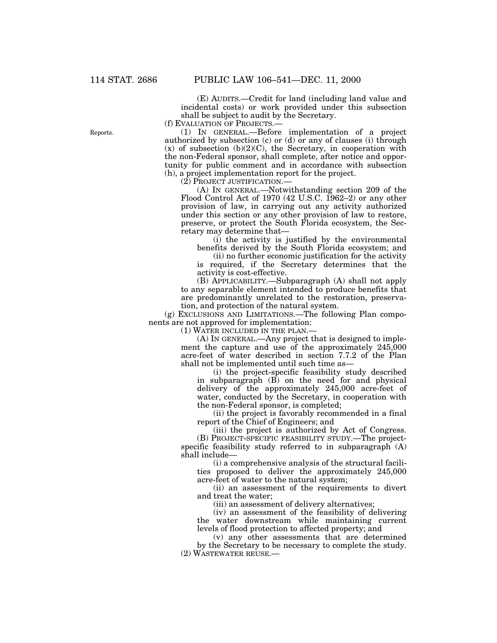(E) AUDITS.—Credit for land (including land value and incidental costs) or work provided under this subsection shall be subject to audit by the Secretary.

(f) EVALUATION OF PROJECTS.—

(1) IN GENERAL.—Before implementation of a project authorized by subsection (c) or (d) or any of clauses (i) through  $(x)$  of subsection  $(b)(2)(C)$ , the Secretary, in cooperation with the non-Federal sponsor, shall complete, after notice and opportunity for public comment and in accordance with subsection (h), a project implementation report for the project.

(2) PROJECT JUSTIFICATION.—

(A) IN GENERAL.—Notwithstanding section 209 of the Flood Control Act of 1970 (42 U.S.C. 1962–2) or any other provision of law, in carrying out any activity authorized under this section or any other provision of law to restore, preserve, or protect the South Florida ecosystem, the Secretary may determine that—

(i) the activity is justified by the environmental benefits derived by the South Florida ecosystem; and

(ii) no further economic justification for the activity is required, if the Secretary determines that the activity is cost-effective.

(B) APPLICABILITY.—Subparagraph (A) shall not apply to any separable element intended to produce benefits that are predominantly unrelated to the restoration, preservation, and protection of the natural system.

(g) EXCLUSIONS AND LIMITATIONS.—The following Plan components are not approved for implementation:

(1) WATER INCLUDED IN THE PLAN.—

(A) IN GENERAL.—Any project that is designed to implement the capture and use of the approximately 245,000 acre-feet of water described in section 7.7.2 of the Plan shall not be implemented until such time as—

(i) the project-specific feasibility study described in subparagraph (B) on the need for and physical delivery of the approximately 245,000 acre-feet of water, conducted by the Secretary, in cooperation with the non-Federal sponsor, is completed;

(ii) the project is favorably recommended in a final report of the Chief of Engineers; and

(iii) the project is authorized by Act of Congress.

(B) PROJECT-SPECIFIC FEASIBILITY STUDY.—The projectspecific feasibility study referred to in subparagraph (A) shall include—

(i) a comprehensive analysis of the structural facilities proposed to deliver the approximately 245,000 acre-feet of water to the natural system;

(ii) an assessment of the requirements to divert and treat the water;

(iii) an assessment of delivery alternatives;

(iv) an assessment of the feasibility of delivering the water downstream while maintaining current levels of flood protection to affected property; and

(v) any other assessments that are determined by the Secretary to be necessary to complete the study. (2) WASTEWATER REUSE.—

Reports.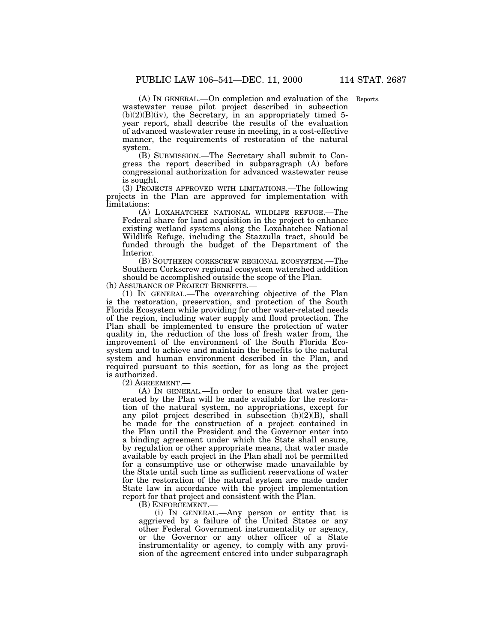(A) IN GENERAL.—On completion and evaluation of the Reports. wastewater reuse pilot project described in subsection  $(b)(2)(B)(iv)$ , the Secretary, in an appropriately timed 5year report, shall describe the results of the evaluation of advanced wastewater reuse in meeting, in a cost-effective manner, the requirements of restoration of the natural system.

(B) SUBMISSION.—The Secretary shall submit to Congress the report described in subparagraph (A) before congressional authorization for advanced wastewater reuse is sought.

(3) PROJECTS APPROVED WITH LIMITATIONS.—The following projects in the Plan are approved for implementation with limitations:

(A) LOXAHATCHEE NATIONAL WILDLIFE REFUGE.—The Federal share for land acquisition in the project to enhance existing wetland systems along the Loxahatchee National Wildlife Refuge, including the Stazzulla tract, should be funded through the budget of the Department of the Interior.

(B) SOUTHERN CORKSCREW REGIONAL ECOSYSTEM.—The Southern Corkscrew regional ecosystem watershed addition should be accomplished outside the scope of the Plan.

(h) ASSURANCE OF PROJECT BENEFITS.—

(1) IN GENERAL.—The overarching objective of the Plan is the restoration, preservation, and protection of the South Florida Ecosystem while providing for other water-related needs of the region, including water supply and flood protection. The Plan shall be implemented to ensure the protection of water quality in, the reduction of the loss of fresh water from, the improvement of the environment of the South Florida Ecosystem and to achieve and maintain the benefits to the natural system and human environment described in the Plan, and required pursuant to this section, for as long as the project is authorized.

(2) AGREEMENT.—

(A) IN GENERAL.—In order to ensure that water generated by the Plan will be made available for the restoration of the natural system, no appropriations, except for any pilot project described in subsection (b)(2)(B), shall be made for the construction of a project contained in the Plan until the President and the Governor enter into a binding agreement under which the State shall ensure, by regulation or other appropriate means, that water made available by each project in the Plan shall not be permitted for a consumptive use or otherwise made unavailable by the State until such time as sufficient reservations of water for the restoration of the natural system are made under State law in accordance with the project implementation report for that project and consistent with the Plan.

(B) ENFORCEMENT.—<br>(i) IN GENERAL.—Any person or entity that is aggrieved by a failure of the United States or any other Federal Government instrumentality or agency, or the Governor or any other officer of a State instrumentality or agency, to comply with any provision of the agreement entered into under subparagraph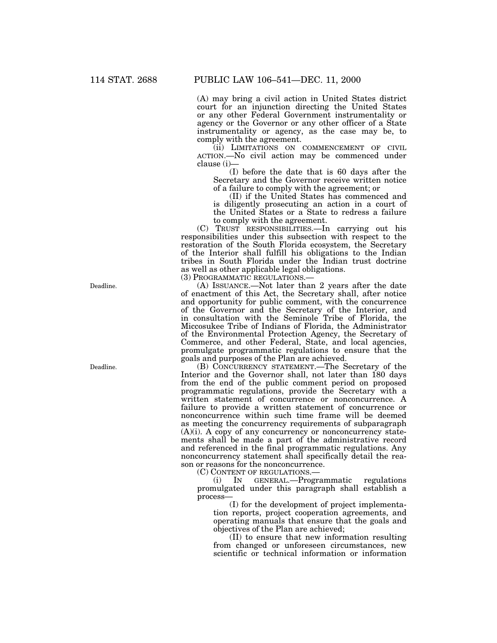(A) may bring a civil action in United States district court for an injunction directing the United States or any other Federal Government instrumentality or agency or the Governor or any other officer of a State instrumentality or agency, as the case may be, to comply with the agreement.

(ii) LIMITATIONS ON COMMENCEMENT OF CIVIL ACTION.—No civil action may be commenced under clause (i)—

(I) before the date that is 60 days after the Secretary and the Governor receive written notice of a failure to comply with the agreement; or

(II) if the United States has commenced and is diligently prosecuting an action in a court of the United States or a State to redress a failure to comply with the agreement.

(C) TRUST RESPONSIBILITIES.—In carrying out his responsibilities under this subsection with respect to the restoration of the South Florida ecosystem, the Secretary of the Interior shall fulfill his obligations to the Indian tribes in South Florida under the Indian trust doctrine as well as other applicable legal obligations.

(3) PROGRAMMATIC REGULATIONS.—

(A) ISSUANCE.—Not later than 2 years after the date of enactment of this Act, the Secretary shall, after notice and opportunity for public comment, with the concurrence of the Governor and the Secretary of the Interior, and in consultation with the Seminole Tribe of Florida, the Miccosukee Tribe of Indians of Florida, the Administrator of the Environmental Protection Agency, the Secretary of Commerce, and other Federal, State, and local agencies, promulgate programmatic regulations to ensure that the goals and purposes of the Plan are achieved.

(B) CONCURRENCY STATEMENT.—The Secretary of the Interior and the Governor shall, not later than 180 days from the end of the public comment period on proposed programmatic regulations, provide the Secretary with a written statement of concurrence or nonconcurrence. A failure to provide a written statement of concurrence or nonconcurrence within such time frame will be deemed as meeting the concurrency requirements of subparagraph (A)(i). A copy of any concurrency or nonconcurrency statements shall be made a part of the administrative record and referenced in the final programmatic regulations. Any nonconcurrency statement shall specifically detail the reason or reasons for the nonconcurrence.

(C) CONTENT OF REGULATIONS.—

(i) IN GENERAL.—Programmatic regulations promulgated under this paragraph shall establish a process—

(I) for the development of project implementation reports, project cooperation agreements, and operating manuals that ensure that the goals and objectives of the Plan are achieved;

(II) to ensure that new information resulting from changed or unforeseen circumstances, new scientific or technical information or information

Deadline.

Deadline.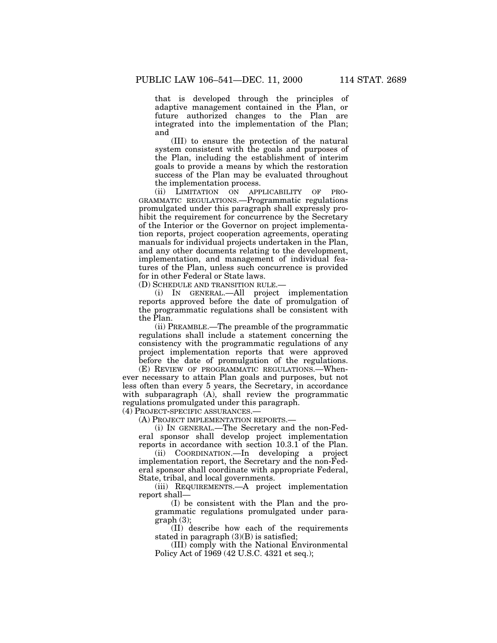that is developed through the principles of adaptive management contained in the Plan, or future authorized changes to the Plan are integrated into the implementation of the Plan; and

(III) to ensure the protection of the natural system consistent with the goals and purposes of the Plan, including the establishment of interim goals to provide a means by which the restoration success of the Plan may be evaluated throughout the implementation process.<br>(ii) LIMITATION ON APP

(ii) LIMITATION ON APPLICABILITY OF PRO-GRAMMATIC REGULATIONS.—Programmatic regulations promulgated under this paragraph shall expressly prohibit the requirement for concurrence by the Secretary of the Interior or the Governor on project implementation reports, project cooperation agreements, operating manuals for individual projects undertaken in the Plan, and any other documents relating to the development, implementation, and management of individual features of the Plan, unless such concurrence is provided for in other Federal or State laws.

(D) SCHEDULE AND TRANSITION RULE.—

(i) IN GENERAL.—All project implementation reports approved before the date of promulgation of the programmatic regulations shall be consistent with the Plan.

(ii) PREAMBLE.—The preamble of the programmatic regulations shall include a statement concerning the consistency with the programmatic regulations of any project implementation reports that were approved before the date of promulgation of the regulations.

(E) REVIEW OF PROGRAMMATIC REGULATIONS.—Whenever necessary to attain Plan goals and purposes, but not less often than every 5 years, the Secretary, in accordance with subparagraph (A), shall review the programmatic regulations promulgated under this paragraph.

(4) PROJECT-SPECIFIC ASSURANCES.—

(A) PROJECT IMPLEMENTATION REPORTS.—

(i) IN GENERAL.—The Secretary and the non-Federal sponsor shall develop project implementation reports in accordance with section 10.3.1 of the Plan.

(ii) COORDINATION.—In developing a project implementation report, the Secretary and the non-Federal sponsor shall coordinate with appropriate Federal, State, tribal, and local governments.

(iii) REQUIREMENTS.—A project implementation report shall—

(I) be consistent with the Plan and the programmatic regulations promulgated under paragraph (3);

(II) describe how each of the requirements stated in paragraph  $(3)(B)$  is satisfied;

(III) comply with the National Environmental Policy Act of 1969 (42 U.S.C. 4321 et seq.);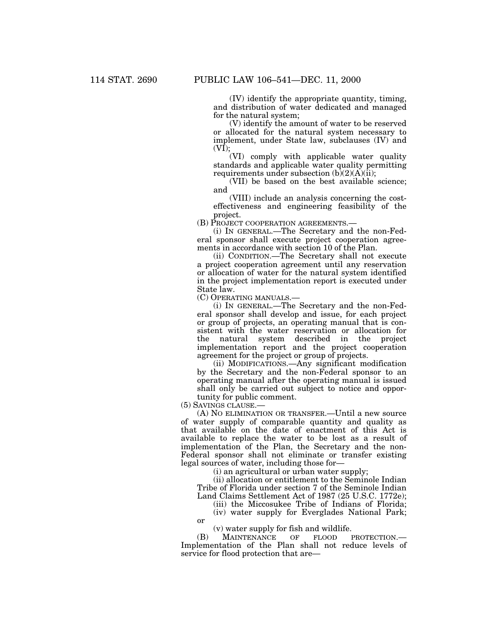(IV) identify the appropriate quantity, timing, and distribution of water dedicated and managed for the natural system;

(V) identify the amount of water to be reserved or allocated for the natural system necessary to implement, under State law, subclauses (IV) and  $(V\bar{I})$ ;

(VI) comply with applicable water quality standards and applicable water quality permitting requirements under subsection  $(b)(2)(A)(ii)$ ;

(VII) be based on the best available science; and

(VIII) include an analysis concerning the costeffectiveness and engineering feasibility of the project.

(B) PROJECT COOPERATION AGREEMENTS.—

(i) IN GENERAL.—The Secretary and the non-Federal sponsor shall execute project cooperation agreements in accordance with section 10 of the Plan.

(ii) CONDITION.—The Secretary shall not execute a project cooperation agreement until any reservation or allocation of water for the natural system identified in the project implementation report is executed under State law.

(C) OPERATING MANUALS.—

(i) IN GENERAL.—The Secretary and the non-Federal sponsor shall develop and issue, for each project or group of projects, an operating manual that is consistent with the water reservation or allocation for the natural system described in the project implementation report and the project cooperation agreement for the project or group of projects.

(ii) MODIFICATIONS.—Any significant modification by the Secretary and the non-Federal sponsor to an operating manual after the operating manual is issued shall only be carried out subject to notice and opportunity for public comment.

(5) SAVINGS CLAUSE.—

or

(A) NO ELIMINATION OR TRANSFER.—Until a new source of water supply of comparable quantity and quality as that available on the date of enactment of this Act is available to replace the water to be lost as a result of implementation of the Plan, the Secretary and the non-Federal sponsor shall not eliminate or transfer existing legal sources of water, including those for—

(i) an agricultural or urban water supply;

(ii) allocation or entitlement to the Seminole Indian Tribe of Florida under section 7 of the Seminole Indian Land Claims Settlement Act of 1987 (25 U.S.C. 1772e);

(iii) the Miccosukee Tribe of Indians of Florida;

(iv) water supply for Everglades National Park;

(v) water supply for fish and wildlife.

(B) MAINTENANCE OF FLOOD PROTECTION.— Implementation of the Plan shall not reduce levels of service for flood protection that are—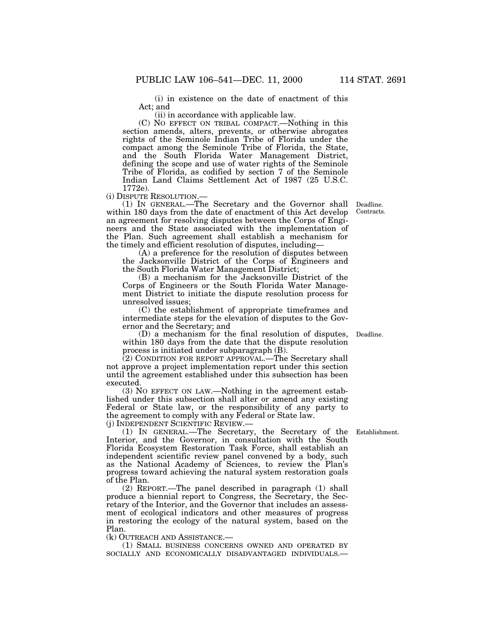(i) in existence on the date of enactment of this Act; and

(ii) in accordance with applicable law.

(C) NO EFFECT ON TRIBAL COMPACT.—Nothing in this section amends, alters, prevents, or otherwise abrogates rights of the Seminole Indian Tribe of Florida under the compact among the Seminole Tribe of Florida, the State, and the South Florida Water Management District, defining the scope and use of water rights of the Seminole Tribe of Florida, as codified by section 7 of the Seminole Indian Land Claims Settlement Act of 1987 (25 U.S.C.

1772e).<br>(i) DISPUTE RESOLUTION.-

(1) IN GENERAL.—The Secretary and the Governor shall within 180 days from the date of enactment of this Act develop an agreement for resolving disputes between the Corps of Engineers and the State associated with the implementation of the Plan. Such agreement shall establish a mechanism for the timely and efficient resolution of disputes, including— (A) a preference for the resolution of disputes between

the Jacksonville District of the Corps of Engineers and the South Florida Water Management District;

(B) a mechanism for the Jacksonville District of the Corps of Engineers or the South Florida Water Management District to initiate the dispute resolution process for unresolved issues;

(C) the establishment of appropriate timeframes and intermediate steps for the elevation of disputes to the Governor and the Secretary; and

(D) a mechanism for the final resolution of disputes, within 180 days from the date that the dispute resolution process is initiated under subparagraph (B).

(2) CONDITION FOR REPORT APPROVAL.—The Secretary shall not approve a project implementation report under this section until the agreement established under this subsection has been executed.

(3) NO EFFECT ON LAW.—Nothing in the agreement established under this subsection shall alter or amend any existing Federal or State law, or the responsibility of any party to the agreement to comply with any Federal or State law.

(j) INDEPENDENT SCIENTIFIC REVIEW.—

(1) IN GENERAL.—The Secretary, the Secretary of the Establishment. Interior, and the Governor, in consultation with the South Florida Ecosystem Restoration Task Force, shall establish an independent scientific review panel convened by a body, such as the National Academy of Sciences, to review the Plan's progress toward achieving the natural system restoration goals of the Plan.

(2) REPORT.—The panel described in paragraph (1) shall produce a biennial report to Congress, the Secretary, the Secretary of the Interior, and the Governor that includes an assessment of ecological indicators and other measures of progress in restoring the ecology of the natural system, based on the Plan.

(k) OUTREACH AND ASSISTANCE.— (1) SMALL BUSINESS CONCERNS OWNED AND OPERATED BY SOCIALLY AND ECONOMICALLY DISADVANTAGED INDIVIDUALS.—

Deadline. Contracts.

Deadline.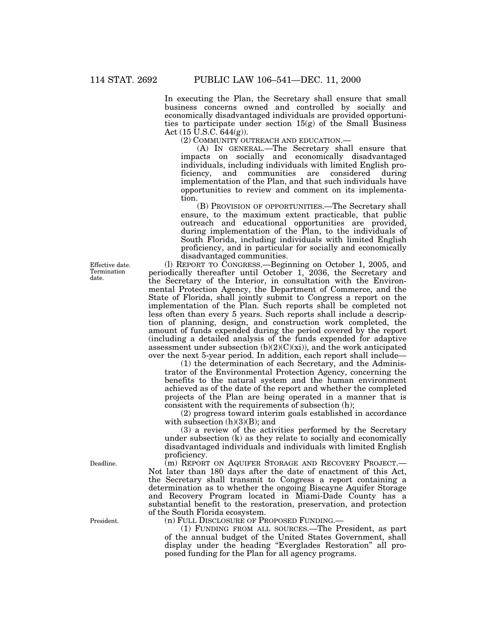In executing the Plan, the Secretary shall ensure that small business concerns owned and controlled by socially and economically disadvantaged individuals are provided opportunities to participate under section  $15(g)$  of the Small Business Act  $(15 \text{ U.S.C. } 644(g))$ .

(2) COMMUNITY OUTREACH AND EDUCATION.—

(A) IN GENERAL.—The Secretary shall ensure that impacts on socially and economically disadvantaged individuals, including individuals with limited English pro-<br>ficiency, and communities are considered during ficiency, and communities are considered during implementation of the Plan, and that such individuals have opportunities to review and comment on its implementation.

(B) PROVISION OF OPPORTUNITIES.—The Secretary shall ensure, to the maximum extent practicable, that public outreach and educational opportunities are provided, during implementation of the Plan, to the individuals of South Florida, including individuals with limited English proficiency, and in particular for socially and economically disadvantaged communities.

(l) REPORT TO CONGRESS.—Beginning on October 1, 2005, and periodically thereafter until October 1, 2036, the Secretary and the Secretary of the Interior, in consultation with the Environmental Protection Agency, the Department of Commerce, and the State of Florida, shall jointly submit to Congress a report on the implementation of the Plan. Such reports shall be completed not less often than every 5 years. Such reports shall include a description of planning, design, and construction work completed, the amount of funds expended during the period covered by the report (including a detailed analysis of the funds expended for adaptive assessment under subsection  $(b)(2)(C)(xi))$ , and the work anticipated over the next 5-year period. In addition, each report shall include—

(1) the determination of each Secretary, and the Administrator of the Environmental Protection Agency, concerning the benefits to the natural system and the human environment achieved as of the date of the report and whether the completed projects of the Plan are being operated in a manner that is consistent with the requirements of subsection (h);

(2) progress toward interim goals established in accordance with subsection  $(h)(3)(B)$ ; and

(3) a review of the activities performed by the Secretary under subsection (k) as they relate to socially and economically disadvantaged individuals and individuals with limited English proficiency.

(m) REPORT ON AQUIFER STORAGE AND RECOVERY PROJECT.— Not later than 180 days after the date of enactment of this Act, the Secretary shall transmit to Congress a report containing a determination as to whether the ongoing Biscayne Aquifer Storage and Recovery Program located in Miami-Dade County has a substantial benefit to the restoration, preservation, and protection of the South Florida ecosystem.

(n) FULL DISCLOSURE OF PROPOSED FUNDING.—

(1) FUNDING FROM ALL SOURCES.—The President, as part of the annual budget of the United States Government, shall display under the heading "Everglades Restoration" all proposed funding for the Plan for all agency programs.

Effective date. Termination date.

Deadline.

President.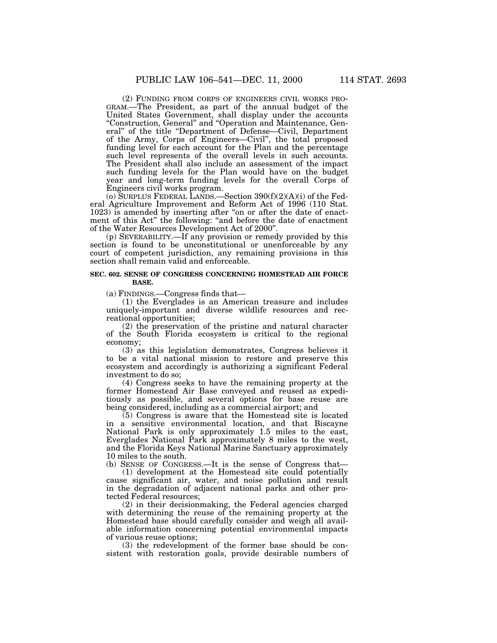(2) FUNDING FROM CORPS OF ENGINEERS CIVIL WORKS PRO- GRAM.—The President, as part of the annual budget of the United States Government, shall display under the accounts "Construction, General" and "Operation and Maintenance, General'' of the title ''Department of Defense—Civil, Department of the Army, Corps of Engineers—Civil'', the total proposed funding level for each account for the Plan and the percentage such level represents of the overall levels in such accounts. The President shall also include an assessment of the impact such funding levels for the Plan would have on the budget year and long-term funding levels for the overall Corps of Engineers civil works program.

(o) SURPLUS FEDERAL LANDS.—Section  $390(f)(2)(A)(i)$  of the Federal Agriculture Improvement and Reform Act of 1996 (110 Stat. 1023) is amended by inserting after "on or after the date of enactment of this Act" the following: "and before the date of enactment

of the Water Resources Development Act of 2000''. (p) SEVERABILITY.—If any provision or remedy provided by this section is found to be unconstitutional or unenforceable by any court of competent jurisdiction, any remaining provisions in this section shall remain valid and enforceable.

### **SEC. 602. SENSE OF CONGRESS CONCERNING HOMESTEAD AIR FORCE BASE.**

(a) FINDINGS.—Congress finds that—

(1) the Everglades is an American treasure and includes uniquely-important and diverse wildlife resources and recreational opportunities;

(2) the preservation of the pristine and natural character of the South Florida ecosystem is critical to the regional economy;

(3) as this legislation demonstrates, Congress believes it to be a vital national mission to restore and preserve this ecosystem and accordingly is authorizing a significant Federal investment to do so;

(4) Congress seeks to have the remaining property at the former Homestead Air Base conveyed and reused as expeditiously as possible, and several options for base reuse are being considered, including as a commercial airport; and

(5) Congress is aware that the Homestead site is located in a sensitive environmental location, and that Biscayne National Park is only approximately 1.5 miles to the east, Everglades National Park approximately 8 miles to the west, and the Florida Keys National Marine Sanctuary approximately 10 miles to the south.

(b) SENSE OF CONGRESS.—It is the sense of Congress that—

(1) development at the Homestead site could potentially cause significant air, water, and noise pollution and result in the degradation of adjacent national parks and other protected Federal resources;

(2) in their decisionmaking, the Federal agencies charged with determining the reuse of the remaining property at the Homestead base should carefully consider and weigh all available information concerning potential environmental impacts of various reuse options;

(3) the redevelopment of the former base should be consistent with restoration goals, provide desirable numbers of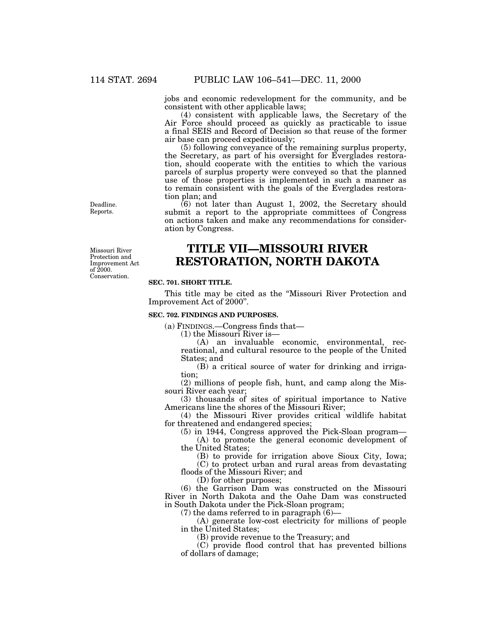jobs and economic redevelopment for the community, and be consistent with other applicable laws;

(4) consistent with applicable laws, the Secretary of the Air Force should proceed as quickly as practicable to issue a final SEIS and Record of Decision so that reuse of the former air base can proceed expeditiously;

(5) following conveyance of the remaining surplus property, the Secretary, as part of his oversight for Everglades restoration, should cooperate with the entities to which the various parcels of surplus property were conveyed so that the planned use of those properties is implemented in such a manner as to remain consistent with the goals of the Everglades restoration plan; and

(6) not later than August 1, 2002, the Secretary should submit a report to the appropriate committees of Congress on actions taken and make any recommendations for consideration by Congress.

# **TITLE VII—MISSOURI RIVER RESTORATION, NORTH DAKOTA**

#### **SEC. 701. SHORT TITLE.**

This title may be cited as the ''Missouri River Protection and Improvement Act of 2000''.

### **SEC. 702. FINDINGS AND PURPOSES.**

(a) FINDINGS.—Congress finds that—

(1) the Missouri River is—

(A) an invaluable economic, environmental, recreational, and cultural resource to the people of the United States; and

(B) a critical source of water for drinking and irrigation;

(2) millions of people fish, hunt, and camp along the Missouri River each year;

(3) thousands of sites of spiritual importance to Native Americans line the shores of the Missouri River;

(4) the Missouri River provides critical wildlife habitat for threatened and endangered species;

(5) in 1944, Congress approved the Pick-Sloan program— (A) to promote the general economic development of

the United States;

(B) to provide for irrigation above Sioux City, Iowa; (C) to protect urban and rural areas from devastating

floods of the Missouri River; and

(D) for other purposes;

(6) the Garrison Dam was constructed on the Missouri River in North Dakota and the Oahe Dam was constructed in South Dakota under the Pick-Sloan program;

(7) the dams referred to in paragraph  $(6)$ -

(A) generate low-cost electricity for millions of people in the United States;

(B) provide revenue to the Treasury; and

(C) provide flood control that has prevented billions of dollars of damage;

Deadline. Reports.

Missouri River Protection and Improvement Act of 2000. Conservation.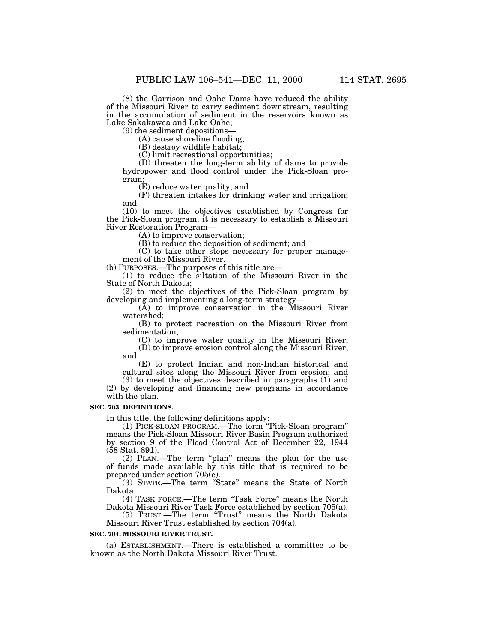(8) the Garrison and Oahe Dams have reduced the ability of the Missouri River to carry sediment downstream, resulting in the accumulation of sediment in the reservoirs known as Lake Sakakawea and Lake Oahe;<br>(9) the sediment depositions—

 $(A)$  cause shoreline flooding;

(B) destroy wildlife habitat;

(C) limit recreational opportunities;

(D) threaten the long-term ability of dams to provide hydropower and flood control under the Pick-Sloan program;

(E) reduce water quality; and

(F) threaten intakes for drinking water and irrigation; and

(10) to meet the objectives established by Congress for the Pick-Sloan program, it is necessary to establish a Missouri River Restoration Program—<br>(A) to improve conservation;

(B) to reduce the deposition of sediment; and

(C) to take other steps necessary for proper manage-

ment of the Missouri River.<br>(b) PURPOSES.—The purposes of this title are—

 $(1)$  to reduce the siltation of the Missouri River in the State of North Dakota;

 $(2)$  to meet the objectives of the Pick-Sloan program by developing and implementing a long-term strategy—

 $\overline{A}$  to improve conservation in the Missouri River watershed;

(B) to protect recreation on the Missouri River from sedimentation;

(C) to improve water quality in the Missouri River; (D) to improve erosion control along the Missouri River; and

(E) to protect Indian and non-Indian historical and cultural sites along the Missouri River from erosion; and

(3) to meet the objectives described in paragraphs (1) and (2) by developing and financing new programs in accordance with the plan.

# **SEC. 703. DEFINITIONS.**

In this title, the following definitions apply: means the Pick-Sloan Missouri River Basin Program authorized by section 9 of the Flood Control Act of December 22, 1944 (58 Stat. 891).

(2) PLAN.—The term ''plan'' means the plan for the use of funds made available by this title that is required to be prepared under section 705(e).

(3) STATE.—The term ''State'' means the State of North Dakota.

(4) TASK FORCE.—The term ''Task Force'' means the North Dakota Missouri River Task Force established by section 705(a).

(5) TRUST.—The term ''Trust'' means the North Dakota Missouri River Trust established by section 704(a).

## **SEC. 704. MISSOURI RIVER TRUST.**

(a) ESTABLISHMENT.—There is established a committee to be known as the North Dakota Missouri River Trust.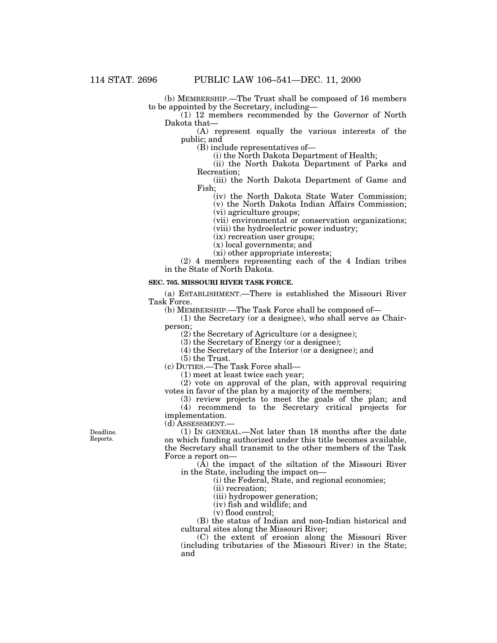(b) MEMBERSHIP.—The Trust shall be composed of 16 members to be appointed by the Secretary, including—

 $(1)$  12 members recommended by the Governor of North Dakota that—

(A) represent equally the various interests of the public; and

(B) include representatives of—

(i) the North Dakota Department of Health;

(ii) the North Dakota Department of Parks and Recreation;

(iii) the North Dakota Department of Game and Fish;

(iv) the North Dakota State Water Commission;

(v) the North Dakota Indian Affairs Commission; (vi) agriculture groups;

(vii) environmental or conservation organizations;

(viii) the hydroelectric power industry;

(ix) recreation user groups;

(x) local governments; and

(xi) other appropriate interests;

(2) 4 members representing each of the 4 Indian tribes in the State of North Dakota.

### **SEC. 705. MISSOURI RIVER TASK FORCE.**

(a) ESTABLISHMENT.—There is established the Missouri River Task Force.

(b) MEMBERSHIP.—The Task Force shall be composed of—

(1) the Secretary (or a designee), who shall serve as Chairperson;

(2) the Secretary of Agriculture (or a designee);

(3) the Secretary of Energy (or a designee);

(4) the Secretary of the Interior (or a designee); and

(5) the Trust.

(c) DUTIES.—The Task Force shall—

(1) meet at least twice each year;

(2) vote on approval of the plan, with approval requiring votes in favor of the plan by a majority of the members;

(3) review projects to meet the goals of the plan; and (4) recommend to the Secretary critical projects for implementation.

(d) ASSESSMENT.—

(1) IN GENERAL.—Not later than 18 months after the date on which funding authorized under this title becomes available, the Secretary shall transmit to the other members of the Task Force a report on—

(A) the impact of the siltation of the Missouri River in the State, including the impact on—

(i) the Federal, State, and regional economies;

(ii) recreation;

(iii) hydropower generation;

(iv) fish and wildlife; and

(v) flood control;

(B) the status of Indian and non-Indian historical and cultural sites along the Missouri River;

(C) the extent of erosion along the Missouri River (including tributaries of the Missouri River) in the State; and

Deadline. Reports.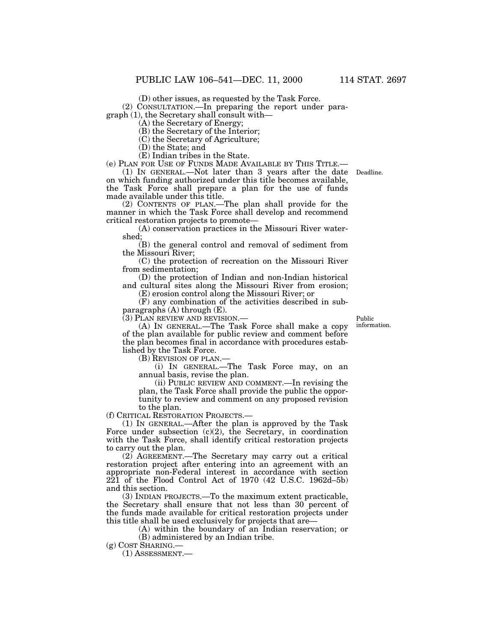(D) other issues, as requested by the Task Force.

(2) CONSULTATION.—In preparing the report under paragraph (1), the Secretary shall consult with— (A) the Secretary of Energy;

(B) the Secretary of the Interior;

(C) the Secretary of Agriculture;

(D) the State; and

(E) Indian tribes in the State.<br>(e) PLAN FOR USE OF FUNDS MADE AVAILABLE BY THIS TITLE.—

(e) PLAN FOR USE OF FUNDS MADE AVAILABLE BY THIS TITLE.— (1) IN GENERAL.—Not later than 3 years after the date Deadline. on which funding authorized under this title becomes available, the Task Force shall prepare a plan for the use of funds made available under this title.

(2) CONTENTS OF PLAN.—The plan shall provide for the manner in which the Task Force shall develop and recommend critical restoration projects to promote— (A) conservation practices in the Missouri River water-

shed;

(B) the general control and removal of sediment from the Missouri River;

(C) the protection of recreation on the Missouri River from sedimentation;

(D) the protection of Indian and non-Indian historical and cultural sites along the Missouri River from erosion;

(E) erosion control along the Missouri River; or

(F) any combination of the activities described in subparagraphs  $(A)$  through  $(E)$ .

(3) PLAN REVIEW AND REVISION.—

(A) IN GENERAL.—The Task Force shall make a copy of the plan available for public review and comment before the plan becomes final in accordance with procedures established by the Task Force.

(B) REVISION OF PLAN.—

(i) IN GENERAL.—The Task Force may, on an annual basis, revise the plan.

(ii) PUBLIC REVIEW AND COMMENT.—In revising the plan, the Task Force shall provide the public the opportunity to review and comment on any proposed revision to the plan.

(f) CRITICAL RESTORATION PROJECTS.—

(1) IN GENERAL.—After the plan is approved by the Task Force under subsection  $(c)(2)$ , the Secretary, in coordination with the Task Force, shall identify critical restoration projects to carry out the plan.

(2) AGREEMENT.—The Secretary may carry out a critical restoration project after entering into an agreement with an appropriate non-Federal interest in accordance with section 221 of the Flood Control Act of 1970 (42 U.S.C. 1962d–5b) and this section.

(3) INDIAN PROJECTS.—To the maximum extent practicable, the Secretary shall ensure that not less than 30 percent of the funds made available for critical restoration projects under this title shall be used exclusively for projects that are—

(A) within the boundary of an Indian reservation; or (B) administered by an Indian tribe.

(g) COST SHARING.— (1) ASSESSMENT.—

Public information.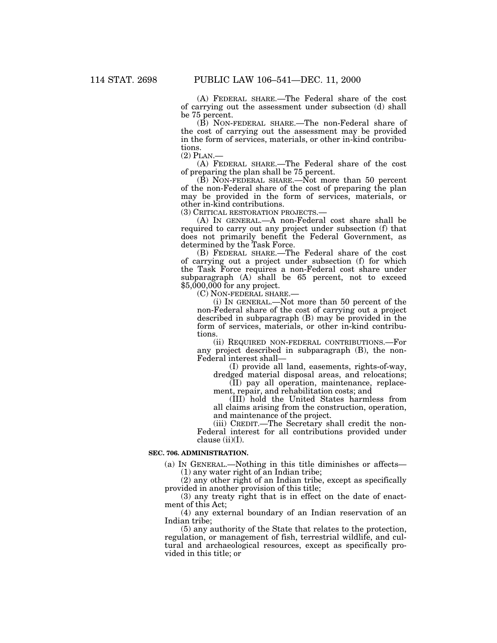(A) FEDERAL SHARE.—The Federal share of the cost of carrying out the assessment under subsection (d) shall be 75 percent.

(B) NON-FEDERAL SHARE.—The non-Federal share of the cost of carrying out the assessment may be provided in the form of services, materials, or other in-kind contributions.

(2) PLAN.— (A) FEDERAL SHARE.—The Federal share of the cost of preparing the plan shall be 75 percent.

(B) NON-FEDERAL SHARE.—Not more than 50 percent of the non-Federal share of the cost of preparing the plan may be provided in the form of services, materials, or other in-kind contributions.<br>(3) CRITICAL RESTORATION PROJECTS.—

 $(A)$  In GENERAL  $-A$  non-Federal cost share shall be required to carry out any project under subsection (f) that does not primarily benefit the Federal Government, as determined by the Task Force.

(B) FEDERAL SHARE.—The Federal share of the cost of carrying out a project under subsection (f) for which the Task Force requires a non-Federal cost share under subparagraph  $(A)$  shall be 65 percent, not to exceed  $$5,000,000$  for any project.

(C) NON-FEDERAL SHARE.—

(i) IN GENERAL.—Not more than 50 percent of the non-Federal share of the cost of carrying out a project described in subparagraph (B) may be provided in the form of services, materials, or other in-kind contributions.

(ii) REQUIRED NON-FEDERAL CONTRIBUTIONS.—For any project described in subparagraph (B), the non-Federal interest shall—

(I) provide all land, easements, rights-of-way, dredged material disposal areas, and relocations;

(II) pay all operation, maintenance, replacement, repair, and rehabilitation costs; and

(III) hold the United States harmless from all claims arising from the construction, operation, and maintenance of the project.

(iii) CREDIT.—The Secretary shall credit the non-Federal interest for all contributions provided under clause  $(ii)(I)$ .

## **SEC. 706. ADMINISTRATION.**

(a) IN GENERAL.—Nothing in this title diminishes or affects— (1) any water right of an Indian tribe;

(2) any other right of an Indian tribe, except as specifically provided in another provision of this title;

(3) any treaty right that is in effect on the date of enactment of this Act;

(4) any external boundary of an Indian reservation of an Indian tribe;

(5) any authority of the State that relates to the protection, regulation, or management of fish, terrestrial wildlife, and cultural and archaeological resources, except as specifically provided in this title; or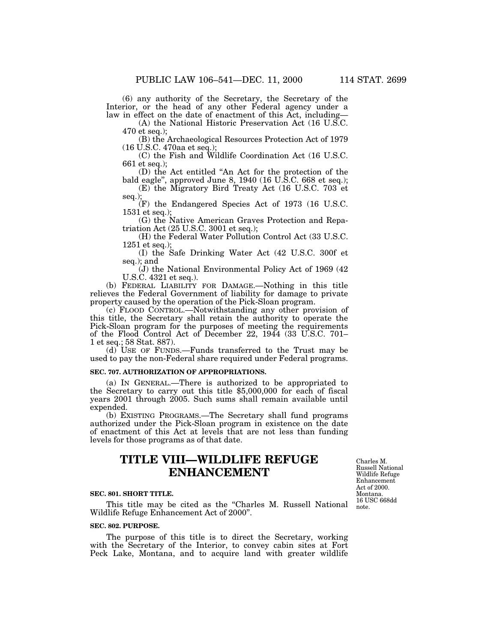(6) any authority of the Secretary, the Secretary of the Interior, or the head of any other Federal agency under a law in effect on the date of enactment of this Act, including— (A) the National Historic Preservation Act (16 U.S.C.

470 et seq.);

(B) the Archaeological Resources Protection Act of 1979 (16 U.S.C. 470aa et seq.);

(C) the Fish and Wildlife Coordination Act (16 U.S.C. 661 et seq.);

(D) the Act entitled ''An Act for the protection of the bald eagle'', approved June 8, 1940 (16 U.S.C. 668 et seq.);

(E) the Migratory Bird Treaty Act (16 U.S.C. 703 et seq.);

(F) the Endangered Species Act of 1973 (16 U.S.C. 1531 et seq.);

(G) the Native American Graves Protection and Repatriation Act (25 U.S.C. 3001 et seq.);

(H) the Federal Water Pollution Control Act (33 U.S.C. 1251 et seq.);

(I) the Safe Drinking Water Act (42 U.S.C. 300f et seq.); and

(J) the National Environmental Policy Act of 1969 (42 U.S.C. 4321 et seq.).

(b) FEDERAL LIABILITY FOR DAMAGE.—Nothing in this title relieves the Federal Government of liability for damage to private property caused by the operation of the Pick-Sloan program.

(c) FLOOD CONTROL.—Notwithstanding any other provision of this title, the Secretary shall retain the authority to operate the Pick-Sloan program for the purposes of meeting the requirements of the Flood Control Act of December 22, 1944 (33 U.S.C. 701– 1 et seq.; 58 Stat. 887).

(d) USE OF FUNDS.—Funds transferred to the Trust may be used to pay the non-Federal share required under Federal programs.

## **SEC. 707. AUTHORIZATION OF APPROPRIATIONS.**

(a) IN GENERAL.—There is authorized to be appropriated to the Secretary to carry out this title \$5,000,000 for each of fiscal years 2001 through 2005. Such sums shall remain available until expended.

(b) EXISTING PROGRAMS.—The Secretary shall fund programs authorized under the Pick-Sloan program in existence on the date of enactment of this Act at levels that are not less than funding levels for those programs as of that date.

# **TITLE VIII—WILDLIFE REFUGE ENHANCEMENT**

#### **SEC. 801. SHORT TITLE.**

This title may be cited as the ''Charles M. Russell National Wildlife Refuge Enhancement Act of 2000''.

# **SEC. 802. PURPOSE.**

The purpose of this title is to direct the Secretary, working with the Secretary of the Interior, to convey cabin sites at Fort Peck Lake, Montana, and to acquire land with greater wildlife

Charles M. Russell National Wildlife Refuge Enhancement Act of 2000. Montana. 16 USC 668dd note.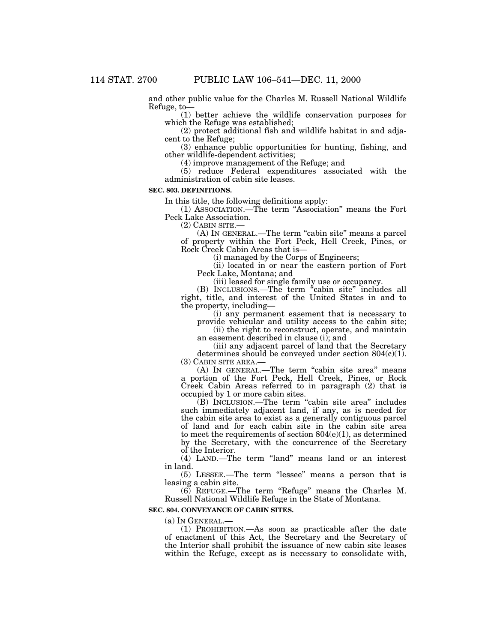and other public value for the Charles M. Russell National Wildlife Refuge, to—

(1) better achieve the wildlife conservation purposes for which the Refuge was established;

(2) protect additional fish and wildlife habitat in and adjacent to the Refuge;

(3) enhance public opportunities for hunting, fishing, and other wildlife-dependent activities;

(4) improve management of the Refuge; and

(5) reduce Federal expenditures associated with the administration of cabin site leases.

## **SEC. 803. DEFINITIONS.**

In this title, the following definitions apply:

(1) ASSOCIATION.—The term ''Association'' means the Fort Peck Lake Association.<br>(2) CABIN SITE.—

 $(A)$  In GENERAL.—The term "cabin site" means a parcel of property within the Fort Peck, Hell Creek, Pines, or

(i) managed by the Corps of Engineers;

(ii) located in or near the eastern portion of Fort Peck Lake, Montana; and

(iii) leased for single family use or occupancy.

(B) INCLUSIONS.—The term "cabin site" includes all right, title, and interest of the United States in and to

(i) any permanent easement that is necessary to provide vehicular and utility access to the cabin site;

(ii) the right to reconstruct, operate, and maintain an easement described in clause (i); and

(iii) any adjacent parcel of land that the Secretary determines should be conveyed under section  $804(c)(1)$ .<br>(3) CABIN SITE AREA.—

(A) IN GENERAL.—The term "cabin site area" means a portion of the Fort Peck, Hell Creek, Pines, or Rock Creek Cabin Areas referred to in paragraph (2) that is occupied by 1 or more cabin sites.

(B) INCLUSION.—The term "cabin site area" includes such immediately adjacent land, if any, as is needed for the cabin site area to exist as a generally contiguous parcel of land and for each cabin site in the cabin site area to meet the requirements of section  $804(e)(1)$ , as determined by the Secretary, with the concurrence of the Secretary of the Interior.

(4) LAND.—The term ''land'' means land or an interest in land.

(5) LESSEE.—The term ''lessee'' means a person that is leasing a cabin site.

(6) REFUGE.—The term ''Refuge'' means the Charles M. Russell National Wildlife Refuge in the State of Montana.

# **SEC. 804. CONVEYANCE OF CABIN SITES.**

(a) IN GENERAL.—

(1) PROHIBITION.—As soon as practicable after the date of enactment of this Act, the Secretary and the Secretary of the Interior shall prohibit the issuance of new cabin site leases within the Refuge, except as is necessary to consolidate with,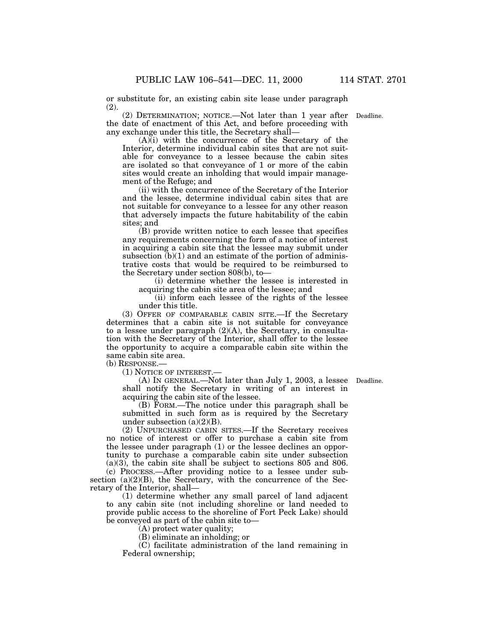or substitute for, an existing cabin site lease under paragraph (2).

(2) DETERMINATION; NOTICE.—Not later than 1 year after the date of enactment of this Act, and before proceeding with any exchange under this title, the Secretary shall—

 $(A)$ (i) with the concurrence of the Secretary of the Interior, determine individual cabin sites that are not suitable for conveyance to a lessee because the cabin sites are isolated so that conveyance of 1 or more of the cabin sites would create an inholding that would impair management of the Refuge; and

(ii) with the concurrence of the Secretary of the Interior and the lessee, determine individual cabin sites that are not suitable for conveyance to a lessee for any other reason that adversely impacts the future habitability of the cabin sites; and

(B) provide written notice to each lessee that specifies any requirements concerning the form of a notice of interest in acquiring a cabin site that the lessee may submit under subsection  $(b)(1)$  and an estimate of the portion of administrative costs that would be required to be reimbursed to the Secretary under section 808(b), to-

(i) determine whether the lessee is interested in acquiring the cabin site area of the lessee; and

(ii) inform each lessee of the rights of the lessee under this title.

(3) OFFER OF COMPARABLE CABIN SITE.—If the Secretary determines that a cabin site is not suitable for conveyance to a lessee under paragraph  $(2)(A)$ , the Secretary, in consultation with the Secretary of the Interior, shall offer to the lessee the opportunity to acquire a comparable cabin site within the same cabin site area.

(b) RESPONSE.—

(1) NOTICE OF INTEREST.—

(A) IN GENERAL.—Not later than July 1, 2003, a lessee Deadline. shall notify the Secretary in writing of an interest in acquiring the cabin site of the lessee.

(B) FORM.—The notice under this paragraph shall be submitted in such form as is required by the Secretary under subsection  $(a)(2)(B)$ .

(2) UNPURCHASED CABIN SITES.—If the Secretary receives no notice of interest or offer to purchase a cabin site from the lessee under paragraph (1) or the lessee declines an opportunity to purchase a comparable cabin site under subsection (a)(3), the cabin site shall be subject to sections 805 and 806.

(c) PROCESS.—After providing notice to a lessee under subsection  $(a)(2)(B)$ , the Secretary, with the concurrence of the Secretary of the Interior, shall—

(1) determine whether any small parcel of land adjacent to any cabin site (not including shoreline or land needed to provide public access to the shoreline of Fort Peck Lake) should be conveyed as part of the cabin site to—

(A) protect water quality;

(B) eliminate an inholding; or

(C) facilitate administration of the land remaining in Federal ownership;

Deadline.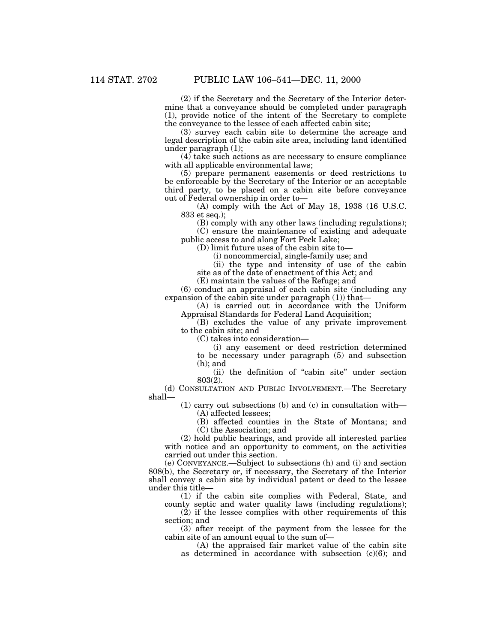(2) if the Secretary and the Secretary of the Interior determine that a conveyance should be completed under paragraph (1), provide notice of the intent of the Secretary to complete the conveyance to the lessee of each affected cabin site;

(3) survey each cabin site to determine the acreage and legal description of the cabin site area, including land identified under paragraph (1);

(4) take such actions as are necessary to ensure compliance with all applicable environmental laws;

(5) prepare permanent easements or deed restrictions to be enforceable by the Secretary of the Interior or an acceptable third party, to be placed on a cabin site before conveyance out of Federal ownership in order to—

(A) comply with the Act of May 18, 1938 (16 U.S.C. 833 et seq.);

(B) comply with any other laws (including regulations);

(C) ensure the maintenance of existing and adequate public access to and along Fort Peck Lake;

(D) limit future uses of the cabin site to—

(i) noncommercial, single-family use; and

(ii) the type and intensity of use of the cabin site as of the date of enactment of this Act; and

(E) maintain the values of the Refuge; and

(6) conduct an appraisal of each cabin site (including any expansion of the cabin site under paragraph  $(1)$  that—

(A) is carried out in accordance with the Uniform Appraisal Standards for Federal Land Acquisition;

(B) excludes the value of any private improvement to the cabin site; and

(C) takes into consideration—

(i) any easement or deed restriction determined to be necessary under paragraph (5) and subsection (h); and

(ii) the definition of ''cabin site'' under section 803(2).

(d) CONSULTATION AND PUBLIC INVOLVEMENT.—The Secretary shall—

(1) carry out subsections (b) and (c) in consultation with— (A) affected lessees;

(B) affected counties in the State of Montana; and (C) the Association; and

(2) hold public hearings, and provide all interested parties with notice and an opportunity to comment, on the activities carried out under this section.

(e) CONVEYANCE.—Subject to subsections (h) and (i) and section 808(b), the Secretary or, if necessary, the Secretary of the Interior shall convey a cabin site by individual patent or deed to the lessee under this title—

(1) if the cabin site complies with Federal, State, and county septic and water quality laws (including regulations);

(2) if the lessee complies with other requirements of this section; and

(3) after receipt of the payment from the lessee for the cabin site of an amount equal to the sum of—

(A) the appraised fair market value of the cabin site as determined in accordance with subsection  $(c)(6)$ ; and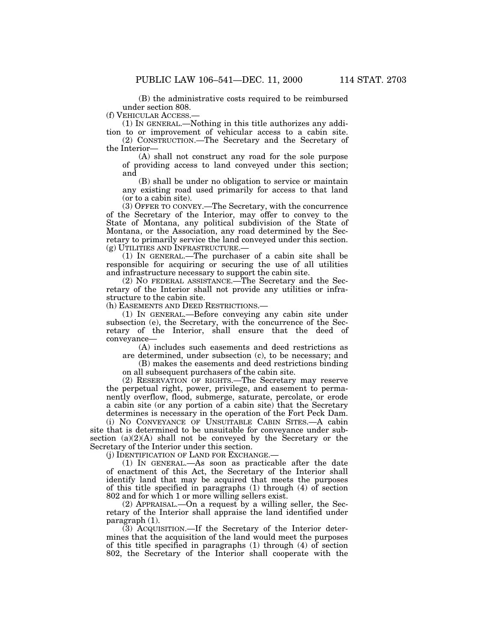(f) VEHICULAR ACCESS.—

(1) IN GENERAL.—Nothing in this title authorizes any addition to or improvement of vehicular access to a cabin site.

(2) CONSTRUCTION.—The Secretary and the Secretary of the Interior—

(A) shall not construct any road for the sole purpose of providing access to land conveyed under this section; and

(B) shall be under no obligation to service or maintain any existing road used primarily for access to that land (or to a cabin site).

(3) OFFER TO CONVEY.—The Secretary, with the concurrence of the Secretary of the Interior, may offer to convey to the State of Montana, any political subdivision of the State of Montana, or the Association, any road determined by the Secretary to primarily service the land conveyed under this section. (g) UTILITIES AND INFRASTRUCTURE.—

(1) IN GENERAL.—The purchaser of a cabin site shall be responsible for acquiring or securing the use of all utilities and infrastructure necessary to support the cabin site.

(2) NO FEDERAL ASSISTANCE.—The Secretary and the Secretary of the Interior shall not provide any utilities or infrastructure to the cabin site.

(h) EASEMENTS AND DEED RESTRICTIONS.—

(1) IN GENERAL.—Before conveying any cabin site under subsection (e), the Secretary, with the concurrence of the Secretary of the Interior, shall ensure that the deed of conveyance—

(A) includes such easements and deed restrictions as are determined, under subsection (c), to be necessary; and

(B) makes the easements and deed restrictions binding on all subsequent purchasers of the cabin site.

(2) RESERVATION OF RIGHTS.—The Secretary may reserve the perpetual right, power, privilege, and easement to permanently overflow, flood, submerge, saturate, percolate, or erode a cabin site (or any portion of a cabin site) that the Secretary determines is necessary in the operation of the Fort Peck Dam.

(i) NO CONVEYANCE OF UNSUITABLE CABIN SITES.—A cabin site that is determined to be unsuitable for conveyance under subsection  $(a)(2)(A)$  shall not be conveyed by the Secretary or the Secretary of the Interior under this section.

(j) IDENTIFICATION OF LAND FOR EXCHANGE.—

(1) IN GENERAL.—As soon as practicable after the date of enactment of this Act, the Secretary of the Interior shall identify land that may be acquired that meets the purposes of this title specified in paragraphs (1) through (4) of section 802 and for which 1 or more willing sellers exist.

(2) APPRAISAL.—On a request by a willing seller, the Secretary of the Interior shall appraise the land identified under paragraph (1).

(3) ACQUISITION.—If the Secretary of the Interior determines that the acquisition of the land would meet the purposes of this title specified in paragraphs (1) through (4) of section 802, the Secretary of the Interior shall cooperate with the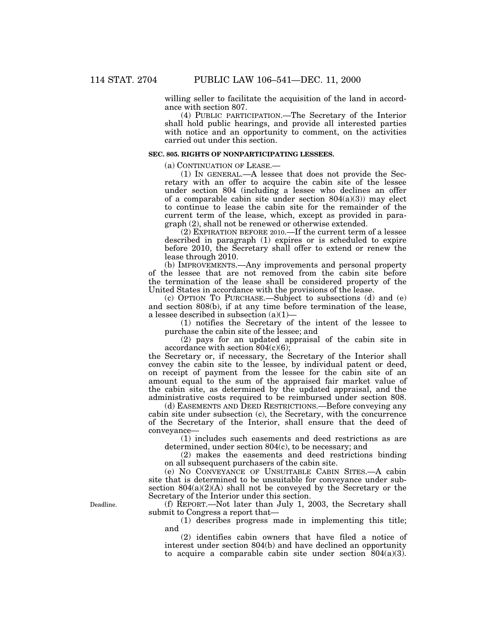willing seller to facilitate the acquisition of the land in accordance with section 807.

(4) PUBLIC PARTICIPATION.—The Secretary of the Interior shall hold public hearings, and provide all interested parties with notice and an opportunity to comment, on the activities carried out under this section.

## **SEC. 805. RIGHTS OF NONPARTICIPATING LESSEES.**

(a) CONTINUATION OF LEASE.—

(1) IN GENERAL.—A lessee that does not provide the Secretary with an offer to acquire the cabin site of the lessee under section 804 (including a lessee who declines an offer of a comparable cabin site under section  $804(a)(3)$  may elect to continue to lease the cabin site for the remainder of the current term of the lease, which, except as provided in paragraph (2), shall not be renewed or otherwise extended.

(2) EXPIRATION BEFORE 2010.—If the current term of a lessee described in paragraph (1) expires or is scheduled to expire before 2010, the Secretary shall offer to extend or renew the lease through 2010.

(b) IMPROVEMENTS.—Any improvements and personal property of the lessee that are not removed from the cabin site before the termination of the lease shall be considered property of the United States in accordance with the provisions of the lease.

(c) OPTION TO PURCHASE.—Subject to subsections (d) and (e) and section 808(b), if at any time before termination of the lease, a lessee described in subsection  $(a)(1)$ —

(1) notifies the Secretary of the intent of the lessee to purchase the cabin site of the lessee; and

(2) pays for an updated appraisal of the cabin site in accordance with section 804(c)(6);

the Secretary or, if necessary, the Secretary of the Interior shall convey the cabin site to the lessee, by individual patent or deed, on receipt of payment from the lessee for the cabin site of an amount equal to the sum of the appraised fair market value of the cabin site, as determined by the updated appraisal, and the administrative costs required to be reimbursed under section 808.

(d) EASEMENTS AND DEED RESTRICTIONS.—Before conveying any cabin site under subsection (c), the Secretary, with the concurrence of the Secretary of the Interior, shall ensure that the deed of conveyance—

(1) includes such easements and deed restrictions as are determined, under section 804(c), to be necessary; and

(2) makes the easements and deed restrictions binding on all subsequent purchasers of the cabin site.

(e) NO CONVEYANCE OF UNSUITABLE CABIN SITES.—A cabin site that is determined to be unsuitable for conveyance under subsection  $804(a)(2)(A)$  shall not be conveyed by the Secretary or the Secretary of the Interior under this section.

(f) REPORT.—Not later than July 1, 2003, the Secretary shall submit to Congress a report that—

(1) describes progress made in implementing this title; and

(2) identifies cabin owners that have filed a notice of interest under section 804(b) and have declined an opportunity to acquire a comparable cabin site under section  $804(a)(3)$ .

Deadline.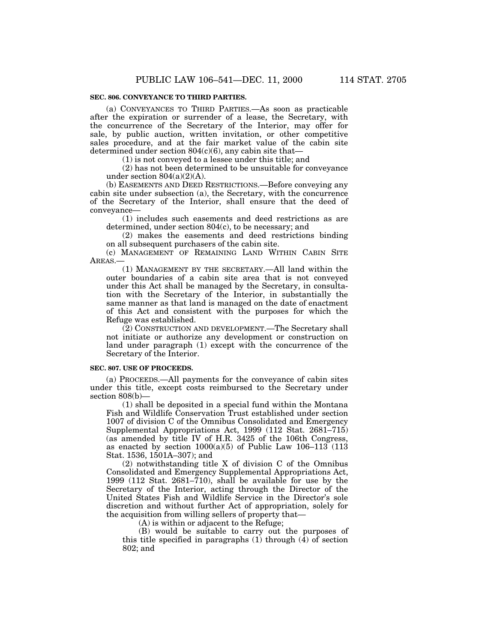(a) CONVEYANCES TO THIRD PARTIES.—As soon as practicable after the expiration or surrender of a lease, the Secretary, with the concurrence of the Secretary of the Interior, may offer for sale, by public auction, written invitation, or other competitive sales procedure, and at the fair market value of the cabin site determined under section 804(c)(6), any cabin site that—

(1) is not conveyed to a lessee under this title; and

(2) has not been determined to be unsuitable for conveyance under section  $804(a)(2)(A)$ .

(b) EASEMENTS AND DEED RESTRICTIONS.—Before conveying any cabin site under subsection (a), the Secretary, with the concurrence of the Secretary of the Interior, shall ensure that the deed of conveyance—

(1) includes such easements and deed restrictions as are determined, under section 804(c), to be necessary; and

(2) makes the easements and deed restrictions binding on all subsequent purchasers of the cabin site.

(c) MANAGEMENT OF REMAINING LAND WITHIN CABIN SITE AREAS.—

(1) MANAGEMENT BY THE SECRETARY.—All land within the outer boundaries of a cabin site area that is not conveyed under this Act shall be managed by the Secretary, in consultation with the Secretary of the Interior, in substantially the same manner as that land is managed on the date of enactment of this Act and consistent with the purposes for which the Refuge was established.

(2) CONSTRUCTION AND DEVELOPMENT.—The Secretary shall not initiate or authorize any development or construction on land under paragraph (1) except with the concurrence of the Secretary of the Interior.

### **SEC. 807. USE OF PROCEEDS.**

(a) PROCEEDS.—All payments for the conveyance of cabin sites under this title, except costs reimbursed to the Secretary under section 808(b)—

(1) shall be deposited in a special fund within the Montana Fish and Wildlife Conservation Trust established under section 1007 of division C of the Omnibus Consolidated and Emergency Supplemental Appropriations Act, 1999 (112 Stat. 2681–715) (as amended by title IV of H.R. 3425 of the 106th Congress, as enacted by section  $1000(a)(5)$  of Public Law  $106-113$  (113) Stat. 1536, 1501A–307); and

(2) notwithstanding title X of division C of the Omnibus Consolidated and Emergency Supplemental Appropriations Act, 1999 (112 Stat. 2681–710), shall be available for use by the Secretary of the Interior, acting through the Director of the United States Fish and Wildlife Service in the Director's sole discretion and without further Act of appropriation, solely for the acquisition from willing sellers of property that—

(A) is within or adjacent to the Refuge;

(B) would be suitable to carry out the purposes of this title specified in paragraphs  $(1)$  through  $(4)$  of section 802; and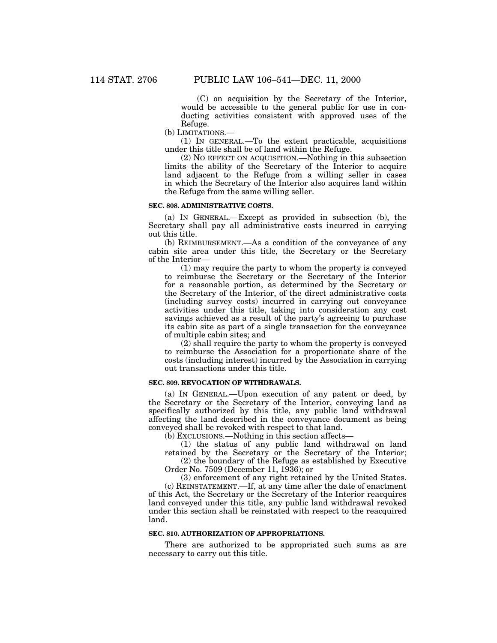(C) on acquisition by the Secretary of the Interior, would be accessible to the general public for use in conducting activities consistent with approved uses of the Refuge.

(b) LIMITATIONS.—

(1) IN GENERAL.—To the extent practicable, acquisitions under this title shall be of land within the Refuge.

(2) NO EFFECT ON ACQUISITION.—Nothing in this subsection limits the ability of the Secretary of the Interior to acquire land adjacent to the Refuge from a willing seller in cases in which the Secretary of the Interior also acquires land within the Refuge from the same willing seller.

# **SEC. 808. ADMINISTRATIVE COSTS.**

(a) IN GENERAL.—Except as provided in subsection (b), the Secretary shall pay all administrative costs incurred in carrying out this title.

(b) REIMBURSEMENT.—As a condition of the conveyance of any cabin site area under this title, the Secretary or the Secretary of the Interior—

(1) may require the party to whom the property is conveyed to reimburse the Secretary or the Secretary of the Interior for a reasonable portion, as determined by the Secretary or the Secretary of the Interior, of the direct administrative costs (including survey costs) incurred in carrying out conveyance activities under this title, taking into consideration any cost savings achieved as a result of the party's agreeing to purchase its cabin site as part of a single transaction for the conveyance of multiple cabin sites; and

(2) shall require the party to whom the property is conveyed to reimburse the Association for a proportionate share of the costs (including interest) incurred by the Association in carrying out transactions under this title.

# **SEC. 809. REVOCATION OF WITHDRAWALS.**

(a) IN GENERAL.—Upon execution of any patent or deed, by the Secretary or the Secretary of the Interior, conveying land as specifically authorized by this title, any public land withdrawal affecting the land described in the conveyance document as being conveyed shall be revoked with respect to that land.

(b) EXCLUSIONS.—Nothing in this section affects—

(1) the status of any public land withdrawal on land retained by the Secretary or the Secretary of the Interior; (2) the boundary of the Refuge as established by Executive

Order No. 7509 (December 11, 1936); or

(3) enforcement of any right retained by the United States. (c) REINSTATEMENT.—If, at any time after the date of enactment of this Act, the Secretary or the Secretary of the Interior reacquires land conveyed under this title, any public land withdrawal revoked under this section shall be reinstated with respect to the reacquired land.

## **SEC. 810. AUTHORIZATION OF APPROPRIATIONS.**

There are authorized to be appropriated such sums as are necessary to carry out this title.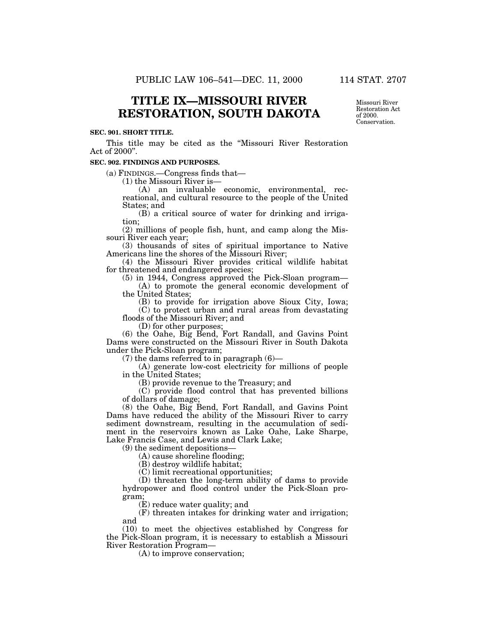# **TITLE IX—MISSOURI RIVER RESTORATION, SOUTH DAKOTA**

### **SEC. 901. SHORT TITLE.**

This title may be cited as the ''Missouri River Restoration Act of 2000''.

#### **SEC. 902. FINDINGS AND PURPOSES.**

(a) FINDINGS.—Congress finds that— (1) the Missouri River is— (A) an invaluable economic, environmental, recreational, and cultural resource to the people of the United States; and

(B) a critical source of water for drinking and irrigation;

(2) millions of people fish, hunt, and camp along the Missouri River each year;

(3) thousands of sites of spiritual importance to Native Americans line the shores of the Missouri River;

(4) the Missouri River provides critical wildlife habitat for threatened and endangered species;

(5) in 1944, Congress approved the Pick-Sloan program— (A) to promote the general economic development of

the United States;

(B) to provide for irrigation above Sioux City, Iowa; (C) to protect urban and rural areas from devastating floods of the Missouri River; and

(D) for other purposes;

(6) the Oahe, Big Bend, Fort Randall, and Gavins Point Dams were constructed on the Missouri River in South Dakota under the Pick-Sloan program;<br>(7) the dams referred to in paragraph (6)—

 $(A)$  generate low-cost electricity for millions of people in the United States;

(B) provide revenue to the Treasury; and

(C) provide flood control that has prevented billions of dollars of damage;

(8) the Oahe, Big Bend, Fort Randall, and Gavins Point Dams have reduced the ability of the Missouri River to carry sediment downstream, resulting in the accumulation of sediment in the reservoirs known as Lake Oahe, Lake Sharpe, Lake Francis Case, and Lewis and Clark Lake;<br>(9) the sediment depositions—

 $(A)$  cause shoreline flooding;

(B) destroy wildlife habitat;

(C) limit recreational opportunities;

(D) threaten the long-term ability of dams to provide hydropower and flood control under the Pick-Sloan program;

(E) reduce water quality; and

(F) threaten intakes for drinking water and irrigation; and

(10) to meet the objectives established by Congress for the Pick-Sloan program, it is necessary to establish a Missouri River Restoration Program—

(A) to improve conservation;

Missouri River Restoration Act of 2000. Conservation.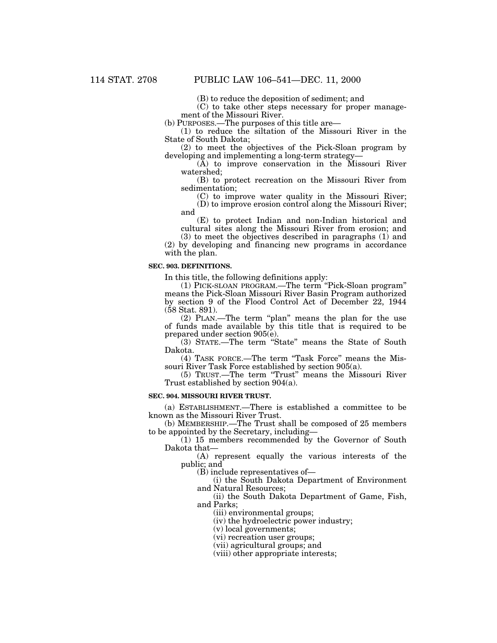(B) to reduce the deposition of sediment; and

(C) to take other steps necessary for proper management of the Missouri River.<br>(b) PURPOSES.—The purposes of this title are—

 $(1)$  to reduce the siltation of the Missouri River in the State of South Dakota;

 $(2)$  to meet the objectives of the Pick-Sloan program by developing and implementing a long-term strategy—

(A) to improve conservation in the Missouri River watershed;

(B) to protect recreation on the Missouri River from sedimentation;

(C) to improve water quality in the Missouri River;

(D) to improve erosion control along the Missouri River; and

(E) to protect Indian and non-Indian historical and cultural sites along the Missouri River from erosion; and

(3) to meet the objectives described in paragraphs (1) and (2) by developing and financing new programs in accordance with the plan.

# **SEC. 903. DEFINITIONS.**

In this title, the following definitions apply:

(1) PICK-SLOAN PROGRAM.—The term ''Pick-Sloan program'' means the Pick-Sloan Missouri River Basin Program authorized by section 9 of the Flood Control Act of December 22, 1944 (58 Stat. 891).

(2) PLAN.—The term ''plan'' means the plan for the use of funds made available by this title that is required to be prepared under section 905(e).

(3) STATE.—The term ''State'' means the State of South Dakota.

(4) TASK FORCE.—The term ''Task Force'' means the Missouri River Task Force established by section 905(a).

(5) TRUST.—The term ''Trust'' means the Missouri River Trust established by section 904(a).

## **SEC. 904. MISSOURI RIVER TRUST.**

(a) ESTABLISHMENT.—There is established a committee to be known as the Missouri River Trust.

(b) MEMBERSHIP.—The Trust shall be composed of 25 members to be appointed by the Secretary, including—

(1) 15 members recommended by the Governor of South Dakota that—

(A) represent equally the various interests of the public; and

(B) include representatives of—

(i) the South Dakota Department of Environment and Natural Resources;

(ii) the South Dakota Department of Game, Fish, and Parks;

(iii) environmental groups;

(iv) the hydroelectric power industry;

(v) local governments;

(vi) recreation user groups;

(vii) agricultural groups; and

(viii) other appropriate interests;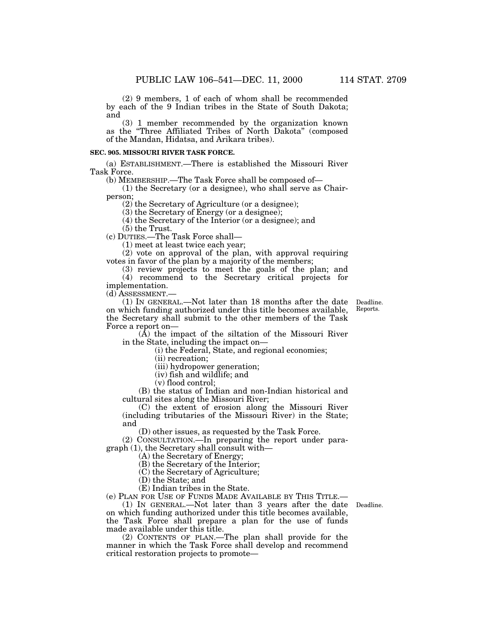(2) 9 members, 1 of each of whom shall be recommended by each of the 9 Indian tribes in the State of South Dakota; and

(3) 1 member recommended by the organization known as the ''Three Affiliated Tribes of North Dakota'' (composed of the Mandan, Hidatsa, and Arikara tribes).

# **SEC. 905. MISSOURI RIVER TASK FORCE.**

(a) ESTABLISHMENT.—There is established the Missouri River Task Force.<br>(b) MEMBERSHIP.—The Task Force shall be composed of—

 $(1)$  the Secretary (or a designee), who shall serve as Chairperson;

(2) the Secretary of Agriculture (or a designee);

(3) the Secretary of Energy (or a designee);

(4) the Secretary of the Interior (or a designee); and

(5) the Trust.

(c) DUTIES.—The Task Force shall—

(1) meet at least twice each year;

(2) vote on approval of the plan, with approval requiring votes in favor of the plan by a majority of the members;

(3) review projects to meet the goals of the plan; and (4) recommend to the Secretary critical projects for

implementation.

(d) ASSESSMENT.—

(1) IN GENERAL.—Not later than 18 months after the date Deadline. on which funding authorized under this title becomes available, the Secretary shall submit to the other members of the Task Force a report on—

 $(\tilde{A})$  the impact of the siltation of the Missouri River in the State, including the impact on—

(i) the Federal, State, and regional economies;

(ii) recreation;

(iii) hydropower generation;

(iv) fish and wildlife; and

(v) flood control;

(B) the status of Indian and non-Indian historical and cultural sites along the Missouri River;

(C) the extent of erosion along the Missouri River (including tributaries of the Missouri River) in the State; and

(D) other issues, as requested by the Task Force.

(2) CONSULTATION.—In preparing the report under paragraph (1), the Secretary shall consult with—

(A) the Secretary of Energy;

(B) the Secretary of the Interior;

(C) the Secretary of Agriculture;

(D) the State; and

(E) Indian tribes in the State.

(e) PLAN FOR USE OF FUNDS MADE AVAILABLE BY THIS TITLE.—

(1) IN GENERAL.—Not later than 3 years after the date Deadline. on which funding authorized under this title becomes available, the Task Force shall prepare a plan for the use of funds made available under this title.

(2) CONTENTS OF PLAN.—The plan shall provide for the manner in which the Task Force shall develop and recommend critical restoration projects to promote—

Reports.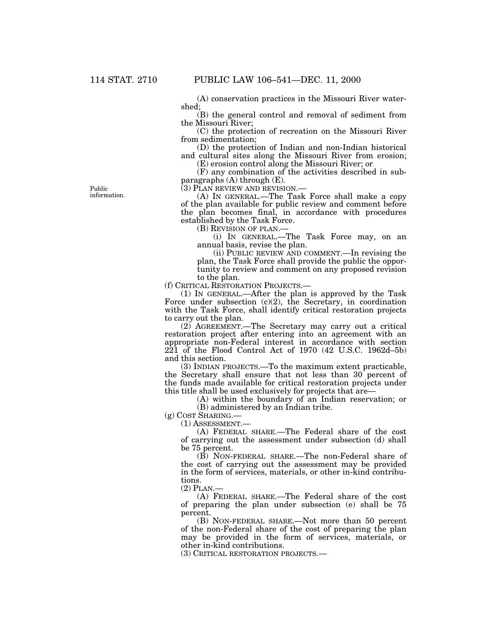(A) conservation practices in the Missouri River watershed;

(B) the general control and removal of sediment from the Missouri River;

(C) the protection of recreation on the Missouri River from sedimentation;

(D) the protection of Indian and non-Indian historical and cultural sites along the Missouri River from erosion;

(E) erosion control along the Missouri River; or

(F) any combination of the activities described in subparagraphs  $(A)$  through  $(E)$ .

(3) PLAN REVIEW AND REVISION.— (A) IN GENERAL.—The Task Force shall make a copy of the plan available for public review and comment before the plan becomes final, in accordance with procedures established by the Task Force.

(B) REVISION OF PLAN.—

(i) IN GENERAL.—The Task Force may, on an annual basis, revise the plan.

(ii) PUBLIC REVIEW AND COMMENT.—In revising the plan, the Task Force shall provide the public the opportunity to review and comment on any proposed revision to the plan.

(f) CRITICAL RESTORATION PROJECTS.—

(1) IN GENERAL.—After the plan is approved by the Task Force under subsection  $(c)(2)$ , the Secretary, in coordination with the Task Force, shall identify critical restoration projects to carry out the plan.

(2) AGREEMENT.—The Secretary may carry out a critical restoration project after entering into an agreement with an appropriate non-Federal interest in accordance with section 221 of the Flood Control Act of 1970 (42 U.S.C. 1962d–5b) and this section.

(3) INDIAN PROJECTS.—To the maximum extent practicable, the Secretary shall ensure that not less than 30 percent of the funds made available for critical restoration projects under this title shall be used exclusively for projects that are—

(A) within the boundary of an Indian reservation; or (B) administered by an Indian tribe.

(g) COST SHARING.—

(1) ASSESSMENT.—

(A) FEDERAL SHARE.—The Federal share of the cost of carrying out the assessment under subsection (d) shall be 75 percent.

(B) NON-FEDERAL SHARE.—The non-Federal share of the cost of carrying out the assessment may be provided in the form of services, materials, or other in-kind contributions.

 $(2)$  PLAN.

(A) FEDERAL SHARE.—The Federal share of the cost of preparing the plan under subsection (e) shall be 75 percent.

(B) NON-FEDERAL SHARE.—Not more than 50 percent of the non-Federal share of the cost of preparing the plan may be provided in the form of services, materials, or other in-kind contributions.

(3) CRITICAL RESTORATION PROJECTS.—

Public information.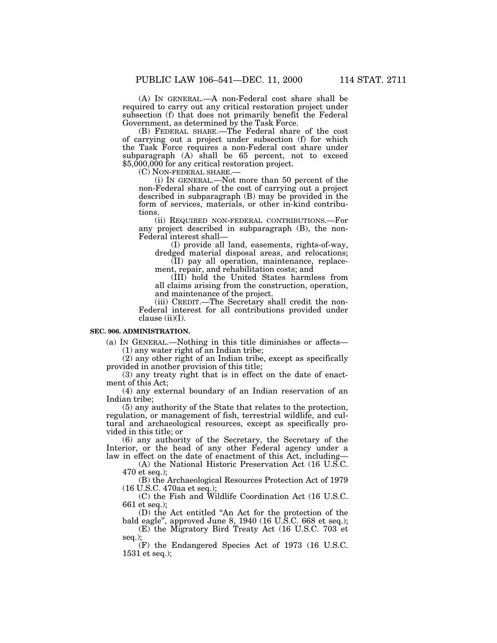(A) IN GENERAL.—A non-Federal cost share shall be required to carry out any critical restoration project under subsection (f) that does not primarily benefit the Federal Government, as determined by the Task Force.

(B) FEDERAL SHARE.—The Federal share of the cost of carrying out a project under subsection (f) for which the Task Force requires a non-Federal cost share under subparagraph (A) shall be 65 percent, not to exceed \$5,000,000 for any critical restoration project.<br>(C) NON-FEDERAL SHARE.—

(C) NON-FEDERAL SHARE.— (i) IN GENERAL.—Not more than 50 percent of the non-Federal share of the cost of carrying out a project described in subparagraph (B) may be provided in the form of services, materials, or other in-kind contributions.

(ii) REQUIRED NON-FEDERAL CONTRIBUTIONS.—For any project described in subparagraph (B), the non-

(I) provide all land, easements, rights-of-way, dredged material disposal areas, and relocations;

(II) pay all operation, maintenance, replacement, repair, and rehabilitation costs; and

(III) hold the United States harmless from all claims arising from the construction, operation, and maintenance of the project.

(iii) CREDIT.—The Secretary shall credit the non-Federal interest for all contributions provided under clause  $(ii)(I)$ .

# **SEC. 906. ADMINISTRATION.**

(a) IN GENERAL.—Nothing in this title diminishes or affects— (1) any water right of an Indian tribe;

(2) any other right of an Indian tribe, except as specifically provided in another provision of this title;

(3) any treaty right that is in effect on the date of enactment of this Act;

(4) any external boundary of an Indian reservation of an Indian tribe;

(5) any authority of the State that relates to the protection, regulation, or management of fish, terrestrial wildlife, and cultural and archaeological resources, except as specifically provided in this title; or

(6) any authority of the Secretary, the Secretary of the Interior, or the head of any other Federal agency under a law in effect on the date of enactment of this Act, including—

(A) the National Historic Preservation Act (16 U.S.C. 470 et seq.);

(B) the Archaeological Resources Protection Act of 1979 (16 U.S.C. 470aa et seq.);

(C) the Fish and Wildlife Coordination Act (16 U.S.C. 661 et seq.);

(D) the Act entitled ''An Act for the protection of the bald eagle'', approved June 8, 1940 (16 U.S.C. 668 et seq.);

(E) the Migratory Bird Treaty Act (16 U.S.C. 703 et seq.);

(F) the Endangered Species Act of 1973 (16 U.S.C. 1531 et seq.);